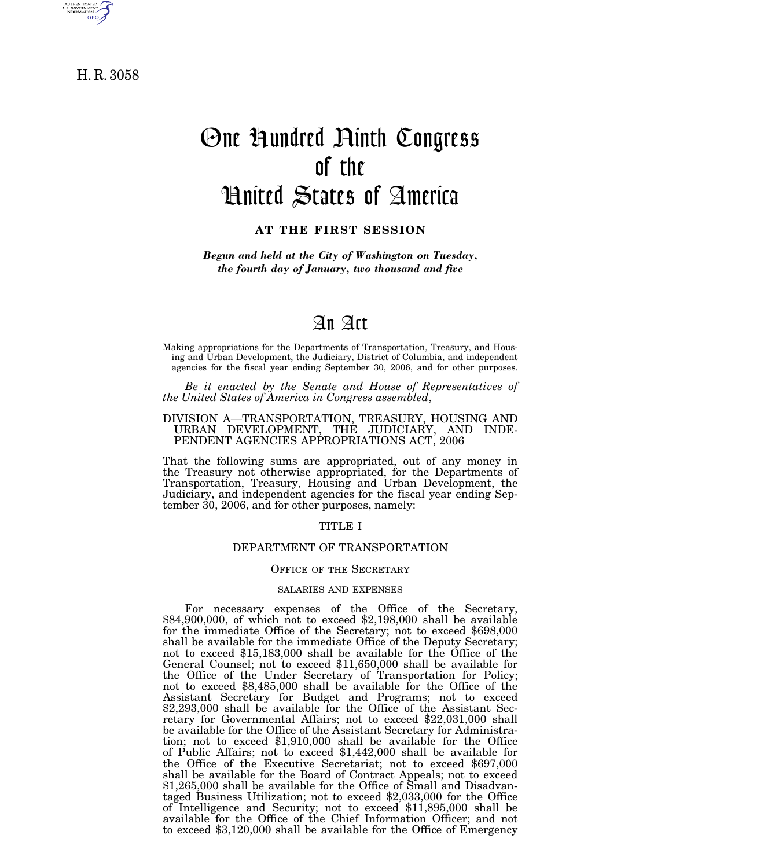

H. R. 3058

# One Hundred Ninth Congress of the United States of America

# **AT THE FIRST SESSION**

*Begun and held at the City of Washington on Tuesday, the fourth day of January, two thousand and five* 

# An Act

Making appropriations for the Departments of Transportation, Treasury, and Housing and Urban Development, the Judiciary, District of Columbia, and independent agencies for the fiscal year ending September 30, 2006, and for other purposes.

*Be it enacted by the Senate and House of Representatives of the United States of America in Congress assembled*,

# DIVISION A—TRANSPORTATION, TREASURY, HOUSING AND URBAN DEVELOPMENT, THE JUDICIARY, AND INDE-PENDENT AGENCIES APPROPRIATIONS ACT, 2006

That the following sums are appropriated, out of any money in the Treasury not otherwise appropriated, for the Departments of Transportation, Treasury, Housing and Urban Development, the Judiciary, and independent agencies for the fiscal year ending September 30, 2006, and for other purposes, namely:

# TITLE I

# DEPARTMENT OF TRANSPORTATION

# OFFICE OF THE SECRETARY

# SALARIES AND EXPENSES

For necessary expenses of the Office of the Secretary, \$84,900,000, of which not to exceed \$2,198,000 shall be available for the immediate Office of the Secretary; not to exceed \$698,000 shall be available for the immediate Office of the Deputy Secretary; not to exceed \$15,183,000 shall be available for the Office of the General Counsel; not to exceed \$11,650,000 shall be available for the Office of the Under Secretary of Transportation for Policy; not to exceed \$8,485,000 shall be available for the Office of the Assistant Secretary for Budget and Programs; not to exceed \$2,293,000 shall be available for the Office of the Assistant Secretary for Governmental Affairs; not to exceed \$22,031,000 shall be available for the Office of the Assistant Secretary for Administration; not to exceed \$1,910,000 shall be available for the Office of Public Affairs; not to exceed \$1,442,000 shall be available for the Office of the Executive Secretariat; not to exceed \$697,000 shall be available for the Board of Contract Appeals; not to exceed \$1,265,000 shall be available for the Office of Small and Disadvantaged Business Utilization; not to exceed \$2,033,000 for the Office of Intelligence and Security; not to exceed \$11,895,000 shall be available for the Office of the Chief Information Officer; and not to exceed \$3,120,000 shall be available for the Office of Emergency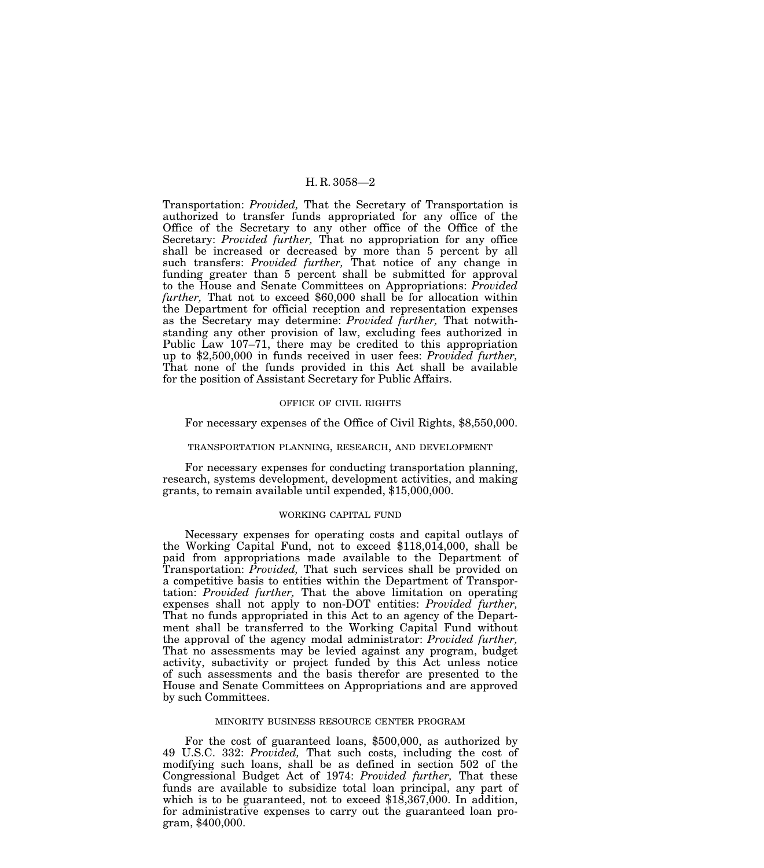Transportation: *Provided,* That the Secretary of Transportation is authorized to transfer funds appropriated for any office of the Office of the Secretary to any other office of the Office of the Secretary: *Provided further,* That no appropriation for any office shall be increased or decreased by more than 5 percent by all such transfers: *Provided further,* That notice of any change in funding greater than 5 percent shall be submitted for approval to the House and Senate Committees on Appropriations: *Provided further,* That not to exceed \$60,000 shall be for allocation within the Department for official reception and representation expenses as the Secretary may determine: *Provided further,* That notwithstanding any other provision of law, excluding fees authorized in Public Law 107–71, there may be credited to this appropriation up to \$2,500,000 in funds received in user fees: *Provided further,* That none of the funds provided in this Act shall be available for the position of Assistant Secretary for Public Affairs.

# OFFICE OF CIVIL RIGHTS

# For necessary expenses of the Office of Civil Rights, \$8,550,000.

# TRANSPORTATION PLANNING, RESEARCH, AND DEVELOPMENT

For necessary expenses for conducting transportation planning, research, systems development, development activities, and making grants, to remain available until expended, \$15,000,000.

#### WORKING CAPITAL FUND

Necessary expenses for operating costs and capital outlays of the Working Capital Fund, not to exceed \$118,014,000, shall be paid from appropriations made available to the Department of Transportation: *Provided,* That such services shall be provided on a competitive basis to entities within the Department of Transportation: *Provided further,* That the above limitation on operating expenses shall not apply to non-DOT entities: *Provided further,* That no funds appropriated in this Act to an agency of the Department shall be transferred to the Working Capital Fund without the approval of the agency modal administrator: *Provided further,* That no assessments may be levied against any program, budget activity, subactivity or project funded by this Act unless notice of such assessments and the basis therefor are presented to the House and Senate Committees on Appropriations and are approved by such Committees.

# MINORITY BUSINESS RESOURCE CENTER PROGRAM

For the cost of guaranteed loans, \$500,000, as authorized by 49 U.S.C. 332: *Provided,* That such costs, including the cost of modifying such loans, shall be as defined in section 502 of the Congressional Budget Act of 1974: *Provided further,* That these funds are available to subsidize total loan principal, any part of which is to be guaranteed, not to exceed  $$18,367,000$ . In addition, for administrative expenses to carry out the guaranteed loan program, \$400,000.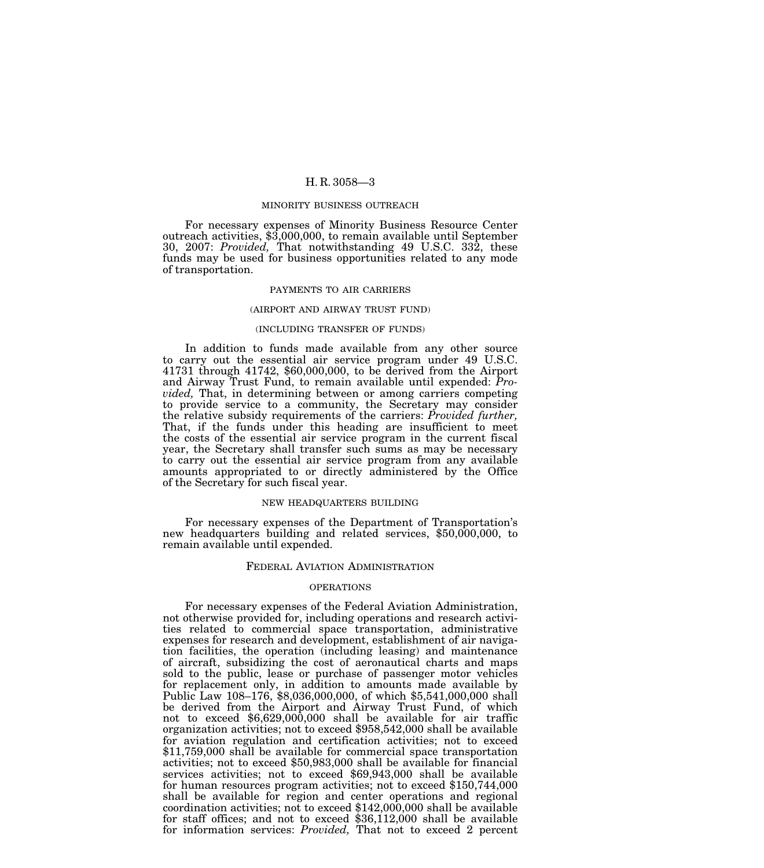### MINORITY BUSINESS OUTREACH

For necessary expenses of Minority Business Resource Center outreach activities, \$3,000,000, to remain available until September 30, 2007: *Provided,* That notwithstanding 49 U.S.C. 332, these funds may be used for business opportunities related to any mode of transportation.

#### PAYMENTS TO AIR CARRIERS

#### (AIRPORT AND AIRWAY TRUST FUND)

# (INCLUDING TRANSFER OF FUNDS)

In addition to funds made available from any other source to carry out the essential air service program under 49 U.S.C. 41731 through 41742, \$60,000,000, to be derived from the Airport and Airway Trust Fund, to remain available until expended: *Provided,* That, in determining between or among carriers competing to provide service to a community, the Secretary may consider the relative subsidy requirements of the carriers: *Provided further,* That, if the funds under this heading are insufficient to meet the costs of the essential air service program in the current fiscal year, the Secretary shall transfer such sums as may be necessary to carry out the essential air service program from any available amounts appropriated to or directly administered by the Office of the Secretary for such fiscal year.

#### NEW HEADQUARTERS BUILDING

For necessary expenses of the Department of Transportation's new headquarters building and related services, \$50,000,000, to remain available until expended.

# FEDERAL AVIATION ADMINISTRATION

# OPERATIONS

For necessary expenses of the Federal Aviation Administration, not otherwise provided for, including operations and research activities related to commercial space transportation, administrative expenses for research and development, establishment of air navigation facilities, the operation (including leasing) and maintenance of aircraft, subsidizing the cost of aeronautical charts and maps sold to the public, lease or purchase of passenger motor vehicles for replacement only, in addition to amounts made available by Public Law 108–176, \$8,036,000,000, of which \$5,541,000,000 shall be derived from the Airport and Airway Trust Fund, of which not to exceed \$6,629,000,000 shall be available for air traffic organization activities; not to exceed \$958,542,000 shall be available for aviation regulation and certification activities; not to exceed \$11,759,000 shall be available for commercial space transportation activities; not to exceed \$50,983,000 shall be available for financial services activities; not to exceed \$69,943,000 shall be available for human resources program activities; not to exceed \$150,744,000 shall be available for region and center operations and regional coordination activities; not to exceed  $$142,000,000$  shall be available for staff offices; and not to exceed \$36,112,000 shall be available for information services: *Provided,* That not to exceed 2 percent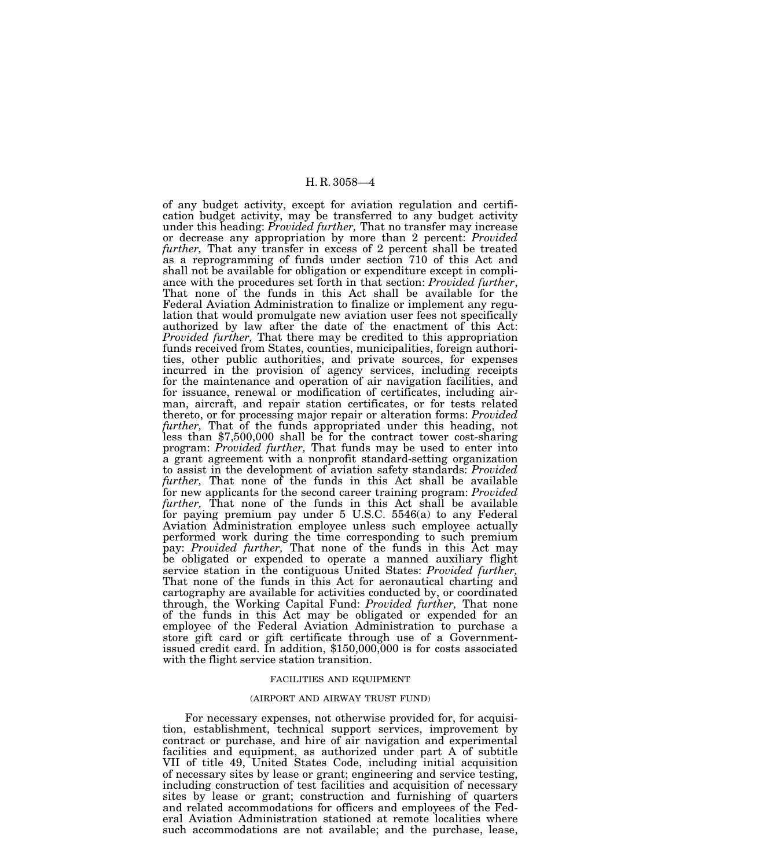of any budget activity, except for aviation regulation and certification budget activity, may be transferred to any budget activity under this heading: *Provided further,* That no transfer may increase or decrease any appropriation by more than 2 percent: *Provided further,* That any transfer in excess of 2 percent shall be treated as a reprogramming of funds under section 710 of this Act and shall not be available for obligation or expenditure except in compliance with the procedures set forth in that section: *Provided further*, That none of the funds in this Act shall be available for the Federal Aviation Administration to finalize or implement any regulation that would promulgate new aviation user fees not specifically authorized by law after the date of the enactment of this Act: *Provided further,* That there may be credited to this appropriation funds received from States, counties, municipalities, foreign authorities, other public authorities, and private sources, for expenses incurred in the provision of agency services, including receipts for the maintenance and operation of air navigation facilities, and for issuance, renewal or modification of certificates, including airman, aircraft, and repair station certificates, or for tests related thereto, or for processing major repair or alteration forms: *Provided*  less than \$7,500,000 shall be for the contract tower cost-sharing program: *Provided further,* That funds may be used to enter into a grant agreement with a nonprofit standard-setting organization to assist in the development of aviation safety standards: *Provided further,* That none of the funds in this Act shall be available for new applicants for the second career training program: *Provided further,* That none of the funds in this Act shall be available for paying premium pay under 5 U.S.C. 5546(a) to any Federal Aviation Administration employee unless such employee actually performed work during the time corresponding to such premium pay: *Provided further,* That none of the funds in this Act may be obligated or expended to operate a manned auxiliary flight service station in the contiguous United States: *Provided further,* That none of the funds in this Act for aeronautical charting and cartography are available for activities conducted by, or coordinated through, the Working Capital Fund: *Provided further,* That none of the funds in this Act may be obligated or expended for an employee of the Federal Aviation Administration to purchase a store gift card or gift certificate through use of a Governmentissued credit card. In addition, \$150,000,000 is for costs associated with the flight service station transition.

#### FACILITIES AND EQUIPMENT

# (AIRPORT AND AIRWAY TRUST FUND)

For necessary expenses, not otherwise provided for, for acquisition, establishment, technical support services, improvement by contract or purchase, and hire of air navigation and experimental facilities and equipment, as authorized under part A of subtitle VII of title 49, United States Code, including initial acquisition of necessary sites by lease or grant; engineering and service testing, including construction of test facilities and acquisition of necessary sites by lease or grant; construction and furnishing of quarters and related accommodations for officers and employees of the Federal Aviation Administration stationed at remote localities where such accommodations are not available; and the purchase, lease,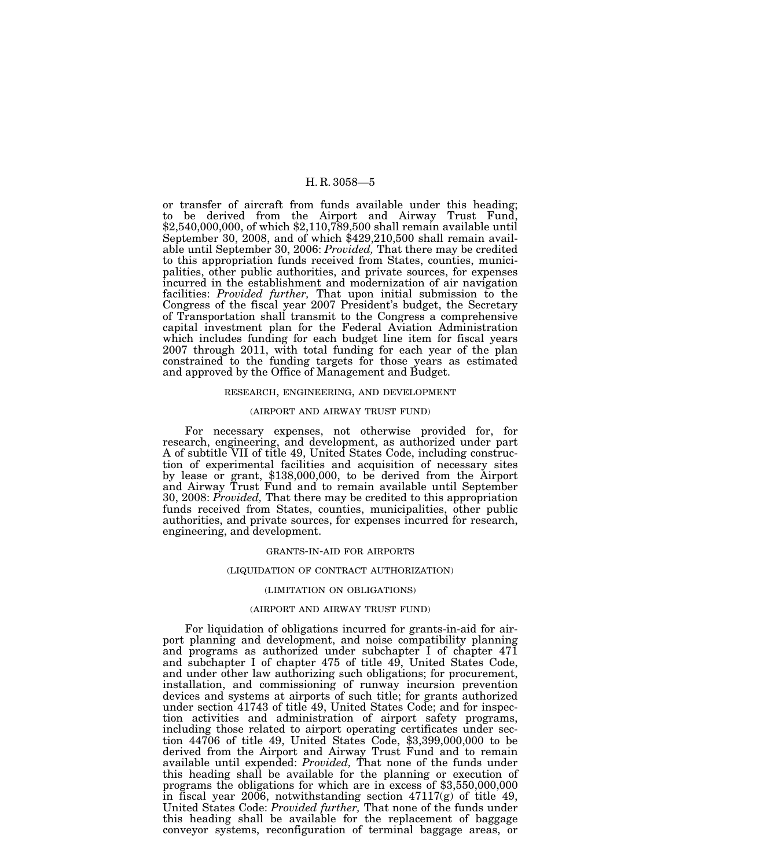or transfer of aircraft from funds available under this heading; to be derived from the Airport and Airway Trust Fund, \$2,540,000,000, of which \$2,110,789,500 shall remain available until September 30, 2008, and of which \$429,210,500 shall remain available until September 30, 2006: *Provided,* That there may be credited to this appropriation funds received from States, counties, municipalities, other public authorities, and private sources, for expenses incurred in the establishment and modernization of air navigation facilities: *Provided further,* That upon initial submission to the Congress of the fiscal year 2007 President's budget, the Secretary of Transportation shall transmit to the Congress a comprehensive capital investment plan for the Federal Aviation Administration which includes funding for each budget line item for fiscal years 2007 through 2011, with total funding for each year of the plan constrained to the funding targets for those years as estimated and approved by the Office of Management and Budget.

#### RESEARCH, ENGINEERING, AND DEVELOPMENT

# (AIRPORT AND AIRWAY TRUST FUND)

For necessary expenses, not otherwise provided for, for research, engineering, and development, as authorized under part A of subtitle VII of title 49, United States Code, including construction of experimental facilities and acquisition of necessary sites by lease or grant, \$138,000,000, to be derived from the Airport and Airway Trust Fund and to remain available until September 30, 2008: *Provided,* That there may be credited to this appropriation funds received from States, counties, municipalities, other public authorities, and private sources, for expenses incurred for research, engineering, and development.

## GRANTS-IN-AID FOR AIRPORTS

#### (LIQUIDATION OF CONTRACT AUTHORIZATION)

# (LIMITATION ON OBLIGATIONS)

#### (AIRPORT AND AIRWAY TRUST FUND)

For liquidation of obligations incurred for grants-in-aid for airport planning and development, and noise compatibility planning and programs as authorized under subchapter I of chapter 471 and subchapter I of chapter 475 of title 49, United States Code, and under other law authorizing such obligations; for procurement, installation, and commissioning of runway incursion prevention devices and systems at airports of such title; for grants authorized under section 41743 of title 49, United States Code; and for inspection activities and administration of airport safety programs, including those related to airport operating certificates under section 44706 of title 49, United States Code, \$3,399,000,000 to be derived from the Airport and Airway Trust Fund and to remain available until expended: *Provided,* That none of the funds under this heading shall be available for the planning or execution of programs the obligations for which are in excess of \$3,550,000,000 in fiscal year 2006, notwithstanding section 47117(g) of title 49, United States Code: *Provided further,* That none of the funds under this heading shall be available for the replacement of baggage conveyor systems, reconfiguration of terminal baggage areas, or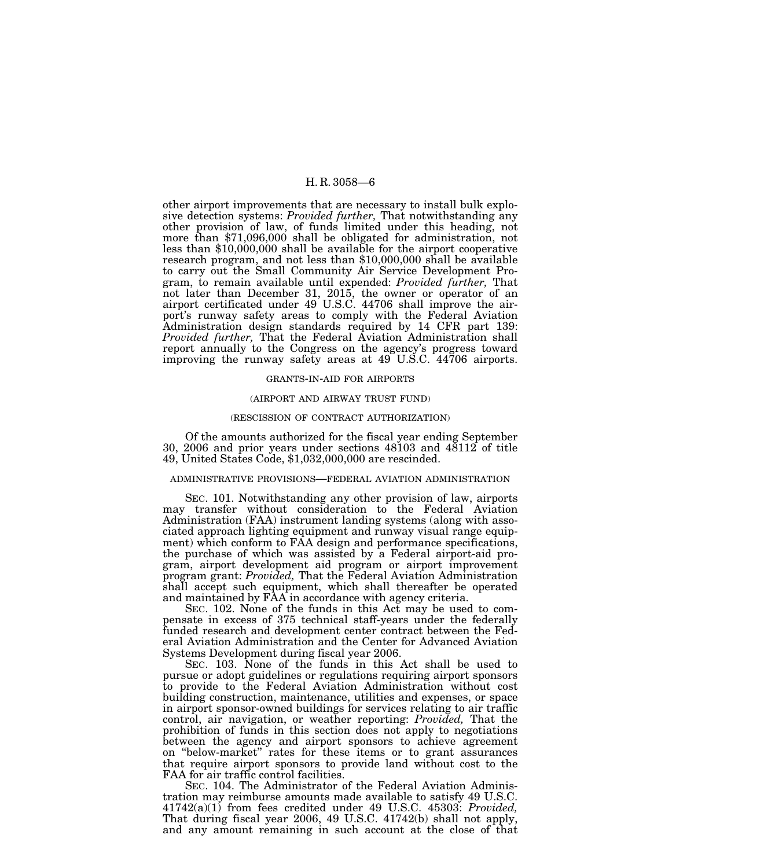other airport improvements that are necessary to install bulk explosive detection systems: *Provided further,* That notwithstanding any other provision of law, of funds limited under this heading, not more than \$71,096,000 shall be obligated for administration, not less than \$10,000,000 shall be available for the airport cooperative research program, and not less than \$10,000,000 shall be available to carry out the Small Community Air Service Development Program, to remain available until expended: *Provided further,* That not later than December 31, 2015, the owner or operator of an airport certificated under 49 U.S.C. 44706 shall improve the airport's runway safety areas to comply with the Federal Aviation Administration design standards required by 14 CFR part 139: *Provided further,* That the Federal Aviation Administration shall report annually to the Congress on the agency's progress toward improving the runway safety areas at 49 U.S.C. 44706 airports.

#### GRANTS-IN-AID FOR AIRPORTS

#### (AIRPORT AND AIRWAY TRUST FUND)

#### (RESCISSION OF CONTRACT AUTHORIZATION)

Of the amounts authorized for the fiscal year ending September 30, 2006 and prior years under sections 48103 and 48112 of title 49, United States Code, \$1,032,000,000 are rescinded.

# ADMINISTRATIVE PROVISIONS—FEDERAL AVIATION ADMINISTRATION

SEC. 101. Notwithstanding any other provision of law, airports may transfer without consideration to the Federal Aviation Administration (FAA) instrument landing systems (along with associated approach lighting equipment and runway visual range equipment) which conform to FAA design and performance specifications, the purchase of which was assisted by a Federal airport-aid program, airport development aid program or airport improvement program grant: *Provided,* That the Federal Aviation Administration shall accept such equipment, which shall thereafter be operated and maintained by FAA in accordance with agency criteria.

SEC. 102. None of the funds in this Act may be used to compensate in excess of 375 technical staff-years under the federally funded research and development center contract between the Federal Aviation Administration and the Center for Advanced Aviation Systems Development during fiscal year 2006.

SEC. 103. None of the funds in this Act shall be used to pursue or adopt guidelines or regulations requiring airport sponsors to provide to the Federal Aviation Administration without cost building construction, maintenance, utilities and expenses, or space in airport sponsor-owned buildings for services relating to air traffic control, air navigation, or weather reporting: *Provided,* That the prohibition of funds in this section does not apply to negotiations between the agency and airport sponsors to achieve agreement on ''below-market'' rates for these items or to grant assurances that require airport sponsors to provide land without cost to the FAA for air traffic control facilities.

SEC. 104. The Administrator of the Federal Aviation Administration may reimburse amounts made available to satisfy 49 U.S.C. 41742(a)(1) from fees credited under 49 U.S.C. 45303: *Provided,* That during fiscal year 2006, 49 U.S.C. 41742(b) shall not apply, and any amount remaining in such account at the close of that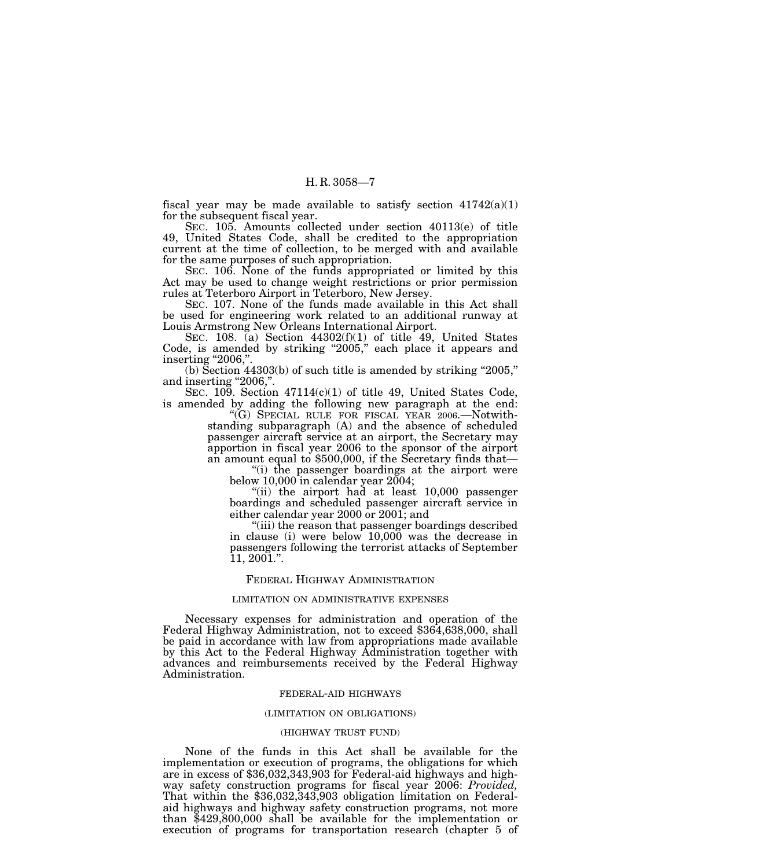fiscal year may be made available to satisfy section  $41742(a)(1)$ for the subsequent fiscal year.

SEC. 105. Amounts collected under section 40113(e) of title 49, United States Code, shall be credited to the appropriation current at the time of collection, to be merged with and available for the same purposes of such appropriation.

SEC. 106. None of the funds appropriated or limited by this Act may be used to change weight restrictions or prior permission rules at Teterboro Airport in Teterboro, New Jersey.

SEC. 107. None of the funds made available in this Act shall be used for engineering work related to an additional runway at Louis Armstrong New Orleans International Airport.

SEC. 108. (a) Section  $44302(f)(1)$  of title 49, United States Code, is amended by striking "2005," each place it appears and inserting "2006,".

(b) Section  $44303(b)$  of such title is amended by striking "2005," and inserting "2006,".

SEC. 109. Section 47114(c)(1) of title 49, United States Code, is amended by adding the following new paragraph at the end:

''(G) SPECIAL RULE FOR FISCAL YEAR 2006.—Notwithstanding subparagraph (A) and the absence of scheduled passenger aircraft service at an airport, the Secretary may apportion in fiscal year 2006 to the sponsor of the airport an amount equal to \$500,000, if the Secretary finds that—

''(i) the passenger boardings at the airport were below  $10,000$  in calendar year  $2004$ ;

''(ii) the airport had at least 10,000 passenger boardings and scheduled passenger aircraft service in either calendar year 2000 or 2001; and

''(iii) the reason that passenger boardings described in clause (i) were below 10,000 was the decrease in passengers following the terrorist attacks of September 11, 2001.''.

# FEDERAL HIGHWAY ADMINISTRATION

#### LIMITATION ON ADMINISTRATIVE EXPENSES

Necessary expenses for administration and operation of the Federal Highway Administration, not to exceed \$364,638,000, shall be paid in accordance with law from appropriations made available by this Act to the Federal Highway Administration together with advances and reimbursements received by the Federal Highway Administration.

#### FEDERAL-AID HIGHWAYS

# (LIMITATION ON OBLIGATIONS)

#### (HIGHWAY TRUST FUND)

None of the funds in this Act shall be available for the implementation or execution of programs, the obligations for which are in excess of \$36,032,343,903 for Federal-aid highways and highway safety construction programs for fiscal year 2006: *Provided,* That within the \$36,032,343,903 obligation limitation on Federalaid highways and highway safety construction programs, not more than \$429,800,000 shall be available for the implementation or execution of programs for transportation research (chapter 5 of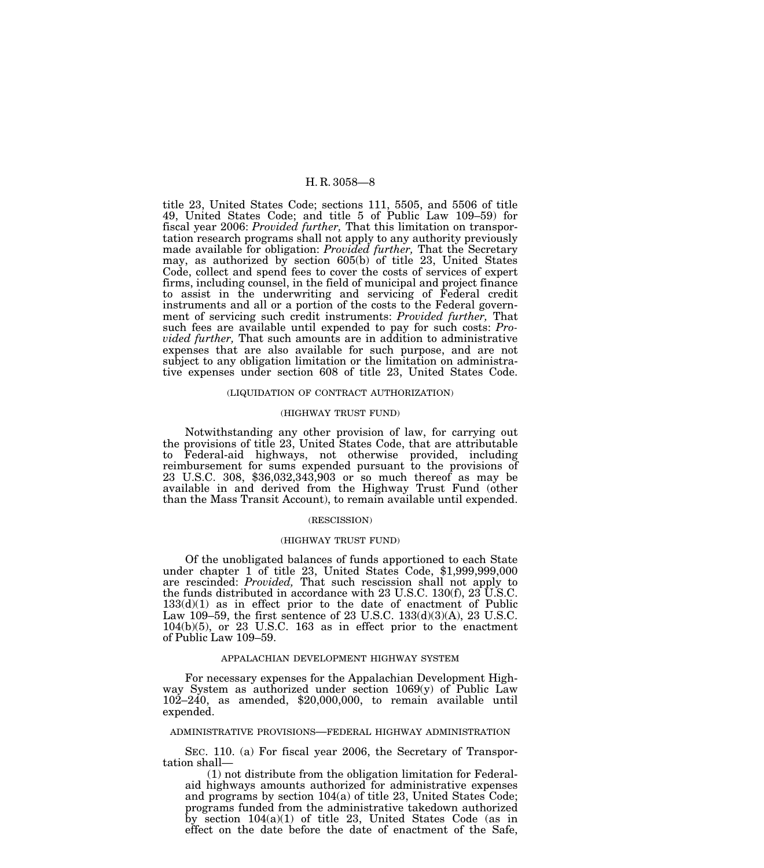title 23, United States Code; sections 111, 5505, and 5506 of title 49, United States Code; and title 5 of Public Law 109–59) for fiscal year 2006: *Provided further,* That this limitation on transportation research programs shall not apply to any authority previously made available for obligation: *Provided further,* That the Secretary may, as authorized by section 605(b) of title 23, United States Code, collect and spend fees to cover the costs of services of expert firms, including counsel, in the field of municipal and project finance to assist in the underwriting and servicing of Federal credit instruments and all or a portion of the costs to the Federal government of servicing such credit instruments: *Provided further,* That such fees are available until expended to pay for such costs: *Provided further,* That such amounts are in addition to administrative expenses that are also available for such purpose, and are not subject to any obligation limitation or the limitation on administrative expenses under section 608 of title 23, United States Code.

#### (LIQUIDATION OF CONTRACT AUTHORIZATION)

#### (HIGHWAY TRUST FUND)

Notwithstanding any other provision of law, for carrying out the provisions of title 23, United States Code, that are attributable to Federal-aid highways, not otherwise provided, including reimbursement for sums expended pursuant to the provisions of 23 U.S.C. 308, \$36,032,343,903 or so much thereof as may be available in and derived from the Highway Trust Fund (other than the Mass Transit Account), to remain available until expended.

#### (RESCISSION)

#### (HIGHWAY TRUST FUND)

Of the unobligated balances of funds apportioned to each State under chapter 1 of title 23, United States Code, \$1,999,999,000 are rescinded: *Provided,* That such rescission shall not apply to the funds distributed in accordance with 23 U.S.C. 130(f), 23 U.S.C.  $133(d)(1)$  as in effect prior to the date of enactment of Public Law 109–59, the first sentence of 23 U.S.C. 133(d)(3)(A), 23 U.S.C. 104(b)(5), or 23 U.S.C. 163 as in effect prior to the enactment of Public Law 109–59.

#### APPALACHIAN DEVELOPMENT HIGHWAY SYSTEM

For necessary expenses for the Appalachian Development Highway System as authorized under section 1069(y) of Public Law 102–240, as amended, \$20,000,000, to remain available until expended.

# ADMINISTRATIVE PROVISIONS—FEDERAL HIGHWAY ADMINISTRATION

SEC. 110. (a) For fiscal year 2006, the Secretary of Transportation shall—

(1) not distribute from the obligation limitation for Federalaid highways amounts authorized for administrative expenses and programs by section 104(a) of title 23, United States Code; programs funded from the administrative takedown authorized by section 104(a)(1) of title 23, United States Code (as in effect on the date before the date of enactment of the Safe,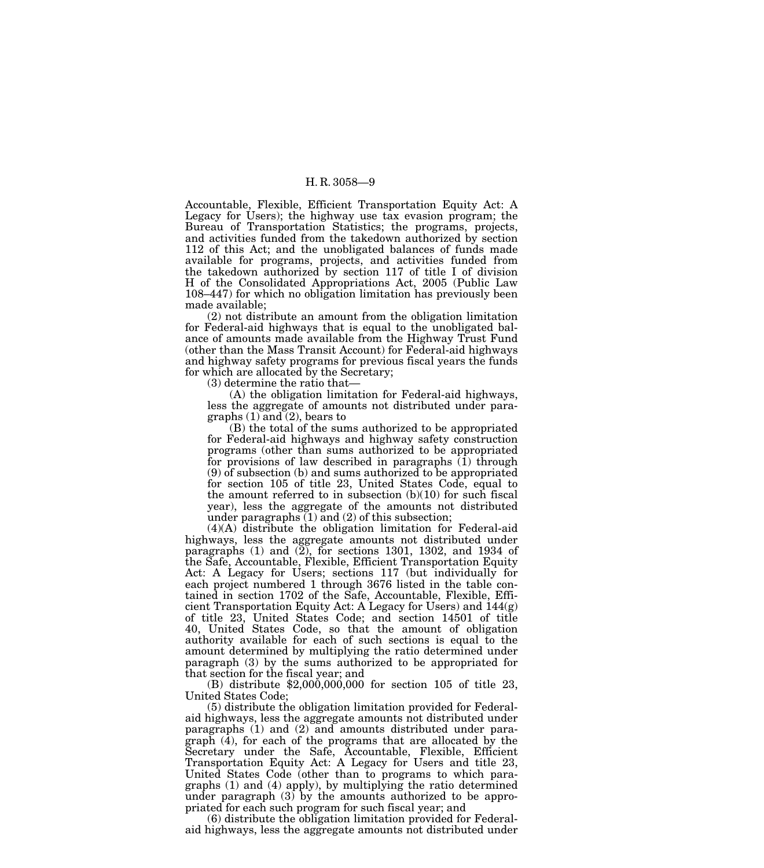Accountable, Flexible, Efficient Transportation Equity Act: A Legacy for Users); the highway use tax evasion program; the Bureau of Transportation Statistics; the programs, projects, and activities funded from the takedown authorized by section 112 of this Act; and the unobligated balances of funds made available for programs, projects, and activities funded from the takedown authorized by section 117 of title I of division H of the Consolidated Appropriations Act, 2005 (Public Law 108–447) for which no obligation limitation has previously been made available;

(2) not distribute an amount from the obligation limitation for Federal-aid highways that is equal to the unobligated balance of amounts made available from the Highway Trust Fund (other than the Mass Transit Account) for Federal-aid highways and highway safety programs for previous fiscal years the funds for which are allocated by the Secretary;

(3) determine the ratio that—

(A) the obligation limitation for Federal-aid highways, less the aggregate of amounts not distributed under paragraphs  $(1)$  and  $(2)$ , bears to

(B) the total of the sums authorized to be appropriated for Federal-aid highways and highway safety construction programs (other than sums authorized to be appropriated for provisions of law described in paragraphs  $(1)$  through (9) of subsection (b) and sums authorized to be appropriated for section 105 of title 23, United States Code, equal to the amount referred to in subsection  $(b)(10)$  for such fiscal year), less the aggregate of the amounts not distributed under paragraphs (1) and (2) of this subsection;

(4)(A) distribute the obligation limitation for Federal-aid highways, less the aggregate amounts not distributed under paragraphs  $(1)$  and  $(\overline{2})$ , for sections 1301, 1302, and 1934 of the Safe, Accountable, Flexible, Efficient Transportation Equity Act: A Legacy for Users; sections 117 (but individually for each project numbered 1 through 3676 listed in the table contained in section 1702 of the Safe, Accountable, Flexible, Efficient Transportation Equity Act: A Legacy for Users) and 144(g) of title 23, United States Code; and section 14501 of title 40, United States Code, so that the amount of obligation authority available for each of such sections is equal to the amount determined by multiplying the ratio determined under paragraph (3) by the sums authorized to be appropriated for that section for the fiscal year; and (B) distribute \$2,000,000,000 for section 105 of title 23,

United States Code;

(5) distribute the obligation limitation provided for Federalaid highways, less the aggregate amounts not distributed under paragraphs  $(1)$  and  $(2)$  and amounts distributed under paragraph (4), for each of the programs that are allocated by the Secretary under the Safe, Accountable, Flexible, Efficient Transportation Equity Act: A Legacy for Users and title 23, United States Code (other than to programs to which paragraphs (1) and (4) apply), by multiplying the ratio determined under paragraph  $(3)$  by the amounts authorized to be appropriated for each such program for such fiscal year; and

(6) distribute the obligation limitation provided for Federalaid highways, less the aggregate amounts not distributed under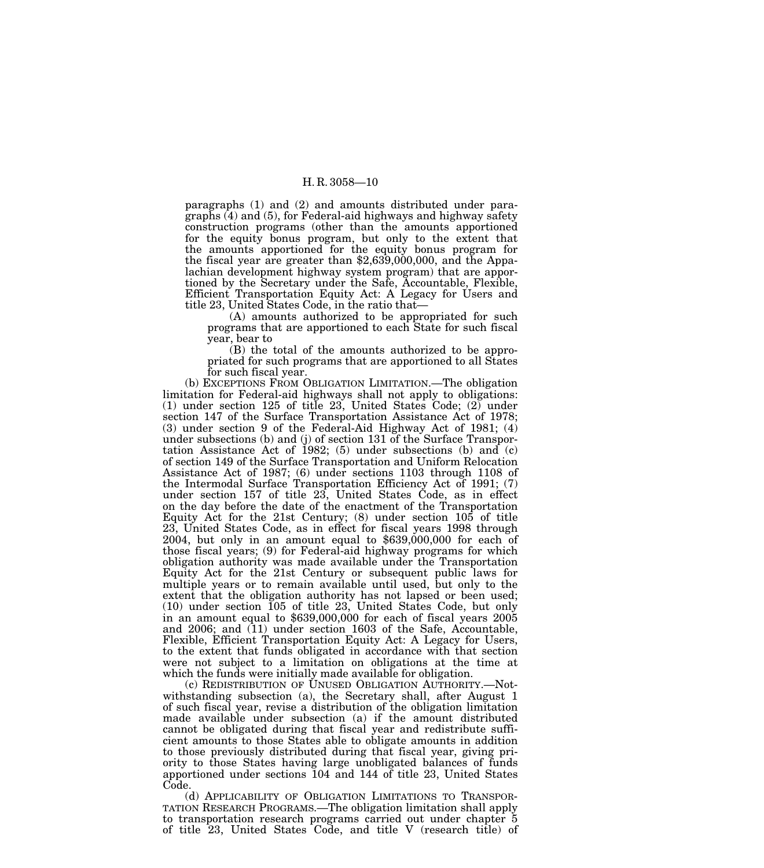paragraphs (1) and (2) and amounts distributed under paragraphs (4) and (5), for Federal-aid highways and highway safety construction programs (other than the amounts apportioned for the equity bonus program, but only to the extent that the amounts apportioned for the equity bonus program for the fiscal year are greater than  $$2,639,000,000$ , and the Appalachian development highway system program) that are apportioned by the Secretary under the Safe, Accountable, Flexible, Efficient Transportation Equity Act: A Legacy for Users and title 23, United States Code, in the ratio that—

(A) amounts authorized to be appropriated for such programs that are apportioned to each State for such fiscal year, bear to

(B) the total of the amounts authorized to be appropriated for such programs that are apportioned to all States for such fiscal year.

(b) EXCEPTIONS FROM OBLIGATION LIMITATION.—The obligation limitation for Federal-aid highways shall not apply to obligations: (1) under section 125 of title 23, United States Code; (2) under section 147 of the Surface Transportation Assistance Act of 1978; (3) under section 9 of the Federal-Aid Highway Act of 1981; (4) under subsections (b) and (j) of section 131 of the Surface Transportation Assistance Act of 1982; (5) under subsections (b) and  $(c)$ of section 149 of the Surface Transportation and Uniform Relocation Assistance Act of 1987; (6) under sections 1103 through 1108 of the Intermodal Surface Transportation Efficiency Act of 1991; (7) under section 157 of title 23, United States Code, as in effect on the day before the date of the enactment of the Transportation Equity Act for the 21st Century; (8) under section 105 of title 23, United States Code, as in effect for fiscal years 1998 through 2004, but only in an amount equal to \$639,000,000 for each of those fiscal years; (9) for Federal-aid highway programs for which obligation authority was made available under the Transportation Equity Act for the 21st Century or subsequent public laws for multiple years or to remain available until used, but only to the extent that the obligation authority has not lapsed or been used; (10) under section 105 of title 23, United States Code, but only in an amount equal to \$639,000,000 for each of fiscal years 2005 and 2006; and (11) under section 1603 of the Safe, Accountable, Flexible, Efficient Transportation Equity Act: A Legacy for Users, to the extent that funds obligated in accordance with that section were not subject to a limitation on obligations at the time at which the funds were initially made available for obligation.

(c) REDISTRIBUTION OF UNUSED OBLIGATION AUTHORITY.—Notwithstanding subsection (a), the Secretary shall, after August 1 of such fiscal year, revise a distribution of the obligation limitation made available under subsection (a) if the amount distributed cannot be obligated during that fiscal year and redistribute sufficient amounts to those States able to obligate amounts in addition to those previously distributed during that fiscal year, giving priority to those States having large unobligated balances of funds apportioned under sections 104 and 144 of title 23, United States Code.

(d) APPLICABILITY OF OBLIGATION LIMITATIONS TO TRANSPOR- TATION RESEARCH PROGRAMS.—The obligation limitation shall apply to transportation research programs carried out under chapter 5 of title 23, United States Code, and title V (research title) of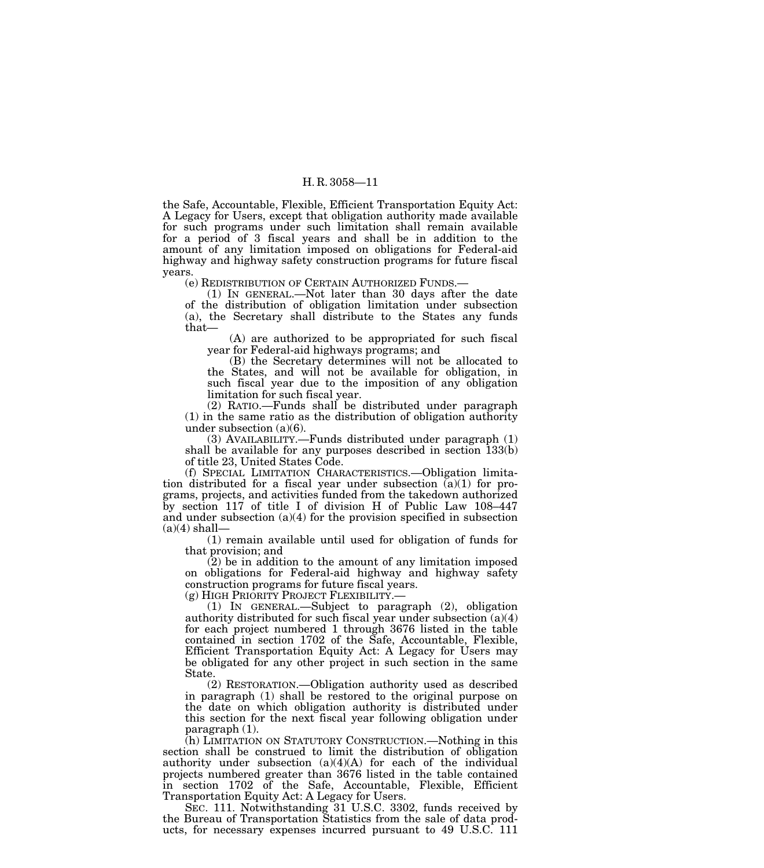the Safe, Accountable, Flexible, Efficient Transportation Equity Act: A Legacy for Users, except that obligation authority made available for such programs under such limitation shall remain available for a period of 3 fiscal years and shall be in addition to the amount of any limitation imposed on obligations for Federal-aid highway and highway safety construction programs for future fiscal years.

(e) REDISTRIBUTION OF CERTAIN AUTHORIZED FUNDS.—

(1) IN GENERAL.—Not later than 30 days after the date of the distribution of obligation limitation under subsection (a), the Secretary shall distribute to the States any funds that—

(A) are authorized to be appropriated for such fiscal year for Federal-aid highways programs; and

(B) the Secretary determines will not be allocated to the States, and will not be available for obligation, in such fiscal year due to the imposition of any obligation limitation for such fiscal year.

(2) RATIO.—Funds shall be distributed under paragraph (1) in the same ratio as the distribution of obligation authority under subsection (a)(6).

(3) AVAILABILITY.—Funds distributed under paragraph (1) shall be available for any purposes described in section 133(b) of title 23, United States Code.

(f) SPECIAL LIMITATION CHARACTERISTICS.—Obligation limitation distributed for a fiscal year under subsection  $(a)(1)$  for programs, projects, and activities funded from the takedown authorized by section 117 of title I of division H of Public Law 108–447 and under subsection  $(a)(4)$  for the provision specified in subsection  $(a)(4)$  shall-

(1) remain available until used for obligation of funds for that provision; and

 $(2)$  be in addition to the amount of any limitation imposed on obligations for Federal-aid highway and highway safety construction programs for future fiscal years.<br>(g) HIGH PRIORITY PROJECT FLEXIBILITY.—

(1) IN GENERAL.—Subject to paragraph (2), obligation authority distributed for such fiscal year under subsection  $(a)(4)$ for each project numbered 1 through 3676 listed in the table contained in section 1702 of the Safe, Accountable, Flexible, Efficient Transportation Equity Act: A Legacy for Users may be obligated for any other project in such section in the same State.

(2) RESTORATION.—Obligation authority used as described in paragraph (1) shall be restored to the original purpose on the date on which obligation authority is distributed under this section for the next fiscal year following obligation under paragraph (1).

(h) LIMITATION ON STATUTORY CONSTRUCTION.—Nothing in this section shall be construed to limit the distribution of obligation authority under subsection (a)(4)(A) for each of the individual projects numbered greater than 3676 listed in the table contained in section 1702 of the Safe, Accountable, Flexible, Efficient Transportation Equity Act: A Legacy for Users.

SEC. 111. Notwithstanding 31 U.S.C. 3302, funds received by the Bureau of Transportation Statistics from the sale of data products, for necessary expenses incurred pursuant to 49 U.S.C. 111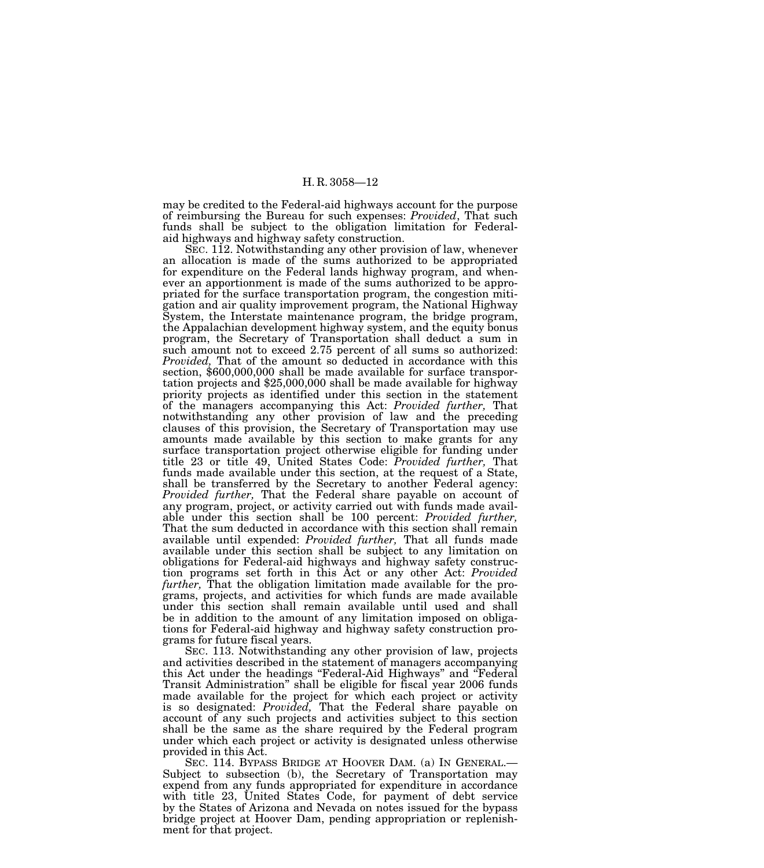may be credited to the Federal-aid highways account for the purpose of reimbursing the Bureau for such expenses: *Provided*, That such funds shall be subject to the obligation limitation for Federalaid highways and highway safety construction.

SEC. 112. Notwithstanding any other provision of law, whenever an allocation is made of the sums authorized to be appropriated for expenditure on the Federal lands highway program, and whenever an apportionment is made of the sums authorized to be appropriated for the surface transportation program, the congestion mitigation and air quality improvement program, the National Highway System, the Interstate maintenance program, the bridge program, the Appalachian development highway system, and the equity bonus program, the Secretary of Transportation shall deduct a sum in such amount not to exceed 2.75 percent of all sums so authorized: *Provided,* That of the amount so deducted in accordance with this section, \$600,000,000 shall be made available for surface transportation projects and \$25,000,000 shall be made available for highway priority projects as identified under this section in the statement of the managers accompanying this Act: *Provided further,* That notwithstanding any other provision of law and the preceding clauses of this provision, the Secretary of Transportation may use amounts made available by this section to make grants for any surface transportation project otherwise eligible for funding under title 23 or title 49, United States Code: *Provided further,* That funds made available under this section, at the request of a State, shall be transferred by the Secretary to another Federal agency: *Provided further,* That the Federal share payable on account of any program, project, or activity carried out with funds made available under this section shall be 100 percent: *Provided further,* That the sum deducted in accordance with this section shall remain available until expended: *Provided further,* That all funds made available under this section shall be subject to any limitation on obligations for Federal-aid highways and highway safety construction programs set forth in this Act or any other Act: *Provided further,* That the obligation limitation made available for the programs, projects, and activities for which funds are made available under this section shall remain available until used and shall be in addition to the amount of any limitation imposed on obligations for Federal-aid highway and highway safety construction programs for future fiscal years.

SEC. 113. Notwithstanding any other provision of law, projects and activities described in the statement of managers accompanying this Act under the headings ''Federal-Aid Highways'' and ''Federal Transit Administration'' shall be eligible for fiscal year 2006 funds made available for the project for which each project or activity is so designated: *Provided,* That the Federal share payable on account of any such projects and activities subject to this section shall be the same as the share required by the Federal program under which each project or activity is designated unless otherwise provided in this Act.

SEC. 114. BYPASS BRIDGE AT HOOVER DAM. (a) IN GENERAL.— Subject to subsection (b), the Secretary of Transportation may expend from any funds appropriated for expenditure in accordance with title 23, United States Code, for payment of debt service by the States of Arizona and Nevada on notes issued for the bypass bridge project at Hoover Dam, pending appropriation or replenishment for that project.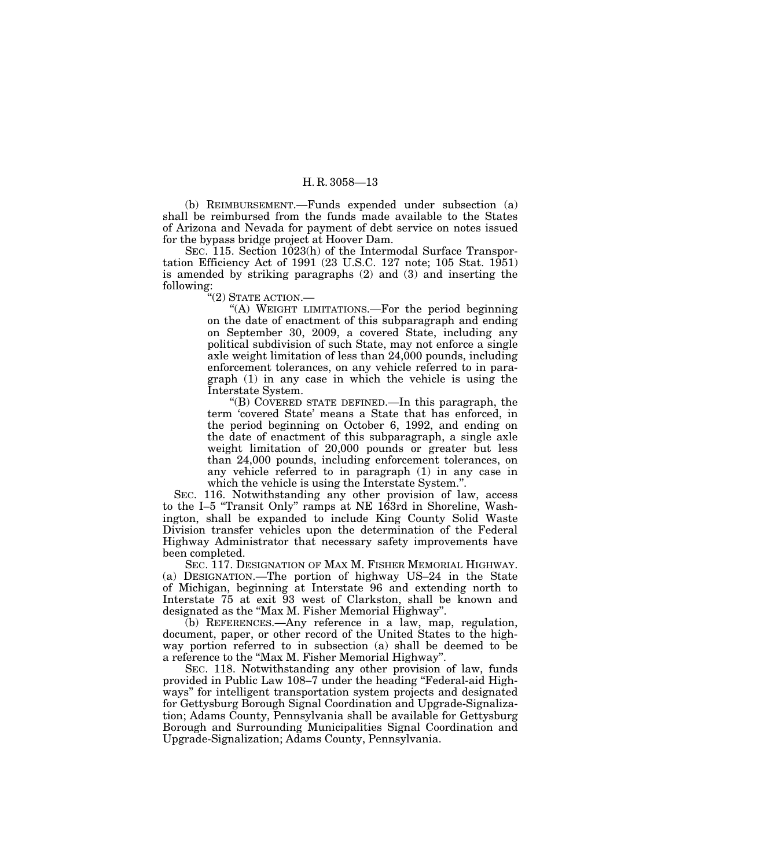(b) REIMBURSEMENT.—Funds expended under subsection (a) shall be reimbursed from the funds made available to the States of Arizona and Nevada for payment of debt service on notes issued for the bypass bridge project at Hoover Dam.

SEC. 115. Section 1023(h) of the Intermodal Surface Transportation Efficiency Act of 1991 (23 U.S.C. 127 note; 105 Stat. 1951) is amended by striking paragraphs (2) and (3) and inserting the following:

 $\H``(2)$  State action.—

''(A) WEIGHT LIMITATIONS.—For the period beginning on the date of enactment of this subparagraph and ending on September 30, 2009, a covered State, including any political subdivision of such State, may not enforce a single axle weight limitation of less than 24,000 pounds, including enforcement tolerances, on any vehicle referred to in paragraph (1) in any case in which the vehicle is using the Interstate System.

''(B) COVERED STATE DEFINED.—In this paragraph, the term 'covered State' means a State that has enforced, in the period beginning on October 6, 1992, and ending on the date of enactment of this subparagraph, a single axle weight limitation of 20,000 pounds or greater but less than 24,000 pounds, including enforcement tolerances, on any vehicle referred to in paragraph (1) in any case in which the vehicle is using the Interstate System.''.

SEC. 116. Notwithstanding any other provision of law, access to the I–5 ''Transit Only'' ramps at NE 163rd in Shoreline, Washington, shall be expanded to include King County Solid Waste Division transfer vehicles upon the determination of the Federal Highway Administrator that necessary safety improvements have been completed.

SEC. 117. DESIGNATION OF MAX M. FISHER MEMORIAL HIGHWAY. (a) DESIGNATION.—The portion of highway US–24 in the State of Michigan, beginning at Interstate 96 and extending north to Interstate 75 at exit 93 west of Clarkston, shall be known and designated as the ''Max M. Fisher Memorial Highway''.

(b) REFERENCES.—Any reference in a law, map, regulation, document, paper, or other record of the United States to the highway portion referred to in subsection (a) shall be deemed to be a reference to the ''Max M. Fisher Memorial Highway''.

SEC. 118. Notwithstanding any other provision of law, funds provided in Public Law 108–7 under the heading ''Federal-aid Highways'' for intelligent transportation system projects and designated for Gettysburg Borough Signal Coordination and Upgrade-Signalization; Adams County, Pennsylvania shall be available for Gettysburg Borough and Surrounding Municipalities Signal Coordination and Upgrade-Signalization; Adams County, Pennsylvania.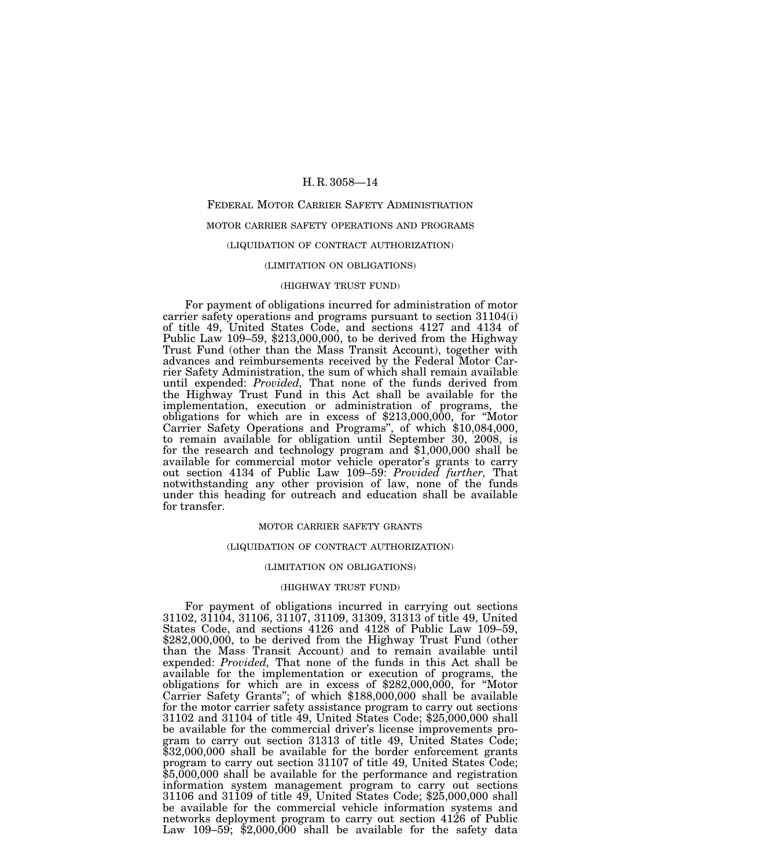# FEDERAL MOTOR CARRIER SAFETY ADMINISTRATION MOTOR CARRIER SAFETY OPERATIONS AND PROGRAMS (LIQUIDATION OF CONTRACT AUTHORIZATION)

# (LIMITATION ON OBLIGATIONS)

# (HIGHWAY TRUST FUND)

For payment of obligations incurred for administration of motor carrier safety operations and programs pursuant to section 31104(i) of title 49, United States Code, and sections 4127 and 4134 of Public Law 109–59, \$213,000,000, to be derived from the Highway Trust Fund (other than the Mass Transit Account), together with advances and reimbursements received by the Federal Motor Carrier Safety Administration, the sum of which shall remain available until expended: *Provided,* That none of the funds derived from the Highway Trust Fund in this Act shall be available for the implementation, execution or administration of programs, the obligations for which are in excess of \$213,000,000, for ''Motor Carrier Safety Operations and Programs'', of which \$10,084,000, to remain available for obligation until September 30, 2008, is for the research and technology program and \$1,000,000 shall be available for commercial motor vehicle operator's grants to carry out section 4134 of Public Law 109–59: *Provided further,* That notwithstanding any other provision of law, none of the funds under this heading for outreach and education shall be available for transfer.

# MOTOR CARRIER SAFETY GRANTS

### (LIQUIDATION OF CONTRACT AUTHORIZATION)

# (LIMITATION ON OBLIGATIONS)

# (HIGHWAY TRUST FUND)

For payment of obligations incurred in carrying out sections 31102, 31104, 31106, 31107, 31109, 31309, 31313 of title 49, United States Code, and sections 4126 and 4128 of Public Law 109–59, \$282,000,000, to be derived from the Highway Trust Fund (other than the Mass Transit Account) and to remain available until expended: *Provided,* That none of the funds in this Act shall be available for the implementation or execution of programs, the obligations for which are in excess of \$282,000,000, for ''Motor Carrier Safety Grants''; of which \$188,000,000 shall be available for the motor carrier safety assistance program to carry out sections 31102 and 31104 of title 49, United States Code; \$25,000,000 shall be available for the commercial driver's license improvements program to carry out section 31313 of title 49, United States Code; \$32,000,000 shall be available for the border enforcement grants program to carry out section 31107 of title 49, United States Code; \$5,000,000 shall be available for the performance and registration information system management program to carry out sections 31106 and 31109 of title 49, United States Code; \$25,000,000 shall be available for the commercial vehicle information systems and networks deployment program to carry out section 4126 of Public Law 109–59; \$2,000,000 shall be available for the safety data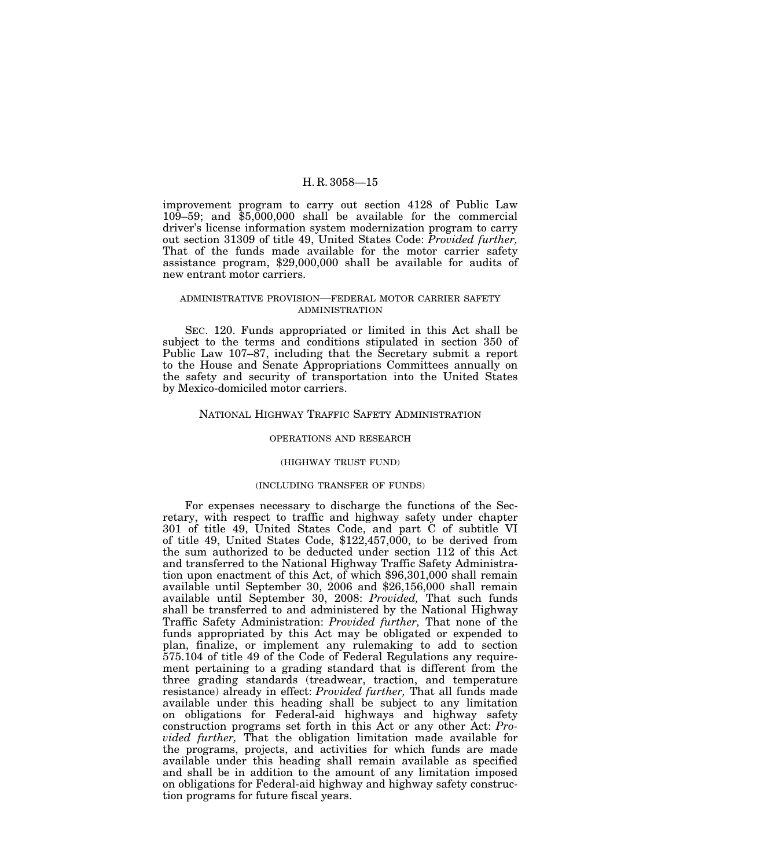improvement program to carry out section 4128 of Public Law 109–59; and \$5,000,000 shall be available for the commercial driver's license information system modernization program to carry out section 31309 of title 49, United States Code: *Provided further,* That of the funds made available for the motor carrier safety assistance program, \$29,000,000 shall be available for audits of new entrant motor carriers.

# ADMINISTRATIVE PROVISION—FEDERAL MOTOR CARRIER SAFETY ADMINISTRATION

SEC. 120. Funds appropriated or limited in this Act shall be subject to the terms and conditions stipulated in section 350 of Public Law 107–87, including that the Secretary submit a report to the House and Senate Appropriations Committees annually on the safety and security of transportation into the United States by Mexico-domiciled motor carriers.

# NATIONAL HIGHWAY TRAFFIC SAFETY ADMINISTRATION

#### OPERATIONS AND RESEARCH

# (HIGHWAY TRUST FUND)

#### (INCLUDING TRANSFER OF FUNDS)

For expenses necessary to discharge the functions of the Secretary, with respect to traffic and highway safety under chapter 301 of title 49, United States Code, and part C of subtitle VI of title 49, United States Code, \$122,457,000, to be derived from the sum authorized to be deducted under section 112 of this Act and transferred to the National Highway Traffic Safety Administration upon enactment of this Act, of which \$96,301,000 shall remain available until September 30, 2006 and \$26,156,000 shall remain available until September 30, 2008: *Provided,* That such funds shall be transferred to and administered by the National Highway Traffic Safety Administration: *Provided further,* That none of the funds appropriated by this Act may be obligated or expended to plan, finalize, or implement any rulemaking to add to section 575.104 of title 49 of the Code of Federal Regulations any requirement pertaining to a grading standard that is different from the three grading standards (treadwear, traction, and temperature resistance) already in effect: *Provided further,* That all funds made available under this heading shall be subject to any limitation on obligations for Federal-aid highways and highway safety construction programs set forth in this Act or any other Act: *Provided further,* That the obligation limitation made available for the programs, projects, and activities for which funds are made available under this heading shall remain available as specified and shall be in addition to the amount of any limitation imposed on obligations for Federal-aid highway and highway safety construction programs for future fiscal years.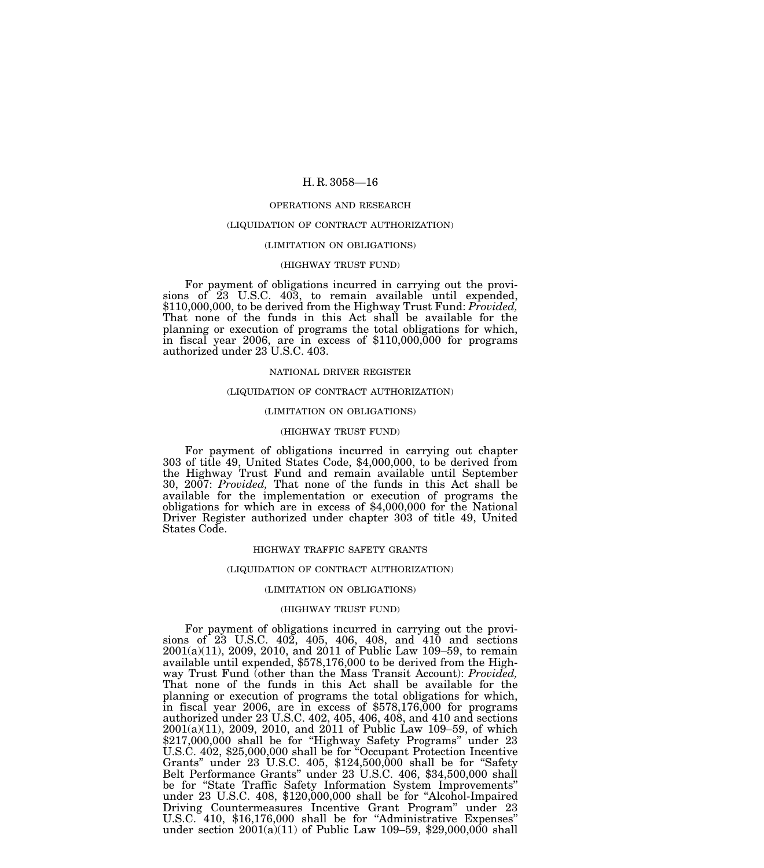#### OPERATIONS AND RESEARCH

#### (LIQUIDATION OF CONTRACT AUTHORIZATION)

#### (LIMITATION ON OBLIGATIONS)

#### (HIGHWAY TRUST FUND)

For payment of obligations incurred in carrying out the provisions of 23 U.S.C. 403, to remain available until expended, \$110,000,000, to be derived from the Highway Trust Fund: *Provided,* That none of the funds in this Act shall be available for the planning or execution of programs the total obligations for which, in fiscal year 2006, are in excess of \$110,000,000 for programs authorized under 23 U.S.C. 403.

# NATIONAL DRIVER REGISTER

#### (LIQUIDATION OF CONTRACT AUTHORIZATION)

#### (LIMITATION ON OBLIGATIONS)

# (HIGHWAY TRUST FUND)

For payment of obligations incurred in carrying out chapter 303 of title 49, United States Code, \$4,000,000, to be derived from the Highway Trust Fund and remain available until September 30, 2007: *Provided,* That none of the funds in this Act shall be available for the implementation or execution of programs the obligations for which are in excess of \$4,000,000 for the National Driver Register authorized under chapter 303 of title 49, United States Code.

#### HIGHWAY TRAFFIC SAFETY GRANTS

#### (LIQUIDATION OF CONTRACT AUTHORIZATION)

#### (LIMITATION ON OBLIGATIONS)

# (HIGHWAY TRUST FUND)

For payment of obligations incurred in carrying out the provisions of  $23$  U.S.C.  $40\overline{2}$ ,  $405$ ,  $406$ ,  $408$ , and  $41\overline{0}$  and sections 2001(a)(11), 2009, 2010, and 2011 of Public Law 109–59, to remain available until expended, \$578,176,000 to be derived from the Highway Trust Fund (other than the Mass Transit Account): *Provided,* That none of the funds in this Act shall be available for the planning or execution of programs the total obligations for which, in fiscal year 2006, are in excess of \$578,176,000 for programs authorized under 23 U.S.C. 402, 405, 406, 408, and 410 and sections 2001(a)(11), 2009, 2010, and 2011 of Public Law 109–59, of which \$217,000,000 shall be for ''Highway Safety Programs'' under 23 U.S.C. 402, \$25,000,000 shall be for ''Occupant Protection Incentive Grants'' under 23 U.S.C. 405, \$124,500,000 shall be for ''Safety Belt Performance Grants'' under 23 U.S.C. 406, \$34,500,000 shall be for "State Traffic Safety Information System Improvements" under 23 U.S.C. 408, \$120,000,000 shall be for ''Alcohol-Impaired Driving Countermeasures Incentive Grant Program'' under 23 U.S.C. 410, \$16,176,000 shall be for ''Administrative Expenses'' under section 2001(a)(11) of Public Law 109–59, \$29,000,000 shall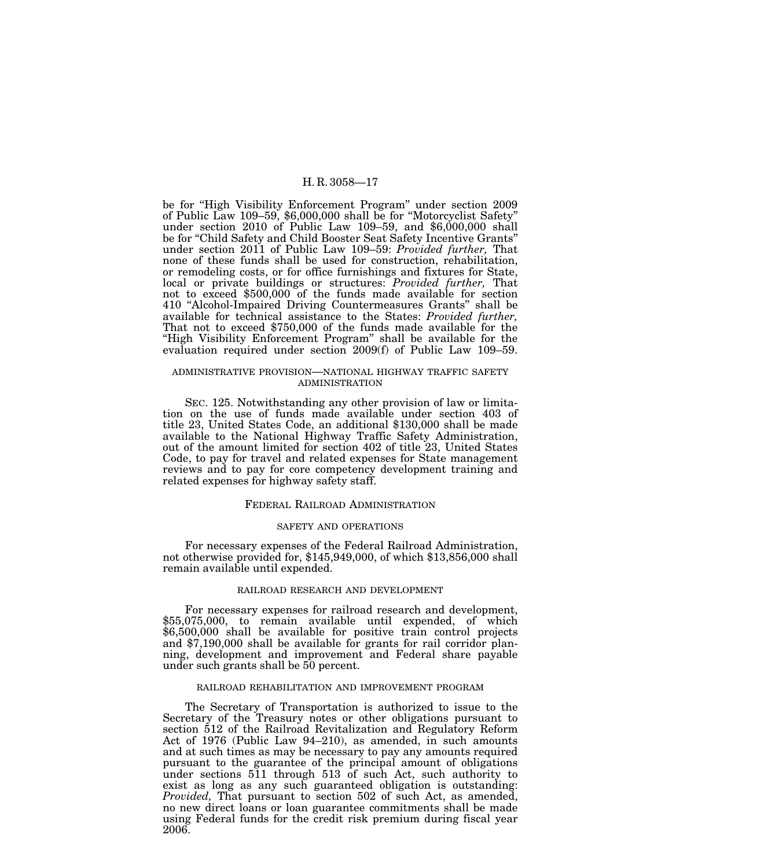be for ''High Visibility Enforcement Program'' under section 2009 of Public Law 109–59, \$6,000,000 shall be for ''Motorcyclist Safety'' under section 2010 of Public Law 109-59, and  $$6,000,000$  shall be for ''Child Safety and Child Booster Seat Safety Incentive Grants'' under section 2011 of Public Law 109–59: *Provided further,* That none of these funds shall be used for construction, rehabilitation, or remodeling costs, or for office furnishings and fixtures for State, local or private buildings or structures: *Provided further,* That not to exceed \$500,000 of the funds made available for section 410 ''Alcohol-Impaired Driving Countermeasures Grants'' shall be available for technical assistance to the States: *Provided further,* That not to exceed \$750,000 of the funds made available for the "High Visibility Enforcement Program" shall be available for the evaluation required under section 2009(f) of Public Law 109–59.

# ADMINISTRATIVE PROVISION—NATIONAL HIGHWAY TRAFFIC SAFETY ADMINISTRATION

SEC. 125. Notwithstanding any other provision of law or limitation on the use of funds made available under section 403 of title 23, United States Code, an additional \$130,000 shall be made available to the National Highway Traffic Safety Administration, out of the amount limited for section 402 of title 23, United States Code, to pay for travel and related expenses for State management reviews and to pay for core competency development training and related expenses for highway safety staff.

#### FEDERAL RAILROAD ADMINISTRATION

# SAFETY AND OPERATIONS

For necessary expenses of the Federal Railroad Administration, not otherwise provided for, \$145,949,000, of which \$13,856,000 shall remain available until expended.

# RAILROAD RESEARCH AND DEVELOPMENT

For necessary expenses for railroad research and development, \$55,075,000, to remain available until expended, of which \$6,500,000 shall be available for positive train control projects and \$7,190,000 shall be available for grants for rail corridor planning, development and improvement and Federal share payable under such grants shall be 50 percent.

# RAILROAD REHABILITATION AND IMPROVEMENT PROGRAM

The Secretary of Transportation is authorized to issue to the Secretary of the Treasury notes or other obligations pursuant to section 512 of the Railroad Revitalization and Regulatory Reform Act of 1976 (Public Law 94–210), as amended, in such amounts and at such times as may be necessary to pay any amounts required pursuant to the guarantee of the principal amount of obligations under sections 511 through 513 of such Act, such authority to exist as long as any such guaranteed obligation is outstanding: *Provided,* That pursuant to section 502 of such Act, as amended, no new direct loans or loan guarantee commitments shall be made using Federal funds for the credit risk premium during fiscal year 2006.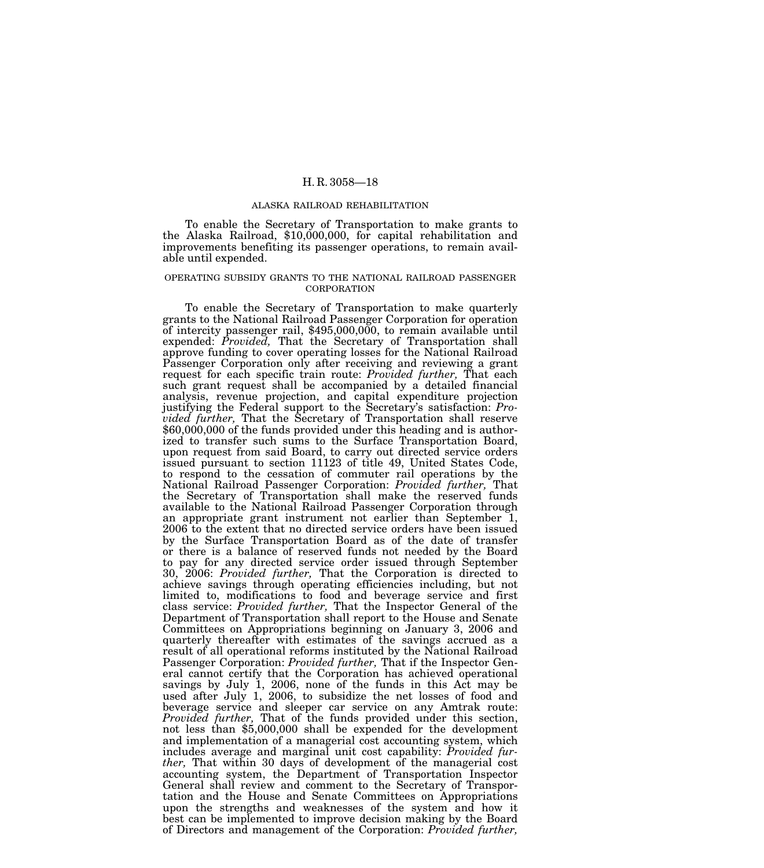#### ALASKA RAILROAD REHABILITATION

To enable the Secretary of Transportation to make grants to the Alaska Railroad, \$10,000,000, for capital rehabilitation and improvements benefiting its passenger operations, to remain available until expended.

# OPERATING SUBSIDY GRANTS TO THE NATIONAL RAILROAD PASSENGER CORPORATION

To enable the Secretary of Transportation to make quarterly grants to the National Railroad Passenger Corporation for operation of intercity passenger rail, \$495,000,000, to remain available until expended: *Provided,* That the Secretary of Transportation shall approve funding to cover operating losses for the National Railroad Passenger Corporation only after receiving and reviewing a grant request for each specific train route: *Provided further,* That each such grant request shall be accompanied by a detailed financial analysis, revenue projection, and capital expenditure projection justifying the Federal support to the Secretary's satisfaction: *Pro-* $$60,000,000$  of the funds provided under this heading and is authorized to transfer such sums to the Surface Transportation Board, upon request from said Board, to carry out directed service orders issued pursuant to section 11123 of title 49, United States Code, to respond to the cessation of commuter rail operations by the National Railroad Passenger Corporation: *Provided further,* That the Secretary of Transportation shall make the reserved funds available to the National Railroad Passenger Corporation through an appropriate grant instrument not earlier than September 1, 2006 to the extent that no directed service orders have been issued by the Surface Transportation Board as of the date of transfer or there is a balance of reserved funds not needed by the Board to pay for any directed service order issued through September 30, 2006: *Provided further,* That the Corporation is directed to achieve savings through operating efficiencies including, but not limited to, modifications to food and beverage service and first class service: *Provided further,* That the Inspector General of the Department of Transportation shall report to the House and Senate Committees on Appropriations beginning on January 3, 2006 and quarterly thereafter with estimates of the savings accrued as a result of all operational reforms instituted by the National Railroad Passenger Corporation: *Provided further,* That if the Inspector General cannot certify that the Corporation has achieved operational savings by July 1, 2006, none of the funds in this Act may be used after July 1, 2006, to subsidize the net losses of food and beverage service and sleeper car service on any Amtrak route: *Provided further,* That of the funds provided under this section, not less than \$5,000,000 shall be expended for the development and implementation of a managerial cost accounting system, which includes average and marginal unit cost capability: *Provided further,* That within 30 days of development of the managerial cost accounting system, the Department of Transportation Inspector General shall review and comment to the Secretary of Transportation and the House and Senate Committees on Appropriations upon the strengths and weaknesses of the system and how it best can be implemented to improve decision making by the Board of Directors and management of the Corporation: *Provided further,*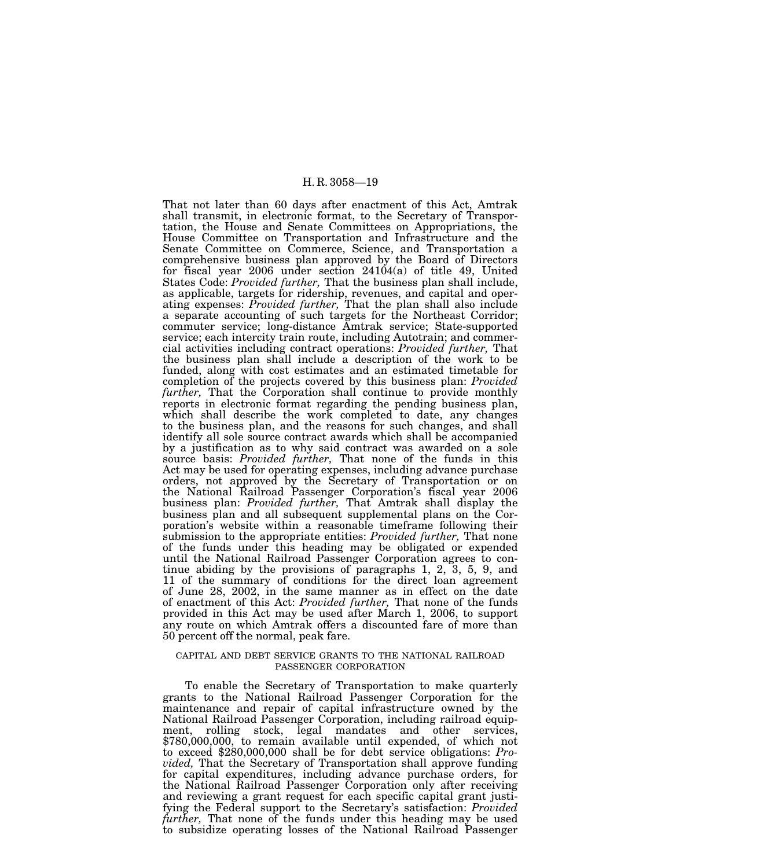That not later than 60 days after enactment of this Act, Amtrak shall transmit, in electronic format, to the Secretary of Transportation, the House and Senate Committees on Appropriations, the House Committee on Transportation and Infrastructure and the Senate Committee on Commerce, Science, and Transportation a comprehensive business plan approved by the Board of Directors for fiscal year 2006 under section 24104(a) of title 49, United States Code: *Provided further,* That the business plan shall include, as applicable, targets for ridership, revenues, and capital and operating expenses: *Provided further,* That the plan shall also include a separate accounting of such targets for the Northeast Corridor; commuter service; long-distance Amtrak service; State-supported service; each intercity train route, including Autotrain; and commercial activities including contract operations: *Provided further,* That the business plan shall include a description of the work to be funded, along with cost estimates and an estimated timetable for completion of the projects covered by this business plan: *Provided further,* That the Corporation shall continue to provide monthly reports in electronic format regarding the pending business plan, which shall describe the work completed to date, any changes to the business plan, and the reasons for such changes, and shall identify all sole source contract awards which shall be accompanied by a justification as to why said contract was awarded on a sole source basis: *Provided further,* That none of the funds in this Act may be used for operating expenses, including advance purchase orders, not approved by the Secretary of Transportation or on the National Railroad Passenger Corporation's fiscal year 2006 business plan: *Provided further,* That Amtrak shall display the business plan and all subsequent supplemental plans on the Corporation's website within a reasonable timeframe following their submission to the appropriate entities: *Provided further,* That none of the funds under this heading may be obligated or expended until the National Railroad Passenger Corporation agrees to continue abiding by the provisions of paragraphs 1, 2, 3, 5, 9, and 11 of the summary of conditions for the direct loan agreement of June 28, 2002, in the same manner as in effect on the date of enactment of this Act: *Provided further,* That none of the funds provided in this Act may be used after March 1, 2006, to support any route on which Amtrak offers a discounted fare of more than 50 percent off the normal, peak fare.

# CAPITAL AND DEBT SERVICE GRANTS TO THE NATIONAL RAILROAD PASSENGER CORPORATION

To enable the Secretary of Transportation to make quarterly grants to the National Railroad Passenger Corporation for the maintenance and repair of capital infrastructure owned by the National Railroad Passenger Corporation, including railroad equipment, rolling stock, legal mandates and other services, \$780,000,000, to remain available until expended, of which not to exceed \$280,000,000 shall be for debt service obligations: *Provided,* That the Secretary of Transportation shall approve funding for capital expenditures, including advance purchase orders, for the National Railroad Passenger Corporation only after receiving and reviewing a grant request for each specific capital grant justifying the Federal support to the Secretary's satisfaction: *Provided further,* That none of the funds under this heading may be used to subsidize operating losses of the National Railroad Passenger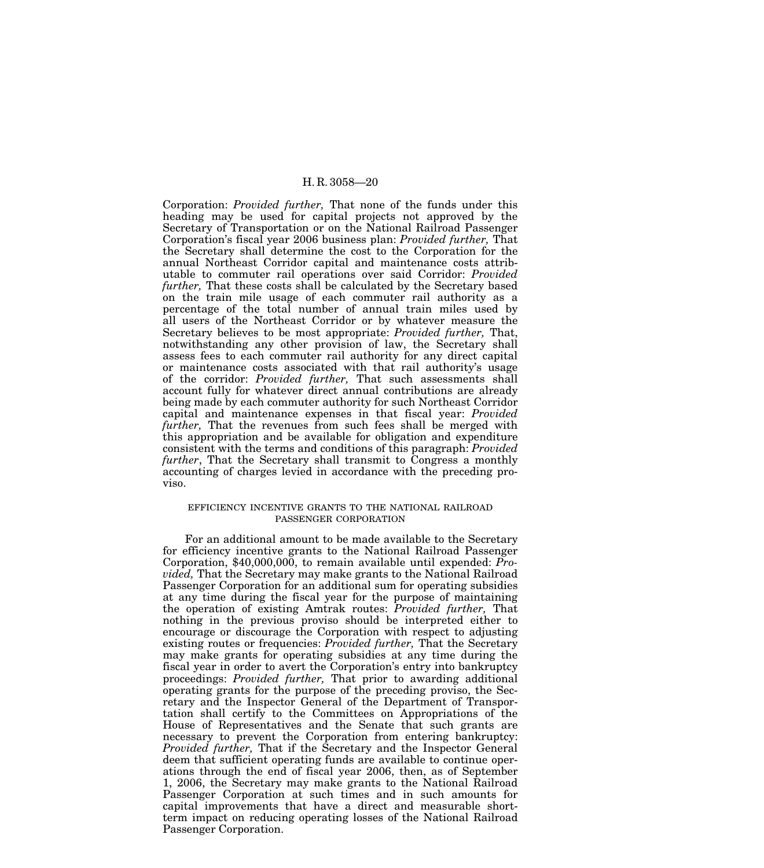Corporation: *Provided further,* That none of the funds under this heading may be used for capital projects not approved by the Secretary of Transportation or on the National Railroad Passenger Corporation's fiscal year 2006 business plan: *Provided further,* That the Secretary shall determine the cost to the Corporation for the annual Northeast Corridor capital and maintenance costs attributable to commuter rail operations over said Corridor: *Provided further,* That these costs shall be calculated by the Secretary based on the train mile usage of each commuter rail authority as a percentage of the total number of annual train miles used by all users of the Northeast Corridor or by whatever measure the Secretary believes to be most appropriate: *Provided further,* That, notwithstanding any other provision of law, the Secretary shall assess fees to each commuter rail authority for any direct capital or maintenance costs associated with that rail authority's usage of the corridor: *Provided further,* That such assessments shall account fully for whatever direct annual contributions are already being made by each commuter authority for such Northeast Corridor capital and maintenance expenses in that fiscal year: *Provided further,* That the revenues from such fees shall be merged with this appropriation and be available for obligation and expenditure consistent with the terms and conditions of this paragraph: *Provided further*, That the Secretary shall transmit to Congress a monthly accounting of charges levied in accordance with the preceding proviso.

# EFFICIENCY INCENTIVE GRANTS TO THE NATIONAL RAILROAD PASSENGER CORPORATION

For an additional amount to be made available to the Secretary for efficiency incentive grants to the National Railroad Passenger Corporation, \$40,000,000, to remain available until expended: *Provided,* That the Secretary may make grants to the National Railroad Passenger Corporation for an additional sum for operating subsidies at any time during the fiscal year for the purpose of maintaining the operation of existing Amtrak routes: *Provided further,* That nothing in the previous proviso should be interpreted either to encourage or discourage the Corporation with respect to adjusting existing routes or frequencies: *Provided further,* That the Secretary may make grants for operating subsidies at any time during the fiscal year in order to avert the Corporation's entry into bankruptcy proceedings: *Provided further,* That prior to awarding additional operating grants for the purpose of the preceding proviso, the Secretary and the Inspector General of the Department of Transportation shall certify to the Committees on Appropriations of the House of Representatives and the Senate that such grants are necessary to prevent the Corporation from entering bankruptcy: *Provided further,* That if the Secretary and the Inspector General deem that sufficient operating funds are available to continue operations through the end of fiscal year 2006, then, as of September 1, 2006, the Secretary may make grants to the National Railroad Passenger Corporation at such times and in such amounts for capital improvements that have a direct and measurable shortterm impact on reducing operating losses of the National Railroad Passenger Corporation.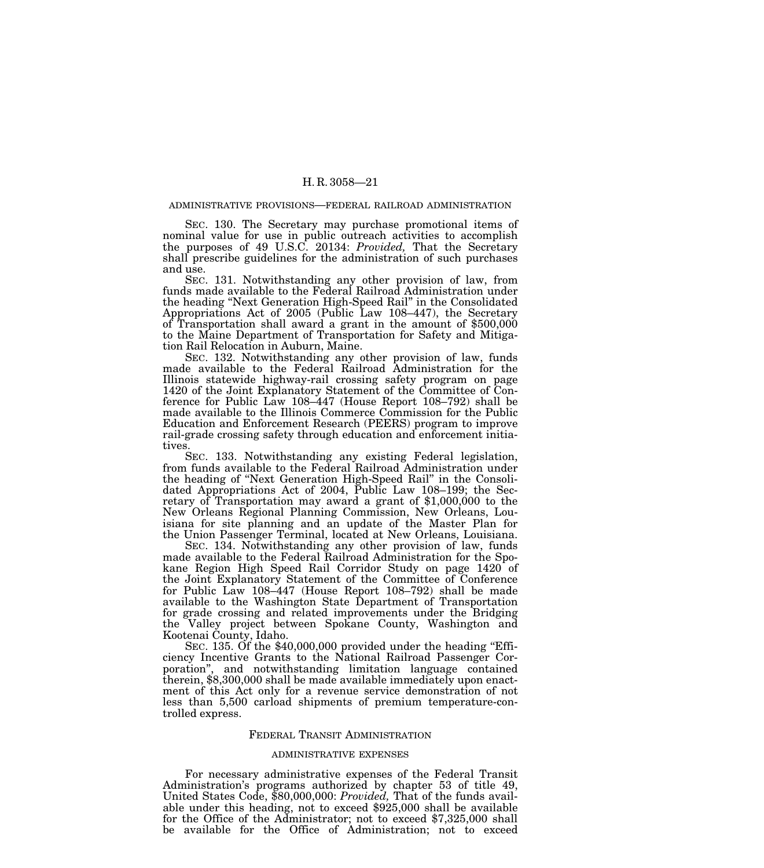#### ADMINISTRATIVE PROVISIONS—FEDERAL RAILROAD ADMINISTRATION

SEC. 130. The Secretary may purchase promotional items of nominal value for use in public outreach activities to accomplish the purposes of 49 U.S.C. 20134: *Provided,* That the Secretary shall prescribe guidelines for the administration of such purchases and use.

SEC. 131. Notwithstanding any other provision of law, from funds made available to the Federal Railroad Administration under the heading ''Next Generation High-Speed Rail'' in the Consolidated Appropriations Act of 2005 (Public Law 108–447), the Secretary of Transportation shall award a grant in the amount of \$500,000 to the Maine Department of Transportation for Safety and Mitigation Rail Relocation in Auburn, Maine.

SEC. 132. Notwithstanding any other provision of law, funds made available to the Federal Railroad Administration for the Illinois statewide highway-rail crossing safety program on page 1420 of the Joint Explanatory Statement of the Committee of Conference for Public Law 108–447 (House Report 108–792) shall be made available to the Illinois Commerce Commission for the Public Education and Enforcement Research (PEERS) program to improve rail-grade crossing safety through education and enforcement initiatives.

SEC. 133. Notwithstanding any existing Federal legislation, from funds available to the Federal Railroad Administration under the heading of ''Next Generation High-Speed Rail'' in the Consolidated Appropriations Act of 2004, Public Law 108–199; the Secretary of Transportation may award a grant of  $$1,000,000$  to the New Orleans Regional Planning Commission, New Orleans, Louisiana for site planning and an update of the Master Plan for the Union Passenger Terminal, located at New Orleans, Louisiana.

SEC. 134. Notwithstanding any other provision of law, funds made available to the Federal Railroad Administration for the Spokane Region High Speed Rail Corridor Study on page 1420 of the Joint Explanatory Statement of the Committee of Conference for Public Law 108–447 (House Report 108–792) shall be made available to the Washington State Department of Transportation for grade crossing and related improvements under the Bridging the Valley project between Spokane County, Washington and Kootenai County, Idaho.

SEC. 135. Of the \$40,000,000 provided under the heading "Efficiency Incentive Grants to the National Railroad Passenger Corporation'', and notwithstanding limitation language contained therein, \$8,300,000 shall be made available immediately upon enactment of this Act only for a revenue service demonstration of not less than 5,500 carload shipments of premium temperature-controlled express.

# FEDERAL TRANSIT ADMINISTRATION

#### ADMINISTRATIVE EXPENSES

For necessary administrative expenses of the Federal Transit Administration's programs authorized by chapter 53 of title 49, United States Code, \$80,000,000: *Provided,* That of the funds available under this heading, not to exceed \$925,000 shall be available for the Office of the Administrator; not to exceed \$7,325,000 shall be available for the Office of Administration; not to exceed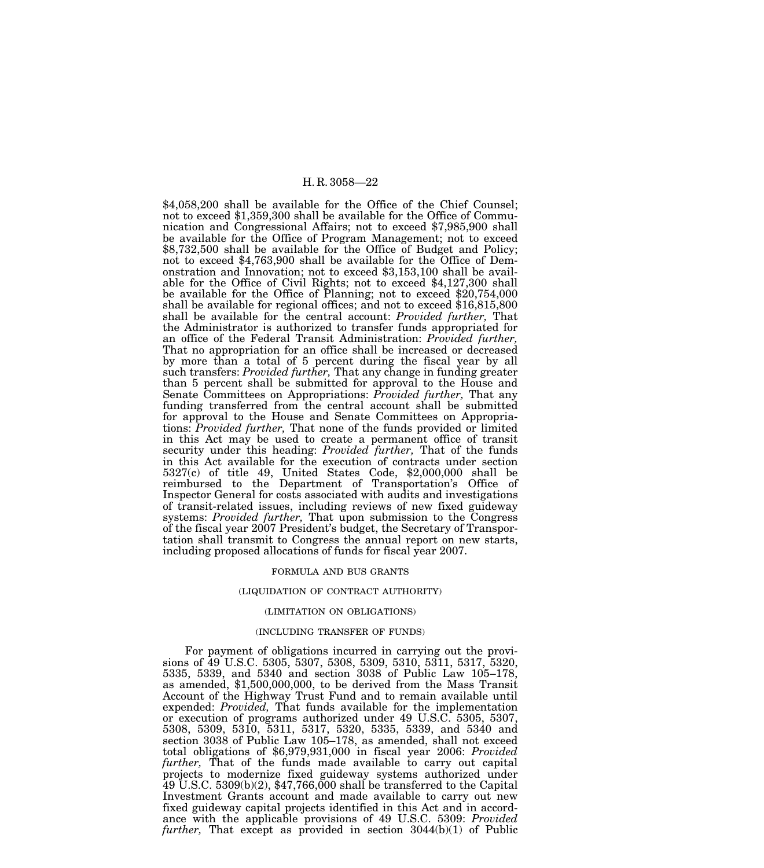\$4,058,200 shall be available for the Office of the Chief Counsel; not to exceed \$1,359,300 shall be available for the Office of Communication and Congressional Affairs; not to exceed \$7,985,900 shall be available for the Office of Program Management; not to exceed \$8,732,500 shall be available for the Office of Budget and Policy; not to exceed \$4,763,900 shall be available for the Office of Demonstration and Innovation; not to exceed \$3,153,100 shall be available for the Office of Civil Rights; not to exceed \$4,127,300 shall be available for the Office of Planning; not to exceed \$20,754,000 shall be available for regional offices; and not to exceed \$16,815,800 shall be available for the central account: *Provided further,* That the Administrator is authorized to transfer funds appropriated for an office of the Federal Transit Administration: *Provided further,* That no appropriation for an office shall be increased or decreased by more than a total of 5 percent during the fiscal year by all such transfers: *Provided further,* That any change in funding greater than 5 percent shall be submitted for approval to the House and Senate Committees on Appropriations: *Provided further,* That any funding transferred from the central account shall be submitted for approval to the House and Senate Committees on Appropriations: *Provided further,* That none of the funds provided or limited in this Act may be used to create a permanent office of transit security under this heading: *Provided further*, That of the funds in this Act available for the execution of contracts under section 5327(c) of title 49, United States Code, \$2,000,000 shall be reimbursed to the Department of Transportation's Office of Inspector General for costs associated with audits and investigations of transit-related issues, including reviews of new fixed guideway systems: *Provided further,* That upon submission to the Congress of the fiscal year 2007 President's budget, the Secretary of Transportation shall transmit to Congress the annual report on new starts, including proposed allocations of funds for fiscal year 2007.

#### FORMULA AND BUS GRANTS

#### (LIQUIDATION OF CONTRACT AUTHORITY)

#### (LIMITATION ON OBLIGATIONS)

#### (INCLUDING TRANSFER OF FUNDS)

For payment of obligations incurred in carrying out the provisions of 49 U.S.C. 5305, 5307, 5308, 5309, 5310, 5311, 5317, 5320, 5335, 5339, and 5340 and section 3038 of Public Law 105–178, as amended, \$1,500,000,000, to be derived from the Mass Transit Account of the Highway Trust Fund and to remain available until expended: *Provided,* That funds available for the implementation or execution of programs authorized under 49 U.S.C. 5305, 5307, 5308, 5309, 5310, 5311, 5317, 5320, 5335, 5339, and 5340 and section 3038 of Public Law 105–178, as amended, shall not exceed total obligations of \$6,979,931,000 in fiscal year 2006: *Provided further,* That of the funds made available to carry out capital projects to modernize fixed guideway systems authorized under  $49$  U.S.C. 5309(b)(2), \$47,766,000 shall be transferred to the Capital Investment Grants account and made available to carry out new fixed guideway capital projects identified in this Act and in accordance with the applicable provisions of 49 U.S.C. 5309: *Provided further,* That except as provided in section 3044(b)(1) of Public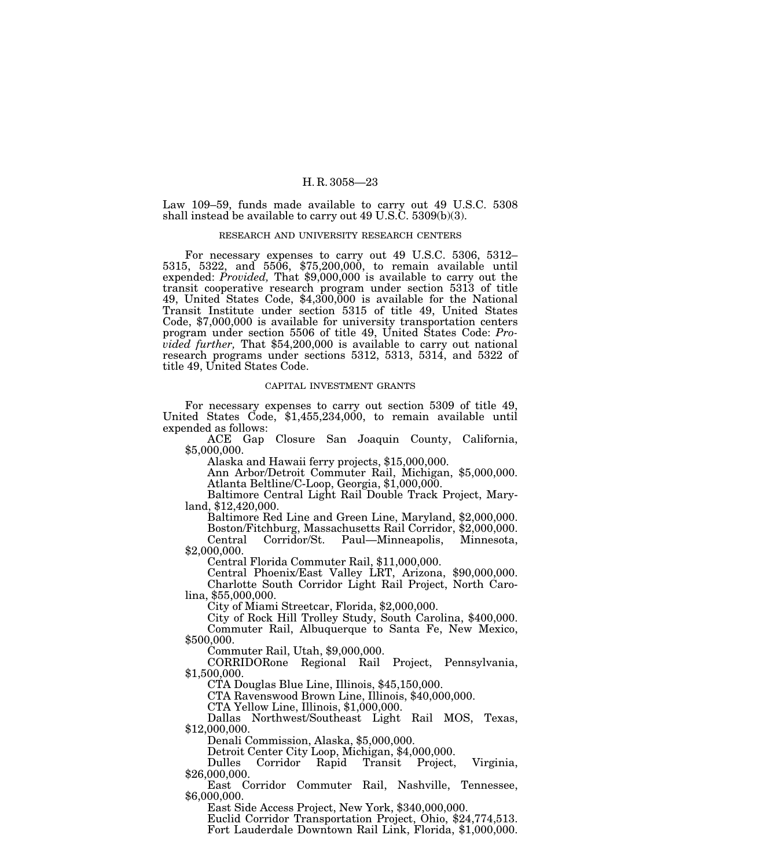Law 109–59, funds made available to carry out 49 U.S.C. 5308 shall instead be available to carry out 49 U.S.C. 5309(b)(3).

# RESEARCH AND UNIVERSITY RESEARCH CENTERS

For necessary expenses to carry out 49 U.S.C. 5306, 5312– 5315, 5322, and 5506, \$75,200,000, to remain available until expended: *Provided,* That \$9,000,000 is available to carry out the transit cooperative research program under section 5313 of title 49, United States Code, \$4,300,000 is available for the National Transit Institute under section 5315 of title 49, United States Code, \$7,000,000 is available for university transportation centers program under section 5506 of title 49, United States Code: *Provided further,* That \$54,200,000 is available to carry out national research programs under sections 5312, 5313, 5314, and 5322 of title 49, United States Code.

#### CAPITAL INVESTMENT GRANTS

For necessary expenses to carry out section 5309 of title 49, United States Code, \$1,455,234,000, to remain available until expended as follows:

ACE Gap Closure San Joaquin County, California, \$5,000,000.

Alaska and Hawaii ferry projects, \$15,000,000.

Ann Arbor/Detroit Commuter Rail, Michigan, \$5,000,000. Atlanta Beltline/C-Loop, Georgia, \$1,000,000.

Baltimore Central Light Rail Double Track Project, Mary- land, \$12,420,000.

Baltimore Red Line and Green Line, Maryland, \$2,000,000. Boston/Fitchburg, Massachusetts Rail Corridor, \$2,000,000. Central Corridor/St. Paul—Minneapolis, Minnesota, \$2,000,000.

Central Florida Commuter Rail, \$11,000,000.

Central Phoenix/East Valley LRT, Arizona, \$90,000,000. Charlotte South Corridor Light Rail Project, North Carolina, \$55,000,000.

City of Miami Streetcar, Florida, \$2,000,000.

City of Rock Hill Trolley Study, South Carolina, \$400,000. Commuter Rail, Albuquerque to Santa Fe, New Mexico, \$500,000.

Commuter Rail, Utah, \$9,000,000.

CORRIDORone Regional Rail Project, Pennsylvania, \$1,500,000.

CTA Douglas Blue Line, Illinois, \$45,150,000.

CTA Ravenswood Brown Line, Illinois, \$40,000,000.

CTA Yellow Line, Illinois, \$1,000,000.

Dallas Northwest/Southeast Light Rail MOS, Texas, \$12,000,000.

Denali Commission, Alaska, \$5,000,000.

Detroit Center City Loop, Michigan, \$4,000,000.

Dulles Corridor Rapid Transit Project, Virginia, \$26,000,000.

East Corridor Commuter Rail, Nashville, Tennessee, \$6,000,000.

East Side Access Project, New York, \$340,000,000.

Euclid Corridor Transportation Project, Ohio, \$24,774,513. Fort Lauderdale Downtown Rail Link, Florida, \$1,000,000.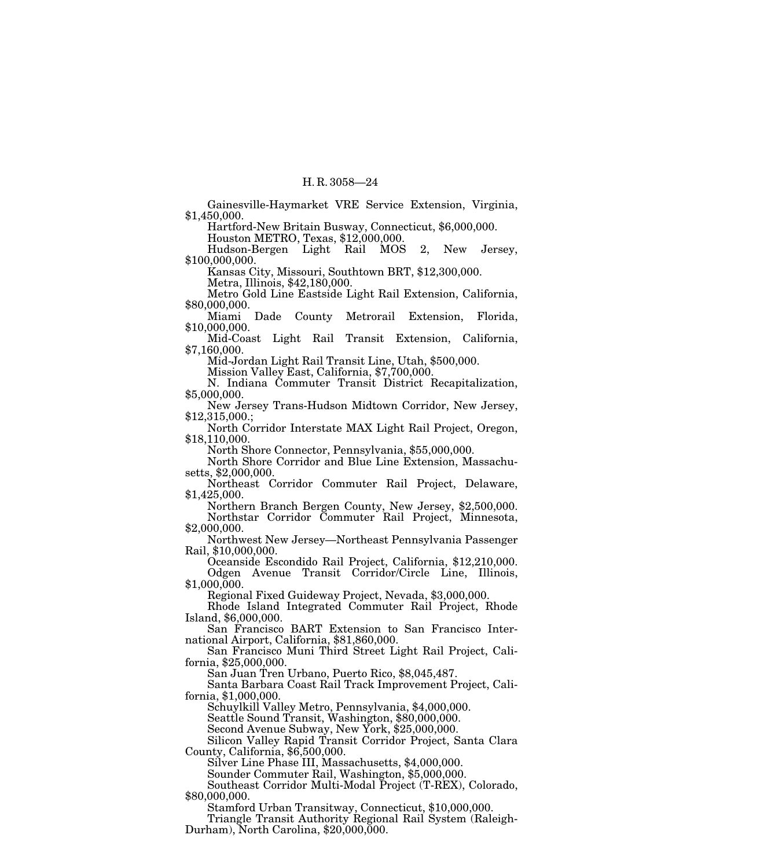Gainesville-Haymarket VRE Service Extension, Virginia, \$1,450,000.

Hartford-New Britain Busway, Connecticut, \$6,000,000.

Houston METRO, Texas, \$12,000,000.

Hudson-Bergen Light Rail MOS 2, New Jersey, \$100,000,000.

Kansas City, Missouri, Southtown BRT, \$12,300,000.

Metra, Illinois, \$42,180,000.

Metro Gold Line Eastside Light Rail Extension, California, \$80,000,000.

Miami Dade County Metrorail Extension, Florida, \$10,000,000.

Mid-Coast Light Rail Transit Extension, California, \$7,160,000.

Mid-Jordan Light Rail Transit Line, Utah, \$500,000.

Mission Valley East, California, \$7,700,000.

N. Indiana Commuter Transit District Recapitalization, \$5,000,000.

New Jersey Trans-Hudson Midtown Corridor, New Jersey, \$12,315,000.;

North Corridor Interstate MAX Light Rail Project, Oregon, \$18,110,000.

North Shore Connector, Pennsylvania, \$55,000,000.

North Shore Corridor and Blue Line Extension, Massachusetts, \$2,000,000.

Northeast Corridor Commuter Rail Project, Delaware, \$1,425,000.

Northern Branch Bergen County, New Jersey, \$2,500,000. Northstar Corridor Commuter Rail Project, Minnesota, \$2,000,000.

Northwest New Jersey—Northeast Pennsylvania Passenger Rail, \$10,000,000.

Oceanside Escondido Rail Project, California, \$12,210,000. Odgen Avenue Transit Corridor/Circle Line, Illinois, \$1,000,000.

Regional Fixed Guideway Project, Nevada, \$3,000,000.

Rhode Island Integrated Commuter Rail Project, Rhode Island, \$6,000,000.

San Francisco BART Extension to San Francisco International Airport, California, \$81,860,000.

San Francisco Muni Third Street Light Rail Project, Cali- fornia, \$25,000,000.

San Juan Tren Urbano, Puerto Rico, \$8,045,487.

Santa Barbara Coast Rail Track Improvement Project, Cali- fornia, \$1,000,000.

Schuylkill Valley Metro, Pennsylvania, \$4,000,000.

Seattle Sound Transit, Washington, \$80,000,000.

Second Avenue Subway, New York, \$25,000,000.

Silicon Valley Rapid Transit Corridor Project, Santa Clara County, California, \$6,500,000.

Silver Line Phase III, Massachusetts, \$4,000,000.

Sounder Commuter Rail, Washington, \$5,000,000.

Southeast Corridor Multi-Modal Project (T-REX), Colorado, \$80,000,000.

Stamford Urban Transitway, Connecticut, \$10,000,000.

Triangle Transit Authority Regional Rail System (Raleigh-Durham), North Carolina, \$20,000,000.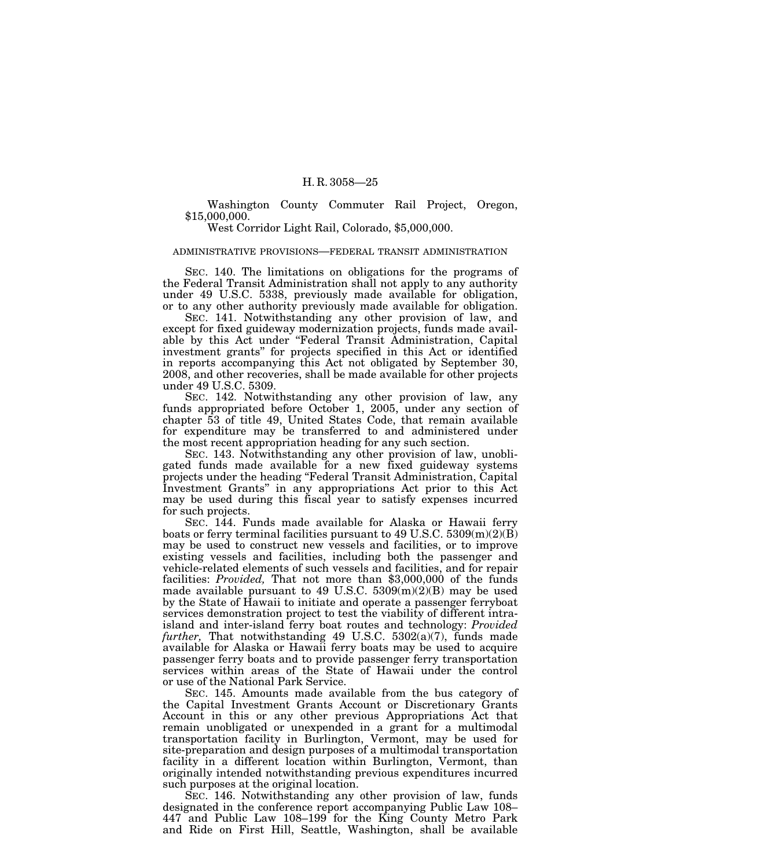Washington County Commuter Rail Project, Oregon, \$15,000,000.

West Corridor Light Rail, Colorado, \$5,000,000.

# ADMINISTRATIVE PROVISIONS—FEDERAL TRANSIT ADMINISTRATION

SEC. 140. The limitations on obligations for the programs of the Federal Transit Administration shall not apply to any authority under 49 U.S.C. 5338, previously made available for obligation, or to any other authority previously made available for obligation.

SEC. 141. Notwithstanding any other provision of law, and except for fixed guideway modernization projects, funds made available by this Act under ''Federal Transit Administration, Capital investment grants'' for projects specified in this Act or identified in reports accompanying this Act not obligated by September 30, 2008, and other recoveries, shall be made available for other projects under 49 U.S.C. 5309.

SEC. 142. Notwithstanding any other provision of law, any funds appropriated before October 1, 2005, under any section of chapter 53 of title 49, United States Code, that remain available for expenditure may be transferred to and administered under the most recent appropriation heading for any such section.

SEC. 143. Notwithstanding any other provision of law, unobligated funds made available for a new fixed guideway systems projects under the heading ''Federal Transit Administration, Capital Investment Grants'' in any appropriations Act prior to this Act may be used during this fiscal year to satisfy expenses incurred for such projects.

SEC. 144. Funds made available for Alaska or Hawaii ferry boats or ferry terminal facilities pursuant to 49 U.S.C.  $5309(m)(2)(B)$ may be used to construct new vessels and facilities, or to improve existing vessels and facilities, including both the passenger and vehicle-related elements of such vessels and facilities, and for repair facilities: *Provided,* That not more than \$3,000,000 of the funds made available pursuant to 49 U.S.C.  $5309(m)(2)(B)$  may be used by the State of Hawaii to initiate and operate a passenger ferryboat services demonstration project to test the viability of different intraisland and inter-island ferry boat routes and technology: *Provided further,* That notwithstanding 49 U.S.C. 5302(a)(7), funds made available for Alaska or Hawaii ferry boats may be used to acquire passenger ferry boats and to provide passenger ferry transportation services within areas of the State of Hawaii under the control or use of the National Park Service.

SEC. 145. Amounts made available from the bus category of the Capital Investment Grants Account or Discretionary Grants Account in this or any other previous Appropriations Act that remain unobligated or unexpended in a grant for a multimodal transportation facility in Burlington, Vermont, may be used for site-preparation and design purposes of a multimodal transportation facility in a different location within Burlington, Vermont, than originally intended notwithstanding previous expenditures incurred such purposes at the original location.

SEC. 146. Notwithstanding any other provision of law, funds designated in the conference report accompanying Public Law 108– 447 and Public Law 108–199 for the King County Metro Park and Ride on First Hill, Seattle, Washington, shall be available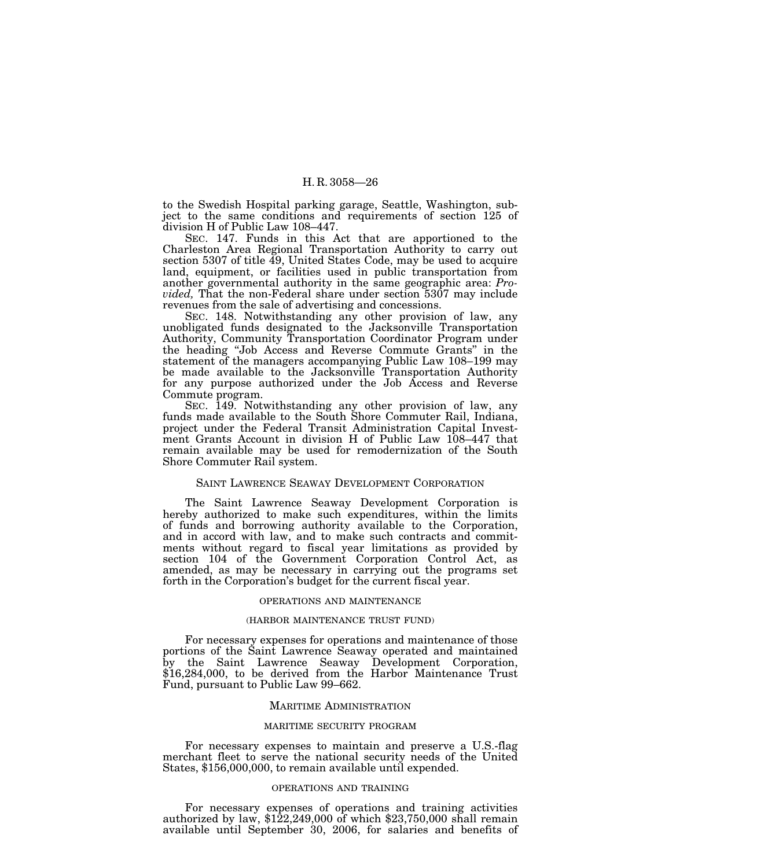to the Swedish Hospital parking garage, Seattle, Washington, subject to the same conditions and requirements of section 125 of division H of Public Law 108–447.

SEC. 147. Funds in this Act that are apportioned to the Charleston Area Regional Transportation Authority to carry out section 5307 of title 49, United States Code, may be used to acquire land, equipment, or facilities used in public transportation from another governmental authority in the same geographic area: *Provided,* That the non-Federal share under section 5307 may include revenues from the sale of advertising and concessions.

SEC. 148. Notwithstanding any other provision of law, any unobligated funds designated to the Jacksonville Transportation Authority, Community Transportation Coordinator Program under the heading ''Job Access and Reverse Commute Grants'' in the statement of the managers accompanying Public Law 108–199 may be made available to the Jacksonville Transportation Authority for any purpose authorized under the Job Access and Reverse Commute program.

SEC. 149. Notwithstanding any other provision of law, any funds made available to the South Shore Commuter Rail, Indiana, project under the Federal Transit Administration Capital Investment Grants Account in division H of Public Law 108–447 that remain available may be used for remodernization of the South Shore Commuter Rail system.

## SAINT LAWRENCE SEAWAY DEVELOPMENT CORPORATION

The Saint Lawrence Seaway Development Corporation is hereby authorized to make such expenditures, within the limits of funds and borrowing authority available to the Corporation, and in accord with law, and to make such contracts and commitments without regard to fiscal year limitations as provided by section 104 of the Government Corporation Control Act, as amended, as may be necessary in carrying out the programs set forth in the Corporation's budget for the current fiscal year.

# OPERATIONS AND MAINTENANCE

# (HARBOR MAINTENANCE TRUST FUND)

For necessary expenses for operations and maintenance of those portions of the Saint Lawrence Seaway operated and maintained by the Saint Lawrence Seaway Development Corporation, \$16,284,000, to be derived from the Harbor Maintenance Trust Fund, pursuant to Public Law 99–662.

#### MARITIME ADMINISTRATION

#### MARITIME SECURITY PROGRAM

For necessary expenses to maintain and preserve a U.S.-flag merchant fleet to serve the national security needs of the United States, \$156,000,000, to remain available until expended.

# OPERATIONS AND TRAINING

For necessary expenses of operations and training activities authorized by law, \$122,249,000 of which \$23,750,000 shall remain available until September 30, 2006, for salaries and benefits of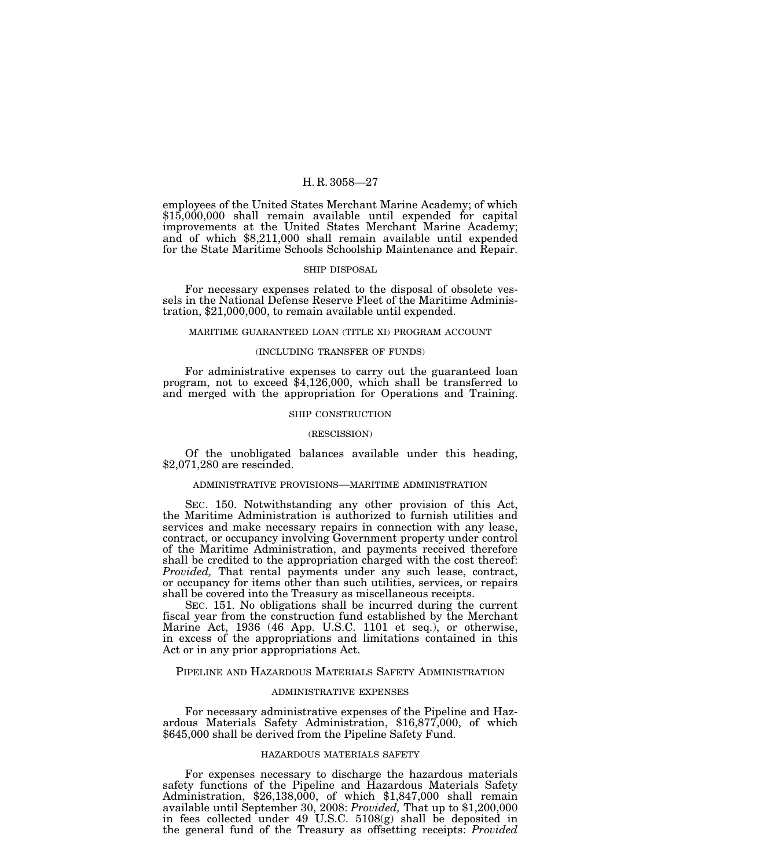employees of the United States Merchant Marine Academy; of which \$15,000,000 shall remain available until expended for capital improvements at the United States Merchant Marine Academy; and of which \$8,211,000 shall remain available until expended for the State Maritime Schools Schoolship Maintenance and Repair.

#### SHIP DISPOSAL

For necessary expenses related to the disposal of obsolete vessels in the National Defense Reserve Fleet of the Maritime Administration, \$21,000,000, to remain available until expended.

#### MARITIME GUARANTEED LOAN (TITLE XI) PROGRAM ACCOUNT

# (INCLUDING TRANSFER OF FUNDS)

For administrative expenses to carry out the guaranteed loan program, not to exceed \$4,126,000, which shall be transferred to and merged with the appropriation for Operations and Training.

#### SHIP CONSTRUCTION

#### (RESCISSION)

Of the unobligated balances available under this heading, \$2,071,280 are rescinded.

# ADMINISTRATIVE PROVISIONS—MARITIME ADMINISTRATION

SEC. 150. Notwithstanding any other provision of this Act, the Maritime Administration is authorized to furnish utilities and services and make necessary repairs in connection with any lease, contract, or occupancy involving Government property under control of the Maritime Administration, and payments received therefore shall be credited to the appropriation charged with the cost thereof: *Provided,* That rental payments under any such lease, contract, or occupancy for items other than such utilities, services, or repairs shall be covered into the Treasury as miscellaneous receipts.

SEC. 151. No obligations shall be incurred during the current fiscal year from the construction fund established by the Merchant Marine Act, 1936 (46 App. U.S.C. 1101 et seq.), or otherwise, in excess of the appropriations and limitations contained in this Act or in any prior appropriations Act.

# PIPELINE AND HAZARDOUS MATERIALS SAFETY ADMINISTRATION

# ADMINISTRATIVE EXPENSES

For necessary administrative expenses of the Pipeline and Hazardous Materials Safety Administration, \$16,877,000, of which \$645,000 shall be derived from the Pipeline Safety Fund.

#### HAZARDOUS MATERIALS SAFETY

For expenses necessary to discharge the hazardous materials safety functions of the Pipeline and Hazardous Materials Safety Administration, \$26,138,000, of which \$1,847,000 shall remain available until September 30, 2008: *Provided,* That up to \$1,200,000 in fees collected under 49 U.S.C. 5108(g) shall be deposited in the general fund of the Treasury as offsetting receipts: *Provided*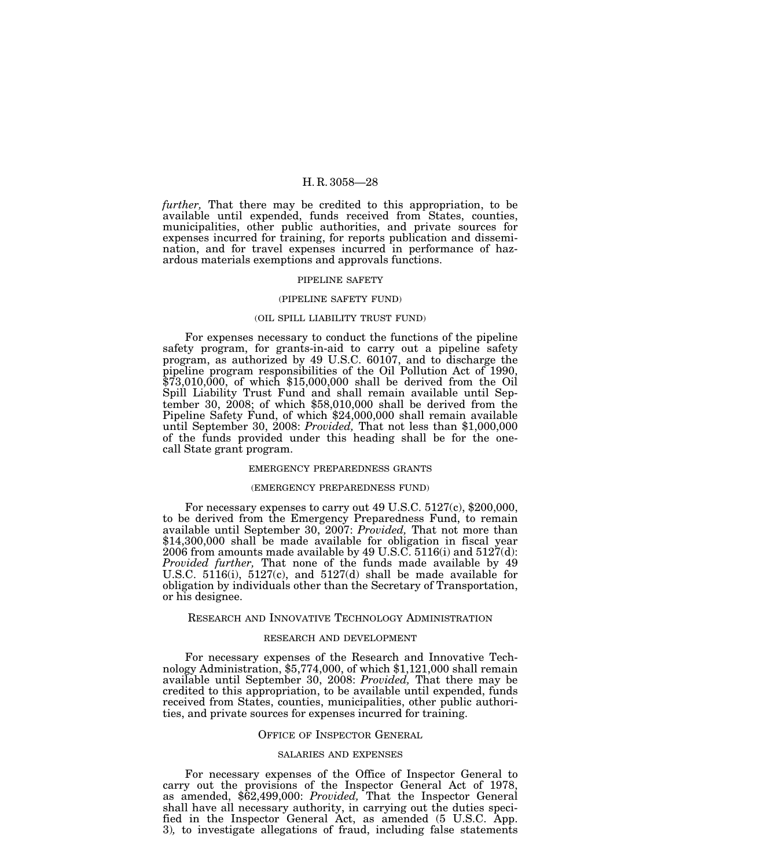*further,* That there may be credited to this appropriation, to be available until expended, funds received from States, counties, municipalities, other public authorities, and private sources for expenses incurred for training, for reports publication and dissemination, and for travel expenses incurred in performance of hazardous materials exemptions and approvals functions.

#### PIPELINE SAFETY

#### (PIPELINE SAFETY FUND)

#### (OIL SPILL LIABILITY TRUST FUND)

For expenses necessary to conduct the functions of the pipeline safety program, for grants-in-aid to carry out a pipeline safety program, as authorized by 49 U.S.C. 60107, and to discharge the pipeline program responsibilities of the Oil Pollution Act of 1990, \$73,010,000, of which \$15,000,000 shall be derived from the Oil Spill Liability Trust Fund and shall remain available until September 30, 2008; of which \$58,010,000 shall be derived from the Pipeline Safety Fund, of which \$24,000,000 shall remain available until September 30, 2008: *Provided,* That not less than \$1,000,000 of the funds provided under this heading shall be for the onecall State grant program.

# EMERGENCY PREPAREDNESS GRANTS

# (EMERGENCY PREPAREDNESS FUND)

For necessary expenses to carry out 49 U.S.C. 5127(c), \$200,000, to be derived from the Emergency Preparedness Fund, to remain available until September 30, 2007: *Provided,* That not more than \$14,300,000 shall be made available for obligation in fiscal year 2006 from amounts made available by 49 U.S.C.  $5116(i)$  and  $5127(d)$ : *Provided further,* That none of the funds made available by 49 U.S.C. 5116(i), 5127(c), and 5127(d) shall be made available for obligation by individuals other than the Secretary of Transportation, or his designee.

# RESEARCH AND INNOVATIVE TECHNOLOGY ADMINISTRATION

#### RESEARCH AND DEVELOPMENT

For necessary expenses of the Research and Innovative Technology Administration, \$5,774,000, of which \$1,121,000 shall remain available until September 30, 2008: *Provided,* That there may be credited to this appropriation, to be available until expended, funds received from States, counties, municipalities, other public authorities, and private sources for expenses incurred for training.

# OFFICE OF INSPECTOR GENERAL

#### SALARIES AND EXPENSES

For necessary expenses of the Office of Inspector General to carry out the provisions of the Inspector General Act of 1978, as amended, \$62,499,000: *Provided,* That the Inspector General shall have all necessary authority, in carrying out the duties specified in the Inspector General Act, as amended (5 U.S.C. App. 3)*,* to investigate allegations of fraud, including false statements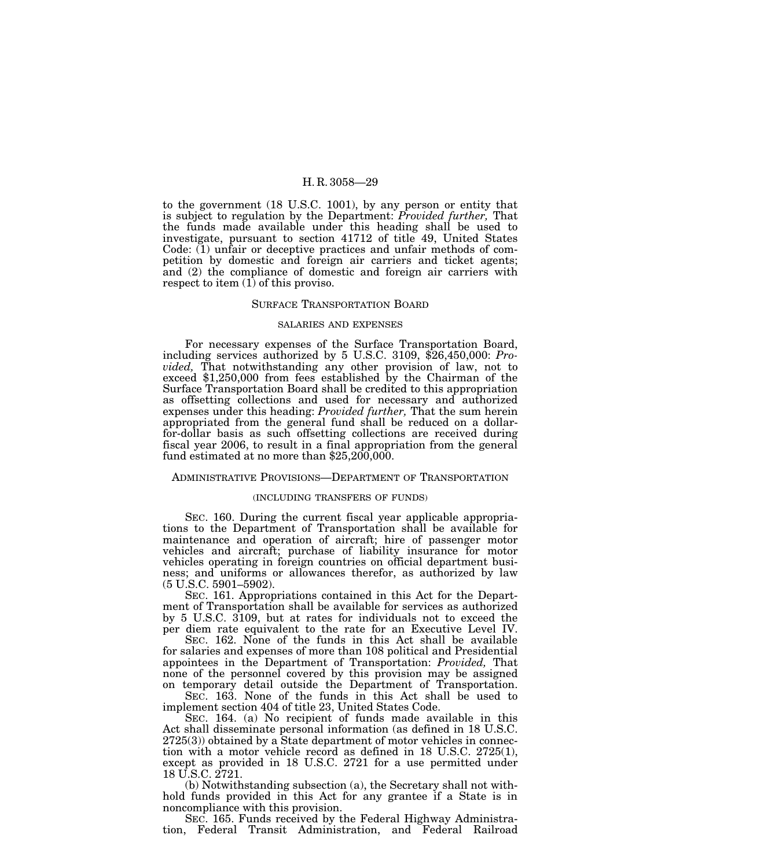to the government (18 U.S.C. 1001), by any person or entity that is subject to regulation by the Department: *Provided further,* That the funds made available under this heading shall be used to investigate, pursuant to section 41712 of title 49, United States Code: (1) unfair or deceptive practices and unfair methods of competition by domestic and foreign air carriers and ticket agents; and (2) the compliance of domestic and foreign air carriers with respect to item (1) of this proviso.

# SURFACE TRANSPORTATION BOARD

# SALARIES AND EXPENSES

For necessary expenses of the Surface Transportation Board, including services authorized by 5 U.S.C. 3109, \$26,450,000: *Provided,* That notwithstanding any other provision of law, not to exceed \$1,250,000 from fees established by the Chairman of the Surface Transportation Board shall be credited to this appropriation as offsetting collections and used for necessary and authorized expenses under this heading: *Provided further,* That the sum herein appropriated from the general fund shall be reduced on a dollarfor-dollar basis as such offsetting collections are received during fiscal year 2006, to result in a final appropriation from the general fund estimated at no more than \$25,200,000.

#### ADMINISTRATIVE PROVISIONS—DEPARTMENT OF TRANSPORTATION

# (INCLUDING TRANSFERS OF FUNDS)

SEC. 160. During the current fiscal year applicable appropriations to the Department of Transportation shall be available for maintenance and operation of aircraft; hire of passenger motor vehicles and aircraft; purchase of liability insurance for motor vehicles operating in foreign countries on official department business; and uniforms or allowances therefor, as authorized by law (5 U.S.C. 5901–5902).

SEC. 161. Appropriations contained in this Act for the Department of Transportation shall be available for services as authorized by 5 U.S.C. 3109, but at rates for individuals not to exceed the per diem rate equivalent to the rate for an Executive Level IV.

SEC. 162. None of the funds in this Act shall be available for salaries and expenses of more than 108 political and Presidential appointees in the Department of Transportation: *Provided,* That none of the personnel covered by this provision may be assigned on temporary detail outside the Department of Transportation.

SEC. 163. None of the funds in this Act shall be used to implement section 404 of title 23, United States Code.

SEC. 164. (a) No recipient of funds made available in this Act shall disseminate personal information (as defined in 18 U.S.C. 2725(3)) obtained by a State department of motor vehicles in connection with a motor vehicle record as defined in 18 U.S.C. 2725(1), except as provided in 18 U.S.C. 2721 for a use permitted under 18 U.S.C. 2721.

(b) Notwithstanding subsection (a), the Secretary shall not withhold funds provided in this Act for any grantee if a State is in noncompliance with this provision.

SEC. 165. Funds received by the Federal Highway Administration, Federal Transit Administration, and Federal Railroad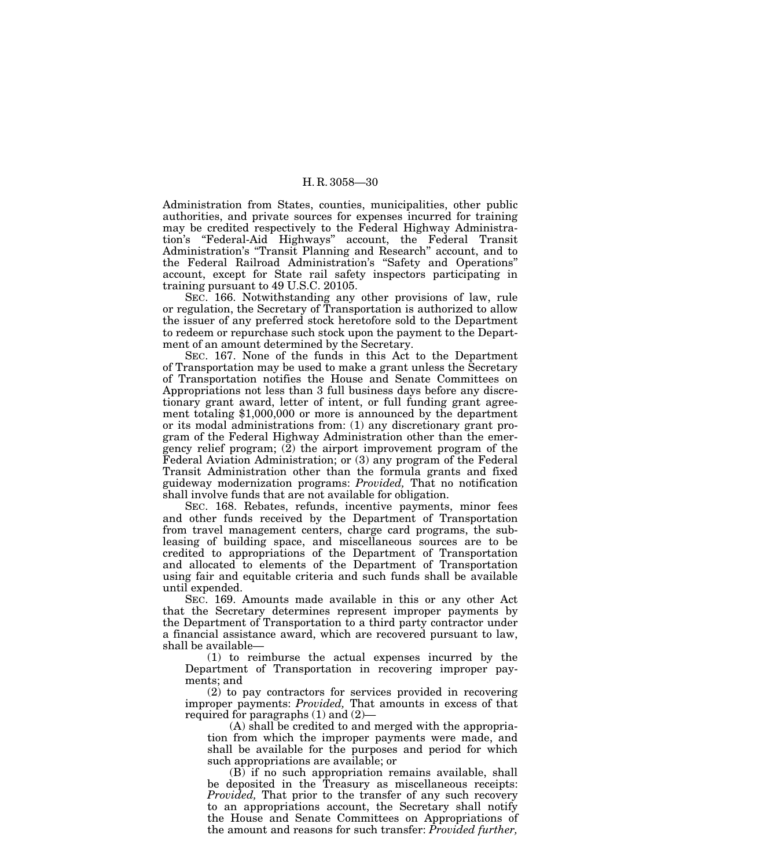Administration from States, counties, municipalities, other public authorities, and private sources for expenses incurred for training may be credited respectively to the Federal Highway Administration's ''Federal-Aid Highways'' account, the Federal Transit Administration's ''Transit Planning and Research'' account, and to the Federal Railroad Administration's ''Safety and Operations'' account, except for State rail safety inspectors participating in training pursuant to 49 U.S.C. 20105.

SEC. 166. Notwithstanding any other provisions of law, rule or regulation, the Secretary of Transportation is authorized to allow the issuer of any preferred stock heretofore sold to the Department to redeem or repurchase such stock upon the payment to the Department of an amount determined by the Secretary.

SEC. 167. None of the funds in this Act to the Department of Transportation may be used to make a grant unless the Secretary of Transportation notifies the House and Senate Committees on Appropriations not less than 3 full business days before any discretionary grant award, letter of intent, or full funding grant agreement totaling \$1,000,000 or more is announced by the department or its modal administrations from: (1) any discretionary grant program of the Federal Highway Administration other than the emergency relief program; (2) the airport improvement program of the Federal Aviation Administration; or (3) any program of the Federal Transit Administration other than the formula grants and fixed guideway modernization programs: *Provided,* That no notification shall involve funds that are not available for obligation.

SEC. 168. Rebates, refunds, incentive payments, minor fees and other funds received by the Department of Transportation from travel management centers, charge card programs, the subleasing of building space, and miscellaneous sources are to be credited to appropriations of the Department of Transportation and allocated to elements of the Department of Transportation using fair and equitable criteria and such funds shall be available until expended.

SEC. 169. Amounts made available in this or any other Act that the Secretary determines represent improper payments by the Department of Transportation to a third party contractor under a financial assistance award, which are recovered pursuant to law, shall be available—

(1) to reimburse the actual expenses incurred by the Department of Transportation in recovering improper payments; and

(2) to pay contractors for services provided in recovering improper payments: *Provided,* That amounts in excess of that required for paragraphs (1) and (2)—

(A) shall be credited to and merged with the appropriation from which the improper payments were made, and shall be available for the purposes and period for which such appropriations are available; or

(B) if no such appropriation remains available, shall be deposited in the Treasury as miscellaneous receipts: *Provided.* That prior to the transfer of any such recovery to an appropriations account, the Secretary shall notify the House and Senate Committees on Appropriations of the amount and reasons for such transfer: *Provided further,*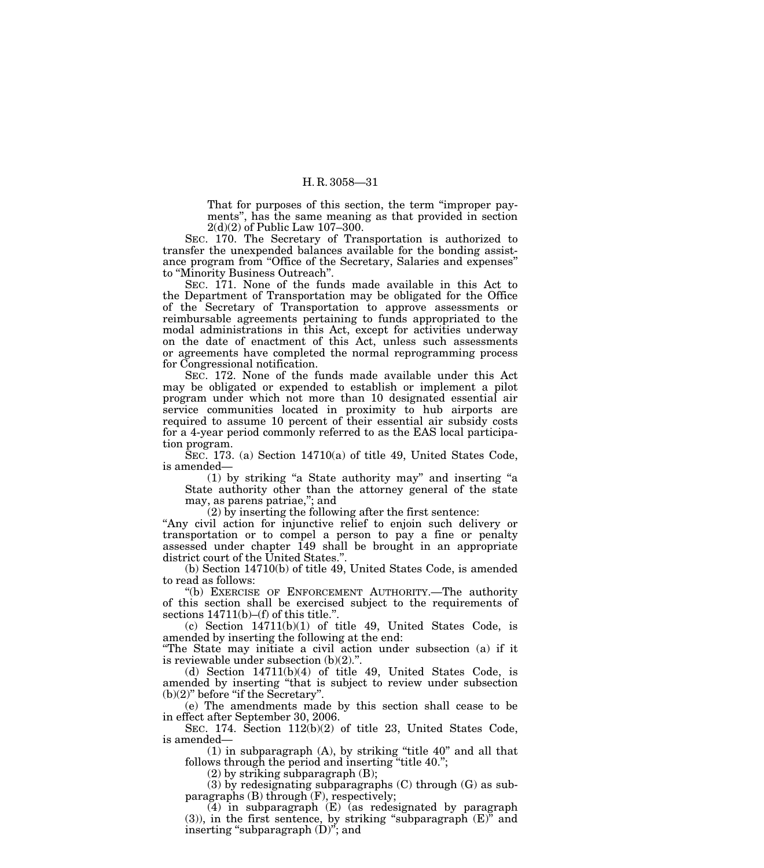That for purposes of this section, the term ''improper payments'', has the same meaning as that provided in section 2(d)(2) of Public Law 107–300.

SEC. 170. The Secretary of Transportation is authorized to transfer the unexpended balances available for the bonding assistance program from ''Office of the Secretary, Salaries and expenses'' to "Minority Business Outreach".

SEC. 171. None of the funds made available in this Act to the Department of Transportation may be obligated for the Office of the Secretary of Transportation to approve assessments or reimbursable agreements pertaining to funds appropriated to the modal administrations in this Act, except for activities underway on the date of enactment of this Act, unless such assessments or agreements have completed the normal reprogramming process for Congressional notification.

SEC. 172. None of the funds made available under this Act may be obligated or expended to establish or implement a pilot program under which not more than 10 designated essential air service communities located in proximity to hub airports are required to assume 10 percent of their essential air subsidy costs for a 4-year period commonly referred to as the EAS local participation program.

SEC. 173. (a) Section 14710(a) of title 49, United States Code, is amended—

(1) by striking ''a State authority may'' and inserting ''a State authority other than the attorney general of the state may, as parens patriae,''; and

(2) by inserting the following after the first sentence:

''Any civil action for injunctive relief to enjoin such delivery or transportation or to compel a person to pay a fine or penalty assessed under chapter 149 shall be brought in an appropriate district court of the United States.''.

(b) Section 14710(b) of title 49, United States Code, is amended to read as follows:

''(b) EXERCISE OF ENFORCEMENT AUTHORITY.—The authority of this section shall be exercised subject to the requirements of sections  $14711(b)$ –(f) of this title.".

(c) Section 14711(b)(1) of title 49, United States Code, is amended by inserting the following at the end:

''The State may initiate a civil action under subsection (a) if it is reviewable under subsection (b)(2).''.

(d) Section 14711(b)(4) of title 49, United States Code, is amended by inserting ''that is subject to review under subsection  $(b)(2)$ " before "if the Secretary".

(e) The amendments made by this section shall cease to be in effect after September 30, 2006.

SEC. 174. Section 112(b)(2) of title 23, United States Code, is amended—

(1) in subparagraph (A), by striking ''title 40'' and all that follows through the period and inserting "title 40.";

(2) by striking subparagraph (B);

(3) by redesignating subparagraphs (C) through (G) as subparagraphs (B) through (F), respectively;

(4) in subparagraph (E) (as redesignated by paragraph  $(3)$ ), in the first sentence, by striking "subparagraph  $(E)$ " and inserting "subparagraph  $(D)$ "; and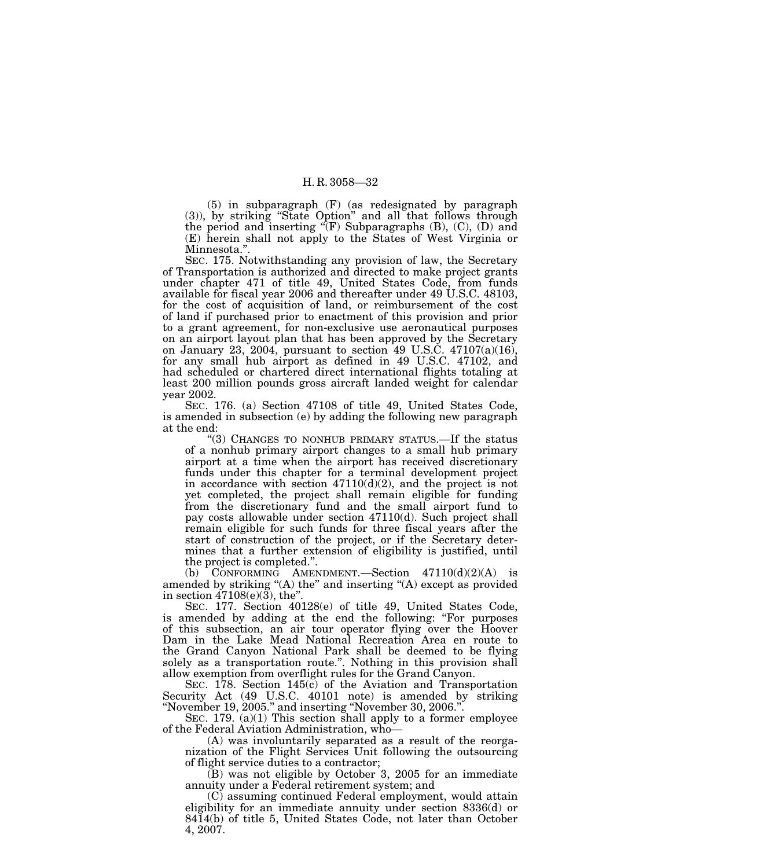(5) in subparagraph (F) (as redesignated by paragraph (3)), by striking ''State Option'' and all that follows through the period and inserting  $\mathcal{F}(F)$  Subparagraphs (B), (C), (D) and (E) herein shall not apply to the States of West Virginia or Minnesota.''.

SEC. 175. Notwithstanding any provision of law, the Secretary of Transportation is authorized and directed to make project grants under chapter 471 of title 49, United States Code, from funds available for fiscal year 2006 and thereafter under 49 U.S.C. 48103, for the cost of acquisition of land, or reimbursement of the cost of land if purchased prior to enactment of this provision and prior to a grant agreement, for non-exclusive use aeronautical purposes on an airport layout plan that has been approved by the Secretary on January 23, 2004, pursuant to section 49 U.S.C.  $47107(a)(16)$ , for any small hub airport as defined in 49 U.S.C. 47102, and had scheduled or chartered direct international flights totaling at least 200 million pounds gross aircraft landed weight for calendar year 2002.

SEC. 176. (a) Section 47108 of title 49, United States Code, is amended in subsection (e) by adding the following new paragraph at the end:

"(3) CHANGES TO NONHUB PRIMARY STATUS.—If the status of a nonhub primary airport changes to a small hub primary airport at a time when the airport has received discretionary funds under this chapter for a terminal development project in accordance with section  $47110(d)(2)$ , and the project is not yet completed, the project shall remain eligible for funding from the discretionary fund and the small airport fund to pay costs allowable under section 47110(d). Such project shall remain eligible for such funds for three fiscal years after the start of construction of the project, or if the Secretary determines that a further extension of eligibility is justified, until the project is completed.''.

(b) CONFORMING AMENDMENT.—Section 47110(d)(2)(A) is amended by striking "(A) the" and inserting "(A) except as provided in section 47108(e)(3), the''.

SEC. 177. Section 40128(e) of title 49, United States Code, is amended by adding at the end the following: ''For purposes of this subsection, an air tour operator flying over the Hoover Dam in the Lake Mead National Recreation Area en route to the Grand Canyon National Park shall be deemed to be flying solely as a transportation route.''. Nothing in this provision shall allow exemption from overflight rules for the Grand Canyon.

SEC. 178. Section 145(c) of the Aviation and Transportation Security Act (49 U.S.C. 40101 note) is amended by striking ''November 19, 2005.'' and inserting ''November 30, 2006.''.

SEC. 179. (a)(1) This section shall apply to a former employee of the Federal Aviation Administration, who—

(A) was involuntarily separated as a result of the reorganization of the Flight Services Unit following the outsourcing of flight service duties to a contractor;

(B) was not eligible by October 3, 2005 for an immediate annuity under a Federal retirement system; and

(C) assuming continued Federal employment, would attain eligibility for an immediate annuity under section 8336(d) or 8414(b) of title 5, United States Code, not later than October 4, 2007.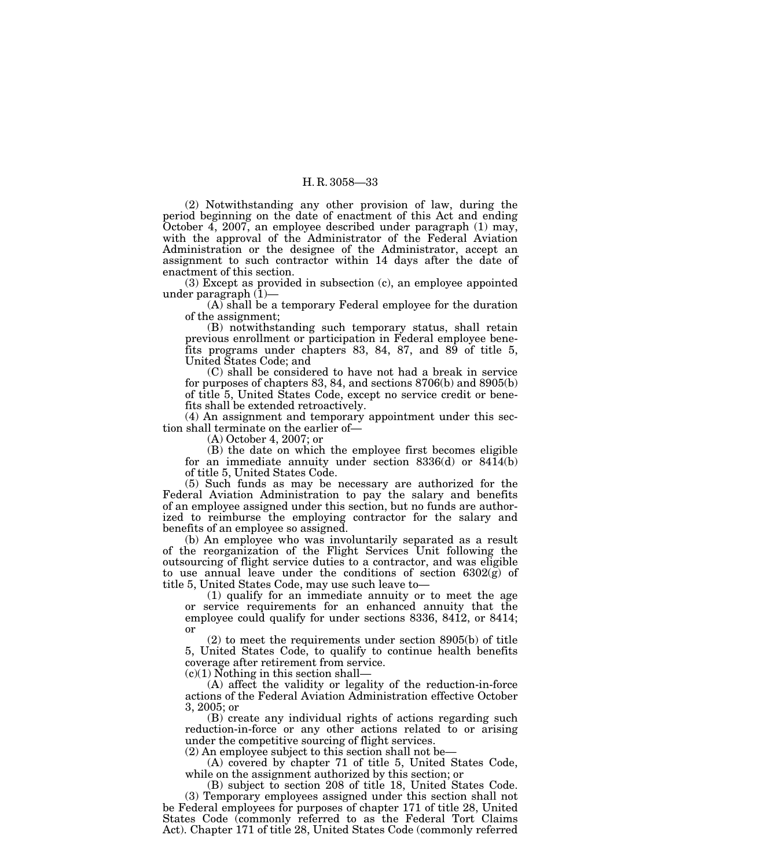(2) Notwithstanding any other provision of law, during the period beginning on the date of enactment of this Act and ending October 4, 2007, an employee described under paragraph (1) may, with the approval of the Administrator of the Federal Aviation Administration or the designee of the Administrator, accept an assignment to such contractor within 14 days after the date of enactment of this section.

(3) Except as provided in subsection (c), an employee appointed under paragraph (1)—

(A) shall be a temporary Federal employee for the duration of the assignment;

(B) notwithstanding such temporary status, shall retain previous enrollment or participation in Federal employee benefits programs under chapters 83, 84, 87, and 89 of title 5, United States Code; and

(C) shall be considered to have not had a break in service for purposes of chapters 83, 84, and sections 8706(b) and 8905(b) of title 5, United States Code, except no service credit or benefits shall be extended retroactively.

(4) An assignment and temporary appointment under this section shall terminate on the earlier of—

(A) October 4, 2007; or

(B) the date on which the employee first becomes eligible for an immediate annuity under section 8336(d) or 8414(b) of title 5, United States Code.

(5) Such funds as may be necessary are authorized for the Federal Aviation Administration to pay the salary and benefits of an employee assigned under this section, but no funds are authorized to reimburse the employing contractor for the salary and benefits of an employee so assigned.

(b) An employee who was involuntarily separated as a result of the reorganization of the Flight Services Unit following the outsourcing of flight service duties to a contractor, and was eligible to use annual leave under the conditions of section  $6302(\tilde{g})$  of title 5, United States Code, may use such leave to—

(1) qualify for an immediate annuity or to meet the age or service requirements for an enhanced annuity that the employee could qualify for under sections 8336, 8412, or 8414; or

(2) to meet the requirements under section 8905(b) of title 5, United States Code, to qualify to continue health benefits coverage after retirement from service.

 $(c)(1)$  Nothing in this section shall—

(A) affect the validity or legality of the reduction-in-force actions of the Federal Aviation Administration effective October 3, 2005; or

(B) create any individual rights of actions regarding such reduction-in-force or any other actions related to or arising under the competitive sourcing of flight services.

(2) An employee subject to this section shall not be—

(A) covered by chapter 71 of title 5, United States Code, while on the assignment authorized by this section; or

(B) subject to section 208 of title 18, United States Code. (3) Temporary employees assigned under this section shall not be Federal employees for purposes of chapter 171 of title 28, United States Code (commonly referred to as the Federal Tort Claims Act). Chapter 171 of title 28, United States Code (commonly referred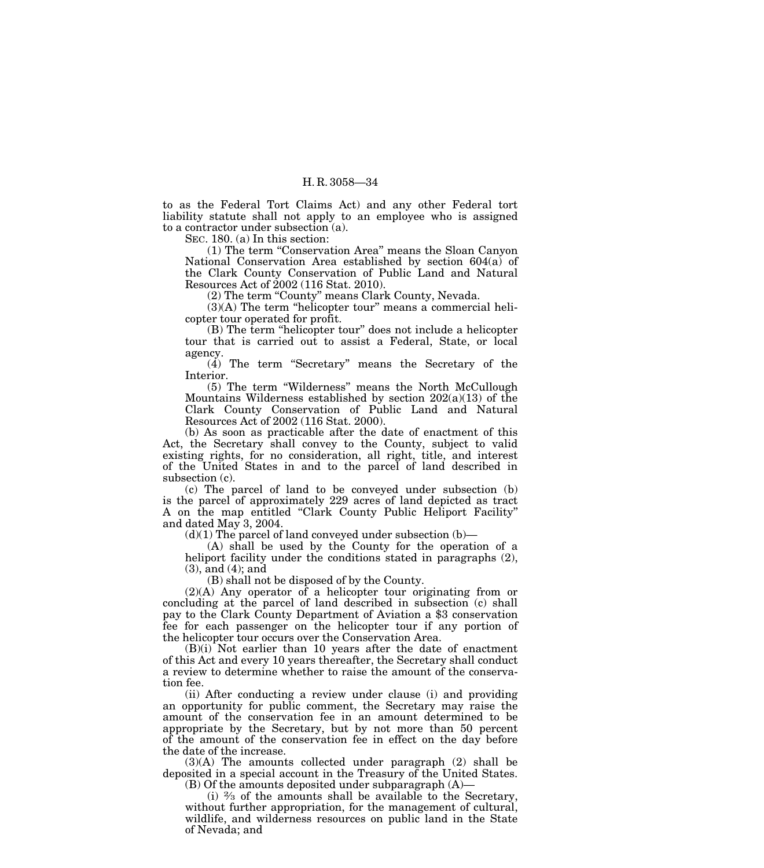to as the Federal Tort Claims Act) and any other Federal tort liability statute shall not apply to an employee who is assigned to a contractor under subsection (a).

SEC. 180. (a) In this section:

(1) The term ''Conservation Area'' means the Sloan Canyon National Conservation Area established by section 604(a) of the Clark County Conservation of Public Land and Natural Resources Act of 2002 (116 Stat. 2010).

(2) The term ''County'' means Clark County, Nevada.

 $(3)(A)$  The term "helicopter tour" means a commercial helicopter tour operated for profit.

(B) The term "helicopter tour" does not include a helicopter tour that is carried out to assist a Federal, State, or local agency.

(4) The term ''Secretary'' means the Secretary of the Interior.

(5) The term ''Wilderness'' means the North McCullough Mountains Wilderness established by section  $202(a)(13)$  of the Clark County Conservation of Public Land and Natural Resources Act of 2002 (116 Stat. 2000).

(b) As soon as practicable after the date of enactment of this Act, the Secretary shall convey to the County, subject to valid existing rights, for no consideration, all right, title, and interest of the United States in and to the parcel of land described in subsection (c).

(c) The parcel of land to be conveyed under subsection (b) is the parcel of approximately 229 acres of land depicted as tract A on the map entitled ''Clark County Public Heliport Facility'' and dated May 3, 2004.

 $(d)(1)$  The parcel of land conveyed under subsection  $(b)$ —

(A) shall be used by the County for the operation of a heliport facility under the conditions stated in paragraphs  $(2)$ , (3), and (4); and

(B) shall not be disposed of by the County.

(2)(A) Any operator of a helicopter tour originating from or concluding at the parcel of land described in subsection (c) shall pay to the Clark County Department of Aviation a \$3 conservation fee for each passenger on the helicopter tour if any portion of the helicopter tour occurs over the Conservation Area.

(B)(i) Not earlier than 10 years after the date of enactment of this Act and every 10 years thereafter, the Secretary shall conduct a review to determine whether to raise the amount of the conservation fee.

(ii) After conducting a review under clause (i) and providing an opportunity for public comment, the Secretary may raise the amount of the conservation fee in an amount determined to be appropriate by the Secretary, but by not more than 50 percent of the amount of the conservation fee in effect on the day before the date of the increase.

(3)(A) The amounts collected under paragraph (2) shall be deposited in a special account in the Treasury of the United States. (B) Of the amounts deposited under subparagraph (A)—

(i)  $\frac{2}{3}$  of the amounts shall be available to the Secretary, without further appropriation, for the management of cultural, wildlife, and wilderness resources on public land in the State of Nevada; and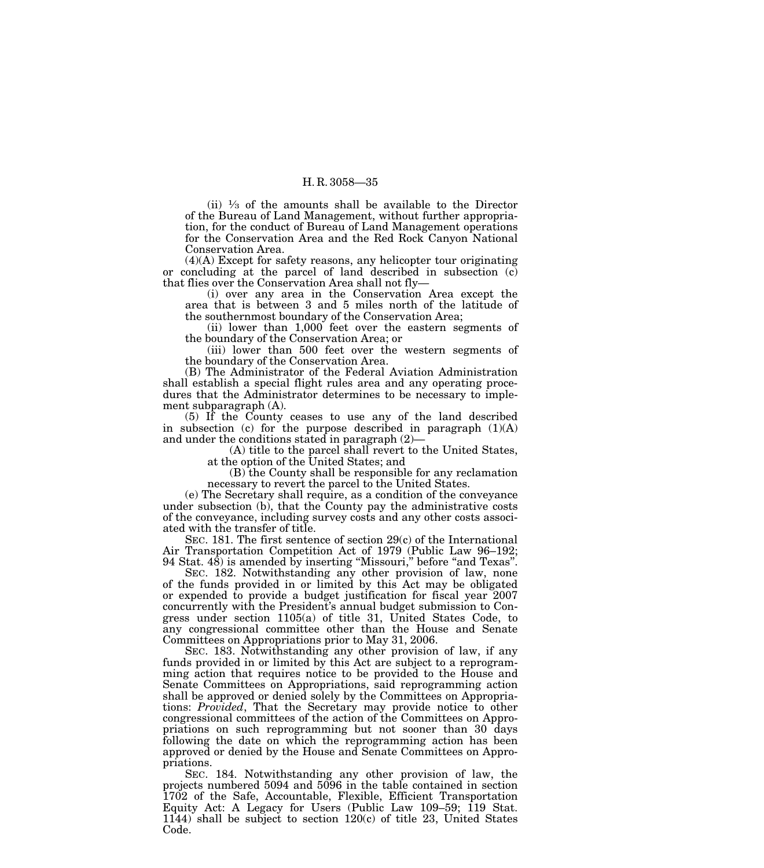(ii)  $\frac{1}{3}$  of the amounts shall be available to the Director of the Bureau of Land Management, without further appropriation, for the conduct of Bureau of Land Management operations for the Conservation Area and the Red Rock Canyon National Conservation Area.

(4)(A) Except for safety reasons, any helicopter tour originating or concluding at the parcel of land described in subsection (c) that flies over the Conservation Area shall not fly—

(i) over any area in the Conservation Area except the area that is between 3 and 5 miles north of the latitude of the southernmost boundary of the Conservation Area;

(ii) lower than 1,000 feet over the eastern segments of the boundary of the Conservation Area; or

(iii) lower than 500 feet over the western segments of the boundary of the Conservation Area.

(B) The Administrator of the Federal Aviation Administration shall establish a special flight rules area and any operating procedures that the Administrator determines to be necessary to implement subparagraph (A).

(5) If the County ceases to use any of the land described in subsection (c) for the purpose described in paragraph  $(1)(A)$ and under the conditions stated in paragraph (2)—

(A) title to the parcel shall revert to the United States, at the option of the United States; and

(B) the County shall be responsible for any reclamation necessary to revert the parcel to the United States.

(e) The Secretary shall require, as a condition of the conveyance under subsection (b), that the County pay the administrative costs of the conveyance, including survey costs and any other costs associated with the transfer of title.

SEC. 181. The first sentence of section 29(c) of the International Air Transportation Competition Act of 1979 (Public Law 96–192; 94 Stat. 48) is amended by inserting ''Missouri,'' before ''and Texas''.

SEC. 182. Notwithstanding any other provision of law, none of the funds provided in or limited by this Act may be obligated or expended to provide a budget justification for fiscal year 2007 concurrently with the President's annual budget submission to Congress under section 1105(a) of title 31, United States Code, to any congressional committee other than the House and Senate Committees on Appropriations prior to May 31, 2006.

SEC. 183. Notwithstanding any other provision of law, if any funds provided in or limited by this Act are subject to a reprogramming action that requires notice to be provided to the House and Senate Committees on Appropriations, said reprogramming action shall be approved or denied solely by the Committees on Appropriations: *Provided*, That the Secretary may provide notice to other congressional committees of the action of the Committees on Appropriations on such reprogramming but not sooner than 30 days following the date on which the reprogramming action has been approved or denied by the House and Senate Committees on Appropriations.

SEC. 184. Notwithstanding any other provision of law, the projects numbered 5094 and 5096 in the table contained in section 1702 of the Safe, Accountable, Flexible, Efficient Transportation Equity Act: A Legacy for Users (Public Law 109–59; 119 Stat. 1144) shall be subject to section 120(c) of title 23, United States Code.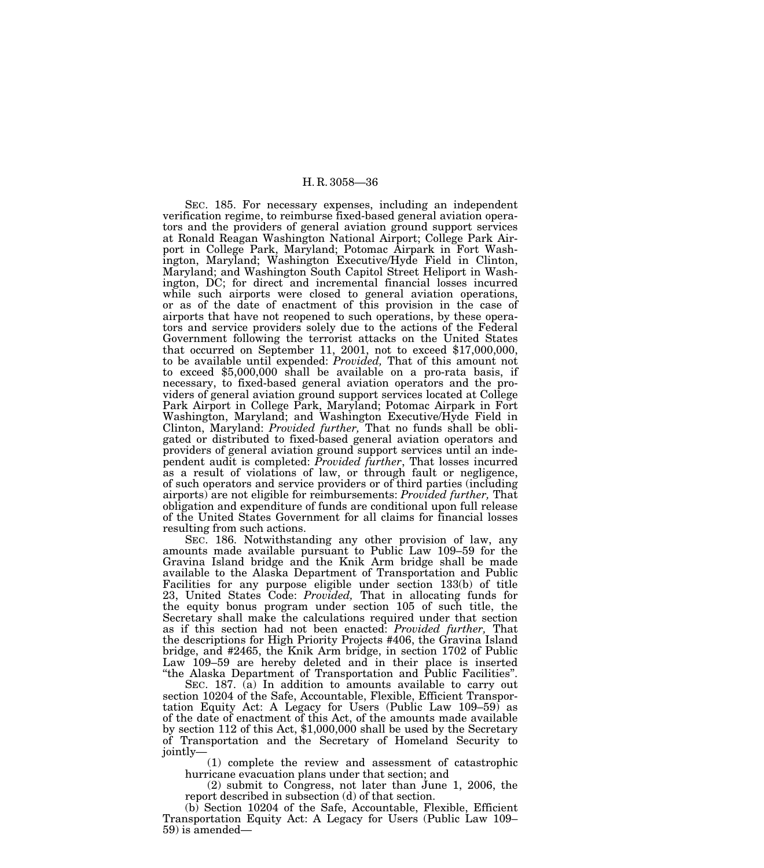SEC. 185. For necessary expenses, including an independent verification regime, to reimburse fixed-based general aviation operators and the providers of general aviation ground support services at Ronald Reagan Washington National Airport; College Park Airport in College Park, Maryland; Potomac Airpark in Fort Washington, Maryland; Washington Executive/Hyde Field in Clinton, Maryland; and Washington South Capitol Street Heliport in Washington, DC; for direct and incremental financial losses incurred while such airports were closed to general aviation operations, or as of the date of enactment of this provision in the case of airports that have not reopened to such operations, by these operators and service providers solely due to the actions of the Federal Government following the terrorist attacks on the United States that occurred on September 11, 2001, not to exceed \$17,000,000, to be available until expended: *Provided,* That of this amount not to exceed \$5,000,000 shall be available on a pro-rata basis, if necessary, to fixed-based general aviation operators and the providers of general aviation ground support services located at College Park Airport in College Park, Maryland; Potomac Airpark in Fort Washington, Maryland; and Washington Executive/Hyde Field in Clinton, Maryland: *Provided further,* That no funds shall be obligated or distributed to fixed-based general aviation operators and providers of general aviation ground support services until an independent audit is completed: *Provided further*, That losses incurred as a result of violations of law, or through fault or negligence, of such operators and service providers or of third parties (including airports) are not eligible for reimbursements: *Provided further,* That obligation and expenditure of funds are conditional upon full release of the United States Government for all claims for financial losses resulting from such actions.

SEC. 186. Notwithstanding any other provision of law, any amounts made available pursuant to Public Law 109–59 for the Gravina Island bridge and the Knik Arm bridge shall be made available to the Alaska Department of Transportation and Public Facilities for any purpose eligible under section 133(b) of title 23, United States Code: *Provided,* That in allocating funds for the equity bonus program under section 105 of such title, the Secretary shall make the calculations required under that section as if this section had not been enacted: *Provided further,* That the descriptions for High Priority Projects #406, the Gravina Island bridge, and #2465, the Knik Arm bridge, in section 1702 of Public Law 109–59 are hereby deleted and in their place is inserted ''the Alaska Department of Transportation and Public Facilities''.

SEC. 187. (a) In addition to amounts available to carry out section 10204 of the Safe, Accountable, Flexible, Efficient Transportation Equity Act: A Legacy for Users (Public Law 109–59) as of the date of enactment of this Act, of the amounts made available by section 112 of this Act, \$1,000,000 shall be used by the Secretary of Transportation and the Secretary of Homeland Security to jointly—

(1) complete the review and assessment of catastrophic hurricane evacuation plans under that section; and

(2) submit to Congress, not later than June 1, 2006, the report described in subsection (d) of that section.

(b) Section 10204 of the Safe, Accountable, Flexible, Efficient Transportation Equity Act: A Legacy for Users (Public Law 109– 59) is amended—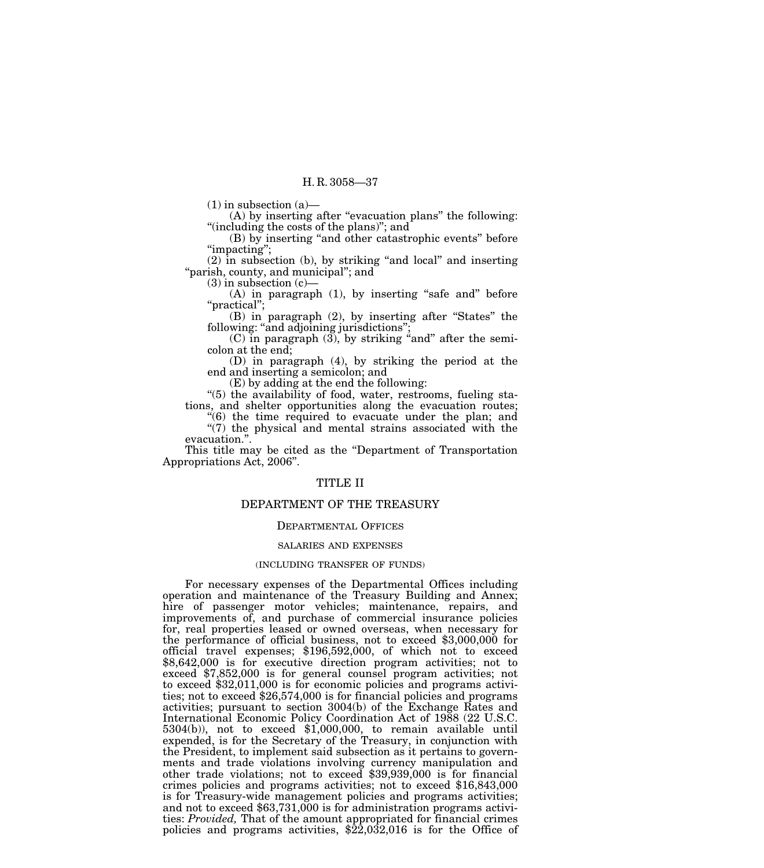$(1)$  in subsection  $(a)$ —

 $(A)$  by inserting after "evacuation plans" the following: ''(including the costs of the plans)''; and

(B) by inserting ''and other catastrophic events'' before "impacting";

(2) in subsection (b), by striking ''and local'' and inserting "parish, county, and municipal"; and

 $(3)$  in subsection  $(c)$ —

 $(A)$  in paragraph  $(1)$ , by inserting "safe and" before ''practical'';

(B) in paragraph (2), by inserting after ''States'' the following: "and adjoining jurisdictions";

(C) in paragraph  $(3)$ , by striking "and" after the semicolon at the end;

(D) in paragraph (4), by striking the period at the end and inserting a semicolon; and

(E) by adding at the end the following:

''(5) the availability of food, water, restrooms, fueling stations, and shelter opportunities along the evacuation routes;

''(6) the time required to evacuate under the plan; and

" $(7)$  the physical and mental strains associated with the evacuation.''.

This title may be cited as the ''Department of Transportation Appropriations Act, 2006''.

# TITLE II

## DEPARTMENT OF THE TREASURY

# DEPARTMENTAL OFFICES

#### SALARIES AND EXPENSES

## (INCLUDING TRANSFER OF FUNDS)

For necessary expenses of the Departmental Offices including operation and maintenance of the Treasury Building and Annex; hire of passenger motor vehicles; maintenance, repairs, and improvements of, and purchase of commercial insurance policies for, real properties leased or owned overseas, when necessary for the performance of official business, not to exceed \$3,000,000 for official travel expenses; \$196,592,000, of which not to exceed \$8,642,000 is for executive direction program activities; not to exceed \$7,852,000 is for general counsel program activities; not to exceed \$32,011,000 is for economic policies and programs activities; not to exceed \$26,574,000 is for financial policies and programs activities; pursuant to section 3004(b) of the Exchange Rates and International Economic Policy Coordination Act of 1988 (22 U.S.C. 5304(b)), not to exceed \$1,000,000, to remain available until expended, is for the Secretary of the Treasury, in conjunction with the President, to implement said subsection as it pertains to governments and trade violations involving currency manipulation and other trade violations; not to exceed \$39,939,000 is for financial crimes policies and programs activities; not to exceed \$16,843,000 is for Treasury-wide management policies and programs activities; and not to exceed \$63,731,000 is for administration programs activities: *Provided,* That of the amount appropriated for financial crimes policies and programs activities,  $\frac{22,032,016}{2}$  is for the Office of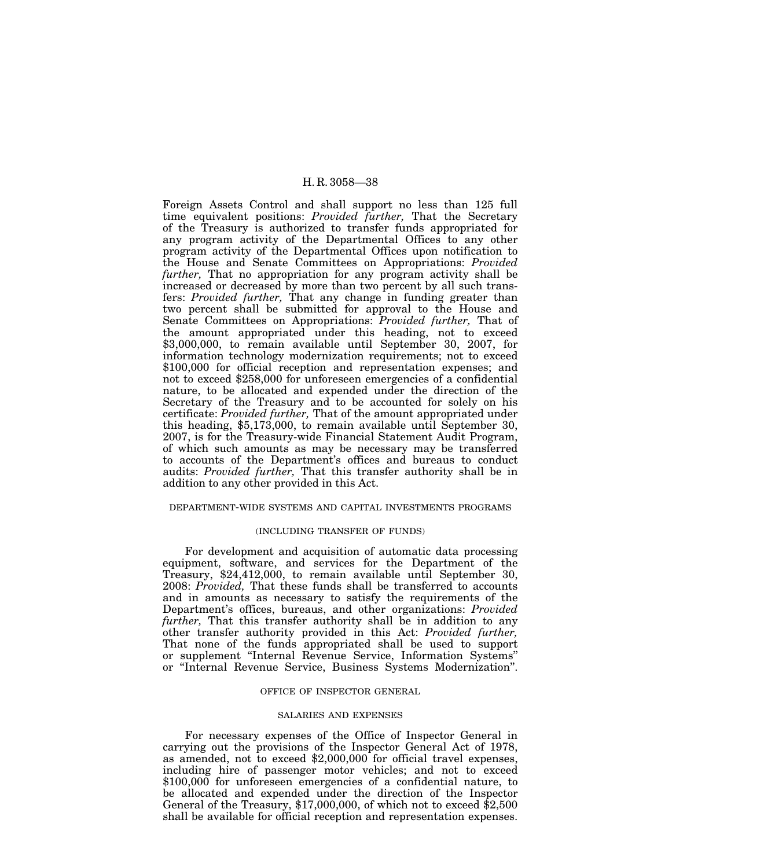Foreign Assets Control and shall support no less than 125 full time equivalent positions: *Provided further,* That the Secretary of the Treasury is authorized to transfer funds appropriated for any program activity of the Departmental Offices to any other program activity of the Departmental Offices upon notification to the House and Senate Committees on Appropriations: *Provided further,* That no appropriation for any program activity shall be increased or decreased by more than two percent by all such transfers: *Provided further,* That any change in funding greater than two percent shall be submitted for approval to the House and Senate Committees on Appropriations: *Provided further,* That of the amount appropriated under this heading, not to exceed \$3,000,000, to remain available until September 30, 2007, for information technology modernization requirements; not to exceed \$100,000 for official reception and representation expenses; and not to exceed \$258,000 for unforeseen emergencies of a confidential nature, to be allocated and expended under the direction of the Secretary of the Treasury and to be accounted for solely on his certificate: *Provided further,* That of the amount appropriated under this heading, \$5,173,000, to remain available until September 30, 2007, is for the Treasury-wide Financial Statement Audit Program, of which such amounts as may be necessary may be transferred to accounts of the Department's offices and bureaus to conduct audits: *Provided further,* That this transfer authority shall be in addition to any other provided in this Act.

# DEPARTMENT-WIDE SYSTEMS AND CAPITAL INVESTMENTS PROGRAMS

### (INCLUDING TRANSFER OF FUNDS)

For development and acquisition of automatic data processing equipment, software, and services for the Department of the Treasury, \$24,412,000, to remain available until September 30, 2008: *Provided,* That these funds shall be transferred to accounts and in amounts as necessary to satisfy the requirements of the Department's offices, bureaus, and other organizations: *Provided further,* That this transfer authority shall be in addition to any other transfer authority provided in this Act: *Provided further,* That none of the funds appropriated shall be used to support or supplement ''Internal Revenue Service, Information Systems'' or ''Internal Revenue Service, Business Systems Modernization''.

# OFFICE OF INSPECTOR GENERAL

# SALARIES AND EXPENSES

For necessary expenses of the Office of Inspector General in carrying out the provisions of the Inspector General Act of 1978, as amended, not to exceed \$2,000,000 for official travel expenses, including hire of passenger motor vehicles; and not to exceed \$100,000 for unforeseen emergencies of a confidential nature, to be allocated and expended under the direction of the Inspector General of the Treasury, \$17,000,000, of which not to exceed \$2,500 shall be available for official reception and representation expenses.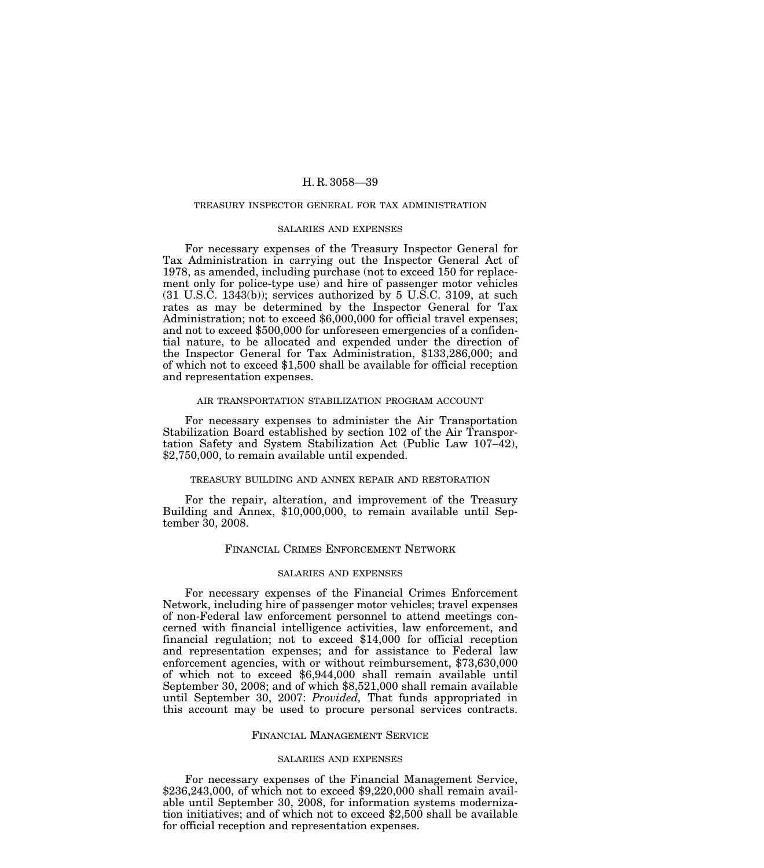### TREASURY INSPECTOR GENERAL FOR TAX ADMINISTRATION

## SALARIES AND EXPENSES

For necessary expenses of the Treasury Inspector General for Tax Administration in carrying out the Inspector General Act of 1978, as amended, including purchase (not to exceed 150 for replacement only for police-type use) and hire of passenger motor vehicles (31 U.S.C. 1343(b)); services authorized by 5 U.S.C. 3109, at such rates as may be determined by the Inspector General for Tax Administration; not to exceed \$6,000,000 for official travel expenses; and not to exceed \$500,000 for unforeseen emergencies of a confidential nature, to be allocated and expended under the direction of the Inspector General for Tax Administration, \$133,286,000; and of which not to exceed \$1,500 shall be available for official reception and representation expenses.

### AIR TRANSPORTATION STABILIZATION PROGRAM ACCOUNT

For necessary expenses to administer the Air Transportation Stabilization Board established by section 102 of the Air Transportation Safety and System Stabilization Act (Public Law 107–42), \$2,750,000, to remain available until expended.

## TREASURY BUILDING AND ANNEX REPAIR AND RESTORATION

For the repair, alteration, and improvement of the Treasury Building and Annex, \$10,000,000, to remain available until September 30, 2008.

# FINANCIAL CRIMES ENFORCEMENT NETWORK

### SALARIES AND EXPENSES

For necessary expenses of the Financial Crimes Enforcement Network, including hire of passenger motor vehicles; travel expenses of non-Federal law enforcement personnel to attend meetings concerned with financial intelligence activities, law enforcement, and financial regulation; not to exceed \$14,000 for official reception and representation expenses; and for assistance to Federal law enforcement agencies, with or without reimbursement, \$73,630,000 of which not to exceed \$6,944,000 shall remain available until September 30, 2008; and of which \$8,521,000 shall remain available until September 30, 2007: *Provided,* That funds appropriated in this account may be used to procure personal services contracts.

### FINANCIAL MANAGEMENT SERVICE

## SALARIES AND EXPENSES

For necessary expenses of the Financial Management Service, \$236,243,000, of which not to exceed \$9,220,000 shall remain available until September 30, 2008, for information systems modernization initiatives; and of which not to exceed \$2,500 shall be available for official reception and representation expenses.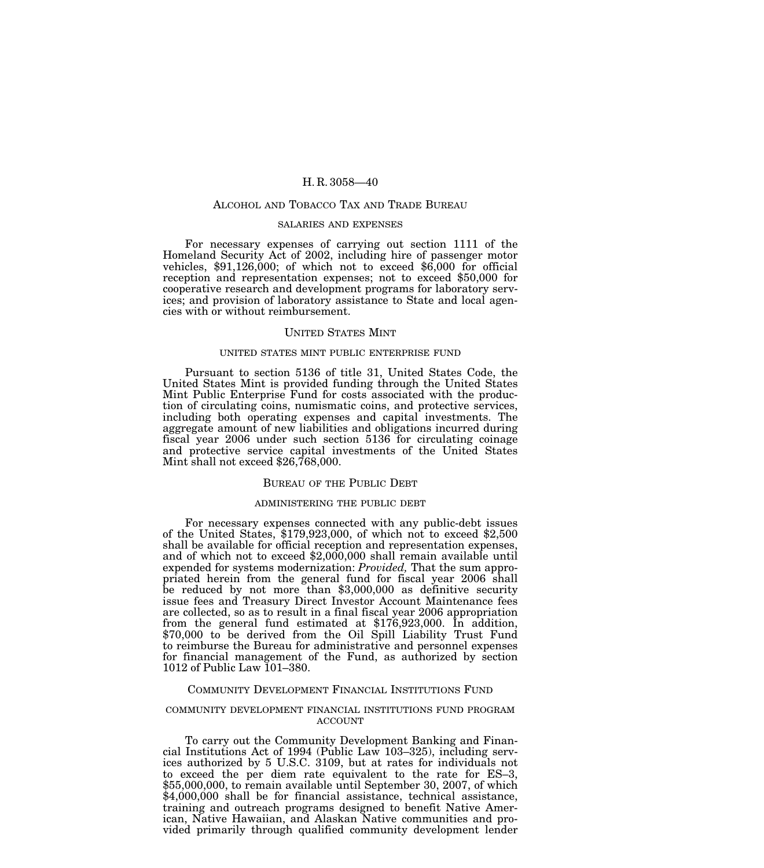### ALCOHOL AND TOBACCO TAX AND TRADE BUREAU

# SALARIES AND EXPENSES

For necessary expenses of carrying out section 1111 of the Homeland Security Act of 2002, including hire of passenger motor vehicles,  $$91,126,000$ ; of which not to exceed  $$6,000$  for official reception and representation expenses; not to exceed \$50,000 for cooperative research and development programs for laboratory services; and provision of laboratory assistance to State and local agencies with or without reimbursement.

## UNITED STATES MINT

### UNITED STATES MINT PUBLIC ENTERPRISE FUND

Pursuant to section 5136 of title 31, United States Code, the United States Mint is provided funding through the United States Mint Public Enterprise Fund for costs associated with the production of circulating coins, numismatic coins, and protective services, including both operating expenses and capital investments. The aggregate amount of new liabilities and obligations incurred during fiscal year 2006 under such section 5136 for circulating coinage and protective service capital investments of the United States Mint shall not exceed \$26,768,000.

### BUREAU OF THE PUBLIC DEBT

#### ADMINISTERING THE PUBLIC DEBT

For necessary expenses connected with any public-debt issues of the United States, \$179,923,000, of which not to exceed \$2,500 shall be available for official reception and representation expenses, and of which not to exceed \$2,000,000 shall remain available until expended for systems modernization: *Provided,* That the sum appropriated herein from the general fund for fiscal year 2006 shall be reduced by not more than \$3,000,000 as definitive security issue fees and Treasury Direct Investor Account Maintenance fees are collected, so as to result in a final fiscal year 2006 appropriation from the general fund estimated at \$176,923,000. In addition, \$70,000 to be derived from the Oil Spill Liability Trust Fund to reimburse the Bureau for administrative and personnel expenses for financial management of the Fund, as authorized by section 1012 of Public Law 101–380.

### COMMUNITY DEVELOPMENT FINANCIAL INSTITUTIONS FUND

#### COMMUNITY DEVELOPMENT FINANCIAL INSTITUTIONS FUND PROGRAM ACCOUNT

To carry out the Community Development Banking and Financial Institutions Act of 1994 (Public Law 103–325), including services authorized by 5 U.S.C. 3109, but at rates for individuals not to exceed the per diem rate equivalent to the rate for ES–3, \$55,000,000, to remain available until September 30, 2007, of which \$4,000,000 shall be for financial assistance, technical assistance, training and outreach programs designed to benefit Native American, Native Hawaiian, and Alaskan Native communities and provided primarily through qualified community development lender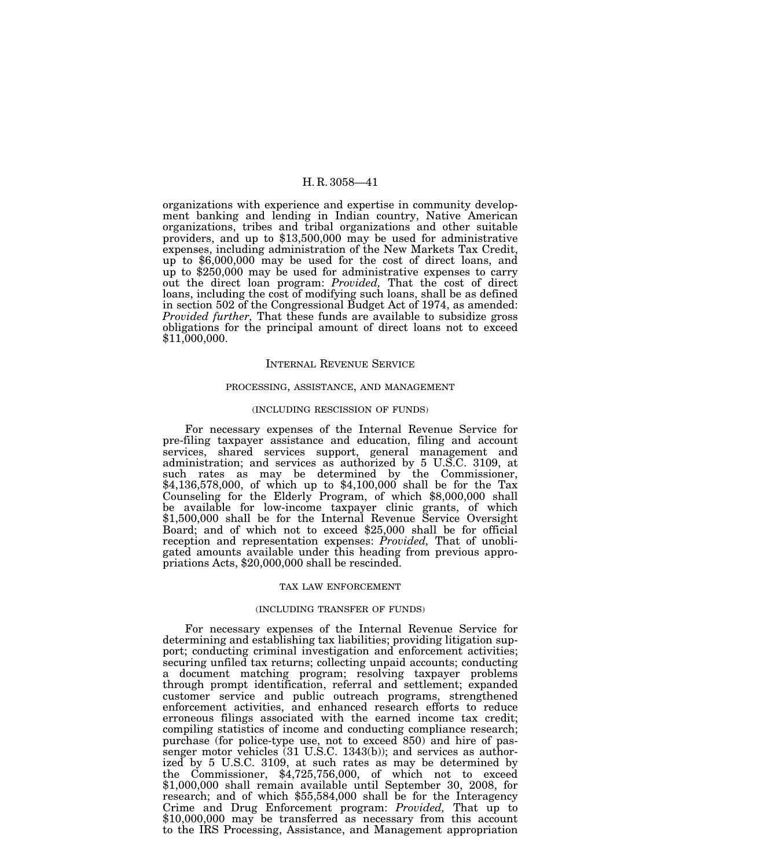organizations with experience and expertise in community development banking and lending in Indian country, Native American organizations, tribes and tribal organizations and other suitable providers, and up to \$13,500,000 may be used for administrative expenses, including administration of the New Markets Tax Credit, up to \$6,000,000 may be used for the cost of direct loans, and up to \$250,000 may be used for administrative expenses to carry out the direct loan program: *Provided,* That the cost of direct loans, including the cost of modifying such loans, shall be as defined in section 502 of the Congressional Budget Act of 1974, as amended: *Provided further,* That these funds are available to subsidize gross obligations for the principal amount of direct loans not to exceed \$11,000,000.

## INTERNAL REVENUE SERVICE

#### PROCESSING, ASSISTANCE, AND MANAGEMENT

### (INCLUDING RESCISSION OF FUNDS)

For necessary expenses of the Internal Revenue Service for pre-filing taxpayer assistance and education, filing and account services, shared services support, general management and administration; and services as authorized by 5 U.S.C. 3109, at such rates as may be determined by the Commissioner, \$4,136,578,000, of which up to \$4,100,000 shall be for the Tax Counseling for the Elderly Program, of which \$8,000,000 shall be available for low-income taxpayer clinic grants, of which \$1,500,000 shall be for the Internal Revenue Service Oversight Board; and of which not to exceed \$25,000 shall be for official reception and representation expenses: *Provided,* That of unobligated amounts available under this heading from previous appropriations Acts, \$20,000,000 shall be rescinded.

#### TAX LAW ENFORCEMENT

#### (INCLUDING TRANSFER OF FUNDS)

For necessary expenses of the Internal Revenue Service for determining and establishing tax liabilities; providing litigation support; conducting criminal investigation and enforcement activities; securing unfiled tax returns; collecting unpaid accounts; conducting a document matching program; resolving taxpayer problems through prompt identification, referral and settlement; expanded customer service and public outreach programs, strengthened enforcement activities, and enhanced research efforts to reduce erroneous filings associated with the earned income tax credit; compiling statistics of income and conducting compliance research; purchase (for police-type use, not to exceed 850) and hire of passenger motor vehicles (31 U.S.C. 1343(b)); and services as authorized by 5 U.S.C. 3109, at such rates as may be determined by the Commissioner, \$4,725,756,000, of which not to exceed \$1,000,000 shall remain available until September 30, 2008, for research; and of which \$55,584,000 shall be for the Interagency Crime and Drug Enforcement program: *Provided,* That up to \$10,000,000 may be transferred as necessary from this account to the IRS Processing, Assistance, and Management appropriation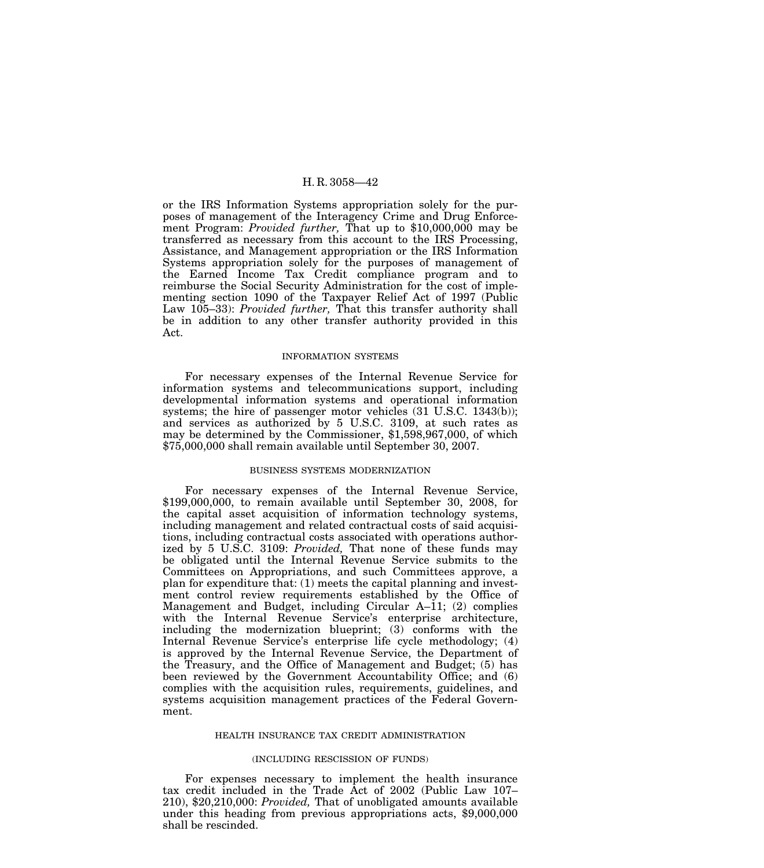or the IRS Information Systems appropriation solely for the purposes of management of the Interagency Crime and Drug Enforcement Program: *Provided further,* That up to \$10,000,000 may be transferred as necessary from this account to the IRS Processing, Assistance, and Management appropriation or the IRS Information Systems appropriation solely for the purposes of management of the Earned Income Tax Credit compliance program and to reimburse the Social Security Administration for the cost of implementing section 1090 of the Taxpayer Relief Act of 1997 (Public Law 105–33): *Provided further,* That this transfer authority shall be in addition to any other transfer authority provided in this Act.

### INFORMATION SYSTEMS

For necessary expenses of the Internal Revenue Service for information systems and telecommunications support, including developmental information systems and operational information systems; the hire of passenger motor vehicles (31 U.S.C. 1343(b)); and services as authorized by 5 U.S.C. 3109, at such rates as may be determined by the Commissioner, \$1,598,967,000, of which \$75,000,000 shall remain available until September 30, 2007.

### BUSINESS SYSTEMS MODERNIZATION

For necessary expenses of the Internal Revenue Service, \$199,000,000, to remain available until September 30, 2008, for the capital asset acquisition of information technology systems, including management and related contractual costs of said acquisitions, including contractual costs associated with operations authorized by 5 U.S.C. 3109: *Provided,* That none of these funds may be obligated until the Internal Revenue Service submits to the Committees on Appropriations, and such Committees approve, a plan for expenditure that: (1) meets the capital planning and investment control review requirements established by the Office of Management and Budget, including Circular A–11; (2) complies with the Internal Revenue Service's enterprise architecture, including the modernization blueprint; (3) conforms with the Internal Revenue Service's enterprise life cycle methodology; (4) is approved by the Internal Revenue Service, the Department of the Treasury, and the Office of Management and Budget; (5) has been reviewed by the Government Accountability Office; and (6) complies with the acquisition rules, requirements, guidelines, and systems acquisition management practices of the Federal Government.

### HEALTH INSURANCE TAX CREDIT ADMINISTRATION

# (INCLUDING RESCISSION OF FUNDS)

For expenses necessary to implement the health insurance tax credit included in the Trade Act of 2002 (Public Law 107– 210), \$20,210,000: *Provided,* That of unobligated amounts available under this heading from previous appropriations acts, \$9,000,000 shall be rescinded.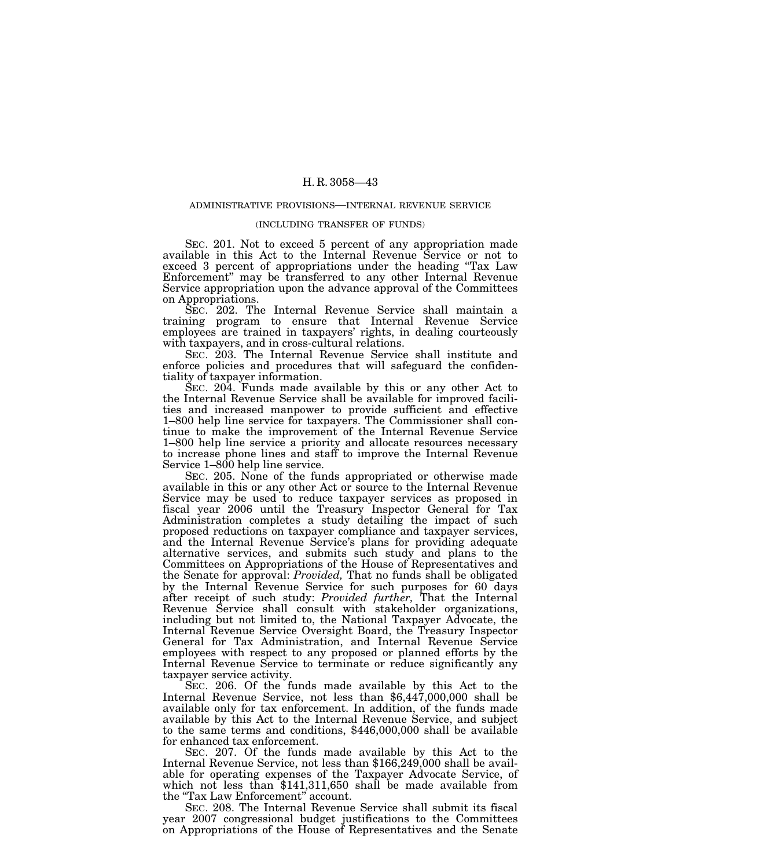#### ADMINISTRATIVE PROVISIONS—INTERNAL REVENUE SERVICE

#### (INCLUDING TRANSFER OF FUNDS)

SEC. 201. Not to exceed 5 percent of any appropriation made available in this Act to the Internal Revenue Service or not to exceed 3 percent of appropriations under the heading ''Tax Law Enforcement'' may be transferred to any other Internal Revenue Service appropriation upon the advance approval of the Committees on Appropriations.

SEC. 202. The Internal Revenue Service shall maintain a training program to ensure that Internal Revenue Service employees are trained in taxpayers' rights, in dealing courteously with taxpayers, and in cross-cultural relations.

SEC. 203. The Internal Revenue Service shall institute and enforce policies and procedures that will safeguard the confidentiality of taxpayer information.

SEC. 204. Funds made available by this or any other Act to the Internal Revenue Service shall be available for improved facilities and increased manpower to provide sufficient and effective 1–800 help line service for taxpayers. The Commissioner shall continue to make the improvement of the Internal Revenue Service 1–800 help line service a priority and allocate resources necessary to increase phone lines and staff to improve the Internal Revenue Service 1–800 help line service.

SEC. 205. None of the funds appropriated or otherwise made available in this or any other Act or source to the Internal Revenue Service may be used to reduce taxpayer services as proposed in fiscal year 2006 until the Treasury Inspector General for Tax Administration completes a study detailing the impact of such proposed reductions on taxpayer compliance and taxpayer services, and the Internal Revenue Service's plans for providing adequate alternative services, and submits such study and plans to the Committees on Appropriations of the House of Representatives and the Senate for approval: *Provided,* That no funds shall be obligated by the Internal Revenue Service for such purposes for 60 days after receipt of such study: *Provided further,* That the Internal Revenue Service shall consult with stakeholder organizations, including but not limited to, the National Taxpayer Advocate, the Internal Revenue Service Oversight Board, the Treasury Inspector General for Tax Administration, and Internal Revenue Service employees with respect to any proposed or planned efforts by the Internal Revenue Service to terminate or reduce significantly any

taxpayer service activity.<br>SEC. 206. Of the funds made available by this Act to the Internal Revenue Service, not less than  $$6,447,000,000$  shall be available only for tax enforcement. In addition, of the funds made available by this Act to the Internal Revenue Service, and subject to the same terms and conditions, \$446,000,000 shall be available for enhanced tax enforcement.

SEC. 207. Of the funds made available by this Act to the Internal Revenue Service, not less than \$166,249,000 shall be available for operating expenses of the Taxpayer Advocate Service, of which not less than \$141,311,650 shall be made available from the "Tax Law Enforcement" account.

SEC. 208. The Internal Revenue Service shall submit its fiscal year 2007 congressional budget justifications to the Committees on Appropriations of the House of Representatives and the Senate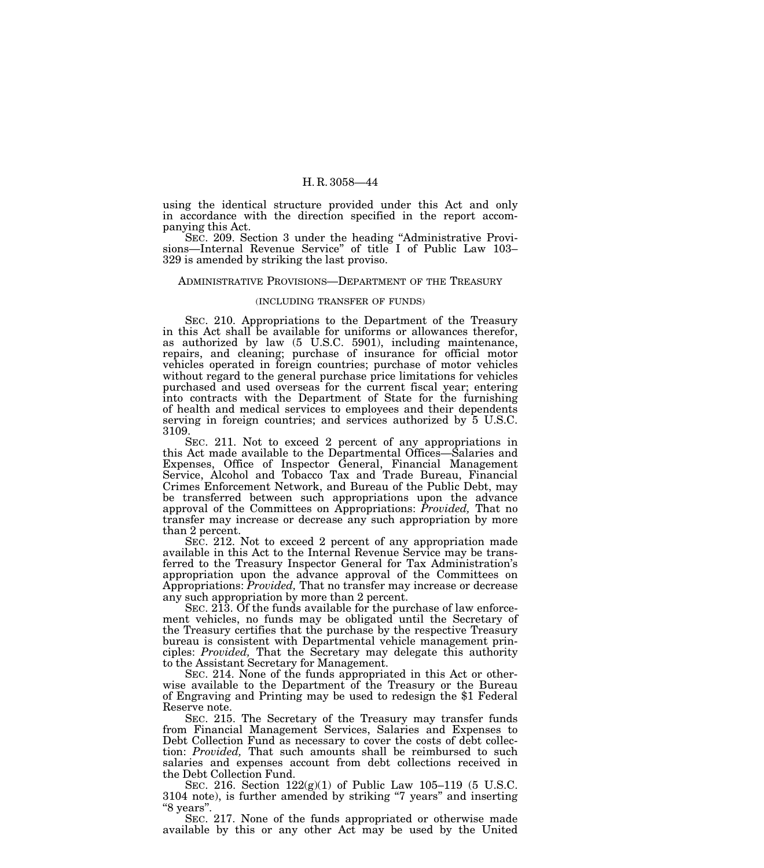using the identical structure provided under this Act and only in accordance with the direction specified in the report accompanying this Act.

SEC. 209. Section 3 under the heading ''Administrative Provisions—Internal Revenue Service'' of title I of Public Law 103– 329 is amended by striking the last proviso.

#### ADMINISTRATIVE PROVISIONS—DEPARTMENT OF THE TREASURY

### (INCLUDING TRANSFER OF FUNDS)

SEC. 210. Appropriations to the Department of the Treasury in this Act shall be available for uniforms or allowances therefor, as authorized by law (5 U.S.C. 5901), including maintenance, repairs, and cleaning; purchase of insurance for official motor vehicles operated in foreign countries; purchase of motor vehicles without regard to the general purchase price limitations for vehicles purchased and used overseas for the current fiscal year; entering into contracts with the Department of State for the furnishing of health and medical services to employees and their dependents serving in foreign countries; and services authorized by 5 U.S.C. 3109.

SEC. 211. Not to exceed 2 percent of any appropriations in this Act made available to the Departmental Offices—Salaries and Expenses, Office of Inspector General, Financial Management Service, Alcohol and Tobacco Tax and Trade Bureau, Financial Crimes Enforcement Network, and Bureau of the Public Debt, may be transferred between such appropriations upon the advance approval of the Committees on Appropriations: *Provided,* That no transfer may increase or decrease any such appropriation by more than 2 percent.

SEC. 212. Not to exceed 2 percent of any appropriation made available in this Act to the Internal Revenue Service may be transferred to the Treasury Inspector General for Tax Administration's appropriation upon the advance approval of the Committees on Appropriations: *Provided,* That no transfer may increase or decrease any such appropriation by more than 2 percent.

SEC. 213. Of the funds available for the purchase of law enforcement vehicles, no funds may be obligated until the Secretary of the Treasury certifies that the purchase by the respective Treasury bureau is consistent with Departmental vehicle management principles: *Provided,* That the Secretary may delegate this authority to the Assistant Secretary for Management.

SEC. 214. None of the funds appropriated in this Act or otherwise available to the Department of the Treasury or the Bureau of Engraving and Printing may be used to redesign the \$1 Federal Reserve note.

SEC. 215. The Secretary of the Treasury may transfer funds from Financial Management Services, Salaries and Expenses to Debt Collection Fund as necessary to cover the costs of debt collection: *Provided,* That such amounts shall be reimbursed to such salaries and expenses account from debt collections received in the Debt Collection Fund.

SEC. 216. Section 122(g)(1) of Public Law 105–119 (5 U.S.C. 3104 note), is further amended by striking ''7 years'' and inserting "8 years".

SEC. 217. None of the funds appropriated or otherwise made available by this or any other Act may be used by the United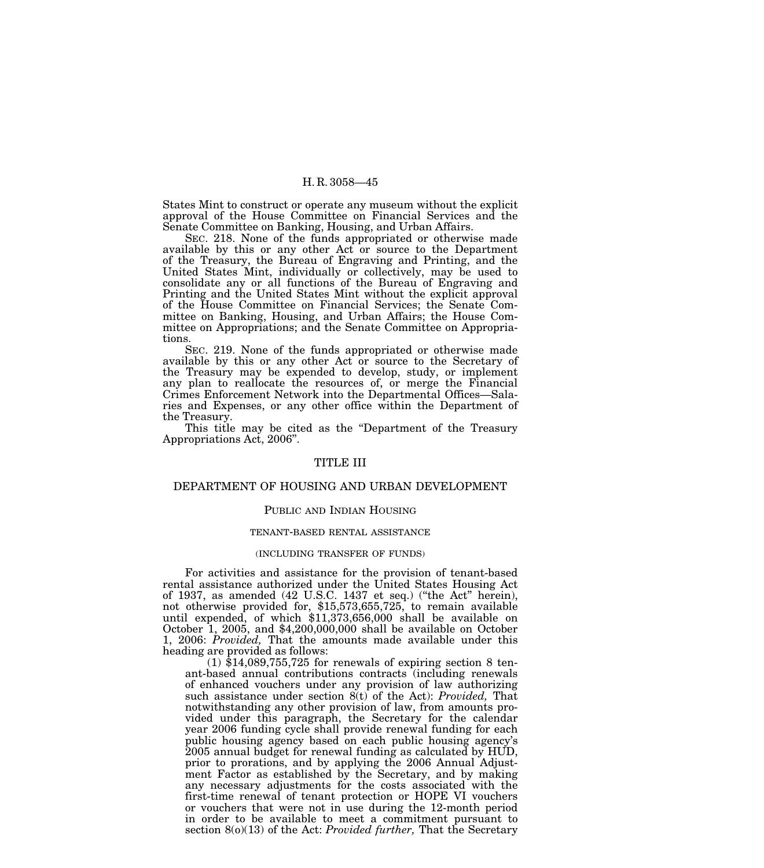States Mint to construct or operate any museum without the explicit approval of the House Committee on Financial Services and the Senate Committee on Banking, Housing, and Urban Affairs.

SEC. 218. None of the funds appropriated or otherwise made available by this or any other Act or source to the Department of the Treasury, the Bureau of Engraving and Printing, and the United States Mint, individually or collectively, may be used to consolidate any or all functions of the Bureau of Engraving and Printing and the United States Mint without the explicit approval of the House Committee on Financial Services; the Senate Committee on Banking, Housing, and Urban Affairs; the House Committee on Appropriations; and the Senate Committee on Appropriations.

SEC. 219. None of the funds appropriated or otherwise made available by this or any other Act or source to the Secretary of the Treasury may be expended to develop, study, or implement any plan to reallocate the resources of, or merge the Financial Crimes Enforcement Network into the Departmental Offices—Salaries and Expenses, or any other office within the Department of the Treasury.

This title may be cited as the ''Department of the Treasury Appropriations Act, 2006''.

## TITLE III

# DEPARTMENT OF HOUSING AND URBAN DEVELOPMENT

### PUBLIC AND INDIAN HOUSING

# TENANT-BASED RENTAL ASSISTANCE

## (INCLUDING TRANSFER OF FUNDS)

For activities and assistance for the provision of tenant-based rental assistance authorized under the United States Housing Act of 1937, as amended (42 U.S.C. 1437 et seq.) (''the Act'' herein), not otherwise provided for, \$15,573,655,725, to remain available until expended, of which \$11,373,656,000 shall be available on October 1, 2005, and \$4,200,000,000 shall be available on October 1, 2006: *Provided,* That the amounts made available under this heading are provided as follows:

 $(1)$  \$14,089,755,725 for renewals of expiring section 8 tenant-based annual contributions contracts (including renewals of enhanced vouchers under any provision of law authorizing such assistance under section 8(t) of the Act): *Provided,* That notwithstanding any other provision of law, from amounts provided under this paragraph, the Secretary for the calendar year 2006 funding cycle shall provide renewal funding for each public housing agency based on each public housing agency's 2005 annual budget for renewal funding as calculated by HUD, prior to prorations, and by applying the 2006 Annual Adjustment Factor as established by the Secretary, and by making any necessary adjustments for the costs associated with the first-time renewal of tenant protection or HOPE VI vouchers or vouchers that were not in use during the 12-month period in order to be available to meet a commitment pursuant to section 8(o)(13) of the Act: *Provided further,* That the Secretary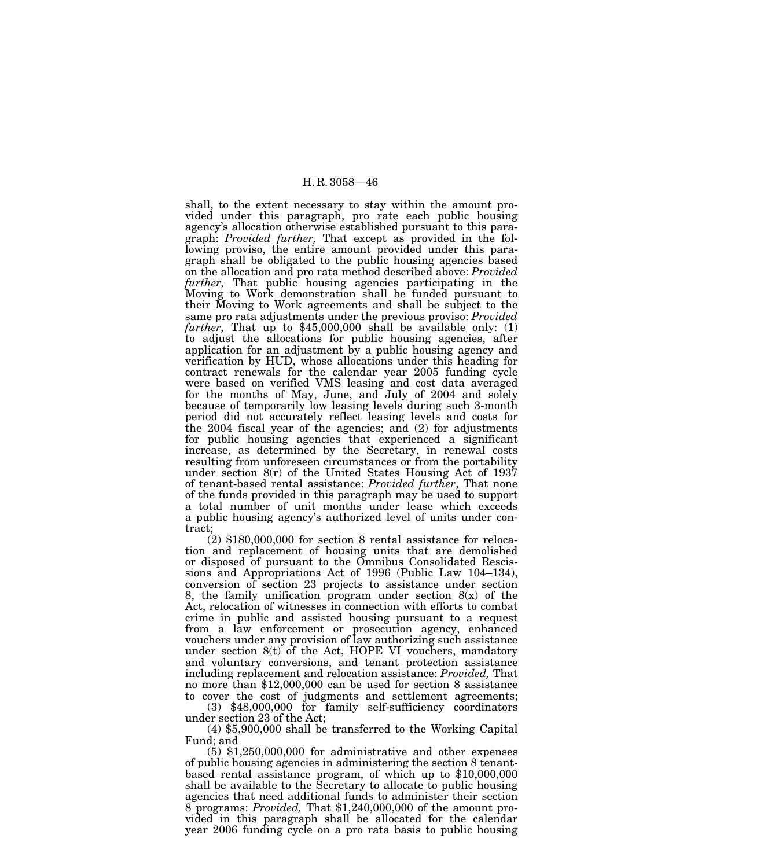shall, to the extent necessary to stay within the amount provided under this paragraph, pro rate each public housing agency's allocation otherwise established pursuant to this paragraph: *Provided further,* That except as provided in the following proviso, the entire amount provided under this paragraph shall be obligated to the public housing agencies based on the allocation and pro rata method described above: *Provided further,* That public housing agencies participating in the Moving to Work demonstration shall be funded pursuant to their Moving to Work agreements and shall be subject to the same pro rata adjustments under the previous proviso: *Provided further*, That up to \$45,000,000 shall be available only: (1) to adjust the allocations for public housing agencies, after application for an adjustment by a public housing agency and verification by HUD, whose allocations under this heading for contract renewals for the calendar year 2005 funding cycle were based on verified VMS leasing and cost data averaged for the months of May, June, and July of 2004 and solely because of temporarily low leasing levels during such 3-month period did not accurately reflect leasing levels and costs for the 2004 fiscal year of the agencies; and (2) for adjustments for public housing agencies that experienced a significant increase, as determined by the Secretary, in renewal costs resulting from unforeseen circumstances or from the portability under section 8(r) of the United States Housing Act of 1937 of tenant-based rental assistance: *Provided further*, That none of the funds provided in this paragraph may be used to support a total number of unit months under lease which exceeds a public housing agency's authorized level of units under contract;

(2) \$180,000,000 for section 8 rental assistance for relocation and replacement of housing units that are demolished or disposed of pursuant to the Omnibus Consolidated Rescissions and Appropriations Act of 1996 (Public Law 104–134), conversion of section 23 projects to assistance under section 8, the family unification program under section  $8(x)$  of the Act, relocation of witnesses in connection with efforts to combat crime in public and assisted housing pursuant to a request from a law enforcement or prosecution agency, enhanced vouchers under any provision of law authorizing such assistance under section 8(t) of the Act, HOPE VI vouchers, mandatory and voluntary conversions, and tenant protection assistance including replacement and relocation assistance: *Provided,* That no more than \$12,000,000 can be used for section 8 assistance to cover the cost of judgments and settlement agreements;

(3) \$48,000,000 for family self-sufficiency coordinators under section 23 of the Act;

(4) \$5,900,000 shall be transferred to the Working Capital Fund; and

(5) \$1,250,000,000 for administrative and other expenses of public housing agencies in administering the section 8 tenantbased rental assistance program, of which up to \$10,000,000 shall be available to the Secretary to allocate to public housing agencies that need additional funds to administer their section 8 programs: *Provided,* That \$1,240,000,000 of the amount provided in this paragraph shall be allocated for the calendar year 2006 funding cycle on a pro rata basis to public housing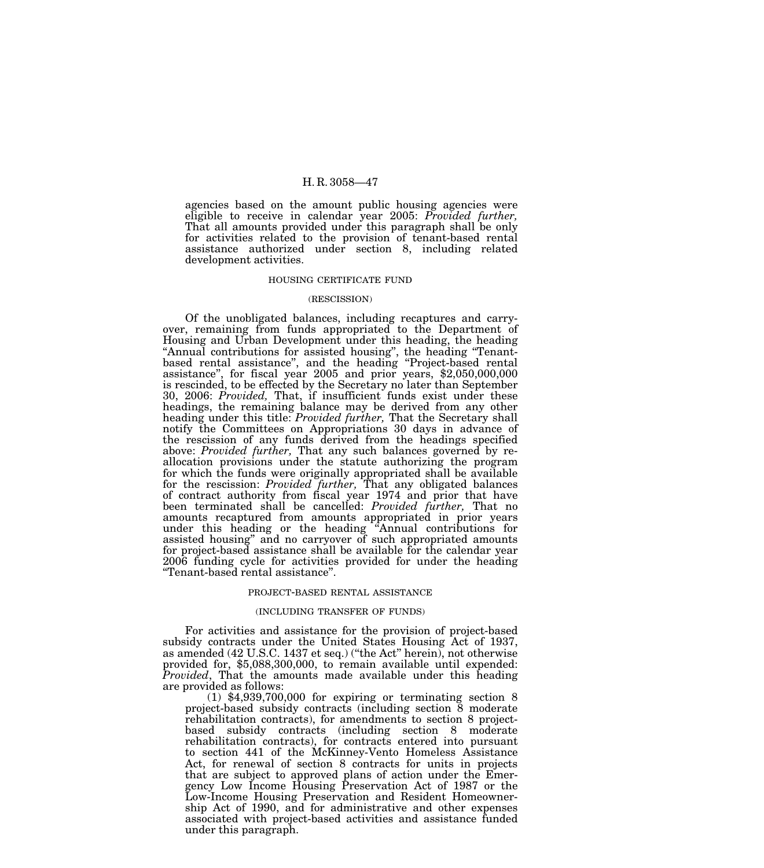agencies based on the amount public housing agencies were eligible to receive in calendar year 2005: *Provided further,* That all amounts provided under this paragraph shall be only for activities related to the provision of tenant-based rental assistance authorized under section 8, including related development activities.

#### HOUSING CERTIFICATE FUND

## (RESCISSION)

Of the unobligated balances, including recaptures and carryover, remaining from funds appropriated to the Department of Housing and Urban Development under this heading, the heading "Annual contributions for assisted housing", the heading "Tenantbased rental assistance'', and the heading ''Project-based rental assistance'', for fiscal year 2005 and prior years, \$2,050,000,000 is rescinded, to be effected by the Secretary no later than September 30, 2006: *Provided,* That, if insufficient funds exist under these headings, the remaining balance may be derived from any other heading under this title: *Provided further,* That the Secretary shall notify the Committees on Appropriations 30 days in advance of the rescission of any funds derived from the headings specified above: *Provided further,* That any such balances governed by reallocation provisions under the statute authorizing the program for which the funds were originally appropriated shall be available for the rescission: *Provided further,* That any obligated balances of contract authority from fiscal year 1974 and prior that have been terminated shall be cancelled: *Provided further,* That no amounts recaptured from amounts appropriated in prior years under this heading or the heading ''Annual contributions for assisted housing'' and no carryover of such appropriated amounts for project-based assistance shall be available for the calendar year 2006 funding cycle for activities provided for under the heading ''Tenant-based rental assistance''.

#### PROJECT-BASED RENTAL ASSISTANCE

### (INCLUDING TRANSFER OF FUNDS)

For activities and assistance for the provision of project-based subsidy contracts under the United States Housing Act of 1937, as amended (42 U.S.C. 1437 et seq.) ("the Act" herein), not otherwise provided for, \$5,088,300,000, to remain available until expended: *Provided*, That the amounts made available under this heading are provided as follows:

 $(1)$  \$4,939,700,000 for expiring or terminating section 8 project-based subsidy contracts (including section 8 moderate rehabilitation contracts), for amendments to section 8 projectbased subsidy contracts (including section 8 moderate rehabilitation contracts), for contracts entered into pursuant to section 441 of the McKinney-Vento Homeless Assistance Act, for renewal of section 8 contracts for units in projects that are subject to approved plans of action under the Emergency Low Income Housing Preservation Act of 1987 or the Low-Income Housing Preservation and Resident Homeownership Act of 1990, and for administrative and other expenses associated with project-based activities and assistance funded under this paragraph.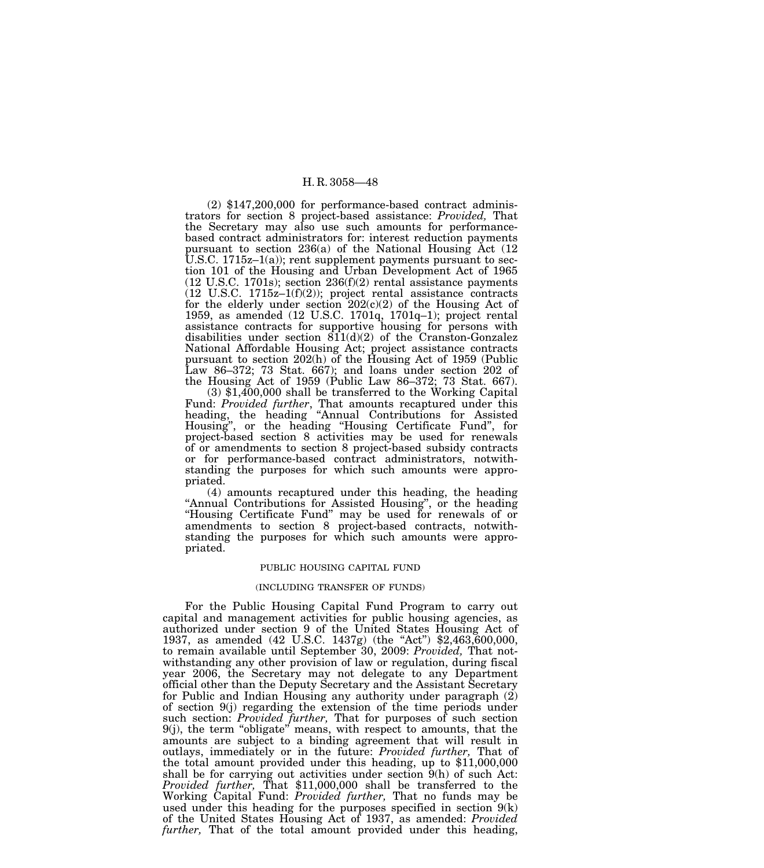(2) \$147,200,000 for performance-based contract administrators for section 8 project-based assistance: *Provided,* That the Secretary may also use such amounts for performancebased contract administrators for: interest reduction payments pursuant to section 236(a) of the National Housing Act (12 U.S.C. 1715z–1(a)); rent supplement payments pursuant to section 101 of the Housing and Urban Development Act of 1965 (12 U.S.C. 1701s); section 236(f)(2) rental assistance payments  $(12 \text{ U.S.C. } 1715z-1(f)(2));$  project rental assistance contracts for the elderly under section  $202(c)(2)$  of the Housing Act of 1959, as amended (12 U.S.C. 1701q, 1701q–1); project rental assistance contracts for supportive housing for persons with disabilities under section  $811(d)(2)$  of the Cranston-Gonzalez National Affordable Housing Act; project assistance contracts pursuant to section 202(h) of the Housing Act of 1959 (Public Law 86–372; 73 Stat. 667); and loans under section 202 of

the Housing Act of 1959 (Public Law 86–372; 73 Stat. 667). (3) \$1,400,000 shall be transferred to the Working Capital Fund: *Provided further*, That amounts recaptured under this heading, the heading ''Annual Contributions for Assisted Housing'', or the heading ''Housing Certificate Fund'', for project-based section 8 activities may be used for renewals of or amendments to section 8 project-based subsidy contracts or for performance-based contract administrators, notwithstanding the purposes for which such amounts were appropriated.

(4) amounts recaptured under this heading, the heading ''Annual Contributions for Assisted Housing'', or the heading ''Housing Certificate Fund'' may be used for renewals of or amendments to section 8 project-based contracts, notwithstanding the purposes for which such amounts were appropriated.

### PUBLIC HOUSING CAPITAL FUND

#### (INCLUDING TRANSFER OF FUNDS)

For the Public Housing Capital Fund Program to carry out capital and management activities for public housing agencies, as authorized under section 9 of the United States Housing Act of 1937, as amended (42 U.S.C. 1437g) (the "Act") \$2,463,600,000, to remain available until September 30, 2009: *Provided,* That notwithstanding any other provision of law or regulation, during fiscal year 2006, the Secretary may not delegate to any Department official other than the Deputy Secretary and the Assistant Secretary for Public and Indian Housing any authority under paragraph (2) of section 9(j) regarding the extension of the time periods under such section: *Provided further,* That for purposes of such section 9(j), the term ''obligate'' means, with respect to amounts, that the amounts are subject to a binding agreement that will result in outlays, immediately or in the future: *Provided further,* That of the total amount provided under this heading, up to \$11,000,000 shall be for carrying out activities under section 9(h) of such Act: *Provided further,* That \$11,000,000 shall be transferred to the Working Capital Fund: *Provided further,* That no funds may be used under this heading for the purposes specified in section  $9(k)$ of the United States Housing Act of 1937, as amended: *Provided further,* That of the total amount provided under this heading,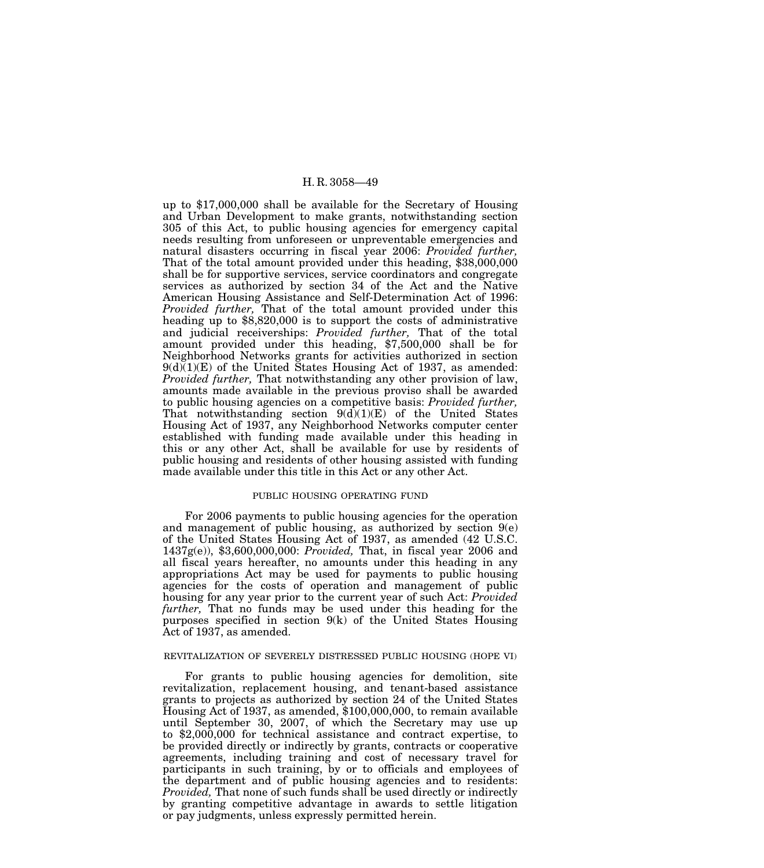up to \$17,000,000 shall be available for the Secretary of Housing and Urban Development to make grants, notwithstanding section 305 of this Act, to public housing agencies for emergency capital needs resulting from unforeseen or unpreventable emergencies and natural disasters occurring in fiscal year 2006: *Provided further,*  That of the total amount provided under this heading, \$38,000,000 shall be for supportive services, service coordinators and congregate services as authorized by section 34 of the Act and the Native American Housing Assistance and Self-Determination Act of 1996: *Provided further,* That of the total amount provided under this heading up to \$8,820,000 is to support the costs of administrative and judicial receiverships: *Provided further,* That of the total amount provided under this heading, \$7,500,000 shall be for Neighborhood Networks grants for activities authorized in section  $9(d)(1)(E)$  of the United States Housing Act of 1937, as amended: *Provided further,* That notwithstanding any other provision of law, amounts made available in the previous proviso shall be awarded to public housing agencies on a competitive basis: *Provided further,* That notwithstanding section  $9(d)(1)(E)$  of the United States Housing Act of 1937, any Neighborhood Networks computer center established with funding made available under this heading in this or any other Act, shall be available for use by residents of public housing and residents of other housing assisted with funding made available under this title in this Act or any other Act.

## PUBLIC HOUSING OPERATING FUND

For 2006 payments to public housing agencies for the operation and management of public housing, as authorized by section 9(e) of the United States Housing Act of 1937, as amended (42 U.S.C. 1437g(e)), \$3,600,000,000: *Provided,* That, in fiscal year 2006 and all fiscal years hereafter, no amounts under this heading in any appropriations Act may be used for payments to public housing agencies for the costs of operation and management of public housing for any year prior to the current year of such Act: *Provided further,* That no funds may be used under this heading for the purposes specified in section 9(k) of the United States Housing Act of 1937, as amended.

#### REVITALIZATION OF SEVERELY DISTRESSED PUBLIC HOUSING (HOPE VI)

For grants to public housing agencies for demolition, site revitalization, replacement housing, and tenant-based assistance grants to projects as authorized by section 24 of the United States Housing Act of 1937, as amended, \$100,000,000, to remain available until September 30, 2007, of which the Secretary may use up to \$2,000,000 for technical assistance and contract expertise, to be provided directly or indirectly by grants, contracts or cooperative agreements, including training and cost of necessary travel for participants in such training, by or to officials and employees of the department and of public housing agencies and to residents: *Provided,* That none of such funds shall be used directly or indirectly by granting competitive advantage in awards to settle litigation or pay judgments, unless expressly permitted herein.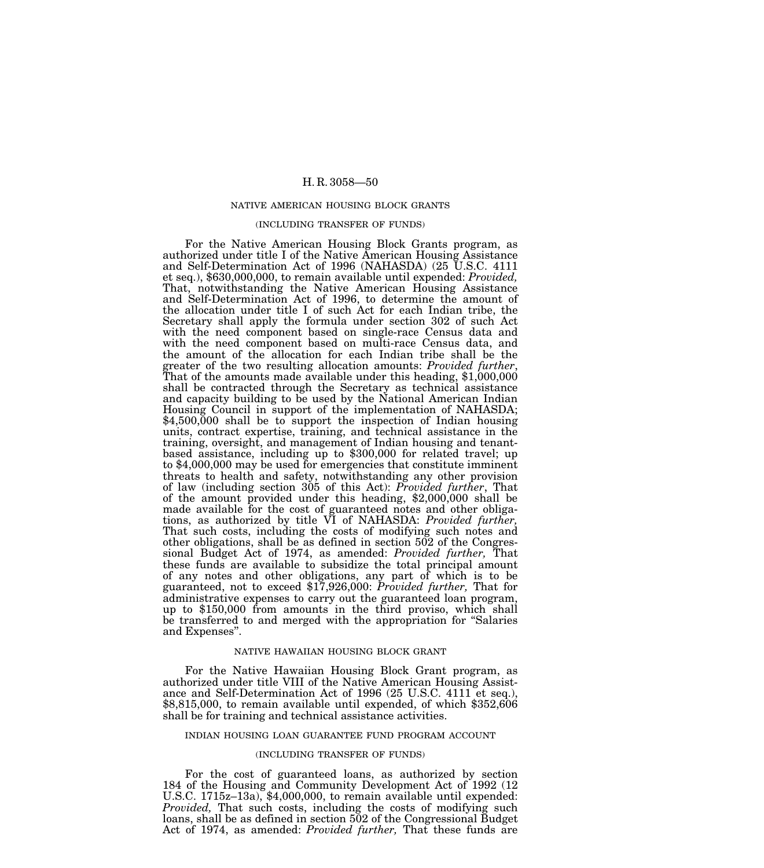#### NATIVE AMERICAN HOUSING BLOCK GRANTS

#### (INCLUDING TRANSFER OF FUNDS)

For the Native American Housing Block Grants program, as authorized under title I of the Native American Housing Assistance and Self-Determination Act of 1996 (NAHASDA) (25 U.S.C. 4111 et seq.), \$630,000,000, to remain available until expended: *Provided,* That, notwithstanding the Native American Housing Assistance and Self-Determination Act of 1996, to determine the amount of the allocation under title I of such Act for each Indian tribe, the Secretary shall apply the formula under section 302 of such Act with the need component based on single-race Census data and with the need component based on multi-race Census data, and the amount of the allocation for each Indian tribe shall be the greater of the two resulting allocation amounts: *Provided further*, That of the amounts made available under this heading, \$1,000,000 shall be contracted through the Secretary as technical assistance and capacity building to be used by the National American Indian Housing Council in support of the implementation of NAHASDA;  $$4,500,000$  shall be to support the inspection of Indian housing units, contract expertise, training, and technical assistance in the training, oversight, and management of Indian housing and tenantbased assistance, including up to \$300,000 for related travel; up to \$4,000,000 may be used for emergencies that constitute imminent threats to health and safety, notwithstanding any other provision of law (including section 305 of this Act): *Provided further*, That of the amount provided under this heading, \$2,000,000 shall be made available for the cost of guaranteed notes and other obligations, as authorized by title VI of NAHASDA: *Provided further,* That such costs, including the costs of modifying such notes and other obligations, shall be as defined in section 502 of the Congressional Budget Act of 1974, as amended: *Provided further,* That these funds are available to subsidize the total principal amount of any notes and other obligations, any part of which is to be guaranteed, not to exceed \$17,926,000: *Provided further,* That for administrative expenses to carry out the guaranteed loan program, up to \$150,000 from amounts in the third proviso, which shall be transferred to and merged with the appropriation for ''Salaries and Expenses''.

## NATIVE HAWAIIAN HOUSING BLOCK GRANT

For the Native Hawaiian Housing Block Grant program, as authorized under title VIII of the Native American Housing Assistance and Self-Determination Act of 1996 (25 U.S.C. 4111 et seq.), \$8,815,000, to remain available until expended, of which \$352,606 shall be for training and technical assistance activities.

#### INDIAN HOUSING LOAN GUARANTEE FUND PROGRAM ACCOUNT

#### (INCLUDING TRANSFER OF FUNDS)

For the cost of guaranteed loans, as authorized by section 184 of the Housing and Community Development Act of 1992 (12 U.S.C. 1715z–13a), \$4,000,000, to remain available until expended: *Provided,* That such costs, including the costs of modifying such loans, shall be as defined in section 502 of the Congressional Budget Act of 1974, as amended: *Provided further,* That these funds are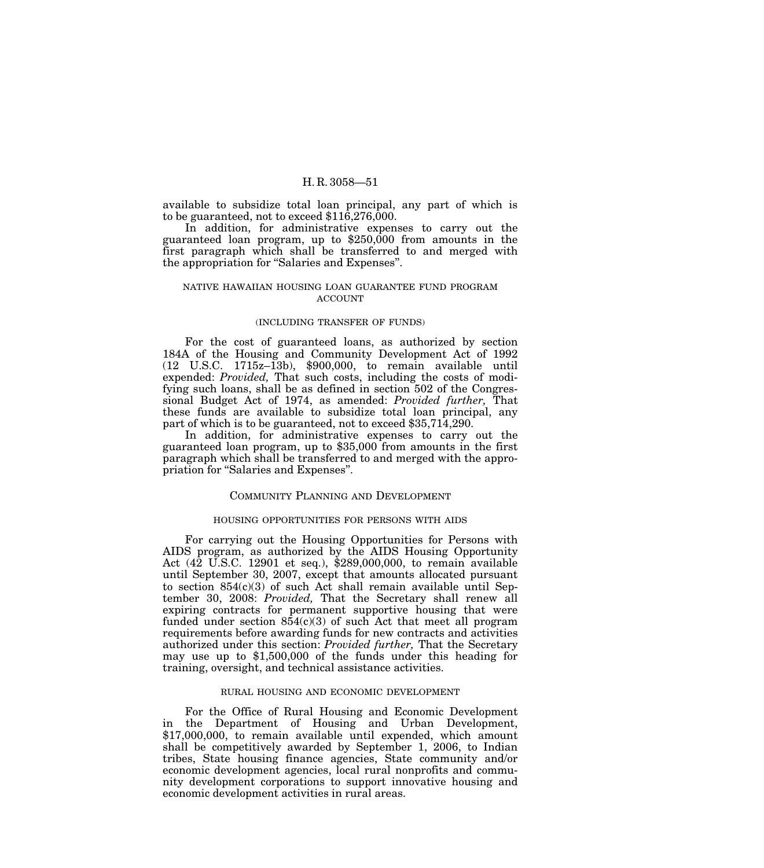available to subsidize total loan principal, any part of which is to be guaranteed, not to exceed \$116,276,000.

In addition, for administrative expenses to carry out the guaranteed loan program, up to \$250,000 from amounts in the first paragraph which shall be transferred to and merged with the appropriation for ''Salaries and Expenses''.

## NATIVE HAWAIIAN HOUSING LOAN GUARANTEE FUND PROGRAM ACCOUNT

## (INCLUDING TRANSFER OF FUNDS)

For the cost of guaranteed loans, as authorized by section 184A of the Housing and Community Development Act of 1992 (12 U.S.C. 1715z–13b), \$900,000, to remain available until expended: *Provided,* That such costs, including the costs of modifying such loans, shall be as defined in section 502 of the Congressional Budget Act of 1974, as amended: *Provided further,* That these funds are available to subsidize total loan principal, any part of which is to be guaranteed, not to exceed \$35,714,290.

In addition, for administrative expenses to carry out the guaranteed loan program, up to \$35,000 from amounts in the first paragraph which shall be transferred to and merged with the appropriation for ''Salaries and Expenses''.

### COMMUNITY PLANNING AND DEVELOPMENT

## HOUSING OPPORTUNITIES FOR PERSONS WITH AIDS

For carrying out the Housing Opportunities for Persons with AIDS program, as authorized by the AIDS Housing Opportunity Act (42 U.S.C. 12901 et seq.), \$289,000,000, to remain available until September 30, 2007, except that amounts allocated pursuant to section  $854(c)(3)$  of such Act shall remain available until September 30, 2008: *Provided,* That the Secretary shall renew all expiring contracts for permanent supportive housing that were funded under section  $854(c)(3)$  of such Act that meet all program requirements before awarding funds for new contracts and activities authorized under this section: *Provided further,* That the Secretary may use up to \$1,500,000 of the funds under this heading for training, oversight, and technical assistance activities.

## RURAL HOUSING AND ECONOMIC DEVELOPMENT

For the Office of Rural Housing and Economic Development in the Department of Housing and Urban Development, \$17,000,000, to remain available until expended, which amount shall be competitively awarded by September 1, 2006, to Indian tribes, State housing finance agencies, State community and/or economic development agencies, local rural nonprofits and community development corporations to support innovative housing and economic development activities in rural areas.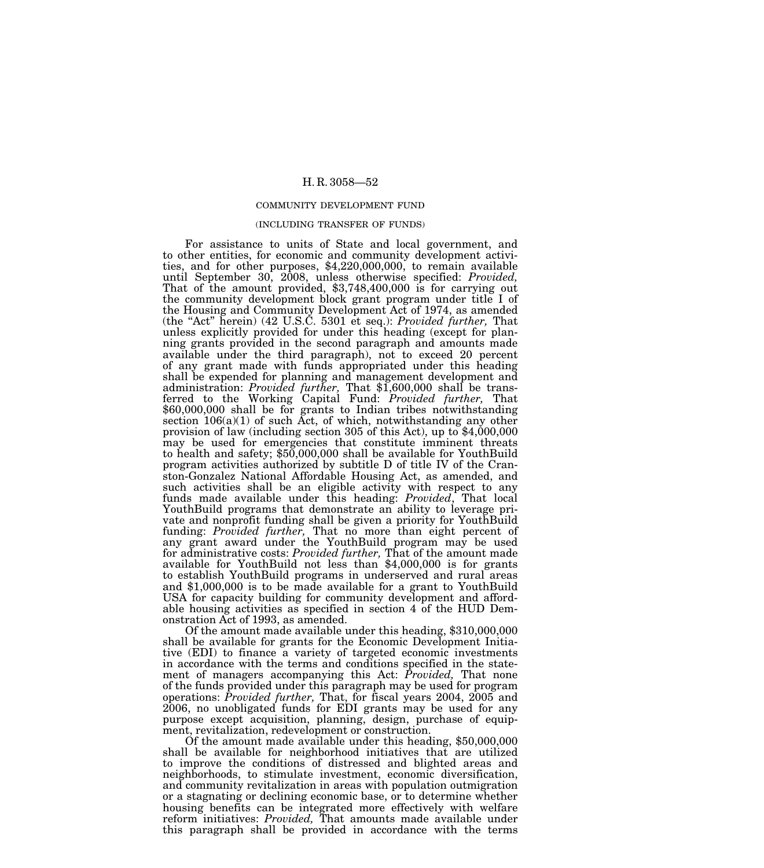### COMMUNITY DEVELOPMENT FUND

#### (INCLUDING TRANSFER OF FUNDS)

For assistance to units of State and local government, and to other entities, for economic and community development activities, and for other purposes, \$4,220,000,000, to remain available until September 30, 2008, unless otherwise specified: *Provided,* That of the amount provided, \$3,748,400,000 is for carrying out the community development block grant program under title I of the Housing and Community Development Act of 1974, as amended (the ''Act'' herein) (42 U.S.C. 5301 et seq.): *Provided further,* That unless explicitly provided for under this heading (except for planning grants provided in the second paragraph and amounts made available under the third paragraph), not to exceed 20 percent of any grant made with funds appropriated under this heading shall be expended for planning and management development and administration: *Provided further,* That \$1,600,000 shall be transferred to the Working Capital Fund: *Provided further,* That \$60,000,000 shall be for grants to Indian tribes notwithstanding section 106(a)(1) of such Act, of which, notwithstanding any other provision of law (including section 305 of this Act), up to \$4,000,000 may be used for emergencies that constitute imminent threats to health and safety; \$50,000,000 shall be available for YouthBuild program activities authorized by subtitle D of title IV of the Cranston-Gonzalez National Affordable Housing Act, as amended, and such activities shall be an eligible activity with respect to any funds made available under this heading: *Provided*, That local YouthBuild programs that demonstrate an ability to leverage private and nonprofit funding shall be given a priority for YouthBuild funding: *Provided further,* That no more than eight percent of any grant award under the YouthBuild program may be used for administrative costs: *Provided further,* That of the amount made available for YouthBuild not less than \$4,000,000 is for grants to establish YouthBuild programs in underserved and rural areas and \$1,000,000 is to be made available for a grant to YouthBuild USA for capacity building for community development and affordable housing activities as specified in section 4 of the HUD Demonstration Act of 1993, as amended.

Of the amount made available under this heading, \$310,000,000 shall be available for grants for the Economic Development Initiative (EDI) to finance a variety of targeted economic investments in accordance with the terms and conditions specified in the statement of managers accompanying this Act: *Provided,* That none of the funds provided under this paragraph may be used for program operations: *Provided further,* That, for fiscal years 2004, 2005 and 2006, no unobligated funds for EDI grants may be used for any purpose except acquisition, planning, design, purchase of equip-

Of the amount made available under this heading,  $$50,000,000$ shall be available for neighborhood initiatives that are utilized to improve the conditions of distressed and blighted areas and neighborhoods, to stimulate investment, economic diversification, and community revitalization in areas with population outmigration or a stagnating or declining economic base, or to determine whether housing benefits can be integrated more effectively with welfare reform initiatives: *Provided,* That amounts made available under this paragraph shall be provided in accordance with the terms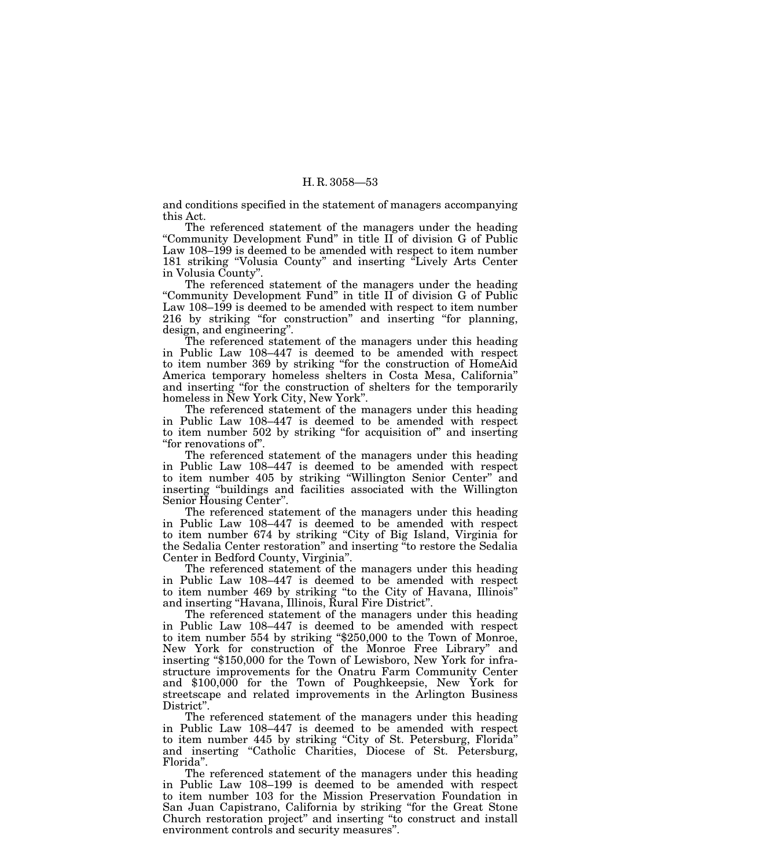and conditions specified in the statement of managers accompanying this Act.

The referenced statement of the managers under the heading "Community Development Fund" in title II of division G of Public Law 108–199 is deemed to be amended with respect to item number 181 striking ''Volusia County'' and inserting ''Lively Arts Center in Volusia County''.

The referenced statement of the managers under the heading ''Community Development Fund'' in title II of division G of Public Law 108–199 is deemed to be amended with respect to item number 216 by striking ''for construction'' and inserting ''for planning, design, and engineering''.

The referenced statement of the managers under this heading in Public Law 108–447 is deemed to be amended with respect to item number 369 by striking ''for the construction of HomeAid America temporary homeless shelters in Costa Mesa, California'' and inserting ''for the construction of shelters for the temporarily homeless in New York City, New York''.

The referenced statement of the managers under this heading in Public Law 108–447 is deemed to be amended with respect to item number 502 by striking ''for acquisition of'' and inserting "for renovations of".

The referenced statement of the managers under this heading in Public Law 108–447 is deemed to be amended with respect to item number 405 by striking ''Willington Senior Center'' and inserting ''buildings and facilities associated with the Willington Senior Housing Center''.

The referenced statement of the managers under this heading in Public Law 108–447 is deemed to be amended with respect to item number 674 by striking ''City of Big Island, Virginia for the Sedalia Center restoration'' and inserting ''to restore the Sedalia Center in Bedford County, Virginia''.

The referenced statement of the managers under this heading in Public Law 108–447 is deemed to be amended with respect to item number 469 by striking ''to the City of Havana, Illinois'' and inserting "Havana, Illinois, Rural Fire District".

The referenced statement of the managers under this heading in Public Law 108–447 is deemed to be amended with respect to item number 554 by striking "\$250,000 to the Town of Monroe, New York for construction of the Monroe Free Library'' and inserting "\$150,000 for the Town of Lewisboro, New York for infrastructure improvements for the Onatru Farm Community Center and \$100,000 for the Town of Poughkeepsie, New York for streetscape and related improvements in the Arlington Business District".

The referenced statement of the managers under this heading in Public Law 108–447 is deemed to be amended with respect to item number 445 by striking "City of St. Petersburg, Florida" and inserting "Catholic Charities, Diocese of St. Petersburg, Florida''.

The referenced statement of the managers under this heading in Public Law 108–199 is deemed to be amended with respect to item number 103 for the Mission Preservation Foundation in San Juan Capistrano, California by striking ''for the Great Stone Church restoration project'' and inserting ''to construct and install environment controls and security measures''.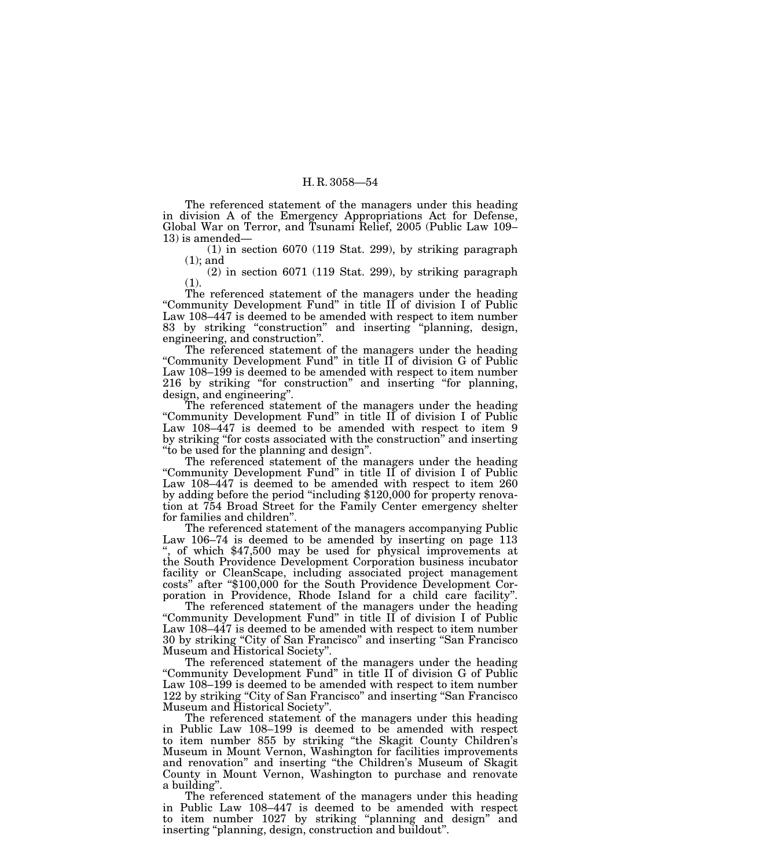The referenced statement of the managers under this heading in division A of the Emergency Appropriations Act for Defense, Global War on Terror, and Tsunami Relief, 2005 (Public Law 109– 13) is amended—

(1) in section 6070 (119 Stat. 299), by striking paragraph (1); and

(2) in section 6071 (119 Stat. 299), by striking paragraph (1).

The referenced statement of the managers under the heading ''Community Development Fund'' in title II of division I of Public Law 108–447 is deemed to be amended with respect to item number 83 by striking "construction" and inserting "planning, design, engineering, and construction''.

The referenced statement of the managers under the heading ''Community Development Fund'' in title II of division G of Public Law 108–199 is deemed to be amended with respect to item number 216 by striking ''for construction'' and inserting ''for planning, design, and engineering''.

The referenced statement of the managers under the heading "Community Development Fund" in title II of division I of Public Law 108–447 is deemed to be amended with respect to item 9 by striking ''for costs associated with the construction'' and inserting ''to be used for the planning and design''.

The referenced statement of the managers under the heading "Community Development Fund" in title II of division I of Public Law 108–447 is deemed to be amended with respect to item 260 by adding before the period ''including \$120,000 for property renovation at 754 Broad Street for the Family Center emergency shelter for families and children''.

The referenced statement of the managers accompanying Public Law 106–74 is deemed to be amended by inserting on page 113 '', of which \$47,500 may be used for physical improvements at the South Providence Development Corporation business incubator facility or CleanScape, including associated project management costs'' after ''\$100,000 for the South Providence Development Corporation in Providence, Rhode Island for a child care facility''.

The referenced statement of the managers under the heading "Community Development Fund" in title II of division I of Public Law 108–447 is deemed to be amended with respect to item number 30 by striking ''City of San Francisco'' and inserting ''San Francisco Museum and Historical Society''.

The referenced statement of the managers under the heading "Community Development Fund" in title II of division G of Public Law 108–199 is deemed to be amended with respect to item number 122 by striking "City of San Francisco" and inserting "San Francisco" Museum and Historical Society''.

The referenced statement of the managers under this heading in Public Law 108–199 is deemed to be amended with respect to item number 855 by striking ''the Skagit County Children's Museum in Mount Vernon, Washington for facilities improvements and renovation'' and inserting ''the Children's Museum of Skagit County in Mount Vernon, Washington to purchase and renovate a building''.

The referenced statement of the managers under this heading in Public Law 108–447 is deemed to be amended with respect to item number 1027 by striking "planning and design" and inserting ''planning, design, construction and buildout''.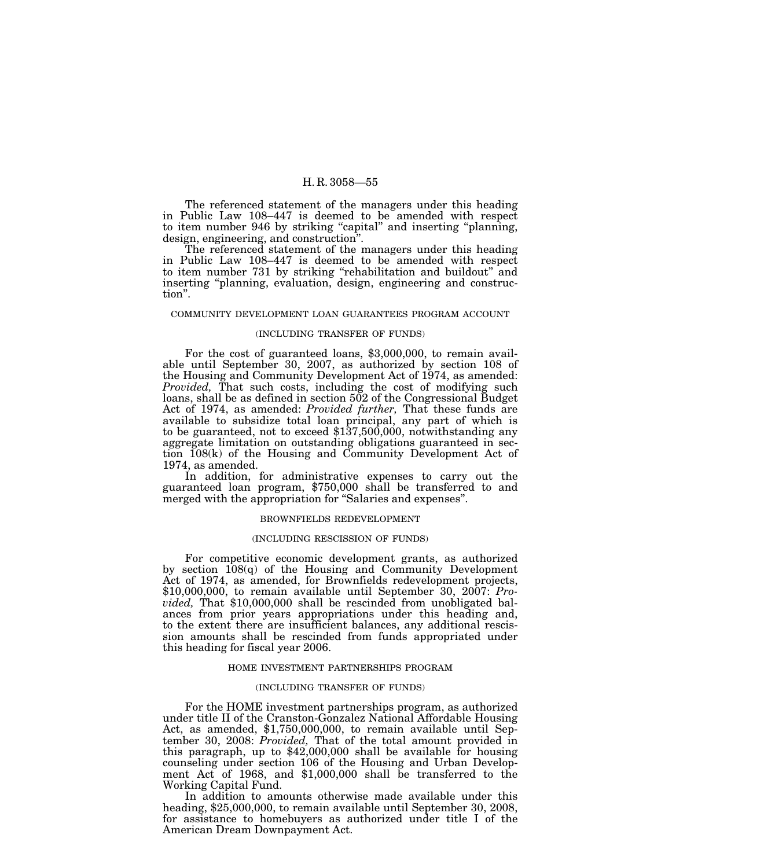The referenced statement of the managers under this heading in Public Law 108–447 is deemed to be amended with respect to item number 946 by striking "capital" and inserting "planning, design, engineering, and construction''.

The referenced statement of the managers under this heading in Public Law 108–447 is deemed to be amended with respect to item number 731 by striking ''rehabilitation and buildout'' and inserting ''planning, evaluation, design, engineering and construction''.

#### COMMUNITY DEVELOPMENT LOAN GUARANTEES PROGRAM ACCOUNT

### (INCLUDING TRANSFER OF FUNDS)

For the cost of guaranteed loans, \$3,000,000, to remain available until September 30, 2007, as authorized by section 108 of the Housing and Community Development Act of 1974, as amended: *Provided,* That such costs, including the cost of modifying such loans, shall be as defined in section 502 of the Congressional Budget Act of 1974, as amended: *Provided further,* That these funds are available to subsidize total loan principal, any part of which is to be guaranteed, not to exceed \$137,500,000, notwithstanding any aggregate limitation on outstanding obligations guaranteed in section 108(k) of the Housing and Community Development Act of 1974, as amended.<br>In addition, for administrative expenses to carry out the

guaranteed loan program, \$750,000 shall be transferred to and merged with the appropriation for "Salaries and expenses".

### BROWNFIELDS REDEVELOPMENT

### (INCLUDING RESCISSION OF FUNDS)

For competitive economic development grants, as authorized by section 108(q) of the Housing and Community Development Act of 1974, as amended, for Brownfields redevelopment projects, \$10,000,000, to remain available until September 30, 2007: *Provided,* That \$10,000,000 shall be rescinded from unobligated balances from prior years appropriations under this heading and, to the extent there are insufficient balances, any additional rescission amounts shall be rescinded from funds appropriated under this heading for fiscal year 2006.

#### HOME INVESTMENT PARTNERSHIPS PROGRAM

#### (INCLUDING TRANSFER OF FUNDS)

For the HOME investment partnerships program, as authorized under title II of the Cranston-Gonzalez National Affordable Housing Act, as amended, \$1,750,000,000, to remain available until September 30, 2008: *Provided,* That of the total amount provided in this paragraph, up to \$42,000,000 shall be available for housing counseling under section 106 of the Housing and Urban Development Act of 1968, and \$1,000,000 shall be transferred to the Working Capital Fund.

In addition to amounts otherwise made available under this heading, \$25,000,000, to remain available until September 30, 2008, for assistance to homebuyers as authorized under title I of the American Dream Downpayment Act.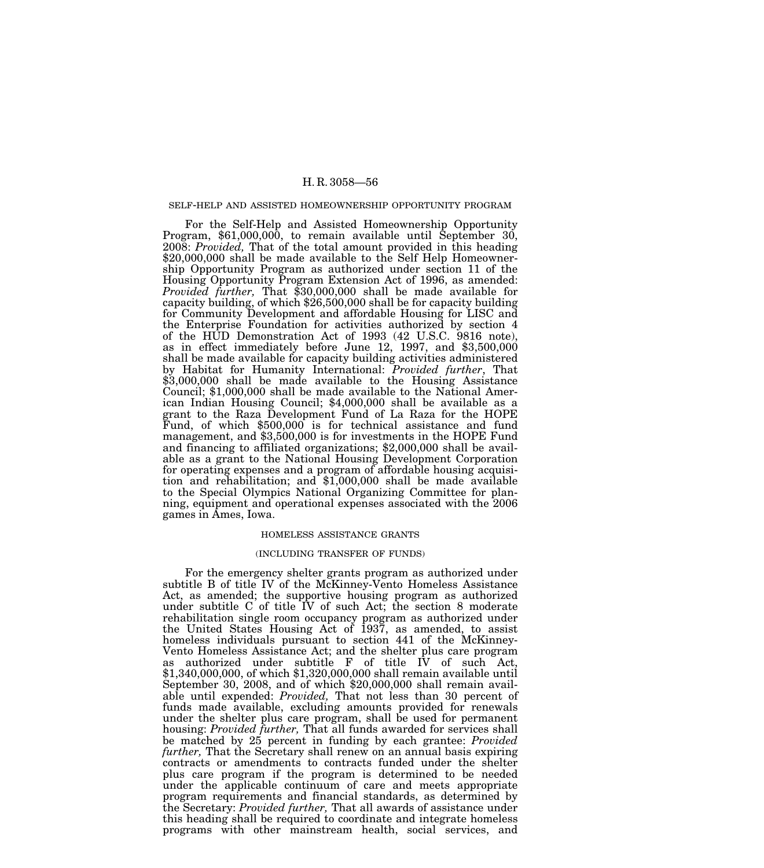#### SELF-HELP AND ASSISTED HOMEOWNERSHIP OPPORTUNITY PROGRAM

For the Self-Help and Assisted Homeownership Opportunity Program, \$61,000,000, to remain available until September 30, 2008: *Provided*, That of the total amount provided in this heading \$20,000,000 shall be made available to the Self Help Homeownership Opportunity Program as authorized under section 11 of the Housing Opportunity Program Extension Act of 1996, as amended: *Provided further,* That \$30,000,000 shall be made available for capacity building, of which \$26,500,000 shall be for capacity building for Community Development and affordable Housing for LISC and the Enterprise Foundation for activities authorized by section 4 of the HUD Demonstration Act of 1993 (42 U.S.C. 9816 note), as in effect immediately before June 12, 1997, and \$3,500,000 shall be made available for capacity building activities administered by Habitat for Humanity International: *Provided further*, That \$3,000,000 shall be made available to the Housing Assistance Council; \$1,000,000 shall be made available to the National American Indian Housing Council; \$4,000,000 shall be available as a grant to the Raza Development Fund of La Raza for the HOPE Fund, of which \$500,000 is for technical assistance and fund management, and \$3,500,000 is for investments in the HOPE Fund and financing to affiliated organizations; \$2,000,000 shall be available as a grant to the National Housing Development Corporation for operating expenses and a program of affordable housing acquisition and rehabilitation; and \$1,000,000 shall be made available to the Special Olympics National Organizing Committee for planning, equipment and operational expenses associated with the 2006 games in Ames, Iowa.

### HOMELESS ASSISTANCE GRANTS

## (INCLUDING TRANSFER OF FUNDS)

For the emergency shelter grants program as authorized under subtitle B of title IV of the McKinney-Vento Homeless Assistance Act, as amended; the supportive housing program as authorized under subtitle C of title IV of such Act; the section 8 moderate rehabilitation single room occupancy program as authorized under the United States Housing Act of 1937, as amended, to assist homeless individuals pursuant to section 441 of the McKinney-Vento Homeless Assistance Act; and the shelter plus care program as authorized under subtitle F of title IV of such Act, \$1,340,000,000, of which \$1,320,000,000 shall remain available until September 30, 2008, and of which \$20,000,000 shall remain available until expended: *Provided,* That not less than 30 percent of funds made available, excluding amounts provided for renewals under the shelter plus care program, shall be used for permanent housing: *Provided further,* That all funds awarded for services shall be matched by 25 percent in funding by each grantee: *Provided further,* That the Secretary shall renew on an annual basis expiring contracts or amendments to contracts funded under the shelter plus care program if the program is determined to be needed under the applicable continuum of care and meets appropriate program requirements and financial standards, as determined by the Secretary: *Provided further,* That all awards of assistance under this heading shall be required to coordinate and integrate homeless programs with other mainstream health, social services, and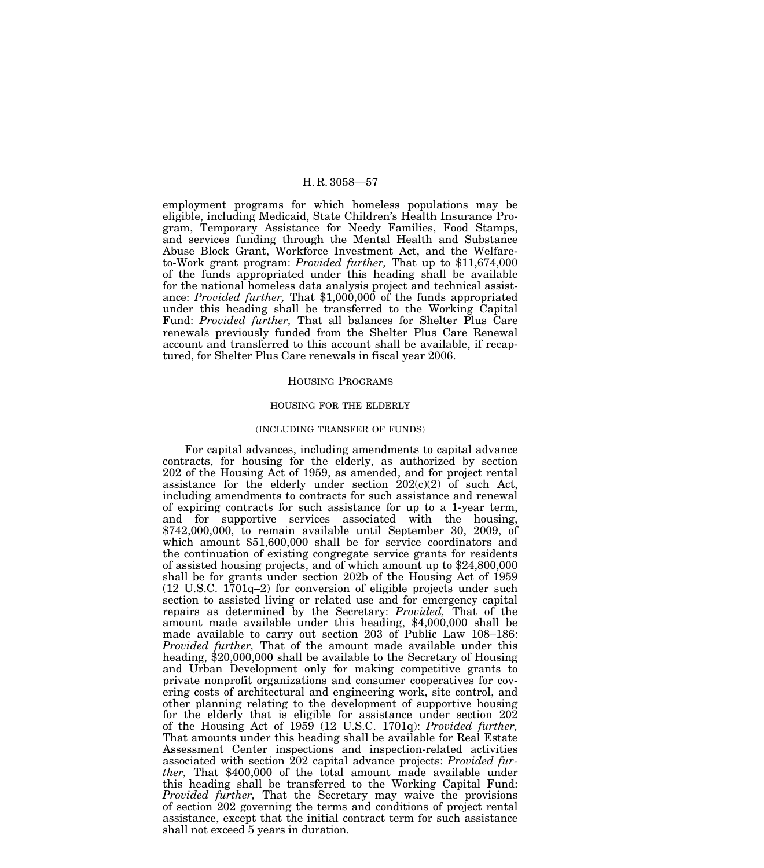employment programs for which homeless populations may be eligible, including Medicaid, State Children's Health Insurance Program, Temporary Assistance for Needy Families, Food Stamps, and services funding through the Mental Health and Substance Abuse Block Grant, Workforce Investment Act, and the Welfareto-Work grant program: *Provided further,* That up to \$11,674,000 of the funds appropriated under this heading shall be available for the national homeless data analysis project and technical assistance: *Provided further,* That \$1,000,000 of the funds appropriated under this heading shall be transferred to the Working Capital Fund: *Provided further,* That all balances for Shelter Plus Care renewals previously funded from the Shelter Plus Care Renewal account and transferred to this account shall be available, if recaptured, for Shelter Plus Care renewals in fiscal year 2006.

#### HOUSING PROGRAMS

# HOUSING FOR THE ELDERLY

# (INCLUDING TRANSFER OF FUNDS)

For capital advances, including amendments to capital advance contracts, for housing for the elderly, as authorized by section 202 of the Housing Act of 1959, as amended, and for project rental assistance for the elderly under section  $202(c)(2)$  of such Act, including amendments to contracts for such assistance and renewal of expiring contracts for such assistance for up to a 1-year term, and for supportive services associated with the housing, \$742,000,000, to remain available until September 30, 2009, of which amount \$51,600,000 shall be for service coordinators and the continuation of existing congregate service grants for residents of assisted housing projects, and of which amount up to \$24,800,000 shall be for grants under section 202b of the Housing Act of 1959 (12 U.S.C. 1701q–2) for conversion of eligible projects under such section to assisted living or related use and for emergency capital repairs as determined by the Secretary: *Provided,* That of the amount made available under this heading, \$4,000,000 shall be made available to carry out section 203 of Public Law 108–186: *Provided further*, That of the amount made available under this heading, \$20,000,000 shall be available to the Secretary of Housing and Urban Development only for making competitive grants to private nonprofit organizations and consumer cooperatives for covering costs of architectural and engineering work, site control, and other planning relating to the development of supportive housing for the elderly that is eligible for assistance under section 202 of the Housing Act of 1959 (12 U.S.C. 1701q): *Provided further,* That amounts under this heading shall be available for Real Estate Assessment Center inspections and inspection-related activities associated with section 202 capital advance projects: *Provided further,* That \$400,000 of the total amount made available under this heading shall be transferred to the Working Capital Fund: *Provided further,* That the Secretary may waive the provisions of section 202 governing the terms and conditions of project rental assistance, except that the initial contract term for such assistance shall not exceed 5 years in duration.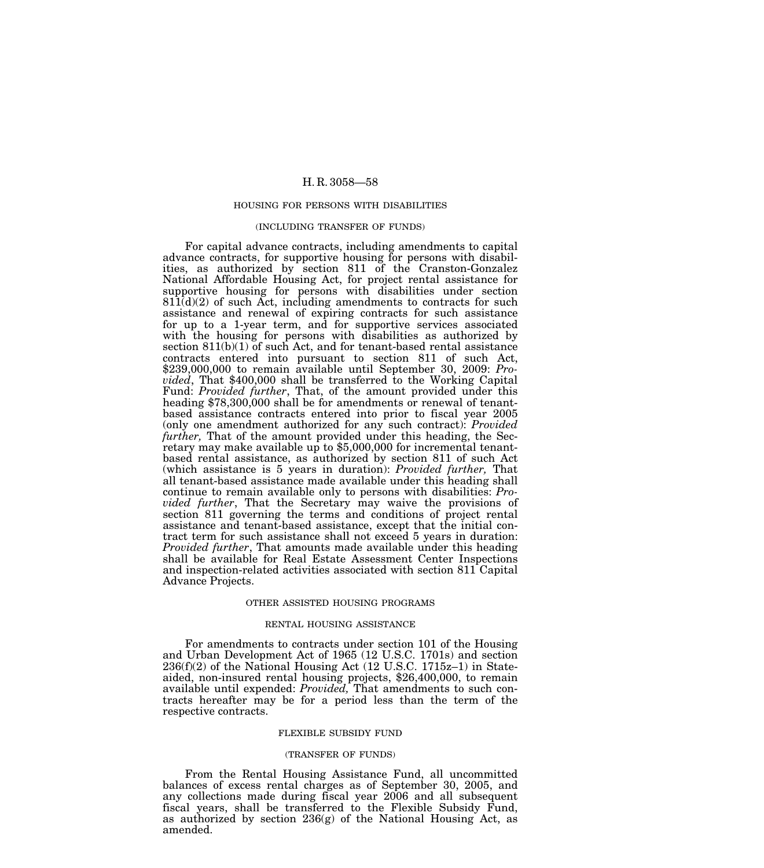#### HOUSING FOR PERSONS WITH DISABILITIES

#### (INCLUDING TRANSFER OF FUNDS)

For capital advance contracts, including amendments to capital advance contracts, for supportive housing for persons with disabilities, as authorized by section 811 of the Cranston-Gonzalez National Affordable Housing Act, for project rental assistance for supportive housing for persons with disabilities under section  $811(d)(2)$  of such Act, including amendments to contracts for such assistance and renewal of expiring contracts for such assistance for up to a 1-year term, and for supportive services associated with the housing for persons with disabilities as authorized by section  $811(b)(1)$  of such Act, and for tenant-based rental assistance contracts entered into pursuant to section 811 of such Act, \$239,000,000 to remain available until September 30, 2009: *Provided*, That \$400,000 shall be transferred to the Working Capital Fund: *Provided further*, That, of the amount provided under this heading \$78,300,000 shall be for amendments or renewal of tenantbased assistance contracts entered into prior to fiscal year 2005 (only one amendment authorized for any such contract): *Provided further,* That of the amount provided under this heading, the Secretary may make available up to \$5,000,000 for incremental tenantbased rental assistance, as authorized by section 811 of such Act (which assistance is 5 years in duration): *Provided further,* That all tenant-based assistance made available under this heading shall continue to remain available only to persons with disabilities: *Provided further*, That the Secretary may waive the provisions of section 811 governing the terms and conditions of project rental assistance and tenant-based assistance, except that the initial contract term for such assistance shall not exceed 5 years in duration: *Provided further*, That amounts made available under this heading shall be available for Real Estate Assessment Center Inspections and inspection-related activities associated with section 811 Capital Advance Projects.

### OTHER ASSISTED HOUSING PROGRAMS

#### RENTAL HOUSING ASSISTANCE

For amendments to contracts under section 101 of the Housing and Urban Development Act of 1965 (12 U.S.C. 1701s) and section 236(f)(2) of the National Housing Act (12 U.S.C. 1715z–1) in Stateaided, non-insured rental housing projects, \$26,400,000, to remain available until expended: *Provided,* That amendments to such contracts hereafter may be for a period less than the term of the respective contracts.

### FLEXIBLE SUBSIDY FUND

#### (TRANSFER OF FUNDS)

From the Rental Housing Assistance Fund, all uncommitted balances of excess rental charges as of September 30, 2005, and any collections made during fiscal year 2006 and all subsequent fiscal years, shall be transferred to the Flexible Subsidy Fund, as authorized by section 236(g) of the National Housing Act, as amended.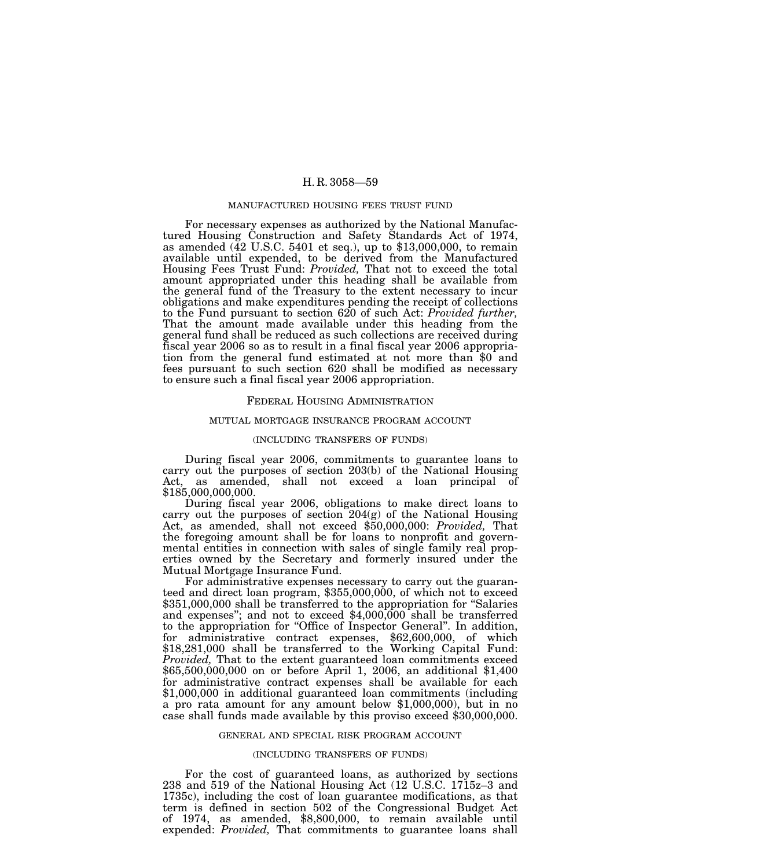#### MANUFACTURED HOUSING FEES TRUST FUND

For necessary expenses as authorized by the National Manufactured Housing Construction and Safety Standards Act of 1974, as amended  $({\rm 42 \; U.S.C. \; 5401 \; et \; seq.}),$  up to \$13,000,000, to remain available until expended, to be derived from the Manufactured Housing Fees Trust Fund: *Provided,* That not to exceed the total amount appropriated under this heading shall be available from the general fund of the Treasury to the extent necessary to incur obligations and make expenditures pending the receipt of collections to the Fund pursuant to section 620 of such Act: *Provided further,* That the amount made available under this heading from the general fund shall be reduced as such collections are received during fiscal year 2006 so as to result in a final fiscal year 2006 appropriation from the general fund estimated at not more than \$0 and fees pursuant to such section 620 shall be modified as necessary to ensure such a final fiscal year 2006 appropriation.

## FEDERAL HOUSING ADMINISTRATION

## MUTUAL MORTGAGE INSURANCE PROGRAM ACCOUNT

#### (INCLUDING TRANSFERS OF FUNDS)

During fiscal year 2006, commitments to guarantee loans to carry out the purposes of section 203(b) of the National Housing Act, as amended, shall not exceed a loan principal of \$185,000,000,000.

During fiscal year 2006, obligations to make direct loans to carry out the purposes of section 204(g) of the National Housing Act, as amended, shall not exceed \$50,000,000: *Provided,* That the foregoing amount shall be for loans to nonprofit and governmental entities in connection with sales of single family real properties owned by the Secretary and formerly insured under the Mutual Mortgage Insurance Fund.<br>For administrative expenses necessary to carry out the guaran-

teed and direct loan program, \$355,000,000, of which not to exceed \$351,000,000 shall be transferred to the appropriation for "Salaries" and expenses"; and not to exceed  $$4,000,000$  shall be transferred to the appropriation for ''Office of Inspector General''. In addition, for administrative contract expenses, \$62,600,000, of which \$18,281,000 shall be transferred to the Working Capital Fund: *Provided,* That to the extent guaranteed loan commitments exceed \$65,500,000,000 on or before April 1, 2006, an additional \$1,400 for administrative contract expenses shall be available for each \$1,000,000 in additional guaranteed loan commitments (including a pro rata amount for any amount below \$1,000,000), but in no case shall funds made available by this proviso exceed \$30,000,000.

### GENERAL AND SPECIAL RISK PROGRAM ACCOUNT

#### (INCLUDING TRANSFERS OF FUNDS)

For the cost of guaranteed loans, as authorized by sections 238 and 519 of the National Housing Act (12 U.S.C. 1715z–3 and 1735c), including the cost of loan guarantee modifications, as that term is defined in section 502 of the Congressional Budget Act of 1974, as amended, \$8,800,000, to remain available until expended: *Provided,* That commitments to guarantee loans shall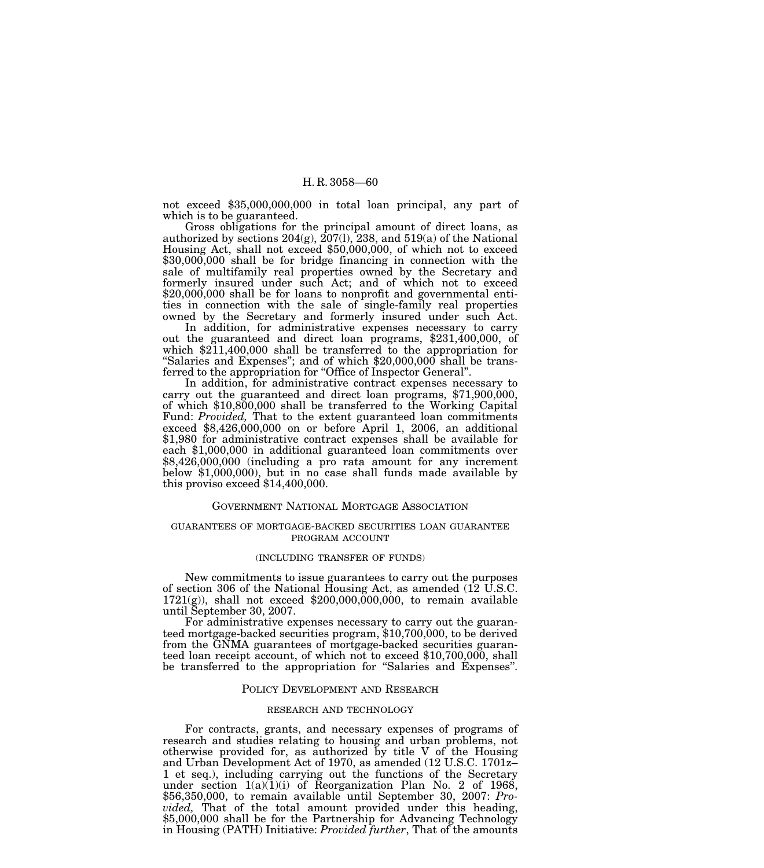not exceed \$35,000,000,000 in total loan principal, any part of which is to be guaranteed.

Gross obligations for the principal amount of direct loans, as authorized by sections  $204(g)$ ,  $207(1)$ ,  $238$ , and  $519(a)$  of the National Housing Act, shall not exceed \$50,000,000, of which not to exceed \$30,000,000 shall be for bridge financing in connection with the sale of multifamily real properties owned by the Secretary and formerly insured under such Act; and of which not to exceed \$20,000,000 shall be for loans to nonprofit and governmental entities in connection with the sale of single-family real properties owned by the Secretary and formerly insured under such Act.

In addition, for administrative expenses necessary to carry out the guaranteed and direct loan programs, \$231,400,000, of which \$211,400,000 shall be transferred to the appropriation for "Salaries and Expenses"; and of which \$20,000,000 shall be transferred to the appropriation for "Office of Inspector General".

In addition, for administrative contract expenses necessary to carry out the guaranteed and direct loan programs, \$71,900,000, of which \$10,800,000 shall be transferred to the Working Capital Fund: *Provided,* That to the extent guaranteed loan commitments exceed \$8,426,000,000 on or before April 1, 2006, an additional \$1,980 for administrative contract expenses shall be available for each \$1,000,000 in additional guaranteed loan commitments over \$8,426,000,000 (including a pro rata amount for any increment below \$1,000,000), but in no case shall funds made available by this proviso exceed \$14,400,000.

### GOVERNMENT NATIONAL MORTGAGE ASSOCIATION

## GUARANTEES OF MORTGAGE-BACKED SECURITIES LOAN GUARANTEE PROGRAM ACCOUNT

### (INCLUDING TRANSFER OF FUNDS)

New commitments to issue guarantees to carry out the purposes of section 306 of the National Housing Act, as amended (12 U.S.C.  $1721(g)$ , shall not exceed \$200,000,000,000, to remain available until September 30, 2007.

For administrative expenses necessary to carry out the guaranteed mortgage-backed securities program, \$10,700,000, to be derived from the GNMA guarantees of mortgage-backed securities guaranteed loan receipt account, of which not to exceed \$10,700,000, shall be transferred to the appropriation for "Salaries and Expenses".

## POLICY DEVELOPMENT AND RESEARCH

# RESEARCH AND TECHNOLOGY

For contracts, grants, and necessary expenses of programs of research and studies relating to housing and urban problems, not otherwise provided for, as authorized by title V of the Housing and Urban Development Act of 1970, as amended (12 U.S.C. 1701z– 1 et seq.), including carrying out the functions of the Secretary under section  $1(a)(1)(i)$  of Reorganization Plan No. 2 of 1968, \$56,350,000, to remain available until September 30, 2007: *Provided,* That of the total amount provided under this heading, \$5,000,000 shall be for the Partnership for Advancing Technology in Housing (PATH) Initiative: *Provided further*, That of the amounts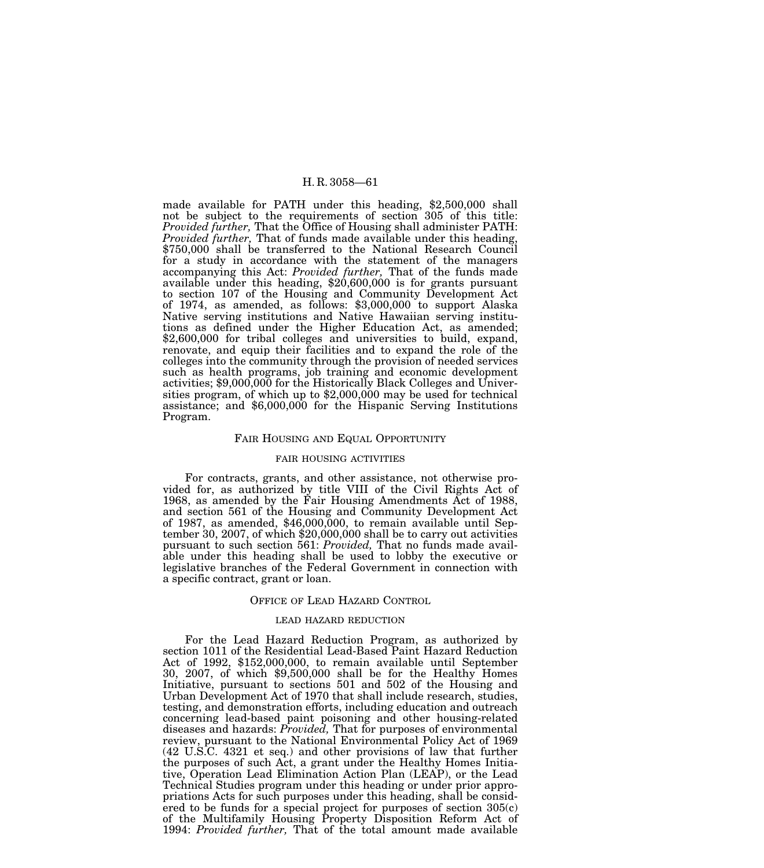made available for PATH under this heading, \$2,500,000 shall not be subject to the requirements of section 305 of this title: *Provided further,* That the Office of Housing shall administer PATH: *Provided further,* That of funds made available under this heading, \$750,000 shall be transferred to the National Research Council for a study in accordance with the statement of the managers accompanying this Act: *Provided further,* That of the funds made available under this heading, \$20,600,000 is for grants pursuant to section 107 of the Housing and Community Development Act of 1974, as amended, as follows: \$3,000,000 to support Alaska Native serving institutions and Native Hawaiian serving institutions as defined under the Higher Education Act, as amended; \$2,600,000 for tribal colleges and universities to build, expand, renovate, and equip their facilities and to expand the role of the colleges into the community through the provision of needed services such as health programs, job training and economic development activities; \$9,000,000 for the Historically Black Colleges and Universities program, of which up to \$2,000,000 may be used for technical assistance; and \$6,000,000 for the Hispanic Serving Institutions Program.

### FAIR HOUSING AND EQUAL OPPORTUNITY

### FAIR HOUSING ACTIVITIES

For contracts, grants, and other assistance, not otherwise provided for, as authorized by title VIII of the Civil Rights Act of 1968, as amended by the Fair Housing Amendments Act of 1988, and section 561 of the Housing and Community Development Act of 1987, as amended, \$46,000,000, to remain available until September 30, 2007, of which \$20,000,000 shall be to carry out activities pursuant to such section 561: *Provided,* That no funds made available under this heading shall be used to lobby the executive or legislative branches of the Federal Government in connection with a specific contract, grant or loan.

### OFFICE OF LEAD HAZARD CONTROL

# LEAD HAZARD REDUCTION

For the Lead Hazard Reduction Program, as authorized by section 1011 of the Residential Lead-Based Paint Hazard Reduction Act of 1992, \$152,000,000, to remain available until September 30, 2007, of which \$9,500,000 shall be for the Healthy Homes Initiative, pursuant to sections 501 and 502 of the Housing and Urban Development Act of 1970 that shall include research, studies, testing, and demonstration efforts, including education and outreach concerning lead-based paint poisoning and other housing-related diseases and hazards: *Provided,* That for purposes of environmental review, pursuant to the National Environmental Policy Act of 1969 (42 U.S.C. 4321 et seq.) and other provisions of law that further the purposes of such Act, a grant under the Healthy Homes Initiative, Operation Lead Elimination Action Plan (LEAP), or the Lead Technical Studies program under this heading or under prior appropriations Acts for such purposes under this heading, shall be considered to be funds for a special project for purposes of section  $305(c)$ of the Multifamily Housing Property Disposition Reform Act of 1994: *Provided further,* That of the total amount made available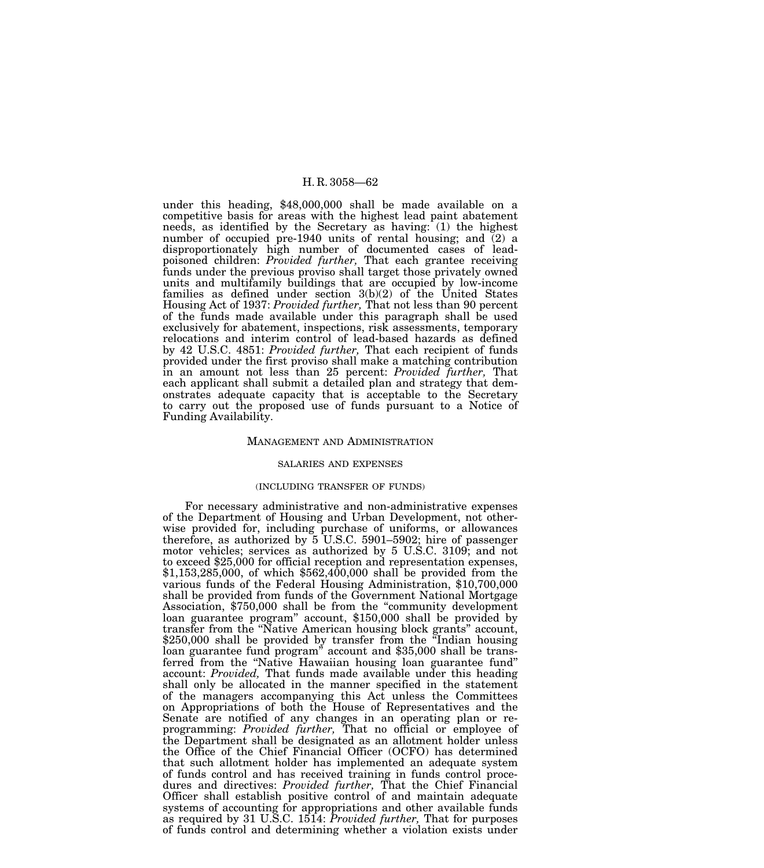under this heading, \$48,000,000 shall be made available on a competitive basis for areas with the highest lead paint abatement needs, as identified by the Secretary as having: (1) the highest number of occupied pre-1940 units of rental housing; and (2) a disproportionately high number of documented cases of leadpoisoned children: *Provided further,* That each grantee receiving funds under the previous proviso shall target those privately owned units and multifamily buildings that are occupied by low-income families as defined under section 3(b)(2) of the United States Housing Act of 1937: *Provided further,* That not less than 90 percent of the funds made available under this paragraph shall be used exclusively for abatement, inspections, risk assessments, temporary relocations and interim control of lead-based hazards as defined by 42 U.S.C. 4851: *Provided further,* That each recipient of funds provided under the first proviso shall make a matching contribution in an amount not less than 25 percent: *Provided further,* That each applicant shall submit a detailed plan and strategy that demonstrates adequate capacity that is acceptable to the Secretary to carry out the proposed use of funds pursuant to a Notice of Funding Availability.

#### MANAGEMENT AND ADMINISTRATION

## SALARIES AND EXPENSES

## (INCLUDING TRANSFER OF FUNDS)

For necessary administrative and non-administrative expenses of the Department of Housing and Urban Development, not otherwise provided for, including purchase of uniforms, or allowances therefore, as authorized by 5 U.S.C. 5901–5902; hire of passenger motor vehicles; services as authorized by 5 U.S.C. 3109; and not to exceed \$25,000 for official reception and representation expenses, \$1,153,285,000, of which \$562,400,000 shall be provided from the various funds of the Federal Housing Administration, \$10,700,000 shall be provided from funds of the Government National Mortgage Association, \$750,000 shall be from the ''community development loan guarantee program'' account, \$150,000 shall be provided by transfer from the ''Native American housing block grants'' account, \$250,000 shall be provided by transfer from the "Indian housing" loan guarantee fund program" account and \$35,000 shall be transferred from the ''Native Hawaiian housing loan guarantee fund'' account: *Provided,* That funds made available under this heading shall only be allocated in the manner specified in the statement of the managers accompanying this Act unless the Committees on Appropriations of both the House of Representatives and the Senate are notified of any changes in an operating plan or reprogramming: *Provided further,* That no official or employee of the Department shall be designated as an allotment holder unless the Office of the Chief Financial Officer (OCFO) has determined that such allotment holder has implemented an adequate system of funds control and has received training in funds control procedures and directives: *Provided further,* That the Chief Financial Officer shall establish positive control of and maintain adequate systems of accounting for appropriations and other available funds as required by 31 U.S.C. 1514: *Provided further,* That for purposes of funds control and determining whether a violation exists under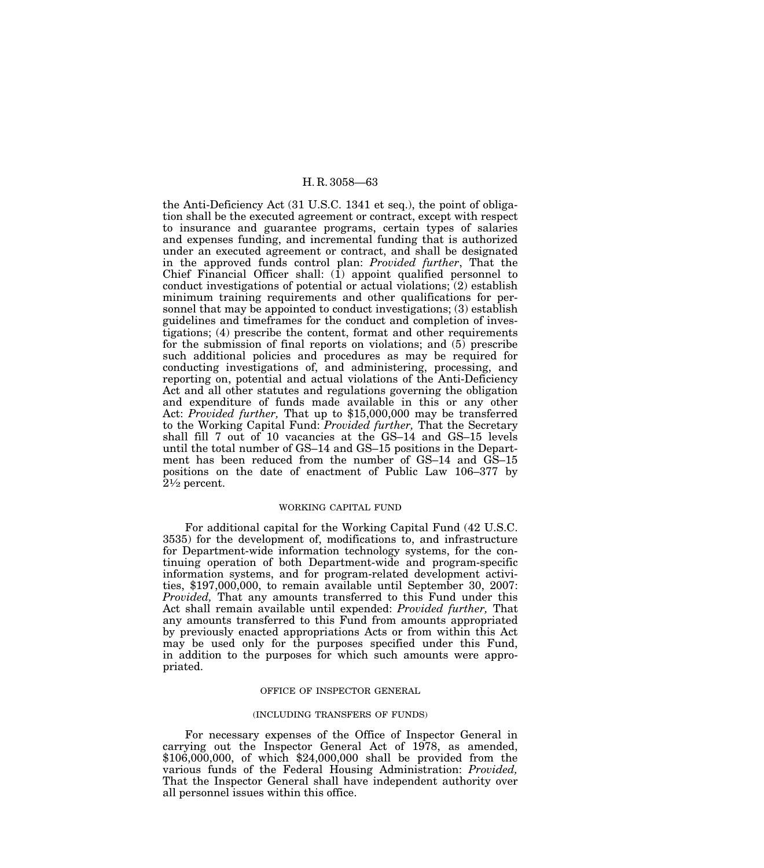the Anti-Deficiency Act (31 U.S.C. 1341 et seq.), the point of obligation shall be the executed agreement or contract, except with respect to insurance and guarantee programs, certain types of salaries and expenses funding, and incremental funding that is authorized under an executed agreement or contract, and shall be designated in the approved funds control plan: *Provided further*, That the Chief Financial Officer shall: (1) appoint qualified personnel to conduct investigations of potential or actual violations; (2) establish minimum training requirements and other qualifications for personnel that may be appointed to conduct investigations; (3) establish guidelines and timeframes for the conduct and completion of investigations; (4) prescribe the content, format and other requirements for the submission of final reports on violations; and (5) prescribe such additional policies and procedures as may be required for conducting investigations of, and administering, processing, and reporting on, potential and actual violations of the Anti-Deficiency Act and all other statutes and regulations governing the obligation and expenditure of funds made available in this or any other Act: *Provided further,* That up to \$15,000,000 may be transferred to the Working Capital Fund: *Provided further,* That the Secretary shall fill 7 out of 10 vacancies at the GS–14 and GS–15 levels until the total number of GS–14 and GS–15 positions in the Department has been reduced from the number of GS–14 and GS–15 positions on the date of enactment of Public Law 106–377 by  $2\frac{1}{2}$  percent.

# WORKING CAPITAL FUND

For additional capital for the Working Capital Fund (42 U.S.C. 3535) for the development of, modifications to, and infrastructure for Department-wide information technology systems, for the continuing operation of both Department-wide and program-specific information systems, and for program-related development activities, \$197,000,000, to remain available until September 30, 2007: *Provided,* That any amounts transferred to this Fund under this Act shall remain available until expended: *Provided further,* That any amounts transferred to this Fund from amounts appropriated by previously enacted appropriations Acts or from within this Act may be used only for the purposes specified under this Fund, in addition to the purposes for which such amounts were appropriated.

### OFFICE OF INSPECTOR GENERAL

# (INCLUDING TRANSFERS OF FUNDS)

For necessary expenses of the Office of Inspector General in carrying out the Inspector General Act of 1978, as amended, \$106,000,000, of which \$24,000,000 shall be provided from the various funds of the Federal Housing Administration: *Provided,* That the Inspector General shall have independent authority over all personnel issues within this office.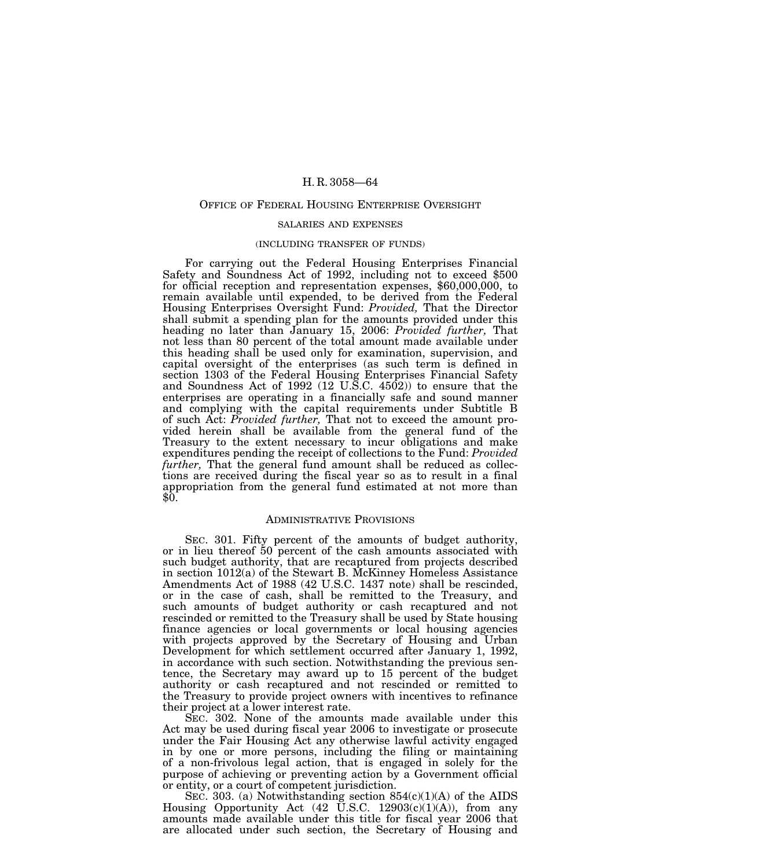## OFFICE OF FEDERAL HOUSING ENTERPRISE OVERSIGHT

### SALARIES AND EXPENSES

#### (INCLUDING TRANSFER OF FUNDS)

For carrying out the Federal Housing Enterprises Financial Safety and Soundness Act of 1992, including not to exceed \$500 for official reception and representation expenses, \$60,000,000, to remain available until expended, to be derived from the Federal Housing Enterprises Oversight Fund: *Provided,* That the Director shall submit a spending plan for the amounts provided under this heading no later than January 15, 2006: *Provided further,* That not less than 80 percent of the total amount made available under this heading shall be used only for examination, supervision, and capital oversight of the enterprises (as such term is defined in section 1303 of the Federal Housing Enterprises Financial Safety and Soundness Act of 1992 (12 U.S.C. 4502)) to ensure that the enterprises are operating in a financially safe and sound manner and complying with the capital requirements under Subtitle B of such Act: *Provided further,* That not to exceed the amount provided herein shall be available from the general fund of the Treasury to the extent necessary to incur obligations and make expenditures pending the receipt of collections to the Fund: *Provided further,* That the general fund amount shall be reduced as collections are received during the fiscal year so as to result in a final appropriation from the general fund estimated at not more than \$0.

## ADMINISTRATIVE PROVISIONS

SEC. 301. Fifty percent of the amounts of budget authority, or in lieu thereof 50 percent of the cash amounts associated with such budget authority, that are recaptured from projects described in section 1012(a) of the Stewart B. McKinney Homeless Assistance Amendments Act of 1988 (42 U.S.C. 1437 note) shall be rescinded, or in the case of cash, shall be remitted to the Treasury, and such amounts of budget authority or cash recaptured and not rescinded or remitted to the Treasury shall be used by State housing finance agencies or local governments or local housing agencies with projects approved by the Secretary of Housing and Urban Development for which settlement occurred after January 1, 1992, in accordance with such section. Notwithstanding the previous sentence, the Secretary may award up to 15 percent of the budget authority or cash recaptured and not rescinded or remitted to the Treasury to provide project owners with incentives to refinance their project at a lower interest rate.

SEC. 302. None of the amounts made available under this Act may be used during fiscal year 2006 to investigate or prosecute under the Fair Housing Act any otherwise lawful activity engaged in by one or more persons, including the filing or maintaining of a non-frivolous legal action, that is engaged in solely for the purpose of achieving or preventing action by a Government official or entity, or a court of competent jurisdiction.

SEC. 303. (a) Notwithstanding section  $854(c)(1)(A)$  of the AIDS Housing Opportunity Act  $(42 \text{ U.S.C. } 12903(c)(1)(A))$ , from any amounts made available under this title for fiscal year 2006 that are allocated under such section, the Secretary of Housing and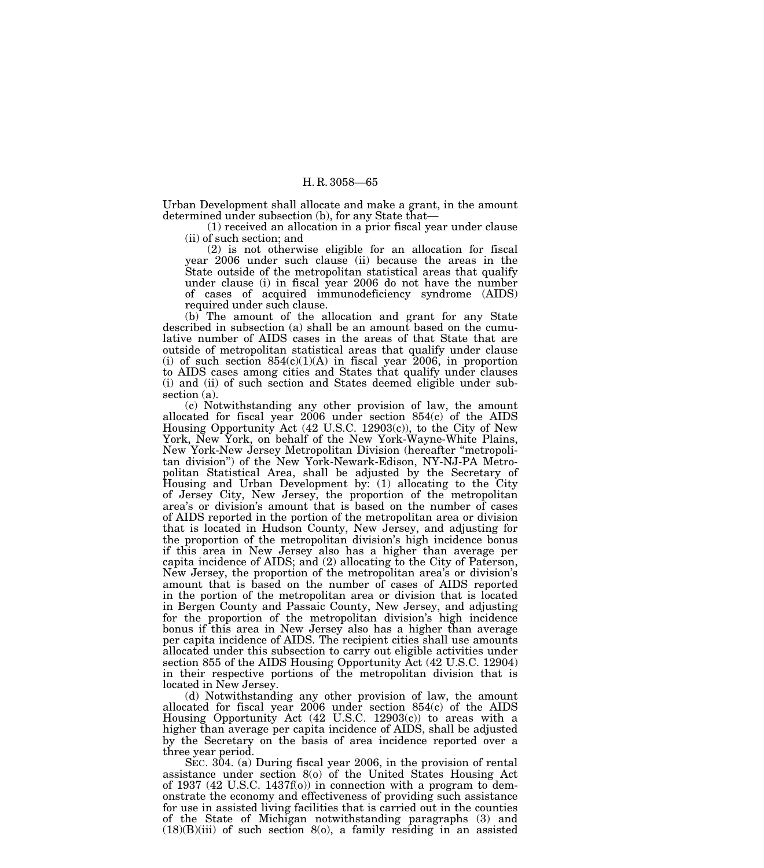Urban Development shall allocate and make a grant, in the amount determined under subsection (b), for any State that—

(1) received an allocation in a prior fiscal year under clause (ii) of such section; and

(2) is not otherwise eligible for an allocation for fiscal year 2006 under such clause (ii) because the areas in the State outside of the metropolitan statistical areas that qualify under clause (i) in fiscal year 2006 do not have the number of cases of acquired immunodeficiency syndrome (AIDS) required under such clause.

(b) The amount of the allocation and grant for any State described in subsection (a) shall be an amount based on the cumulative number of AIDS cases in the areas of that State that are outside of metropolitan statistical areas that qualify under clause (i) of such section  $854(c)(1)(A)$  in fiscal year 2006, in proportion to AIDS cases among cities and States that qualify under clauses (i) and (ii) of such section and States deemed eligible under subsection (a).

(c) Notwithstanding any other provision of law, the amount allocated for fiscal year 2006 under section 854(c) of the AIDS Housing Opportunity Act (42 U.S.C. 12903(c)), to the City of New York, New York, on behalf of the New York-Wayne-White Plains, New York-New Jersey Metropolitan Division (hereafter ''metropolitan division'') of the New York-Newark-Edison, NY-NJ-PA Metropolitan Statistical Area, shall be adjusted by the Secretary of Housing and Urban Development by: (1) allocating to the City of Jersey City, New Jersey, the proportion of the metropolitan area's or division's amount that is based on the number of cases of AIDS reported in the portion of the metropolitan area or division that is located in Hudson County, New Jersey, and adjusting for the proportion of the metropolitan division's high incidence bonus if this area in New Jersey also has a higher than average per capita incidence of AIDS; and (2) allocating to the City of Paterson, New Jersey, the proportion of the metropolitan area's or division's amount that is based on the number of cases of AIDS reported in the portion of the metropolitan area or division that is located in Bergen County and Passaic County, New Jersey, and adjusting for the proportion of the metropolitan division's high incidence bonus if this area in New Jersey also has a higher than average per capita incidence of AIDS. The recipient cities shall use amounts allocated under this subsection to carry out eligible activities under section 855 of the AIDS Housing Opportunity Act (42 U.S.C. 12904) in their respective portions of the metropolitan division that is located in New Jersey.

(d) Notwithstanding any other provision of law, the amount allocated for fiscal year 2006 under section 854(c) of the AIDS Housing Opportunity Act (42 U.S.C. 12903(c)) to areas with a higher than average per capita incidence of AIDS, shall be adjusted by the Secretary on the basis of area incidence reported over a three year period.

SEC. 304. (a) During fiscal year 2006, in the provision of rental assistance under section 8(o) of the United States Housing Act of 1937 (42 U.S.C. 1437f(o)) in connection with a program to demonstrate the economy and effectiveness of providing such assistance for use in assisted living facilities that is carried out in the counties of the State of Michigan notwithstanding paragraphs (3) and  $(18)(B)(iii)$  of such section 8(o), a family residing in an assisted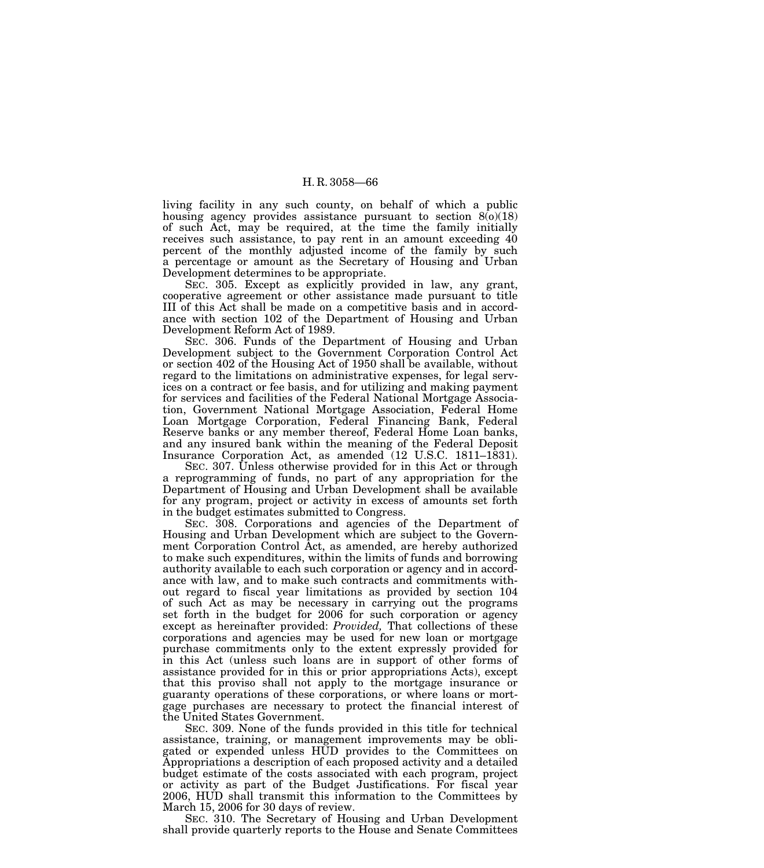living facility in any such county, on behalf of which a public housing agency provides assistance pursuant to section  $8(0)(18)$ of such Act, may be required, at the time the family initially receives such assistance, to pay rent in an amount exceeding 40 percent of the monthly adjusted income of the family by such a percentage or amount as the Secretary of Housing and Urban Development determines to be appropriate.

SEC. 305. Except as explicitly provided in law, any grant, cooperative agreement or other assistance made pursuant to title III of this Act shall be made on a competitive basis and in accordance with section 102 of the Department of Housing and Urban Development Reform Act of 1989.

SEC. 306. Funds of the Department of Housing and Urban Development subject to the Government Corporation Control Act or section 402 of the Housing Act of 1950 shall be available, without regard to the limitations on administrative expenses, for legal services on a contract or fee basis, and for utilizing and making payment for services and facilities of the Federal National Mortgage Association, Government National Mortgage Association, Federal Home Loan Mortgage Corporation, Federal Financing Bank, Federal Reserve banks or any member thereof, Federal Home Loan banks, and any insured bank within the meaning of the Federal Deposit Insurance Corporation Act, as amended (12 U.S.C. 1811–1831).

SEC. 307. Unless otherwise provided for in this Act or through a reprogramming of funds, no part of any appropriation for the Department of Housing and Urban Development shall be available for any program, project or activity in excess of amounts set forth in the budget estimates submitted to Congress.

SEC. 308. Corporations and agencies of the Department of Housing and Urban Development which are subject to the Government Corporation Control Act, as amended, are hereby authorized to make such expenditures, within the limits of funds and borrowing authority available to each such corporation or agency and in accordance with law, and to make such contracts and commitments without regard to fiscal year limitations as provided by section 104 of such Act as may be necessary in carrying out the programs set forth in the budget for 2006 for such corporation or agency except as hereinafter provided: *Provided,* That collections of these corporations and agencies may be used for new loan or mortgage purchase commitments only to the extent expressly provided for in this Act (unless such loans are in support of other forms of assistance provided for in this or prior appropriations Acts), except that this proviso shall not apply to the mortgage insurance or guaranty operations of these corporations, or where loans or mortgage purchases are necessary to protect the financial interest of the United States Government.

SEC. 309. None of the funds provided in this title for technical assistance, training, or management improvements may be obligated or expended unless HUD provides to the Committees on Appropriations a description of each proposed activity and a detailed budget estimate of the costs associated with each program, project or activity as part of the Budget Justifications. For fiscal year 2006, HUD shall transmit this information to the Committees by March 15, 2006 for 30 days of review.

SEC. 310. The Secretary of Housing and Urban Development shall provide quarterly reports to the House and Senate Committees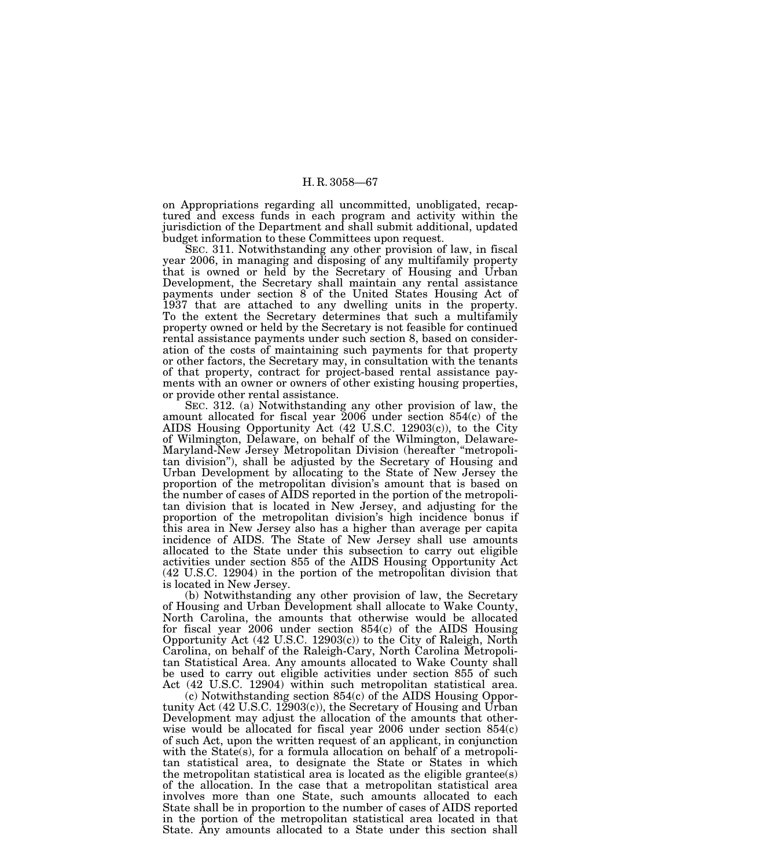on Appropriations regarding all uncommitted, unobligated, recaptured and excess funds in each program and activity within the jurisdiction of the Department and shall submit additional, updated budget information to these Committees upon request.

SEC. 311. Notwithstanding any other provision of law, in fiscal year 2006, in managing and disposing of any multifamily property that is owned or held by the Secretary of Housing and Urban Development, the Secretary shall maintain any rental assistance payments under section 8 of the United States Housing Act of 1937 that are attached to any dwelling units in the property. To the extent the Secretary determines that such a multifamily property owned or held by the Secretary is not feasible for continued rental assistance payments under such section 8, based on consideration of the costs of maintaining such payments for that property or other factors, the Secretary may, in consultation with the tenants of that property, contract for project-based rental assistance payments with an owner or owners of other existing housing properties, or provide other rental assistance.

SEC. 312. (a) Notwithstanding any other provision of law, the amount allocated for fiscal year 2006 under section 854(c) of the AIDS Housing Opportunity Act (42 U.S.C. 12903(c)), to the City of Wilmington, Delaware, on behalf of the Wilmington, Delaware-Maryland-New Jersey Metropolitan Division (hereafter ''metropolitan division''), shall be adjusted by the Secretary of Housing and Urban Development by allocating to the State of New Jersey the proportion of the metropolitan division's amount that is based on the number of cases of AIDS reported in the portion of the metropolitan division that is located in New Jersey, and adjusting for the proportion of the metropolitan division's high incidence bonus if this area in New Jersey also has a higher than average per capita incidence of AIDS. The State of New Jersey shall use amounts allocated to the State under this subsection to carry out eligible activities under section 855 of the AIDS Housing Opportunity Act (42 U.S.C. 12904) in the portion of the metropolitan division that is located in New Jersey.

(b) Notwithstanding any other provision of law, the Secretary of Housing and Urban Development shall allocate to Wake County, North Carolina, the amounts that otherwise would be allocated for fiscal year  $2006$  under section  $854(c)$  of the AIDS Housing Opportunity Act (42 U.S.C. 12903(c)) to the City of Raleigh, North Carolina, on behalf of the Raleigh-Cary, North Carolina Metropolitan Statistical Area. Any amounts allocated to Wake County shall be used to carry out eligible activities under section 855 of such Act (42 U.S.C. 12904) within such metropolitan statistical area.

(c) Notwithstanding section 854(c) of the AIDS Housing Opportunity Act (42 U.S.C. 12903(c)), the Secretary of Housing and Urban Development may adjust the allocation of the amounts that otherwise would be allocated for fiscal year 2006 under section 854(c) of such Act, upon the written request of an applicant, in conjunction with the State(s), for a formula allocation on behalf of a metropolitan statistical area, to designate the State or States in which the metropolitan statistical area is located as the eligible grantee(s) of the allocation. In the case that a metropolitan statistical area involves more than one State, such amounts allocated to each State shall be in proportion to the number of cases of AIDS reported in the portion of the metropolitan statistical area located in that State. Any amounts allocated to a State under this section shall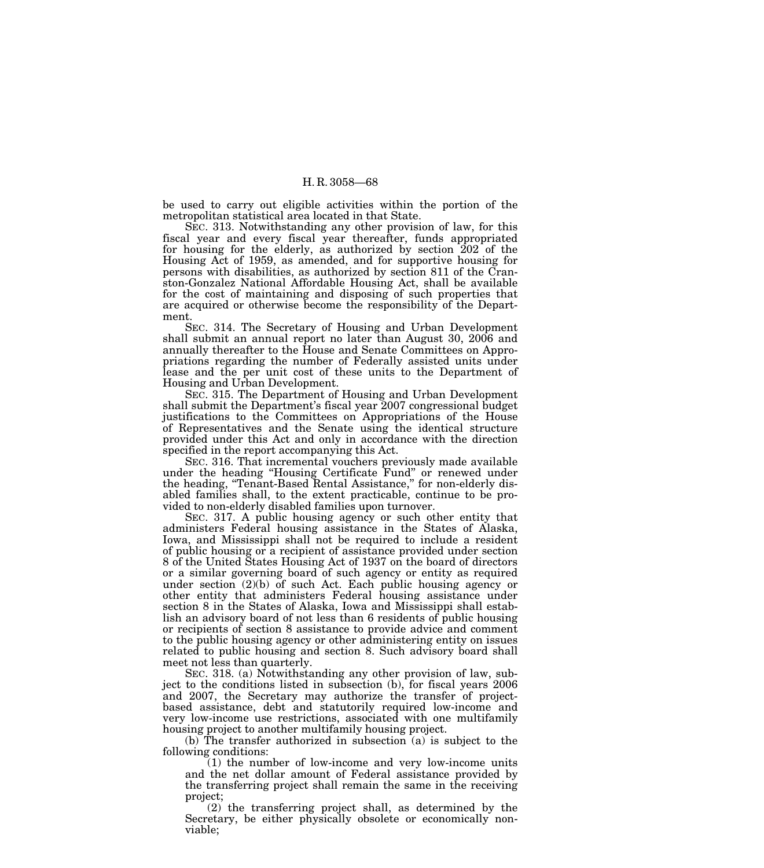be used to carry out eligible activities within the portion of the metropolitan statistical area located in that State.

SEC. 313. Notwithstanding any other provision of law, for this fiscal year and every fiscal year thereafter, funds appropriated for housing for the elderly, as authorized by section 202 of the Housing Act of 1959, as amended, and for supportive housing for persons with disabilities, as authorized by section 811 of the Cranston-Gonzalez National Affordable Housing Act, shall be available for the cost of maintaining and disposing of such properties that are acquired or otherwise become the responsibility of the Department.

SEC. 314. The Secretary of Housing and Urban Development shall submit an annual report no later than August 30, 2006 and annually thereafter to the House and Senate Committees on Appropriations regarding the number of Federally assisted units under lease and the per unit cost of these units to the Department of Housing and Urban Development.

SEC. 315. The Department of Housing and Urban Development shall submit the Department's fiscal year 2007 congressional budget justifications to the Committees on Appropriations of the House of Representatives and the Senate using the identical structure provided under this Act and only in accordance with the direction specified in the report accompanying this Act.

SEC. 316. That incremental vouchers previously made available under the heading ''Housing Certificate Fund'' or renewed under the heading, "Tenant-Based Rental Assistance," for non-elderly disabled families shall, to the extent practicable, continue to be provided to non-elderly disabled families upon turnover.

SEC. 317. A public housing agency or such other entity that administers Federal housing assistance in the States of Alaska, Iowa, and Mississippi shall not be required to include a resident of public housing or a recipient of assistance provided under section 8 of the United States Housing Act of 1937 on the board of directors or a similar governing board of such agency or entity as required under section (2)(b) of such Act. Each public housing agency or other entity that administers Federal housing assistance under section 8 in the States of Alaska, Iowa and Mississippi shall establish an advisory board of not less than 6 residents of public housing or recipients of section 8 assistance to provide advice and comment to the public housing agency or other administering entity on issues related to public housing and section 8. Such advisory board shall meet not less than quarterly.

SEC. 318. (a) Notwithstanding any other provision of law, subject to the conditions listed in subsection (b), for fiscal years 2006 and 2007, the Secretary may authorize the transfer of projectbased assistance, debt and statutorily required low-income and very low-income use restrictions, associated with one multifamily housing project to another multifamily housing project.

(b) The transfer authorized in subsection (a) is subject to the following conditions:

(1) the number of low-income and very low-income units and the net dollar amount of Federal assistance provided by the transferring project shall remain the same in the receiving project;

(2) the transferring project shall, as determined by the Secretary, be either physically obsolete or economically nonviable;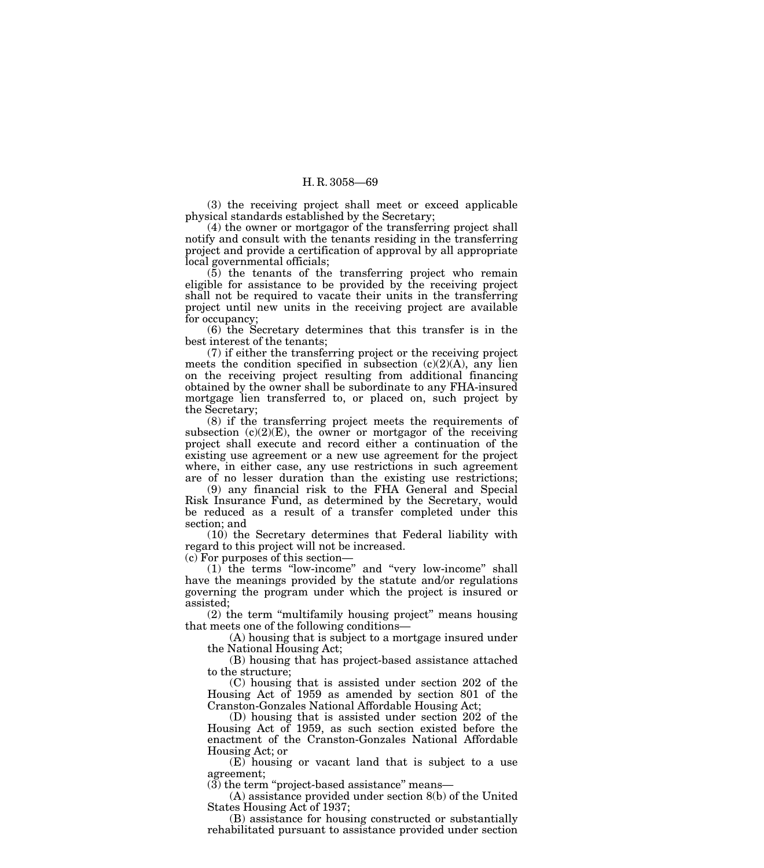(3) the receiving project shall meet or exceed applicable physical standards established by the Secretary;

(4) the owner or mortgagor of the transferring project shall notify and consult with the tenants residing in the transferring project and provide a certification of approval by all appropriate local governmental officials;

(5) the tenants of the transferring project who remain eligible for assistance to be provided by the receiving project shall not be required to vacate their units in the transferring project until new units in the receiving project are available for occupancy;

(6) the Secretary determines that this transfer is in the best interest of the tenants;

(7) if either the transferring project or the receiving project meets the condition specified in subsection  $(c)(2)(A)$ , any lien on the receiving project resulting from additional financing obtained by the owner shall be subordinate to any FHA-insured mortgage lien transferred to, or placed on, such project by the Secretary;

(8) if the transferring project meets the requirements of subsection  $(c)(2)(E)$ , the owner or mortgagor of the receiving project shall execute and record either a continuation of the existing use agreement or a new use agreement for the project where, in either case, any use restrictions in such agreement are of no lesser duration than the existing use restrictions;

(9) any financial risk to the FHA General and Special Risk Insurance Fund, as determined by the Secretary, would be reduced as a result of a transfer completed under this section; and

(10) the Secretary determines that Federal liability with regard to this project will not be increased.

(c) For purposes of this section—

(1) the terms ''low-income'' and ''very low-income'' shall have the meanings provided by the statute and/or regulations governing the program under which the project is insured or assisted;

(2) the term ''multifamily housing project'' means housing that meets one of the following conditions—

(A) housing that is subject to a mortgage insured under the National Housing Act;

(B) housing that has project-based assistance attached to the structure;

(C) housing that is assisted under section 202 of the Housing Act of 1959 as amended by section 801 of the Cranston-Gonzales National Affordable Housing Act;

(D) housing that is assisted under section 202 of the Housing Act of 1959, as such section existed before the enactment of the Cranston-Gonzales National Affordable Housing Act; or

(E) housing or vacant land that is subject to a use agreement;

 $(3)$  the term "project-based assistance" means—

(A) assistance provided under section 8(b) of the United States Housing Act of 1937;

(B) assistance for housing constructed or substantially rehabilitated pursuant to assistance provided under section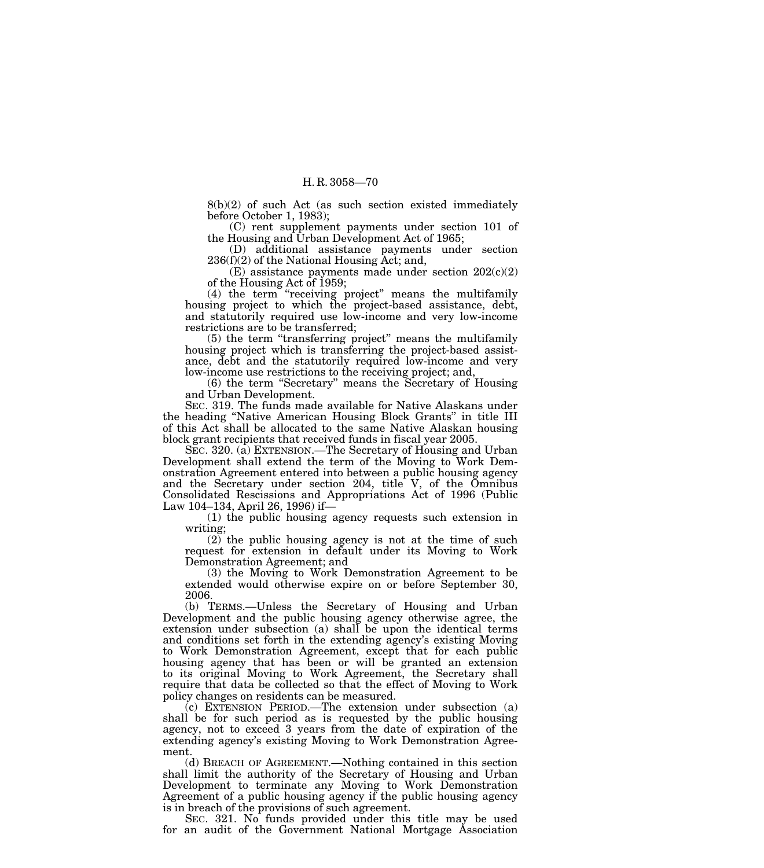8(b)(2) of such Act (as such section existed immediately before October 1, 1983);

(C) rent supplement payments under section 101 of the Housing and Urban Development Act of 1965;

(D) additional assistance payments under section 236(f)(2) of the National Housing Act; and,

(E) assistance payments made under section  $202(c)(2)$ of the Housing Act of 1959;

(4) the term ''receiving project'' means the multifamily housing project to which the project-based assistance, debt, and statutorily required use low-income and very low-income restrictions are to be transferred;

(5) the term ''transferring project'' means the multifamily housing project which is transferring the project-based assistance, debt and the statutorily required low-income and very low-income use restrictions to the receiving project; and,

(6) the term ''Secretary'' means the Secretary of Housing and Urban Development.

SEC. 319. The funds made available for Native Alaskans under the heading ''Native American Housing Block Grants'' in title III of this Act shall be allocated to the same Native Alaskan housing block grant recipients that received funds in fiscal year 2005.

SEC. 320. (a) EXTENSION.—The Secretary of Housing and Urban Development shall extend the term of the Moving to Work Demonstration Agreement entered into between a public housing agency and the Secretary under section 204, title V, of the Omnibus Consolidated Rescissions and Appropriations Act of 1996 (Public Law 104–134, April 26, 1996) if—

(1) the public housing agency requests such extension in writing;

 $(2)$  the public housing agency is not at the time of such request for extension in default under its Moving to Work Demonstration Agreement; and

(3) the Moving to Work Demonstration Agreement to be extended would otherwise expire on or before September 30, 2006.

(b) TERMS.—Unless the Secretary of Housing and Urban Development and the public housing agency otherwise agree, the extension under subsection (a) shall be upon the identical terms and conditions set forth in the extending agency's existing Moving to Work Demonstration Agreement, except that for each public housing agency that has been or will be granted an extension to its original Moving to Work Agreement, the Secretary shall require that data be collected so that the effect of Moving to Work policy changes on residents can be measured.

(c) EXTENSION PERIOD.—The extension under subsection (a) shall be for such period as is requested by the public housing agency, not to exceed 3 years from the date of expiration of the extending agency's existing Moving to Work Demonstration Agreement.

(d) BREACH OF AGREEMENT.—Nothing contained in this section shall limit the authority of the Secretary of Housing and Urban Development to terminate any Moving to Work Demonstration Agreement of a public housing agency if the public housing agency is in breach of the provisions of such agreement.

SEC. 321. No funds provided under this title may be used for an audit of the Government National Mortgage Association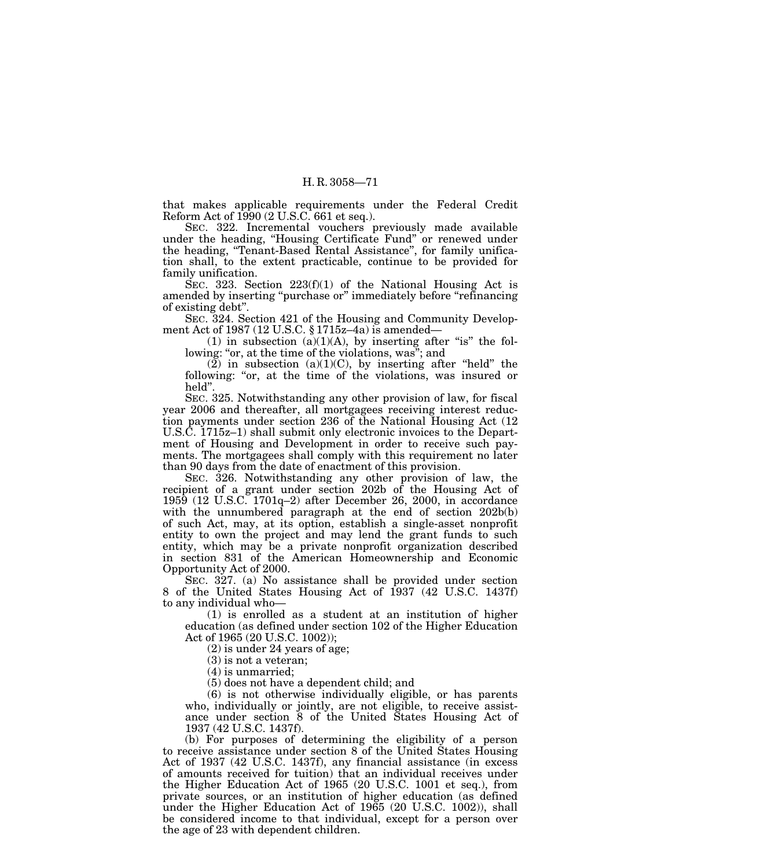that makes applicable requirements under the Federal Credit Reform Act of 1990 (2 U.S.C. 661 et seq.).

SEC. 322. Incremental vouchers previously made available under the heading, ''Housing Certificate Fund'' or renewed under the heading, ''Tenant-Based Rental Assistance'', for family unification shall, to the extent practicable, continue to be provided for family unification.

SEC. 323. Section  $223(f)(1)$  of the National Housing Act is amended by inserting "purchase or" immediately before "refinancing" of existing debt''.

SEC. 324. Section 421 of the Housing and Community Development Act of 1987 (12 U.S.C. § 1715z–4a) is amended—

(1) in subsection  $(a)(1)(A)$ , by inserting after "is" the following: "or, at the time of the violations, was"; and

(2) in subsection (a)(1)(C), by inserting after "held" the following: "or, at the time of the violations, was insured or held''.

SEC. 325. Notwithstanding any other provision of law, for fiscal year 2006 and thereafter, all mortgagees receiving interest reduction payments under section 236 of the National Housing Act (12 U.S.C. 1715z–1) shall submit only electronic invoices to the Department of Housing and Development in order to receive such payments. The mortgagees shall comply with this requirement no later than 90 days from the date of enactment of this provision.

SEC. 326. Notwithstanding any other provision of law, the recipient of a grant under section 202b of the Housing Act of 1959 (12 U.S.C. 1701q–2) after December 26, 2000, in accordance with the unnumbered paragraph at the end of section 202b(b) of such Act, may, at its option, establish a single-asset nonprofit entity to own the project and may lend the grant funds to such entity, which may be a private nonprofit organization described in section 831 of the American Homeownership and Economic Opportunity Act of 2000.

SEC. 327. (a) No assistance shall be provided under section 8 of the United States Housing Act of 1937 (42 U.S.C. 1437f) to any individual who—

(1) is enrolled as a student at an institution of higher education (as defined under section 102 of the Higher Education Act of 1965 (20 U.S.C. 1002));

(2) is under 24 years of age;

(3) is not a veteran;

(4) is unmarried;

(5) does not have a dependent child; and

(6) is not otherwise individually eligible, or has parents who, individually or jointly, are not eligible, to receive assistance under section 8 of the United States Housing Act of 1937 (42 U.S.C. 1437f).

(b) For purposes of determining the eligibility of a person to receive assistance under section 8 of the United States Housing Act of 1937 (42 U.S.C. 1437f), any financial assistance (in excess of amounts received for tuition) that an individual receives under the Higher Education Act of 1965 (20 U.S.C. 1001 et seq.), from private sources, or an institution of higher education (as defined under the Higher Education Act of 1965 (20 U.S.C. 1002)), shall be considered income to that individual, except for a person over the age of 23 with dependent children.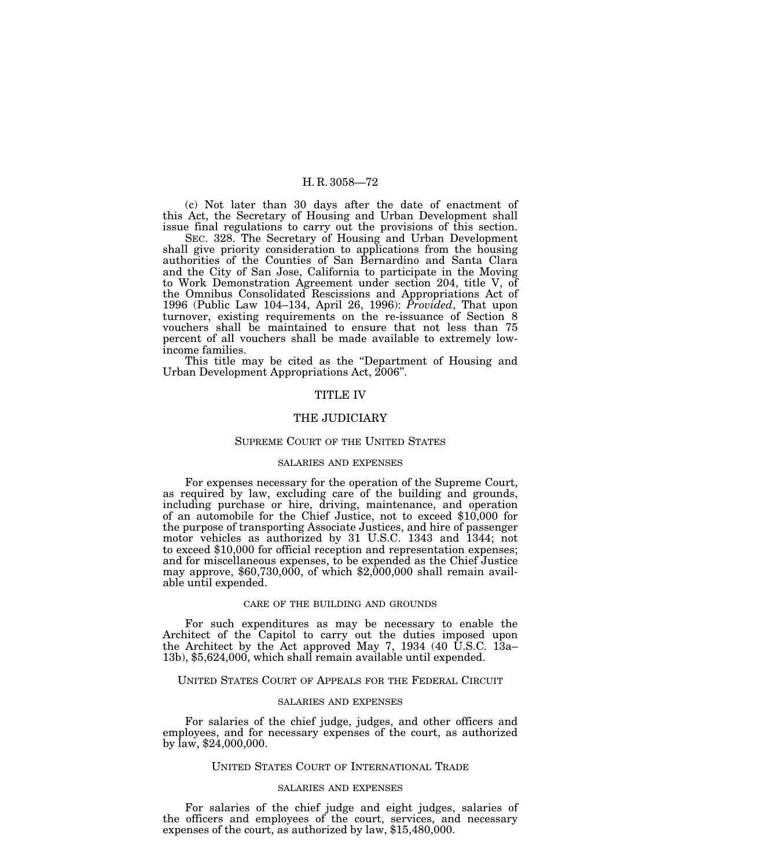(c) Not later than 30 days after the date of enactment of this Act, the Secretary of Housing and Urban Development shall issue final regulations to carry out the provisions of this section.

SEC. 328. The Secretary of Housing and Urban Development shall give priority consideration to applications from the housing authorities of the Counties of San Bernardino and Santa Clara and the City of San Jose, California to participate in the Moving to Work Demonstration Agreement under section 204, title V, of the Omnibus Consolidated Rescissions and Appropriations Act of 1996 (Public Law 104–134, April 26, 1996): *Provided*, That upon turnover, existing requirements on the re-issuance of Section 8 vouchers shall be maintained to ensure that not less than 75 percent of all vouchers shall be made available to extremely lowincome families.

This title may be cited as the ''Department of Housing and Urban Development Appropriations Act, 2006''.

### TITLE IV

## THE JUDICIARY

### SUPREME COURT OF THE UNITED STATES

### SALARIES AND EXPENSES

For expenses necessary for the operation of the Supreme Court, as required by law, excluding care of the building and grounds, including purchase or hire, driving, maintenance, and operation of an automobile for the Chief Justice, not to exceed \$10,000 for the purpose of transporting Associate Justices, and hire of passenger motor vehicles as authorized by 31 U.S.C. 1343 and 1344; not to exceed \$10,000 for official reception and representation expenses; and for miscellaneous expenses, to be expended as the Chief Justice may approve, \$60,730,000, of which \$2,000,000 shall remain available until expended.

#### CARE OF THE BUILDING AND GROUNDS

For such expenditures as may be necessary to enable the Architect of the Capitol to carry out the duties imposed upon the Architect by the Act approved May 7, 1934 (40  $\dot{\text{U}}$ .S.C. 13a– 13b), \$5,624,000, which shall remain available until expended.

## UNITED STATES COURT OF APPEALS FOR THE FEDERAL CIRCUIT

#### SALARIES AND EXPENSES

For salaries of the chief judge, judges, and other officers and employees, and for necessary expenses of the court, as authorized by law, \$24,000,000.

## UNITED STATES COURT OF INTERNATIONAL TRADE

## SALARIES AND EXPENSES

For salaries of the chief judge and eight judges, salaries of the officers and employees of the court, services, and necessary expenses of the court, as authorized by law, \$15,480,000.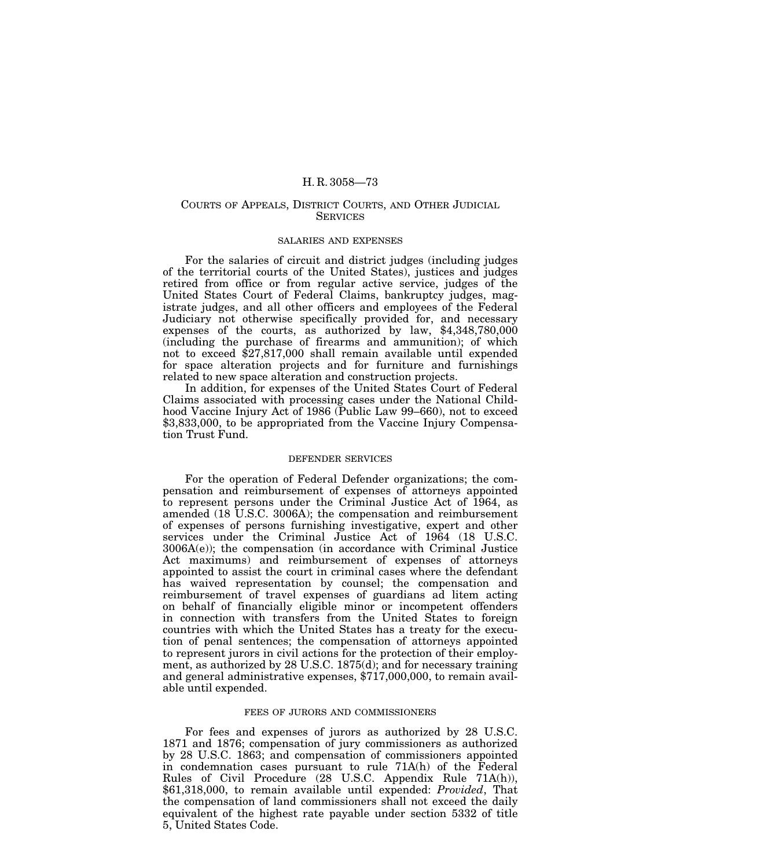## COURTS OF APPEALS, DISTRICT COURTS, AND OTHER JUDICIAL **SERVICES**

## SALARIES AND EXPENSES

For the salaries of circuit and district judges (including judges of the territorial courts of the United States), justices and judges retired from office or from regular active service, judges of the United States Court of Federal Claims, bankruptcy judges, magistrate judges, and all other officers and employees of the Federal Judiciary not otherwise specifically provided for, and necessary expenses of the courts, as authorized by law, \$4,348,780,000 (including the purchase of firearms and ammunition); of which not to exceed \$27,817,000 shall remain available until expended for space alteration projects and for furniture and furnishings related to new space alteration and construction projects.

In addition, for expenses of the United States Court of Federal Claims associated with processing cases under the National Childhood Vaccine Injury Act of 1986 (Public Law 99–660), not to exceed \$3,833,000, to be appropriated from the Vaccine Injury Compensation Trust Fund.

### DEFENDER SERVICES

For the operation of Federal Defender organizations; the compensation and reimbursement of expenses of attorneys appointed to represent persons under the Criminal Justice Act of 1964, as amended (18 U.S.C. 3006A); the compensation and reimbursement of expenses of persons furnishing investigative, expert and other services under the Criminal Justice Act of 1964 (18 U.S.C. 3006A(e)); the compensation (in accordance with Criminal Justice Act maximums) and reimbursement of expenses of attorneys appointed to assist the court in criminal cases where the defendant has waived representation by counsel; the compensation and reimbursement of travel expenses of guardians ad litem acting on behalf of financially eligible minor or incompetent offenders in connection with transfers from the United States to foreign countries with which the United States has a treaty for the execution of penal sentences; the compensation of attorneys appointed to represent jurors in civil actions for the protection of their employment, as authorized by 28 U.S.C. 1875(d); and for necessary training and general administrative expenses, \$717,000,000, to remain available until expended.

## FEES OF JURORS AND COMMISSIONERS

For fees and expenses of jurors as authorized by 28 U.S.C. 1871 and 1876; compensation of jury commissioners as authorized by 28 U.S.C. 1863; and compensation of commissioners appointed in condemnation cases pursuant to rule 71A(h) of the Federal Rules of Civil Procedure (28 U.S.C. Appendix Rule 71A(h)), \$61,318,000, to remain available until expended: *Provided*, That the compensation of land commissioners shall not exceed the daily equivalent of the highest rate payable under section 5332 of title 5, United States Code.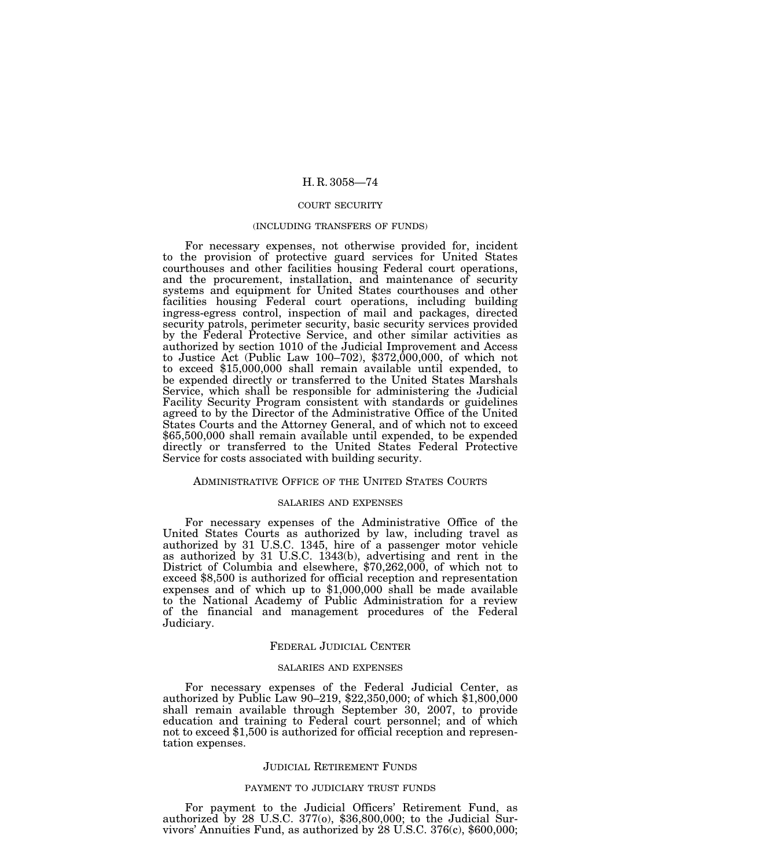### COURT SECURITY

#### (INCLUDING TRANSFERS OF FUNDS)

For necessary expenses, not otherwise provided for, incident to the provision of protective guard services for United States courthouses and other facilities housing Federal court operations, and the procurement, installation, and maintenance of security systems and equipment for United States courthouses and other facilities housing Federal court operations, including building ingress-egress control, inspection of mail and packages, directed security patrols, perimeter security, basic security services provided by the Federal Protective Service, and other similar activities as authorized by section 1010 of the Judicial Improvement and Access to Justice Act (Public Law 100–702),  $$372,000,000$ , of which not to exceed \$15,000,000 shall remain available until expended, to be expended directly or transferred to the United States Marshals Service, which shall be responsible for administering the Judicial Facility Security Program consistent with standards or guidelines agreed to by the Director of the Administrative Office of the United States Courts and the Attorney General, and of which not to exceed \$65,500,000 shall remain available until expended, to be expended directly or transferred to the United States Federal Protective Service for costs associated with building security.

## ADMINISTRATIVE OFFICE OF THE UNITED STATES COURTS

### SALARIES AND EXPENSES

For necessary expenses of the Administrative Office of the United States Courts as authorized by law, including travel as authorized by 31 U.S.C. 1345, hire of a passenger motor vehicle as authorized by 31 U.S.C. 1343(b), advertising and rent in the District of Columbia and elsewhere, \$70,262,000, of which not to exceed \$8,500 is authorized for official reception and representation expenses and of which up to \$1,000,000 shall be made available to the National Academy of Public Administration for a review of the financial and management procedures of the Federal Judiciary.

### FEDERAL JUDICIAL CENTER

### SALARIES AND EXPENSES

For necessary expenses of the Federal Judicial Center, as authorized by Public Law 90–219, \$22,350,000; of which \$1,800,000 shall remain available through September 30, 2007, to provide education and training to Federal court personnel; and of which not to exceed \$1,500 is authorized for official reception and representation expenses.

#### JUDICIAL RETIREMENT FUNDS

# PAYMENT TO JUDICIARY TRUST FUNDS

For payment to the Judicial Officers' Retirement Fund, as authorized by 28 U.S.C. 377(o), \$36,800,000; to the Judicial Survivors' Annuities Fund, as authorized by 28 U.S.C. 376(c), \$600,000;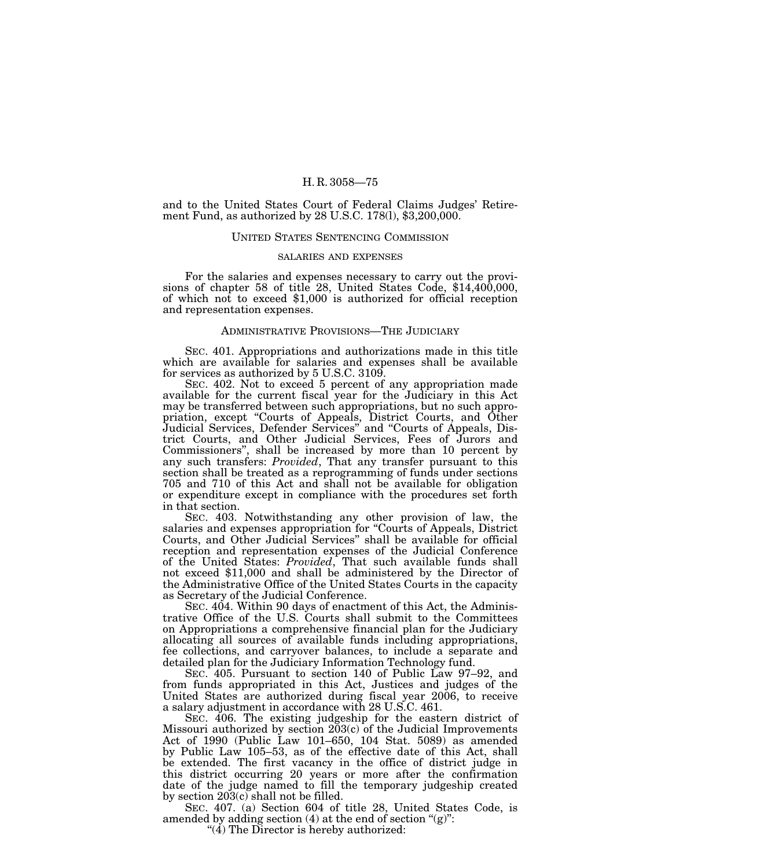and to the United States Court of Federal Claims Judges' Retirement Fund, as authorized by 28 U.S.C. 178(l), \$3,200,000.

### UNITED STATES SENTENCING COMMISSION

### SALARIES AND EXPENSES

For the salaries and expenses necessary to carry out the provi- sions of chapter 58 of title 28, United States Code, \$14,400,000, of which not to exceed \$1,000 is authorized for official reception and representation expenses.

# ADMINISTRATIVE PROVISIONS—THE JUDICIARY

SEC. 401. Appropriations and authorizations made in this title which are available for salaries and expenses shall be available for services as authorized by 5 U.S.C. 3109.

SEC. 402. Not to exceed 5 percent of any appropriation made available for the current fiscal year for the Judiciary in this Act may be transferred between such appropriations, but no such appropriation, except ''Courts of Appeals, District Courts, and Other Judicial Services, Defender Services'' and ''Courts of Appeals, District Courts, and Other Judicial Services, Fees of Jurors and Commissioners'', shall be increased by more than 10 percent by any such transfers: *Provided*, That any transfer pursuant to this section shall be treated as a reprogramming of funds under sections 705 and 710 of this Act and shall not be available for obligation or expenditure except in compliance with the procedures set forth in that section.

SEC. 403. Notwithstanding any other provision of law, the salaries and expenses appropriation for ''Courts of Appeals, District Courts, and Other Judicial Services'' shall be available for official reception and representation expenses of the Judicial Conference of the United States: *Provided*, That such available funds shall not exceed \$11,000 and shall be administered by the Director of the Administrative Office of the United States Courts in the capacity as Secretary of the Judicial Conference.

SEC. 404. Within 90 days of enactment of this Act, the Administrative Office of the U.S. Courts shall submit to the Committees on Appropriations a comprehensive financial plan for the Judiciary allocating all sources of available funds including appropriations, fee collections, and carryover balances, to include a separate and detailed plan for the Judiciary Information Technology fund.

SEC. 405. Pursuant to section 140 of Public Law 97–92, and from funds appropriated in this Act, Justices and judges of the United States are authorized during fiscal year 2006, to receive a salary adjustment in accordance with 28 U.S.C. 461.

SEC. 406. The existing judgeship for the eastern district of Missouri authorized by section  $203(c)$  of the Judicial Improvements Act of 1990 (Public Law 101–650, 104 Stat. 5089) as amended by Public Law 105–53, as of the effective date of this Act, shall be extended. The first vacancy in the office of district judge in this district occurring 20 years or more after the confirmation date of the judge named to fill the temporary judgeship created by section 203(c) shall not be filled.

SEC. 407. (a) Section 604 of title 28, United States Code, is amended by adding section  $(4)$  at the end of section " $(g)$ ":

" $(4)$  The Director is hereby authorized: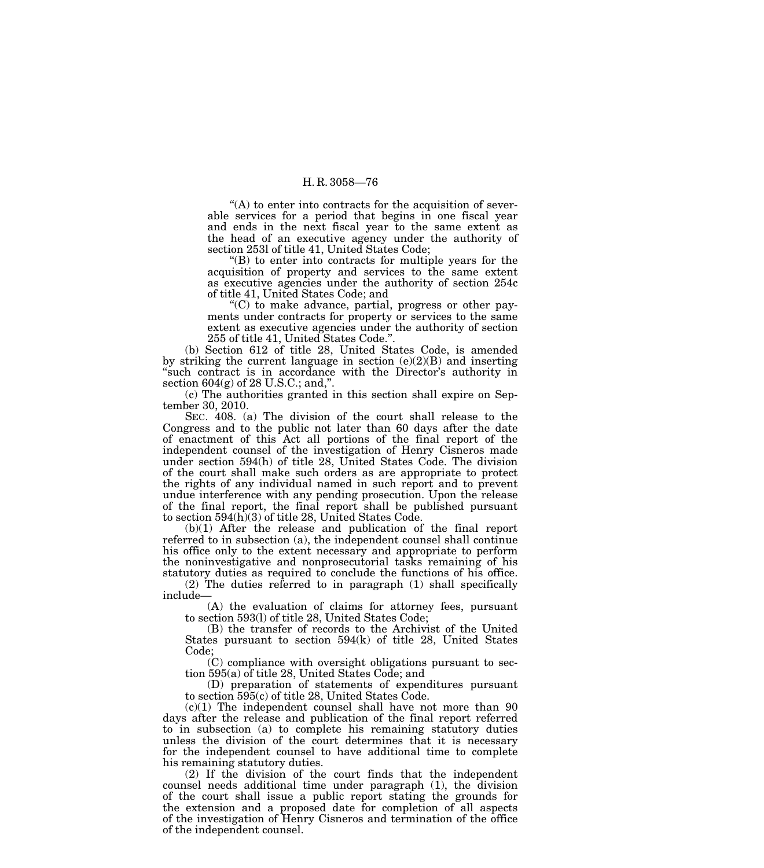$<sup>4</sup>(A)$  to enter into contracts for the acquisition of sever-</sup> able services for a period that begins in one fiscal year and ends in the next fiscal year to the same extent as the head of an executive agency under the authority of section 253l of title 41, United States Code;

''(B) to enter into contracts for multiple years for the acquisition of property and services to the same extent as executive agencies under the authority of section 254c of title 41, United States Code; and

''(C) to make advance, partial, progress or other payments under contracts for property or services to the same extent as executive agencies under the authority of section 255 of title 41, United States Code.''.

(b) Section 612 of title 28, United States Code, is amended by striking the current language in section  $(e)(2)(B)$  and inserting "such contract is in accordance with the Director's authority in section 604(g) of 28 U.S.C.; and,''.

(c) The authorities granted in this section shall expire on September 30, 2010.

SEC. 408. (a) The division of the court shall release to the Congress and to the public not later than 60 days after the date of enactment of this Act all portions of the final report of the independent counsel of the investigation of Henry Cisneros made under section 594(h) of title 28, United States Code. The division of the court shall make such orders as are appropriate to protect the rights of any individual named in such report and to prevent undue interference with any pending prosecution. Upon the release of the final report, the final report shall be published pursuant to section 594(h)(3) of title 28, United States Code.

(b)(1) After the release and publication of the final report referred to in subsection (a), the independent counsel shall continue his office only to the extent necessary and appropriate to perform the noninvestigative and nonprosecutorial tasks remaining of his statutory duties as required to conclude the functions of his office.

(2) The duties referred to in paragraph (1) shall specifically include—

(A) the evaluation of claims for attorney fees, pursuant to section 593(l) of title 28, United States Code;

(B) the transfer of records to the Archivist of the United States pursuant to section 594(k) of title 28, United States Code;

(C) compliance with oversight obligations pursuant to section 595(a) of title 28, United States Code; and

(D) preparation of statements of expenditures pursuant to section 595(c) of title 28, United States Code.

 $(c)(1)$  The independent counsel shall have not more than  $90$ days after the release and publication of the final report referred to in subsection (a) to complete his remaining statutory duties unless the division of the court determines that it is necessary for the independent counsel to have additional time to complete his remaining statutory duties.

(2) If the division of the court finds that the independent counsel needs additional time under paragraph (1), the division of the court shall issue a public report stating the grounds for the extension and a proposed date for completion of all aspects of the investigation of Henry Cisneros and termination of the office of the independent counsel.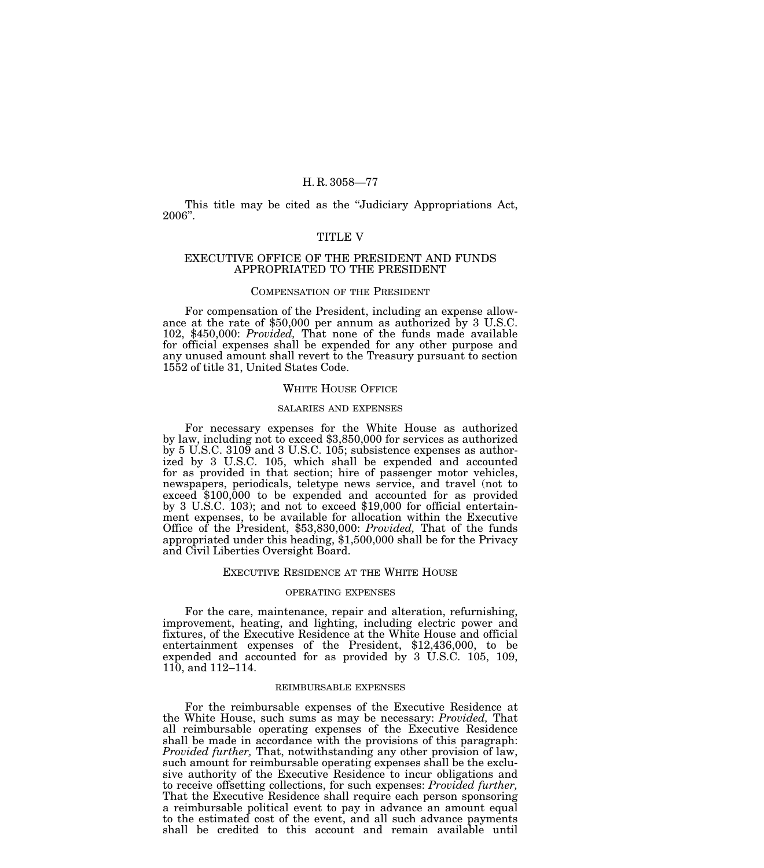This title may be cited as the ''Judiciary Appropriations Act, 2006''.

## TITLE V

## EXECUTIVE OFFICE OF THE PRESIDENT AND FUNDS APPROPRIATED TO THE PRESIDENT

## COMPENSATION OF THE PRESIDENT

For compensation of the President, including an expense allowance at the rate of \$50,000 per annum as authorized by 3 U.S.C. 102, \$450,000: *Provided,* That none of the funds made available for official expenses shall be expended for any other purpose and any unused amount shall revert to the Treasury pursuant to section 1552 of title 31, United States Code.

### WHITE HOUSE OFFICE

#### SALARIES AND EXPENSES

For necessary expenses for the White House as authorized by law, including not to exceed \$3,850,000 for services as authorized by 5 U.S.C. 3109 and 3 U.S.C. 105; subsistence expenses as authorized by 3 U.S.C. 105, which shall be expended and accounted for as provided in that section; hire of passenger motor vehicles, newspapers, periodicals, teletype news service, and travel (not to exceed \$100,000 to be expended and accounted for as provided by 3 U.S.C. 103); and not to exceed \$19,000 for official entertainment expenses, to be available for allocation within the Executive Office of the President, \$53,830,000: *Provided,* That of the funds appropriated under this heading, \$1,500,000 shall be for the Privacy and Civil Liberties Oversight Board.

# EXECUTIVE RESIDENCE AT THE WHITE HOUSE

### OPERATING EXPENSES

For the care, maintenance, repair and alteration, refurnishing, improvement, heating, and lighting, including electric power and fixtures, of the Executive Residence at the White House and official entertainment expenses of the President, \$12,436,000, to be expended and accounted for as provided by 3 U.S.C. 105, 109, 110, and 112–114.

# REIMBURSABLE EXPENSES

For the reimbursable expenses of the Executive Residence at the White House, such sums as may be necessary: *Provided,* That all reimbursable operating expenses of the Executive Residence shall be made in accordance with the provisions of this paragraph: *Provided further,* That, notwithstanding any other provision of law, such amount for reimbursable operating expenses shall be the exclusive authority of the Executive Residence to incur obligations and to receive offsetting collections, for such expenses: *Provided further,* That the Executive Residence shall require each person sponsoring a reimbursable political event to pay in advance an amount equal to the estimated cost of the event, and all such advance payments shall be credited to this account and remain available until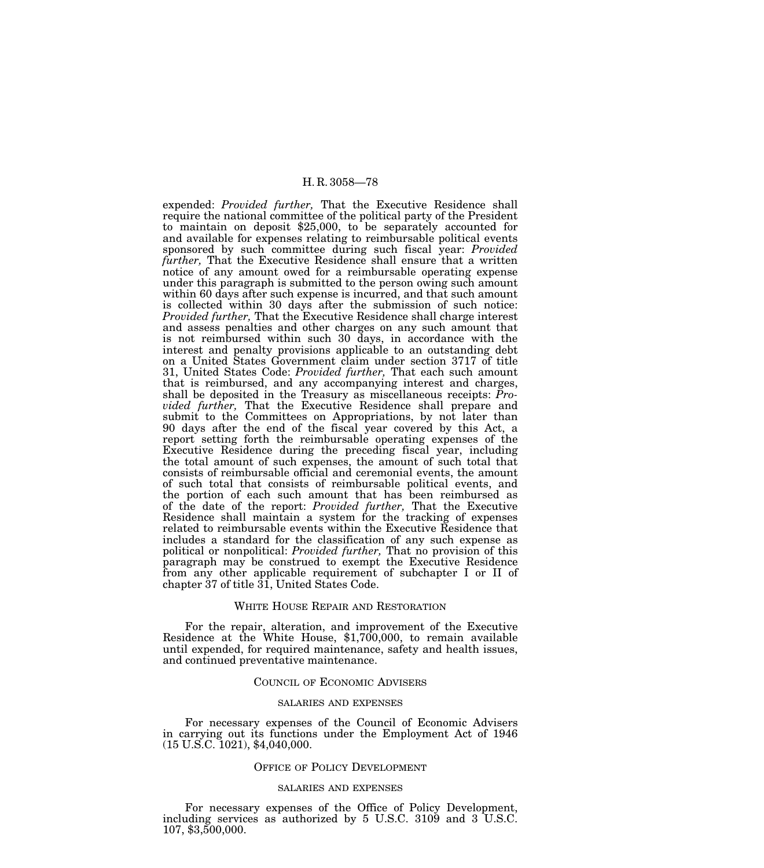expended: *Provided further,* That the Executive Residence shall require the national committee of the political party of the President to maintain on deposit \$25,000, to be separately accounted for and available for expenses relating to reimbursable political events sponsored by such committee during such fiscal year: *Provided further,* That the Executive Residence shall ensure that a written notice of any amount owed for a reimbursable operating expense under this paragraph is submitted to the person owing such amount within 60 days after such expense is incurred, and that such amount is collected within 30 days after the submission of such notice: *Provided further,* That the Executive Residence shall charge interest and assess penalties and other charges on any such amount that is not reimbursed within such 30 days, in accordance with the interest and penalty provisions applicable to an outstanding debt on a United States Government claim under section 3717 of title 31, United States Code: *Provided further,* That each such amount that is reimbursed, and any accompanying interest and charges, shall be deposited in the Treasury as miscellaneous receipts: *Provided further,* That the Executive Residence shall prepare and submit to the Committees on Appropriations, by not later than 90 days after the end of the fiscal year covered by this Act, a report setting forth the reimbursable operating expenses of the Executive Residence during the preceding fiscal year, including the total amount of such expenses, the amount of such total that consists of reimbursable official and ceremonial events, the amount of such total that consists of reimbursable political events, and the portion of each such amount that has been reimbursed as of the date of the report: *Provided further,* That the Executive Residence shall maintain a system for the tracking of expenses related to reimbursable events within the Executive Residence that includes a standard for the classification of any such expense as political or nonpolitical: *Provided further,* That no provision of this paragraph may be construed to exempt the Executive Residence from any other applicable requirement of subchapter I or II of chapter 37 of title 31, United States Code.

## WHITE HOUSE REPAIR AND RESTORATION

For the repair, alteration, and improvement of the Executive Residence at the White House, \$1,700,000, to remain available until expended, for required maintenance, safety and health issues, and continued preventative maintenance.

#### COUNCIL OF ECONOMIC ADVISERS

## SALARIES AND EXPENSES

For necessary expenses of the Council of Economic Advisers in carrying out its functions under the Employment Act of 1946 (15 U.S.C. 1021), \$4,040,000.

## OFFICE OF POLICY DEVELOPMENT

### SALARIES AND EXPENSES

For necessary expenses of the Office of Policy Development, including services as authorized by 5 U.S.C. 3109 and 3 U.S.C. 107, \$3,500,000.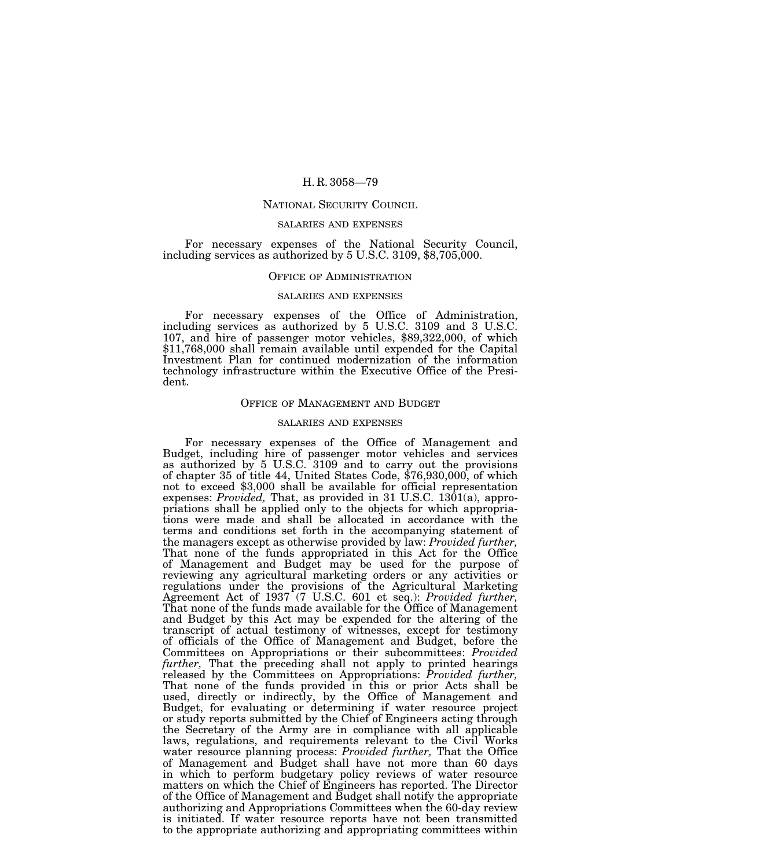## NATIONAL SECURITY COUNCIL

### SALARIES AND EXPENSES

For necessary expenses of the National Security Council, including services as authorized by 5 U.S.C. 3109, \$8,705,000.

### OFFICE OF ADMINISTRATION

#### SALARIES AND EXPENSES

For necessary expenses of the Office of Administration, including services as authorized by 5 U.S.C. 3109 and 3 U.S.C. 107, and hire of passenger motor vehicles, \$89,322,000, of which \$11,768,000 shall remain available until expended for the Capital Investment Plan for continued modernization of the information technology infrastructure within the Executive Office of the President.

## OFFICE OF MANAGEMENT AND BUDGET

### SALARIES AND EXPENSES

For necessary expenses of the Office of Management and Budget, including hire of passenger motor vehicles and services as authorized by 5 U.S.C. 3109 and to carry out the provisions of chapter 35 of title 44, United States Code, \$76,930,000, of which not to exceed \$3,000 shall be available for official representation expenses: *Provided,* That, as provided in 31 U.S.C. 1301(a), appropriations shall be applied only to the objects for which appropriations were made and shall be allocated in accordance with the terms and conditions set forth in the accompanying statement of the managers except as otherwise provided by law: *Provided further,* That none of the funds appropriated in this Act for the Office of Management and Budget may be used for the purpose of reviewing any agricultural marketing orders or any activities or regulations under the provisions of the Agricultural Marketing Agreement Act of 1937 (7 U.S.C. 601 et seq.): *Provided further,* That none of the funds made available for the Office of Management and Budget by this Act may be expended for the altering of the transcript of actual testimony of witnesses, except for testimony of officials of the Office of Management and Budget, before the Committees on Appropriations or their subcommittees: *Provided*  further, That the preceding shall not apply to printed hearings released by the Committees on Appropriations: *Provided further,* That none of the funds provided in this or prior Acts shall be used, directly or indirectly, by the Office of Management and Budget, for evaluating or determining if water resource project or study reports submitted by the Chief of Engineers acting through the Secretary of the Army are in compliance with all applicable laws, regulations, and requirements relevant to the Civil Works water resource planning process: *Provided further,* That the Office of Management and Budget shall have not more than 60 days in which to perform budgetary policy reviews of water resource matters on which the Chief of Engineers has reported. The Director of the Office of Management and Budget shall notify the appropriate authorizing and Appropriations Committees when the 60-day review is initiated. If water resource reports have not been transmitted to the appropriate authorizing and appropriating committees within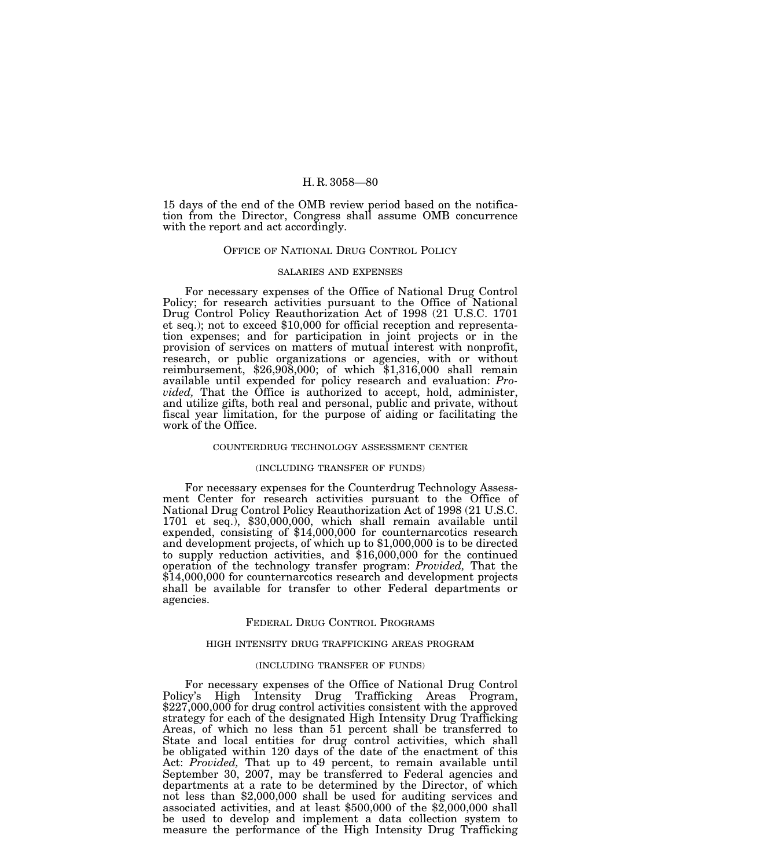15 days of the end of the OMB review period based on the notification from the Director, Congress shall assume OMB concurrence with the report and act accordingly.

### OFFICE OF NATIONAL DRUG CONTROL POLICY

## SALARIES AND EXPENSES

For necessary expenses of the Office of National Drug Control Policy; for research activities pursuant to the Office of National Drug Control Policy Reauthorization Act of 1998 (21 U.S.C. 1701 et seq.); not to exceed \$10,000 for official reception and representation expenses; and for participation in joint projects or in the provision of services on matters of mutual interest with nonprofit, research, or public organizations or agencies, with or without reimbursement, \$26,908,000; of which \$1,316,000 shall remain available until expended for policy research and evaluation: *Provided,* That the Office is authorized to accept, hold, administer, and utilize gifts, both real and personal, public and private, without fiscal year limitation, for the purpose of aiding or facilitating the work of the Office.

## COUNTERDRUG TECHNOLOGY ASSESSMENT CENTER

#### (INCLUDING TRANSFER OF FUNDS)

For necessary expenses for the Counterdrug Technology Assessment Center for research activities pursuant to the Office of National Drug Control Policy Reauthorization Act of 1998 (21 U.S.C. 1701 et seq.), \$30,000,000, which shall remain available until expended, consisting of \$14,000,000 for counternarcotics research and development projects, of which up to \$1,000,000 is to be directed to supply reduction activities, and \$16,000,000 for the continued operation of the technology transfer program: *Provided,* That the \$14,000,000 for counternarcotics research and development projects shall be available for transfer to other Federal departments or agencies.

# FEDERAL DRUG CONTROL PROGRAMS

#### HIGH INTENSITY DRUG TRAFFICKING AREAS PROGRAM

### (INCLUDING TRANSFER OF FUNDS)

For necessary expenses of the Office of National Drug Control Policy's High Intensity Drug Trafficking Areas Program, \$227,000,000 for drug control activities consistent with the approved strategy for each of the designated High Intensity Drug Trafficking Areas, of which no less than 51 percent shall be transferred to State and local entities for drug control activities, which shall be obligated within 120 days of the date of the enactment of this Act: *Provided,* That up to 49 percent, to remain available until September 30, 2007, may be transferred to Federal agencies and departments at a rate to be determined by the Director, of which not less than \$2,000,000 shall be used for auditing services and associated activities, and at least  $$500,000$  of the  $$2,000,000$  shall be used to develop and implement a data collection system to measure the performance of the High Intensity Drug Trafficking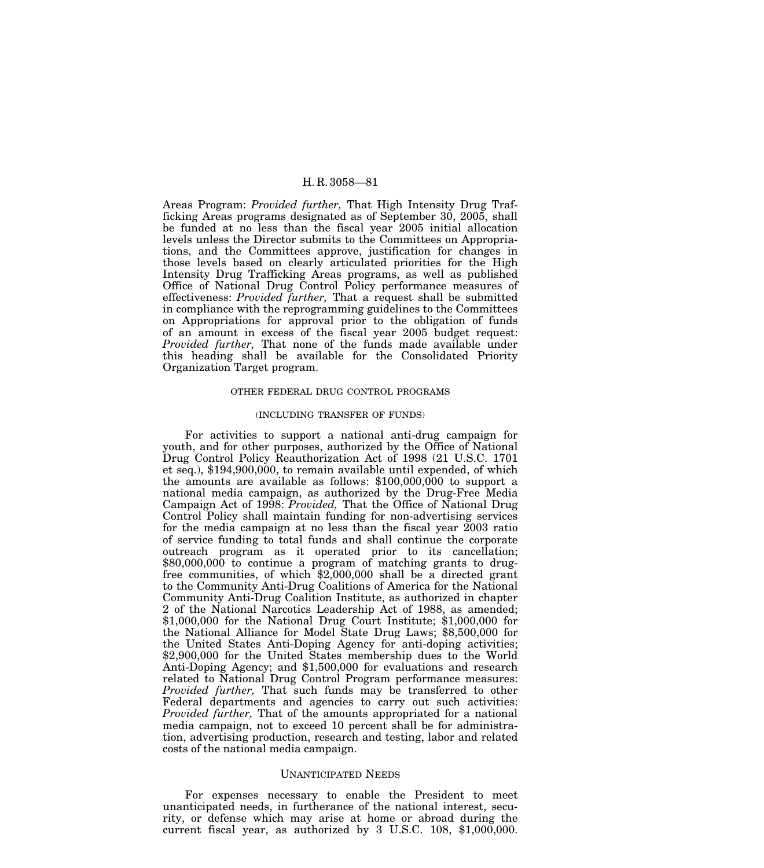Areas Program: *Provided further,* That High Intensity Drug Trafficking Areas programs designated as of September 30, 2005, shall be funded at no less than the fiscal year 2005 initial allocation levels unless the Director submits to the Committees on Appropriations, and the Committees approve, justification for changes in those levels based on clearly articulated priorities for the High Intensity Drug Trafficking Areas programs, as well as published Office of National Drug Control Policy performance measures of effectiveness: *Provided further,* That a request shall be submitted in compliance with the reprogramming guidelines to the Committees on Appropriations for approval prior to the obligation of funds of an amount in excess of the fiscal year 2005 budget request: *Provided further,* That none of the funds made available under this heading shall be available for the Consolidated Priority Organization Target program.

## OTHER FEDERAL DRUG CONTROL PROGRAMS

#### (INCLUDING TRANSFER OF FUNDS)

For activities to support a national anti-drug campaign for youth, and for other purposes, authorized by the Office of National Drug Control Policy Reauthorization Act of 1998 (21 U.S.C. 1701 et seq.), \$194,900,000, to remain available until expended, of which the amounts are available as follows: \$100,000,000 to support a national media campaign, as authorized by the Drug-Free Media Campaign Act of 1998: *Provided,* That the Office of National Drug Control Policy shall maintain funding for non-advertising services for the media campaign at no less than the fiscal year 2003 ratio of service funding to total funds and shall continue the corporate outreach program as it operated prior to its cancellation; \$80,000,000 to continue a program of matching grants to drugfree communities, of which \$2,000,000 shall be a directed grant to the Community Anti-Drug Coalitions of America for the National Community Anti-Drug Coalition Institute, as authorized in chapter 2 of the National Narcotics Leadership Act of 1988, as amended; \$1,000,000 for the National Drug Court Institute; \$1,000,000 for the National Alliance for Model State Drug Laws; \$8,500,000 for the United States Anti-Doping Agency for anti-doping activities; \$2,900,000 for the United States membership dues to the World Anti-Doping Agency; and \$1,500,000 for evaluations and research related to National Drug Control Program performance measures: *Provided further,* That such funds may be transferred to other Federal departments and agencies to carry out such activities: *Provided further,* That of the amounts appropriated for a national media campaign, not to exceed 10 percent shall be for administration, advertising production, research and testing, labor and related costs of the national media campaign.

## UNANTICIPATED NEEDS

For expenses necessary to enable the President to meet unanticipated needs, in furtherance of the national interest, security, or defense which may arise at home or abroad during the current fiscal year, as authorized by 3 U.S.C. 108, \$1,000,000.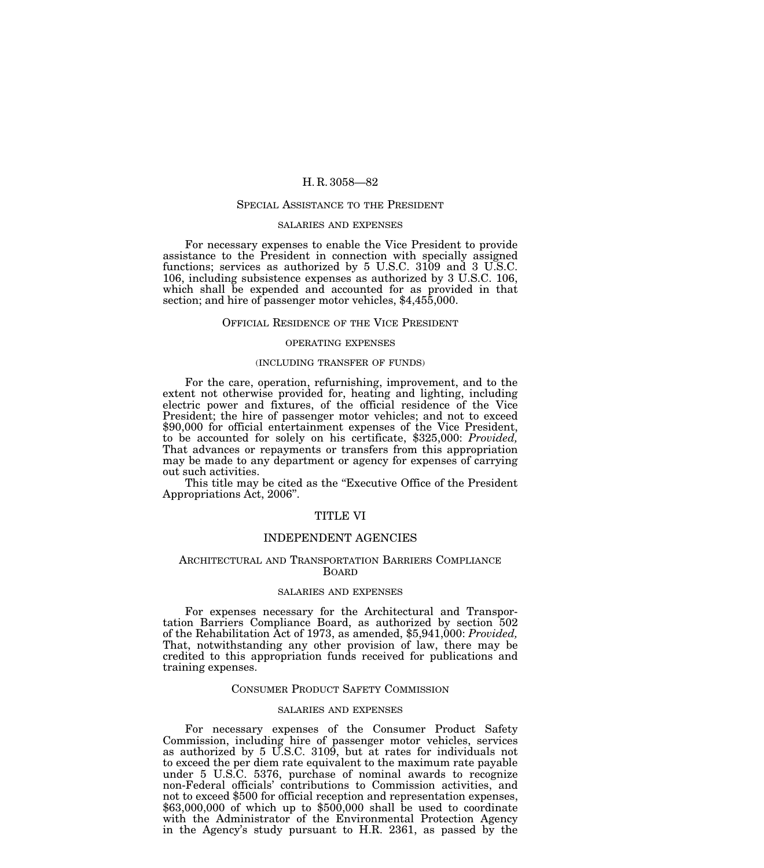#### SPECIAL ASSISTANCE TO THE PRESIDENT

#### SALARIES AND EXPENSES

For necessary expenses to enable the Vice President to provide assistance to the President in connection with specially assigned functions; services as authorized by 5 U.S.C. 3109 and 3 U.S.C. 106, including subsistence expenses as authorized by 3 U.S.C. 106, which shall be expended and accounted for as provided in that section; and hire of passenger motor vehicles, \$4,455,000.

#### OFFICIAL RESIDENCE OF THE VICE PRESIDENT

#### OPERATING EXPENSES

## (INCLUDING TRANSFER OF FUNDS)

For the care, operation, refurnishing, improvement, and to the extent not otherwise provided for, heating and lighting, including electric power and fixtures, of the official residence of the Vice President; the hire of passenger motor vehicles; and not to exceed \$90,000 for official entertainment expenses of the Vice President, to be accounted for solely on his certificate, \$325,000: *Provided,* That advances or repayments or transfers from this appropriation may be made to any department or agency for expenses of carrying out such activities.

This title may be cited as the "Executive Office of the President" Appropriations Act, 2006''.

# TITLE VI

# INDEPENDENT AGENCIES

### ARCHITECTURAL AND TRANSPORTATION BARRIERS COMPLIANCE BOARD

# SALARIES AND EXPENSES

For expenses necessary for the Architectural and Transportation Barriers Compliance Board, as authorized by section 502 of the Rehabilitation Act of 1973, as amended, \$5,941,000: *Provided,*  That, notwithstanding any other provision of law, there may be credited to this appropriation funds received for publications and training expenses.

## CONSUMER PRODUCT SAFETY COMMISSION

## SALARIES AND EXPENSES

For necessary expenses of the Consumer Product Safety Commission, including hire of passenger motor vehicles, services as authorized by 5 U.S.C. 3109, but at rates for individuals not to exceed the per diem rate equivalent to the maximum rate payable under 5 U.S.C. 5376, purchase of nominal awards to recognize non-Federal officials' contributions to Commission activities, and not to exceed \$500 for official reception and representation expenses,  $$63,000,000$  of which up to  $$500,000$  shall be used to coordinate with the Administrator of the Environmental Protection Agency in the Agency's study pursuant to H.R. 2361, as passed by the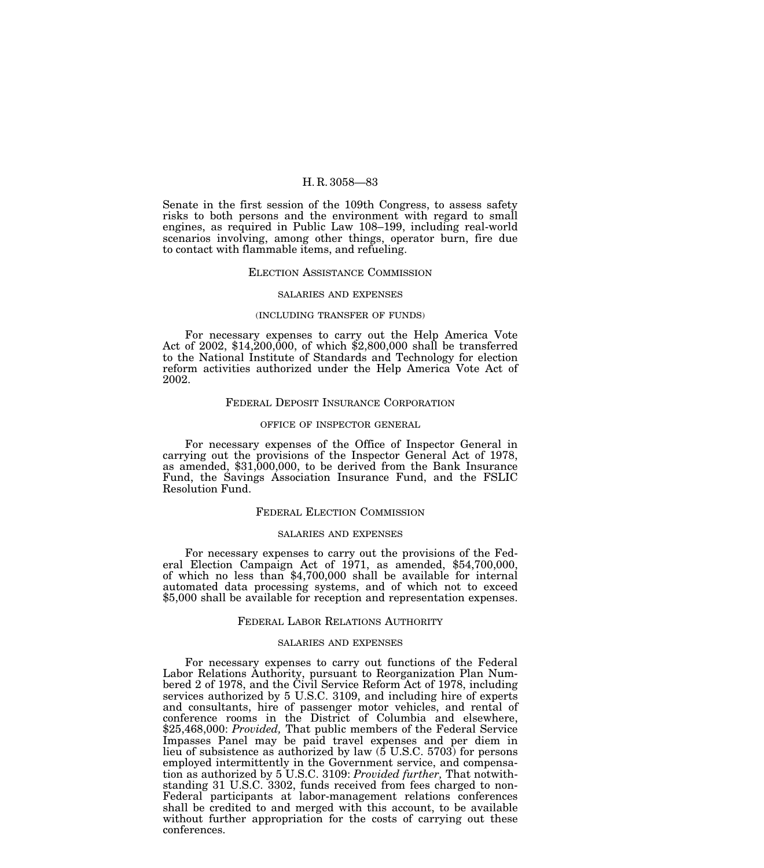Senate in the first session of the 109th Congress, to assess safety risks to both persons and the environment with regard to small engines, as required in Public Law 108–199, including real-world scenarios involving, among other things, operator burn, fire due to contact with flammable items, and refueling.

### ELECTION ASSISTANCE COMMISSION

#### SALARIES AND EXPENSES

#### (INCLUDING TRANSFER OF FUNDS)

For necessary expenses to carry out the Help America Vote Act of 2002, \$14,200,000, of which \$2,800,000 shall be transferred to the National Institute of Standards and Technology for election reform activities authorized under the Help America Vote Act of 2002.

### FEDERAL DEPOSIT INSURANCE CORPORATION

#### OFFICE OF INSPECTOR GENERAL

For necessary expenses of the Office of Inspector General in carrying out the provisions of the Inspector General Act of 1978, as amended, \$31,000,000, to be derived from the Bank Insurance Fund, the Savings Association Insurance Fund, and the FSLIC Resolution Fund.

### FEDERAL ELECTION COMMISSION

### SALARIES AND EXPENSES

For necessary expenses to carry out the provisions of the Federal Election Campaign Act of 1971, as amended, \$54,700,000, of which no less than \$4,700,000 shall be available for internal automated data processing systems, and of which not to exceed \$5,000 shall be available for reception and representation expenses.

### FEDERAL LABOR RELATIONS AUTHORITY

### SALARIES AND EXPENSES

For necessary expenses to carry out functions of the Federal Labor Relations Authority, pursuant to Reorganization Plan Numbered 2 of 1978, and the Civil Service Reform Act of 1978, including services authorized by 5 U.S.C. 3109, and including hire of experts and consultants, hire of passenger motor vehicles, and rental of conference rooms in the District of Columbia and elsewhere, \$25,468,000: *Provided,* That public members of the Federal Service Impasses Panel may be paid travel expenses and per diem in lieu of subsistence as authorized by law (5 U.S.C. 5703) for persons employed intermittently in the Government service, and compensation as authorized by 5 U.S.C. 3109: *Provided further,* That notwithstanding 31 U.S.C. 3302, funds received from fees charged to non-Federal participants at labor-management relations conferences shall be credited to and merged with this account, to be available without further appropriation for the costs of carrying out these conferences.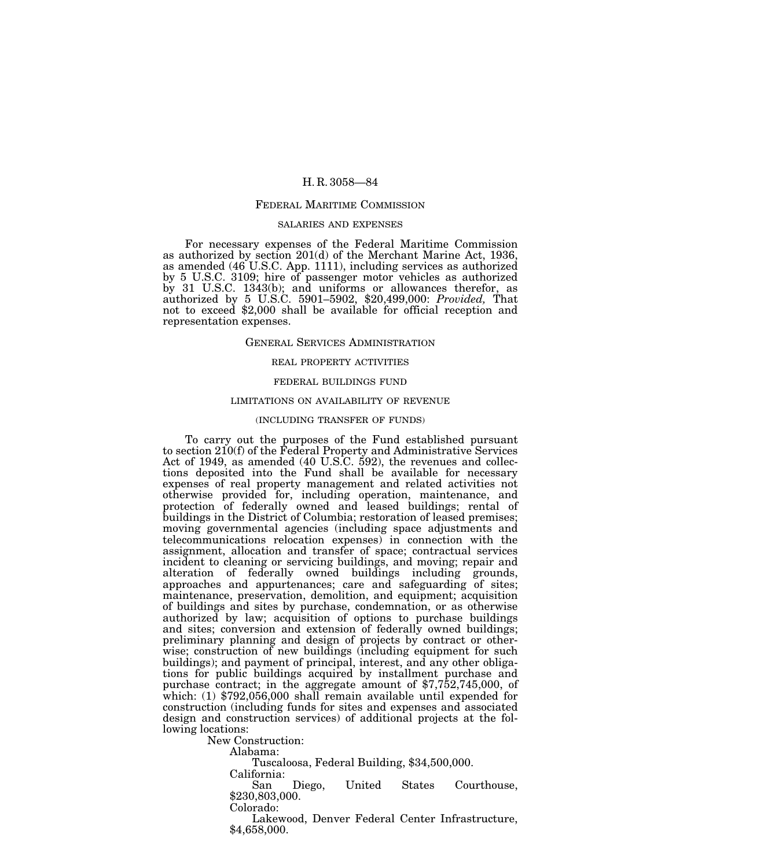#### FEDERAL MARITIME COMMISSION

#### SALARIES AND EXPENSES

For necessary expenses of the Federal Maritime Commission as authorized by section 201(d) of the Merchant Marine Act, 1936, as amended (46 U.S.C. App. 1111), including services as authorized by 5 U.S.C. 3109; hire of passenger motor vehicles as authorized by 31 U.S.C. 1343(b); and uniforms or allowances therefor, as authorized by 5 U.S.C. 5901–5902, \$20,499,000: *Provided,* That not to exceed \$2,000 shall be available for official reception and representation expenses.

### GENERAL SERVICES ADMINISTRATION

# REAL PROPERTY ACTIVITIES

## FEDERAL BUILDINGS FUND

## LIMITATIONS ON AVAILABILITY OF REVENUE

# (INCLUDING TRANSFER OF FUNDS)

To carry out the purposes of the Fund established pursuant to section 210(f) of the Federal Property and Administrative Services Act of 1949, as amended (40 U.S.C. 592), the revenues and collections deposited into the Fund shall be available for necessary expenses of real property management and related activities not otherwise provided for, including operation, maintenance, and protection of federally owned and leased buildings; rental of buildings in the District of Columbia; restoration of leased premises; moving governmental agencies (including space adjustments and telecommunications relocation expenses) in connection with the assignment, allocation and transfer of space; contractual services incident to cleaning or servicing buildings, and moving; repair and alteration of federally owned buildings including grounds, approaches and appurtenances; care and safeguarding of sites; maintenance, preservation, demolition, and equipment; acquisition of buildings and sites by purchase, condemnation, or as otherwise authorized by law; acquisition of options to purchase buildings and sites; conversion and extension of federally owned buildings; preliminary planning and design of projects by contract or otherwise; construction of new buildings (including equipment for such buildings); and payment of principal, interest, and any other obligations for public buildings acquired by installment purchase and purchase contract; in the aggregate amount of \$7,752,745,000, of which: (1) \$792,056,000 shall remain available until expended for construction (including funds for sites and expenses and associated design and construction services) of additional projects at the following locations:

New Construction:

Alabama:

Tuscaloosa, Federal Building, \$34,500,000.

California:

San Diego, United States Courthouse, \$230,803,000.

Colorado:

Lakewood, Denver Federal Center Infrastructure, \$4,658,000.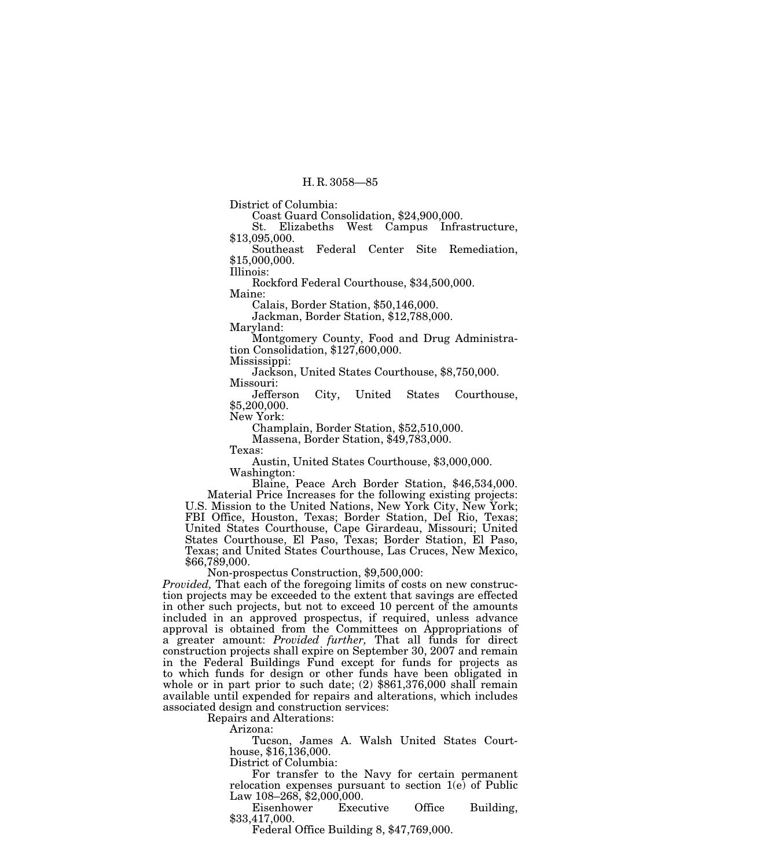District of Columbia:

Coast Guard Consolidation, \$24,900,000.

St. Elizabeths West Campus Infrastructure, \$13,095,000.

Southeast Federal Center Site Remediation, \$15,000,000.

Illinois:

Rockford Federal Courthouse, \$34,500,000.

Maine:

Calais, Border Station, \$50,146,000.

Jackman, Border Station, \$12,788,000.

Maryland:

Montgomery County, Food and Drug Administration Consolidation, \$127,600,000.

Mississippi:

Jackson, United States Courthouse, \$8,750,000.

Missouri: City, United States Courthouse, \$5,200,000.

New York:

Champlain, Border Station, \$52,510,000.

Massena, Border Station, \$49,783,000.

Texas:

Austin, United States Courthouse, \$3,000,000.

Washington:

Blaine, Peace Arch Border Station, \$46,534,000. Material Price Increases for the following existing projects: U.S. Mission to the United Nations, New York City, New York; FBI Office, Houston, Texas; Border Station, Del Rio, Texas; United States Courthouse, Cape Girardeau, Missouri; United States Courthouse, El Paso, Texas; Border Station, El Paso, Texas; and United States Courthouse, Las Cruces, New Mexico, \$66,789,000.

Non-prospectus Construction, \$9,500,000:

*Provided,* That each of the foregoing limits of costs on new construction projects may be exceeded to the extent that savings are effected in other such projects, but not to exceed 10 percent of the amounts included in an approved prospectus, if required, unless advance approval is obtained from the Committees on Appropriations of a greater amount: *Provided further,* That all funds for direct construction projects shall expire on September 30, 2007 and remain in the Federal Buildings Fund except for funds for projects as to which funds for design or other funds have been obligated in whole or in part prior to such date; (2) \$861,376,000 shall remain available until expended for repairs and alterations, which includes associated design and construction services:

Repairs and Alterations:

Arizona:

Tucson, James A. Walsh United States Courthouse, \$16,136,000.

District of Columbia:

For transfer to the Navy for certain permanent relocation expenses pursuant to section 1(e) of Public Law 108–268, \$2,000,000.

Eisenhower Executive Office Building, \$33,417,000.

Federal Office Building 8, \$47,769,000.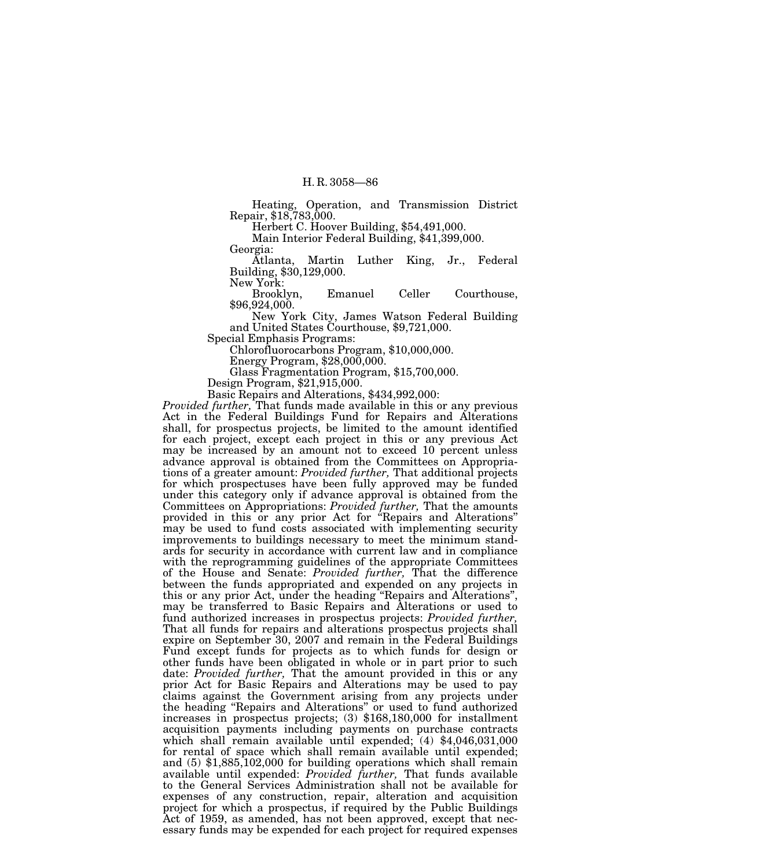Heating, Operation, and Transmission District Repair, \$18,783,000.

Herbert C. Hoover Building, \$54,491,000.

Main Interior Federal Building, \$41,399,000. Georgia:

Atlanta, Martin Luther King, Jr., Federal Building, \$30,129,000.

New York:<br>Brooklyn, Emanuel Celler Courthouse, \$96,924,000.

New York City, James Watson Federal Building and United States Courthouse, \$9,721,000.

Special Emphasis Programs:

Chlorofluorocarbons Program, \$10,000,000.

Energy Program, \$28,000,000.

Glass Fragmentation Program, \$15,700,000.

Design Program, \$21,915,000.

Basic Repairs and Alterations, \$434,992,000:

*Provided further,* That funds made available in this or any previous Act in the Federal Buildings Fund for Repairs and Alterations shall, for prospectus projects, be limited to the amount identified for each project, except each project in this or any previous Act may be increased by an amount not to exceed 10 percent unless advance approval is obtained from the Committees on Appropriations of a greater amount: *Provided further,* That additional projects for which prospectuses have been fully approved may be funded under this category only if advance approval is obtained from the Committees on Appropriations: *Provided further,* That the amounts provided in this or any prior Act for ''Repairs and Alterations'' may be used to fund costs associated with implementing security improvements to buildings necessary to meet the minimum standards for security in accordance with current law and in compliance with the reprogramming guidelines of the appropriate Committees of the House and Senate: *Provided further,* That the difference between the funds appropriated and expended on any projects in this or any prior Act, under the heading ''Repairs and Alterations'', may be transferred to Basic Repairs and Alterations or used to fund authorized increases in prospectus projects: *Provided further,* That all funds for repairs and alterations prospectus projects shall expire on September 30, 2007 and remain in the Federal Buildings Fund except funds for projects as to which funds for design or other funds have been obligated in whole or in part prior to such date: *Provided further,* That the amount provided in this or any prior Act for Basic Repairs and Alterations may be used to pay claims against the Government arising from any projects under the heading ''Repairs and Alterations'' or used to fund authorized increases in prospectus projects; (3) \$168,180,000 for installment acquisition payments including payments on purchase contracts which shall remain available until expended; (4) \$4,046,031,000 for rental of space which shall remain available until expended; and (5) \$1,885,102,000 for building operations which shall remain available until expended: *Provided further,* That funds available to the General Services Administration shall not be available for expenses of any construction, repair, alteration and acquisition project for which a prospectus, if required by the Public Buildings Act of 1959, as amended, has not been approved, except that necessary funds may be expended for each project for required expenses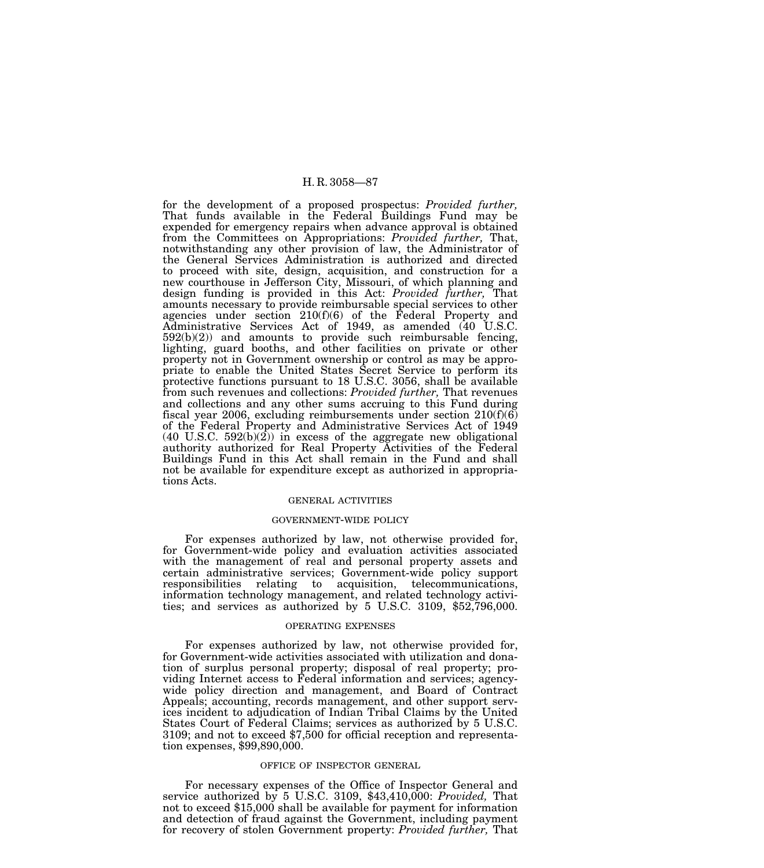for the development of a proposed prospectus: *Provided further,* That funds available in the Federal Buildings Fund may be expended for emergency repairs when advance approval is obtained from the Committees on Appropriations: *Provided further,* That, notwithstanding any other provision of law, the Administrator of the General Services Administration is authorized and directed to proceed with site, design, acquisition, and construction for a new courthouse in Jefferson City, Missouri, of which planning and design funding is provided in this Act: *Provided further,* That amounts necessary to provide reimbursable special services to other agencies under section 210(f)(6) of the Federal Property and Administrative Services Act of 1949, as amended (40 U.S.C. 592(b)(2)) and amounts to provide such reimbursable fencing, lighting, guard booths, and other facilities on private or other property not in Government ownership or control as may be appropriate to enable the United States Secret Service to perform its protective functions pursuant to 18 U.S.C. 3056, shall be available from such revenues and collections: *Provided further,* That revenues and collections and any other sums accruing to this Fund during fiscal year 2006, excluding reimbursements under section  $210(f)(6)$ of the Federal Property and Administrative Services Act of 1949  $(40 \text{ U.S.C. } 592(b)(2))$  in excess of the aggregate new obligational authority authorized for Real Property Activities of the Federal Buildings Fund in this Act shall remain in the Fund and shall not be available for expenditure except as authorized in appropriations Acts.

## GENERAL ACTIVITIES

#### GOVERNMENT-WIDE POLICY

For expenses authorized by law, not otherwise provided for, for Government-wide policy and evaluation activities associated with the management of real and personal property assets and certain administrative services; Government-wide policy support responsibilities relating to acquisition, telecommunications, information technology management, and related technology activities; and services as authorized by 5 U.S.C. 3109, \$52,796,000.

### OPERATING EXPENSES

For expenses authorized by law, not otherwise provided for, for Government-wide activities associated with utilization and donation of surplus personal property; disposal of real property; providing Internet access to Federal information and services; agencywide policy direction and management, and Board of Contract Appeals; accounting, records management, and other support services incident to adjudication of Indian Tribal Claims by the United States Court of Federal Claims; services as authorized by 5 U.S.C. 3109; and not to exceed \$7,500 for official reception and representation expenses, \$99,890,000.

### OFFICE OF INSPECTOR GENERAL

For necessary expenses of the Office of Inspector General and service authorized by 5 U.S.C. 3109, \$43,410,000: *Provided,* That not to exceed \$15,000 shall be available for payment for information and detection of fraud against the Government, including payment for recovery of stolen Government property: *Provided further,* That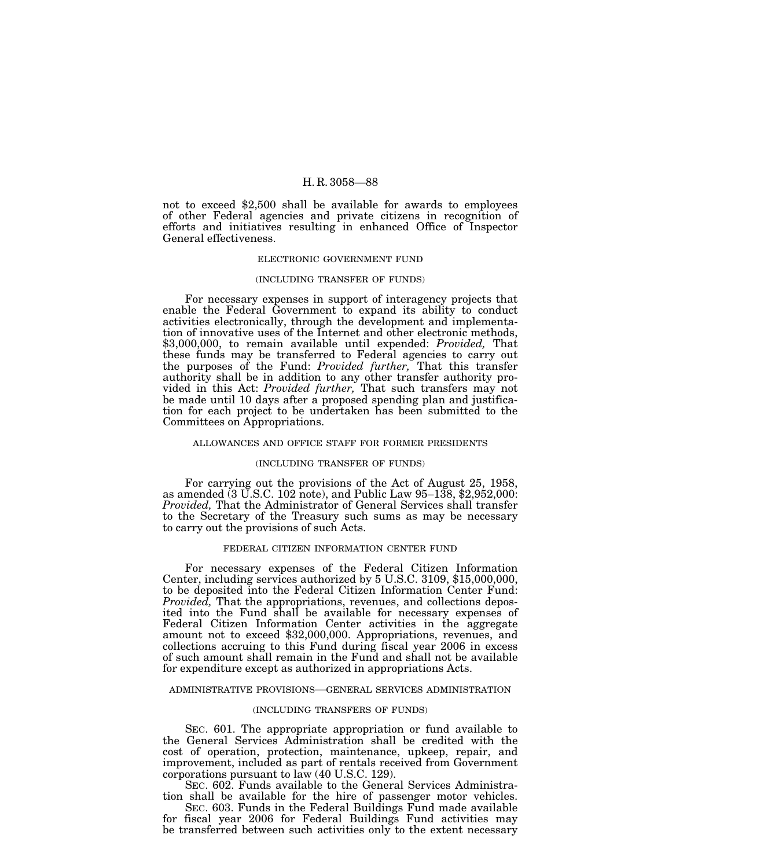not to exceed \$2,500 shall be available for awards to employees of other Federal agencies and private citizens in recognition of efforts and initiatives resulting in enhanced Office of Inspector General effectiveness.

#### ELECTRONIC GOVERNMENT FUND

#### (INCLUDING TRANSFER OF FUNDS)

For necessary expenses in support of interagency projects that enable the Federal Government to expand its ability to conduct activities electronically, through the development and implementation of innovative uses of the Internet and other electronic methods, \$3,000,000, to remain available until expended: *Provided,* That these funds may be transferred to Federal agencies to carry out the purposes of the Fund: *Provided further,* That this transfer authority shall be in addition to any other transfer authority provided in this Act: *Provided further,* That such transfers may not be made until 10 days after a proposed spending plan and justification for each project to be undertaken has been submitted to the Committees on Appropriations.

## ALLOWANCES AND OFFICE STAFF FOR FORMER PRESIDENTS

### (INCLUDING TRANSFER OF FUNDS)

For carrying out the provisions of the Act of August 25, 1958, as amended (3 U.S.C. 102 note), and Public Law 95–138, \$2,952,000: *Provided,* That the Administrator of General Services shall transfer to the Secretary of the Treasury such sums as may be necessary to carry out the provisions of such Acts.

## FEDERAL CITIZEN INFORMATION CENTER FUND

For necessary expenses of the Federal Citizen Information Center, including services authorized by 5 U.S.C. 3109, \$15,000,000, to be deposited into the Federal Citizen Information Center Fund: *Provided,* That the appropriations, revenues, and collections deposited into the Fund shall be available for necessary expenses of Federal Citizen Information Center activities in the aggregate amount not to exceed \$32,000,000. Appropriations, revenues, and collections accruing to this Fund during fiscal year 2006 in excess of such amount shall remain in the Fund and shall not be available for expenditure except as authorized in appropriations Acts.

#### ADMINISTRATIVE PROVISIONS—GENERAL SERVICES ADMINISTRATION

## (INCLUDING TRANSFERS OF FUNDS)

SEC. 601. The appropriate appropriation or fund available to the General Services Administration shall be credited with the cost of operation, protection, maintenance, upkeep, repair, and improvement, included as part of rentals received from Government corporations pursuant to law (40 U.S.C. 129).

SEC. 602. Funds available to the General Services Administration shall be available for the hire of passenger motor vehicles.

SEC. 603. Funds in the Federal Buildings Fund made available for fiscal year 2006 for Federal Buildings Fund activities may be transferred between such activities only to the extent necessary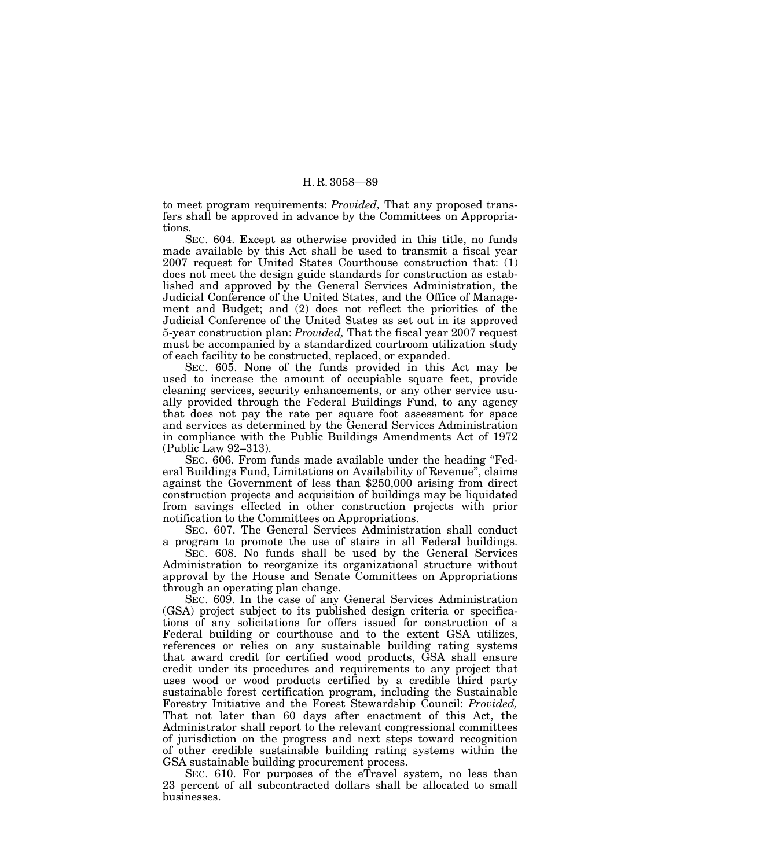to meet program requirements: *Provided,* That any proposed transfers shall be approved in advance by the Committees on Appropriations.

SEC. 604. Except as otherwise provided in this title, no funds made available by this Act shall be used to transmit a fiscal year 2007 request for United States Courthouse construction that: (1) does not meet the design guide standards for construction as established and approved by the General Services Administration, the Judicial Conference of the United States, and the Office of Management and Budget; and (2) does not reflect the priorities of the Judicial Conference of the United States as set out in its approved 5-year construction plan: *Provided,* That the fiscal year 2007 request must be accompanied by a standardized courtroom utilization study of each facility to be constructed, replaced, or expanded.

SEC. 605. None of the funds provided in this Act may be used to increase the amount of occupiable square feet, provide cleaning services, security enhancements, or any other service usually provided through the Federal Buildings Fund, to any agency that does not pay the rate per square foot assessment for space and services as determined by the General Services Administration in compliance with the Public Buildings Amendments Act of 1972 (Public Law 92–313).

SEC. 606. From funds made available under the heading "Federal Buildings Fund, Limitations on Availability of Revenue'', claims against the Government of less than \$250,000 arising from direct construction projects and acquisition of buildings may be liquidated from savings effected in other construction projects with prior notification to the Committees on Appropriations.

SEC. 607. The General Services Administration shall conduct a program to promote the use of stairs in all Federal buildings.

SEC. 608. No funds shall be used by the General Services Administration to reorganize its organizational structure without approval by the House and Senate Committees on Appropriations through an operating plan change.

SEC. 609. In the case of any General Services Administration (GSA) project subject to its published design criteria or specifications of any solicitations for offers issued for construction of a Federal building or courthouse and to the extent GSA utilizes, references or relies on any sustainable building rating systems that award credit for certified wood products, GSA shall ensure credit under its procedures and requirements to any project that uses wood or wood products certified by a credible third party sustainable forest certification program, including the Sustainable Forestry Initiative and the Forest Stewardship Council: *Provided,* That not later than 60 days after enactment of this Act, the Administrator shall report to the relevant congressional committees of jurisdiction on the progress and next steps toward recognition of other credible sustainable building rating systems within the GSA sustainable building procurement process.

SEC. 610. For purposes of the eTravel system, no less than 23 percent of all subcontracted dollars shall be allocated to small businesses.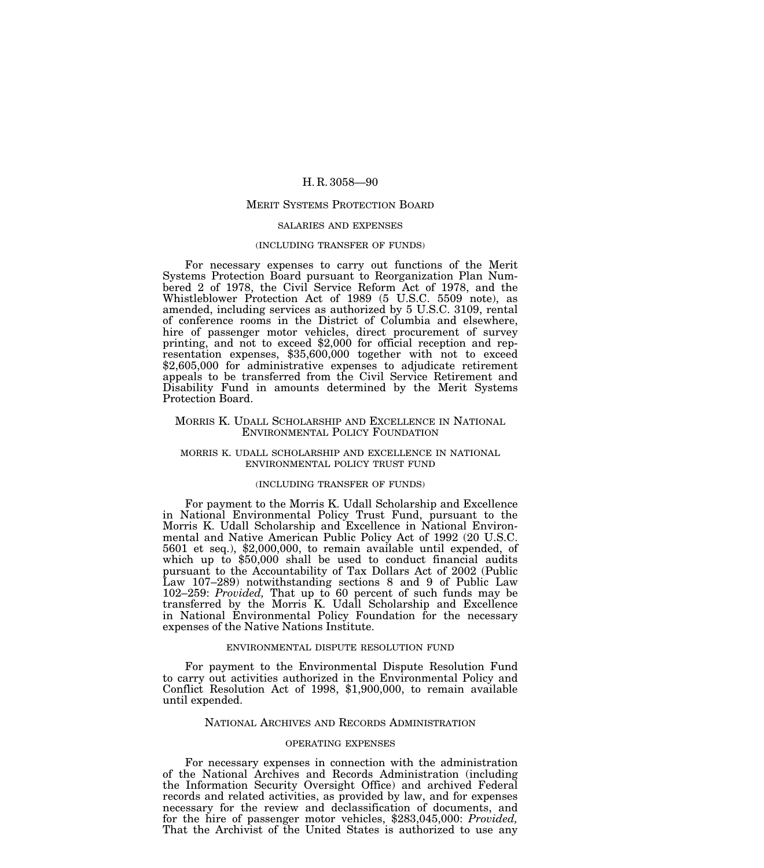#### MERIT SYSTEMS PROTECTION BOARD

#### SALARIES AND EXPENSES

#### (INCLUDING TRANSFER OF FUNDS)

For necessary expenses to carry out functions of the Merit Systems Protection Board pursuant to Reorganization Plan Numbered 2 of 1978, the Civil Service Reform Act of 1978, and the Whistleblower Protection Act of 1989 (5 U.S.C. 5509 note), as amended, including services as authorized by 5 U.S.C. 3109, rental of conference rooms in the District of Columbia and elsewhere, hire of passenger motor vehicles, direct procurement of survey printing, and not to exceed \$2,000 for official reception and representation expenses, \$35,600,000 together with not to exceed \$2,605,000 for administrative expenses to adjudicate retirement appeals to be transferred from the Civil Service Retirement and Disability Fund in amounts determined by the Merit Systems Protection Board.

## MORRIS K. UDALL SCHOLARSHIP AND EXCELLENCE IN NATIONAL ENVIRONMENTAL POLICY FOUNDATION

## MORRIS K. UDALL SCHOLARSHIP AND EXCELLENCE IN NATIONAL ENVIRONMENTAL POLICY TRUST FUND

## (INCLUDING TRANSFER OF FUNDS)

For payment to the Morris K. Udall Scholarship and Excellence in National Environmental Policy Trust Fund, pursuant to the Morris K. Udall Scholarship and Excellence in National Environmental and Native American Public Policy Act of 1992 (20 U.S.C. 5601 et seq.), \$2,000,000, to remain available until expended, of which up to \$50,000 shall be used to conduct financial audits pursuant to the Accountability of Tax Dollars Act of 2002 (Public Law 107–289) notwithstanding sections 8 and 9 of Public Law 102–259: *Provided,* That up to 60 percent of such funds may be transferred by the Morris K. Udall Scholarship and Excellence in National Environmental Policy Foundation for the necessary expenses of the Native Nations Institute.

#### ENVIRONMENTAL DISPUTE RESOLUTION FUND

For payment to the Environmental Dispute Resolution Fund to carry out activities authorized in the Environmental Policy and Conflict Resolution Act of 1998, \$1,900,000, to remain available until expended.

# NATIONAL ARCHIVES AND RECORDS ADMINISTRATION

## OPERATING EXPENSES

For necessary expenses in connection with the administration of the National Archives and Records Administration (including the Information Security Oversight Office) and archived Federal records and related activities, as provided by law, and for expenses necessary for the review and declassification of documents, and for the hire of passenger motor vehicles, \$283,045,000: *Provided,* That the Archivist of the United States is authorized to use any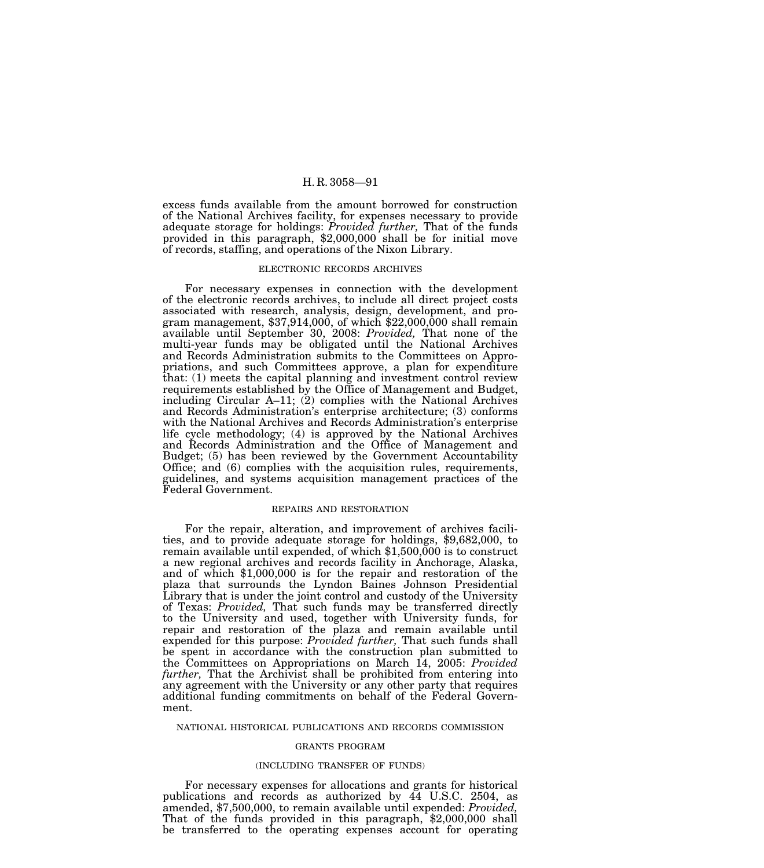excess funds available from the amount borrowed for construction of the National Archives facility, for expenses necessary to provide adequate storage for holdings: *Provided further,* That of the funds provided in this paragraph, \$2,000,000 shall be for initial move of records, staffing, and operations of the Nixon Library.

#### ELECTRONIC RECORDS ARCHIVES

For necessary expenses in connection with the development of the electronic records archives, to include all direct project costs associated with research, analysis, design, development, and program management,  $$37,914,000$ , of which  $$22,000,000$  shall remain available until September 30, 2008: *Provided,* That none of the multi-year funds may be obligated until the National Archives and Records Administration submits to the Committees on Appropriations, and such Committees approve, a plan for expenditure that: (1) meets the capital planning and investment control review requirements established by the Office of Management and Budget, including Circular  $A-11$ ; (2) complies with the National Archives and Records Administration's enterprise architecture; (3) conforms with the National Archives and Records Administration's enterprise life cycle methodology; (4) is approved by the National Archives and Records Administration and the Office of Management and Budget; (5) has been reviewed by the Government Accountability Office; and (6) complies with the acquisition rules, requirements, guidelines, and systems acquisition management practices of the Federal Government.

### REPAIRS AND RESTORATION

For the repair, alteration, and improvement of archives facilities, and to provide adequate storage for holdings, \$9,682,000, to remain available until expended, of which \$1,500,000 is to construct a new regional archives and records facility in Anchorage, Alaska, and of which \$1,000,000 is for the repair and restoration of the plaza that surrounds the Lyndon Baines Johnson Presidential Library that is under the joint control and custody of the University of Texas: *Provided,* That such funds may be transferred directly to the University and used, together with University funds, for repair and restoration of the plaza and remain available until expended for this purpose: *Provided further,* That such funds shall be spent in accordance with the construction plan submitted to the Committees on Appropriations on March 14, 2005: *Provided further,* That the Archivist shall be prohibited from entering into any agreement with the University or any other party that requires additional funding commitments on behalf of the Federal Government.

#### NATIONAL HISTORICAL PUBLICATIONS AND RECORDS COMMISSION

# GRANTS PROGRAM

#### (INCLUDING TRANSFER OF FUNDS)

For necessary expenses for allocations and grants for historical publications and records as authorized by 44 U.S.C. 2504, as amended, \$7,500,000, to remain available until expended: *Provided,*  That of the funds provided in this paragraph, \$2,000,000 shall be transferred to the operating expenses account for operating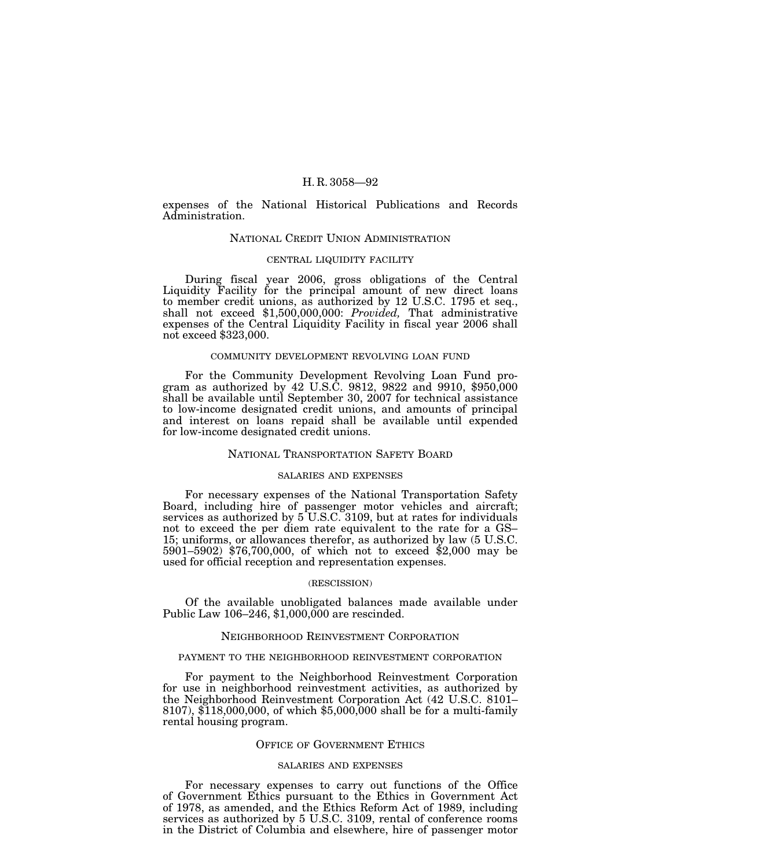expenses of the National Historical Publications and Records Administration.

## NATIONAL CREDIT UNION ADMINISTRATION

### CENTRAL LIQUIDITY FACILITY

During fiscal year 2006, gross obligations of the Central Liquidity Facility for the principal amount of new direct loans to member credit unions, as authorized by 12 U.S.C. 1795 et seq., shall not exceed \$1,500,000,000: *Provided,* That administrative expenses of the Central Liquidity Facility in fiscal year 2006 shall not exceed \$323,000.

## COMMUNITY DEVELOPMENT REVOLVING LOAN FUND

For the Community Development Revolving Loan Fund program as authorized by 42 U.S.C. 9812, 9822 and 9910, \$950,000 shall be available until September 30, 2007 for technical assistance to low-income designated credit unions, and amounts of principal and interest on loans repaid shall be available until expended for low-income designated credit unions.

## NATIONAL TRANSPORTATION SAFETY BOARD

# SALARIES AND EXPENSES

For necessary expenses of the National Transportation Safety Board, including hire of passenger motor vehicles and aircraft; services as authorized by  $5$  U.S.C. 3109, but at rates for individuals not to exceed the per diem rate equivalent to the rate for a GS– 15; uniforms, or allowances therefor, as authorized by law (5 U.S.C. 5901–5902) \$76,700,000, of which not to exceed \$2,000 may be used for official reception and representation expenses.

## (RESCISSION)

Of the available unobligated balances made available under Public Law 106–246, \$1,000,000 are rescinded.

## NEIGHBORHOOD REINVESTMENT CORPORATION

### PAYMENT TO THE NEIGHBORHOOD REINVESTMENT CORPORATION

For payment to the Neighborhood Reinvestment Corporation for use in neighborhood reinvestment activities, as authorized by the Neighborhood Reinvestment Corporation Act (42 U.S.C. 8101– 8107), \$118,000,000, of which \$5,000,000 shall be for a multi-family rental housing program.

## OFFICE OF GOVERNMENT ETHICS

#### SALARIES AND EXPENSES

For necessary expenses to carry out functions of the Office of Government Ethics pursuant to the Ethics in Government Act of 1978, as amended, and the Ethics Reform Act of 1989, including services as authorized by 5 U.S.C. 3109, rental of conference rooms in the District of Columbia and elsewhere, hire of passenger motor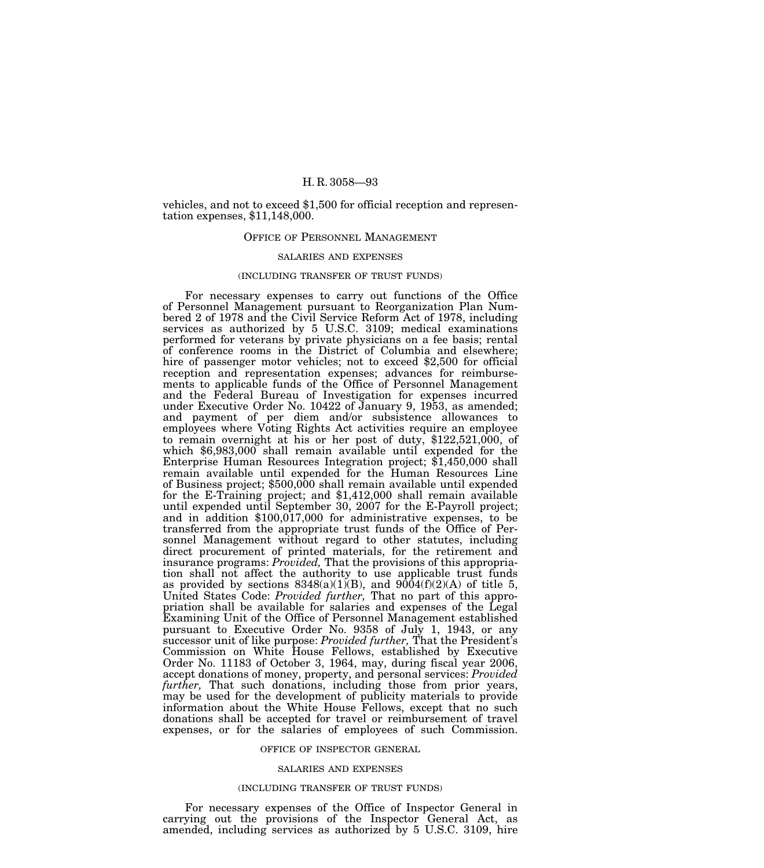vehicles, and not to exceed \$1,500 for official reception and representation expenses, \$11,148,000.

## OFFICE OF PERSONNEL MANAGEMENT

### SALARIES AND EXPENSES

## (INCLUDING TRANSFER OF TRUST FUNDS)

For necessary expenses to carry out functions of the Office of Personnel Management pursuant to Reorganization Plan Numbered 2 of 1978 and the Civil Service Reform Act of 1978, including services as authorized by 5 U.S.C. 3109; medical examinations performed for veterans by private physicians on a fee basis; rental of conference rooms in the District of Columbia and elsewhere; hire of passenger motor vehicles; not to exceed \$2,500 for official reception and representation expenses; advances for reimbursements to applicable funds of the Office of Personnel Management and the Federal Bureau of Investigation for expenses incurred under Executive Order No. 10422 of January 9, 1953, as amended; and payment of per diem and/or subsistence allowances to employees where Voting Rights Act activities require an employee to remain overnight at his or her post of duty, \$122,521,000, of which \$6,983,000 shall remain available until expended for the Enterprise Human Resources Integration project; \$1,450,000 shall remain available until expended for the Human Resources Line of Business project; \$500,000 shall remain available until expended for the E-Training project; and \$1,412,000 shall remain available until expended until September 30, 2007 for the E-Payroll project; and in addition \$100,017,000 for administrative expenses, to be transferred from the appropriate trust funds of the Office of Personnel Management without regard to other statutes, including direct procurement of printed materials, for the retirement and insurance programs: *Provided,* That the provisions of this appropriation shall not affect the authority to use applicable trust funds as provided by sections  $8348(a)(1)(B)$ , and  $9004(f)(2)(A)$  of title 5, United States Code: *Provided further,* That no part of this appropriation shall be available for salaries and expenses of the Legal Examining Unit of the Office of Personnel Management established pursuant to Executive Order No. 9358 of July 1, 1943, or any successor unit of like purpose: *Provided further,* That the President's Commission on White House Fellows, established by Executive Order No. 11183 of October 3, 1964, may, during fiscal year 2006, accept donations of money, property, and personal services: *Provided further,* That such donations, including those from prior years, may be used for the development of publicity materials to provide information about the White House Fellows, except that no such donations shall be accepted for travel or reimbursement of travel expenses, or for the salaries of employees of such Commission.

### OFFICE OF INSPECTOR GENERAL

## SALARIES AND EXPENSES

### (INCLUDING TRANSFER OF TRUST FUNDS)

For necessary expenses of the Office of Inspector General in carrying out the provisions of the Inspector General Act, as amended, including services as authorized by 5 U.S.C. 3109, hire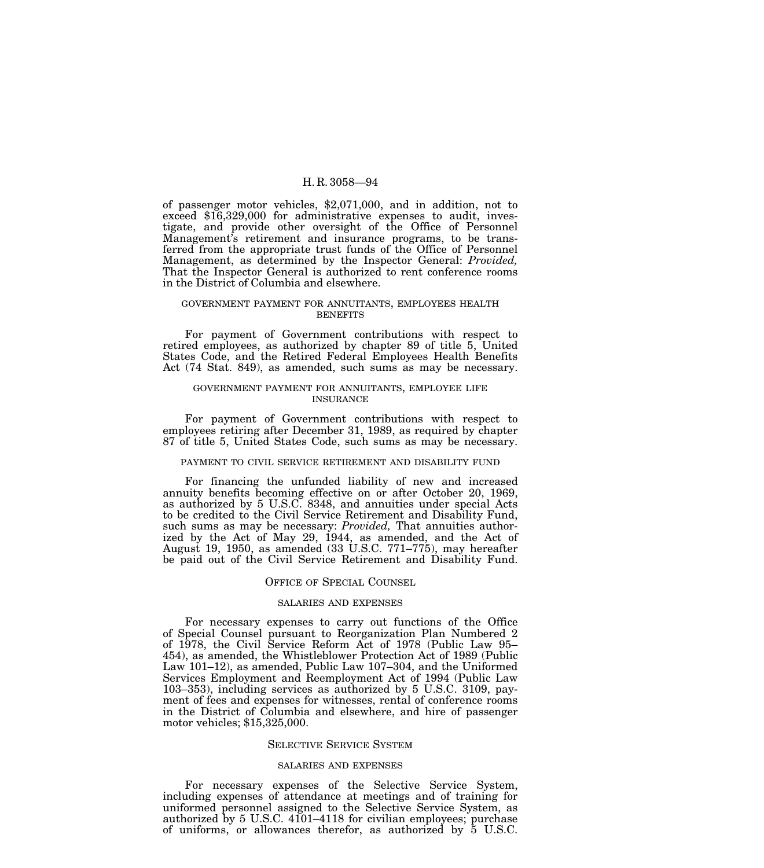of passenger motor vehicles, \$2,071,000, and in addition, not to exceed \$16,329,000 for administrative expenses to audit, investigate, and provide other oversight of the Office of Personnel Management's retirement and insurance programs, to be transferred from the appropriate trust funds of the Office of Personnel Management, as determined by the Inspector General: *Provided,* That the Inspector General is authorized to rent conference rooms in the District of Columbia and elsewhere.

### GOVERNMENT PAYMENT FOR ANNUITANTS, EMPLOYEES HEALTH BENEFITS

For payment of Government contributions with respect to retired employees, as authorized by chapter 89 of title 5, United States Code, and the Retired Federal Employees Health Benefits Act (74 Stat. 849), as amended, such sums as may be necessary.

## GOVERNMENT PAYMENT FOR ANNUITANTS, EMPLOYEE LIFE INSURANCE

For payment of Government contributions with respect to employees retiring after December 31, 1989, as required by chapter 87 of title 5, United States Code, such sums as may be necessary.

#### PAYMENT TO CIVIL SERVICE RETIREMENT AND DISABILITY FUND

For financing the unfunded liability of new and increased annuity benefits becoming effective on or after October 20, 1969, as authorized by 5 U.S.C. 8348, and annuities under special Acts to be credited to the Civil Service Retirement and Disability Fund, such sums as may be necessary: *Provided,* That annuities authorized by the Act of May 29, 1944, as amended, and the Act of August 19, 1950, as amended (33 U.S.C. 771–775), may hereafter be paid out of the Civil Service Retirement and Disability Fund.

# OFFICE OF SPECIAL COUNSEL

# SALARIES AND EXPENSES

For necessary expenses to carry out functions of the Office of Special Counsel pursuant to Reorganization Plan Numbered 2 of 1978, the Civil Service Reform Act of 1978 (Public Law 95– 454), as amended, the Whistleblower Protection Act of 1989 (Public Law 101–12), as amended, Public Law 107–304, and the Uniformed Services Employment and Reemployment Act of 1994 (Public Law 103–353), including services as authorized by 5 U.S.C. 3109, payment of fees and expenses for witnesses, rental of conference rooms in the District of Columbia and elsewhere, and hire of passenger motor vehicles; \$15,325,000.

### SELECTIVE SERVICE SYSTEM

#### SALARIES AND EXPENSES

For necessary expenses of the Selective Service System, including expenses of attendance at meetings and of training for uniformed personnel assigned to the Selective Service System, as authorized by 5 U.S.C. 4101–4118 for civilian employees; purchase of uniforms, or allowances therefor, as authorized by 5 U.S.C.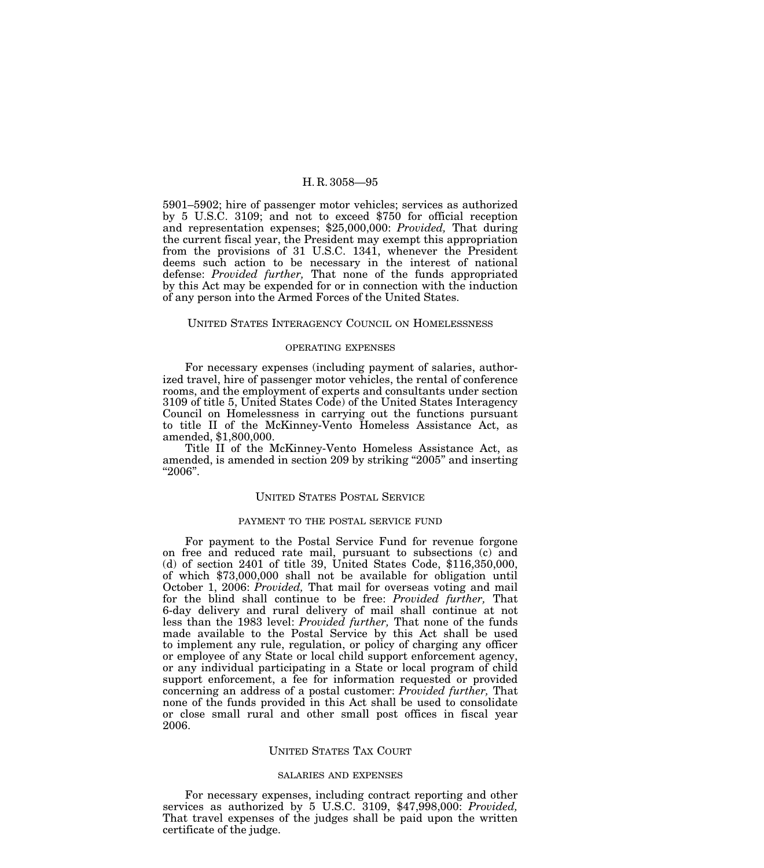5901–5902; hire of passenger motor vehicles; services as authorized by 5 U.S.C. 3109; and not to exceed \$750 for official reception and representation expenses; \$25,000,000: *Provided,* That during the current fiscal year, the President may exempt this appropriation from the provisions of 31 U.S.C. 1341, whenever the President deems such action to be necessary in the interest of national defense: *Provided further,* That none of the funds appropriated by this Act may be expended for or in connection with the induction of any person into the Armed Forces of the United States.

## UNITED STATES INTERAGENCY COUNCIL ON HOMELESSNESS

# OPERATING EXPENSES

For necessary expenses (including payment of salaries, authorized travel, hire of passenger motor vehicles, the rental of conference rooms, and the employment of experts and consultants under section 3109 of title 5, United States Code) of the United States Interagency Council on Homelessness in carrying out the functions pursuant to title II of the McKinney-Vento Homeless Assistance Act, as amended, \$1,800,000.

Title II of the McKinney-Vento Homeless Assistance Act, as amended, is amended in section 209 by striking ''2005'' and inserting ''2006''.

## UNITED STATES POSTAL SERVICE

### PAYMENT TO THE POSTAL SERVICE FUND

For payment to the Postal Service Fund for revenue forgone on free and reduced rate mail, pursuant to subsections (c) and (d) of section 2401 of title 39, United States Code, \$116,350,000, of which \$73,000,000 shall not be available for obligation until October 1, 2006: *Provided,* That mail for overseas voting and mail for the blind shall continue to be free: *Provided further,* That 6-day delivery and rural delivery of mail shall continue at not less than the 1983 level: *Provided further,* That none of the funds made available to the Postal Service by this Act shall be used to implement any rule, regulation, or policy of charging any officer or employee of any State or local child support enforcement agency, or any individual participating in a State or local program of child support enforcement, a fee for information requested or provided concerning an address of a postal customer: *Provided further,* That none of the funds provided in this Act shall be used to consolidate or close small rural and other small post offices in fiscal year 2006.

## UNITED STATES TAX COURT

#### SALARIES AND EXPENSES

For necessary expenses, including contract reporting and other services as authorized by 5 U.S.C. 3109, \$47,998,000: *Provided,* That travel expenses of the judges shall be paid upon the written certificate of the judge.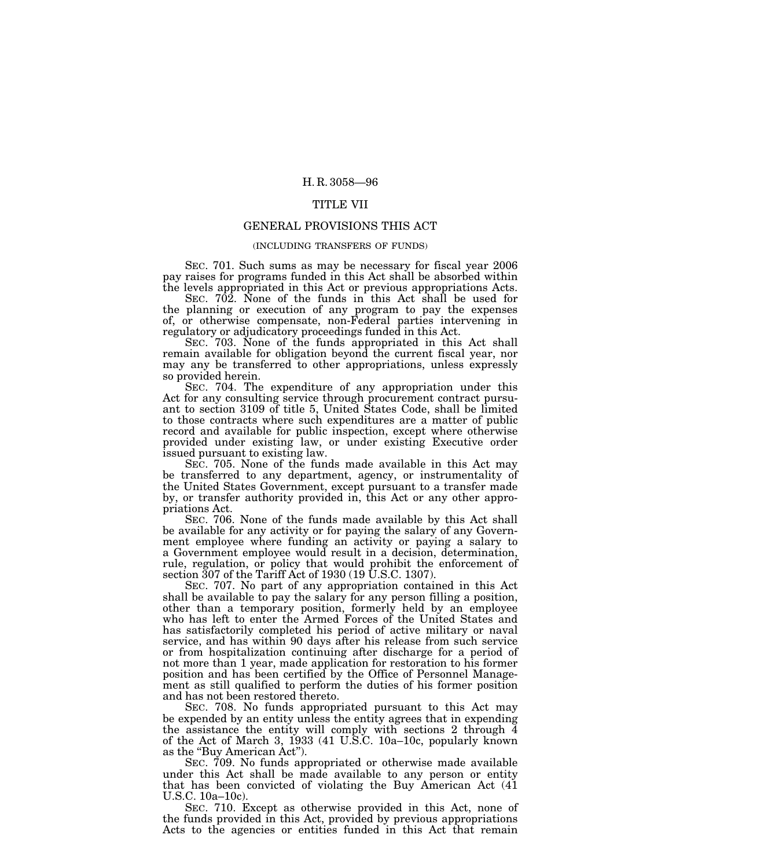# TITLE VII

## GENERAL PROVISIONS THIS ACT

# (INCLUDING TRANSFERS OF FUNDS)

SEC. 701. Such sums as may be necessary for fiscal year 2006 pay raises for programs funded in this Act shall be absorbed within the levels appropriated in this Act or previous appropriations Acts.

SEC. 702. None of the funds in this Act shall be used for the planning or execution of any program to pay the expenses of, or otherwise compensate, non-Federal parties intervening in regulatory or adjudicatory proceedings funded in this Act.

SEC. 703. None of the funds appropriated in this Act shall remain available for obligation beyond the current fiscal year, nor may any be transferred to other appropriations, unless expressly so provided herein.

SEC. 704. The expenditure of any appropriation under this Act for any consulting service through procurement contract pursuant to section 3109 of title 5, United States Code, shall be limited to those contracts where such expenditures are a matter of public record and available for public inspection, except where otherwise provided under existing law, or under existing Executive order issued pursuant to existing law.

SEC. 705. None of the funds made available in this Act may be transferred to any department, agency, or instrumentality of the United States Government, except pursuant to a transfer made by, or transfer authority provided in, this Act or any other appropriations Act.

SEC. 706. None of the funds made available by this Act shall be available for any activity or for paying the salary of any Government employee where funding an activity or paying a salary to a Government employee would result in a decision, determination, rule, regulation, or policy that would prohibit the enforcement of section 307 of the Tariff Act of 1930 (19 U.S.C. 1307).

SEC. 707. No part of any appropriation contained in this Act shall be available to pay the salary for any person filling a position, other than a temporary position, formerly held by an employee who has left to enter the Armed Forces of the United States and has satisfactorily completed his period of active military or naval service, and has within 90 days after his release from such service or from hospitalization continuing after discharge for a period of not more than 1 year, made application for restoration to his former position and has been certified by the Office of Personnel Management as still qualified to perform the duties of his former position and has not been restored thereto.

SEC. 708. No funds appropriated pursuant to this Act may be expended by an entity unless the entity agrees that in expending the assistance the entity will comply with sections 2 through 4 of the Act of March 3, 1933 (41 U.S.C. 10a–10c, popularly known as the "Buy American Act").

SEC. 709. No funds appropriated or otherwise made available under this Act shall be made available to any person or entity that has been convicted of violating the Buy American Act (41 U.S.C. 10a–10c).

SEC. 710. Except as otherwise provided in this Act, none of the funds provided in this Act, provided by previous appropriations Acts to the agencies or entities funded in this Act that remain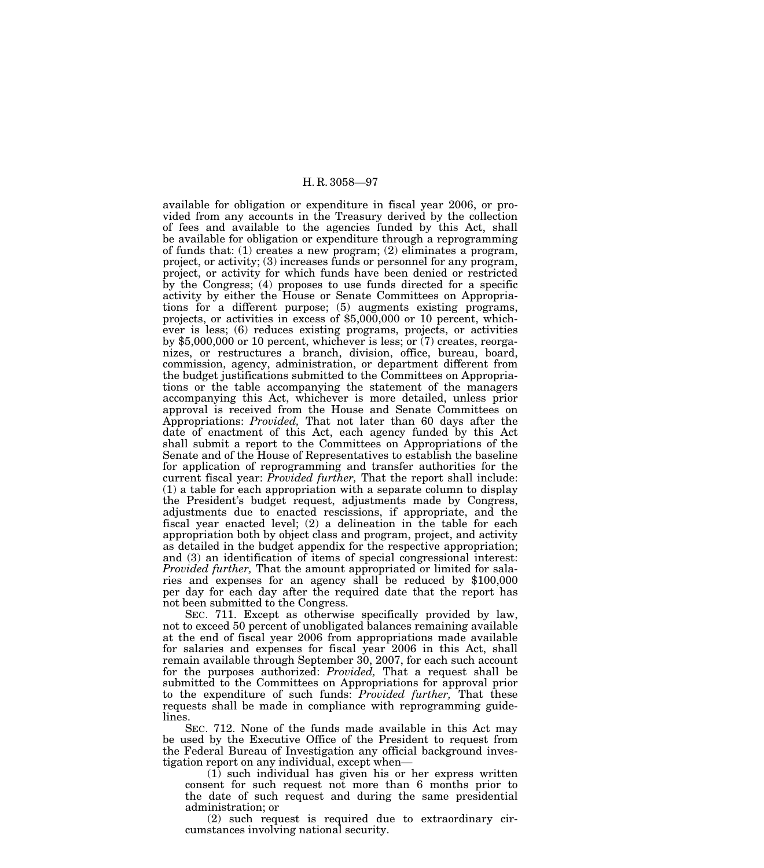available for obligation or expenditure in fiscal year 2006, or provided from any accounts in the Treasury derived by the collection of fees and available to the agencies funded by this Act, shall be available for obligation or expenditure through a reprogramming of funds that: (1) creates a new program; (2) eliminates a program, project, or activity; (3) increases funds or personnel for any program, project, or activity for which funds have been denied or restricted by the Congress; (4) proposes to use funds directed for a specific activity by either the House or Senate Committees on Appropriations for a different purpose; (5) augments existing programs, projects, or activities in excess of \$5,000,000 or 10 percent, whichever is less; (6) reduces existing programs, projects, or activities by \$5,000,000 or 10 percent, whichever is less; or (7) creates, reorganizes, or restructures a branch, division, office, bureau, board, commission, agency, administration, or department different from the budget justifications submitted to the Committees on Appropriations or the table accompanying the statement of the managers accompanying this Act, whichever is more detailed, unless prior approval is received from the House and Senate Committees on Appropriations: *Provided,* That not later than 60 days after the date of enactment of this Act, each agency funded by this Act shall submit a report to the Committees on Appropriations of the Senate and of the House of Representatives to establish the baseline for application of reprogramming and transfer authorities for the current fiscal year: *Provided further,* That the report shall include: (1) a table for each appropriation with a separate column to display the President's budget request, adjustments made by Congress, adjustments due to enacted rescissions, if appropriate, and the fiscal year enacted level; (2) a delineation in the table for each appropriation both by object class and program, project, and activity as detailed in the budget appendix for the respective appropriation; and (3) an identification of items of special congressional interest: *Provided further,* That the amount appropriated or limited for salaries and expenses for an agency shall be reduced by \$100,000 per day for each day after the required date that the report has not been submitted to the Congress.

SEC. 711. Except as otherwise specifically provided by law, not to exceed 50 percent of unobligated balances remaining available at the end of fiscal year 2006 from appropriations made available for salaries and expenses for fiscal year 2006 in this Act, shall remain available through September 30, 2007, for each such account for the purposes authorized: *Provided,* That a request shall be submitted to the Committees on Appropriations for approval prior to the expenditure of such funds: *Provided further,* That these requests shall be made in compliance with reprogramming guidelines.

SEC. 712. None of the funds made available in this Act may be used by the Executive Office of the President to request from the Federal Bureau of Investigation any official background investigation report on any individual, except when—

(1) such individual has given his or her express written consent for such request not more than 6 months prior to the date of such request and during the same presidential administration; or

(2) such request is required due to extraordinary circumstances involving national security.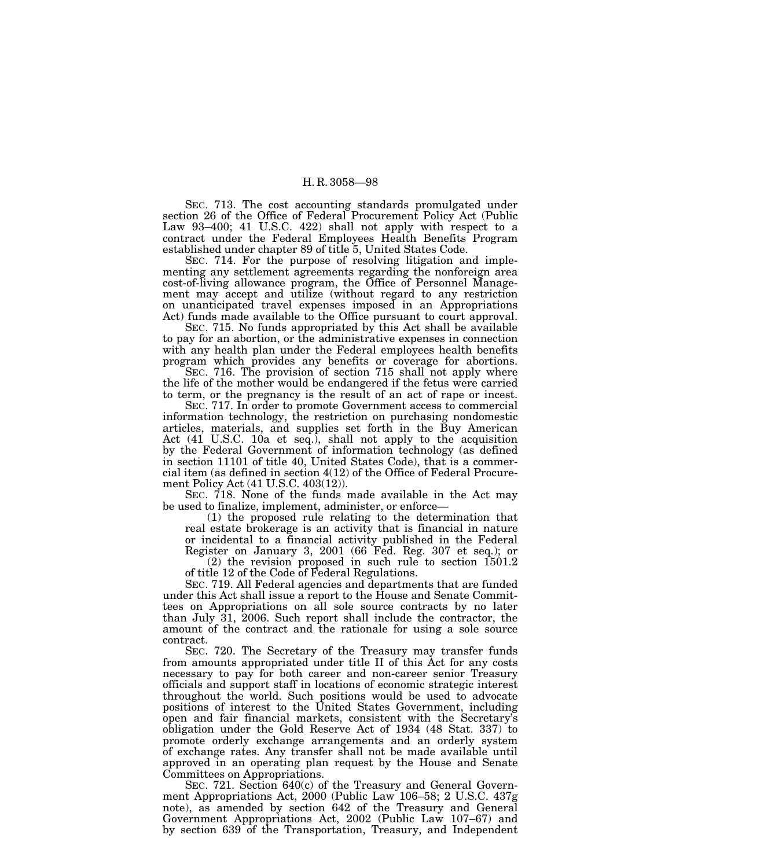SEC. 713. The cost accounting standards promulgated under section 26 of the Office of Federal Procurement Policy Act (Public Law 93–400; 41 U.S.C. 422) shall not apply with respect to a contract under the Federal Employees Health Benefits Program established under chapter 89 of title 5, United States Code.

SEC. 714. For the purpose of resolving litigation and implementing any settlement agreements regarding the nonforeign area cost-of-living allowance program, the Office of Personnel Management may accept and utilize (without regard to any restriction on unanticipated travel expenses imposed in an Appropriations Act) funds made available to the Office pursuant to court approval.

SEC. 715. No funds appropriated by this Act shall be available to pay for an abortion, or the administrative expenses in connection with any health plan under the Federal employees health benefits program which provides any benefits or coverage for abortions.

SEC. 716. The provision of section 715 shall not apply where the life of the mother would be endangered if the fetus were carried to term, or the pregnancy is the result of an act of rape or incest.

SEC. 717. In order to promote Government access to commercial information technology, the restriction on purchasing nondomestic articles, materials, and supplies set forth in the Buy American Act (41 U.S.C. 10a et seq.), shall not apply to the acquisition by the Federal Government of information technology (as defined in section 11101 of title 40, United States Code), that is a commercial item (as defined in section 4(12) of the Office of Federal Procurement Policy Act (41 U.S.C. 403(12)).

SEC. 718. None of the funds made available in the Act may be used to finalize, implement, administer, or enforce—

(1) the proposed rule relating to the determination that real estate brokerage is an activity that is financial in nature or incidental to a financial activity published in the Federal Register on January 3, 2001 (66 Fed. Reg. 307 et seq.); or

(2) the revision proposed in such rule to section  $1501.2$ of title 12 of the Code of Federal Regulations.

SEC. 719. All Federal agencies and departments that are funded under this Act shall issue a report to the House and Senate Committees on Appropriations on all sole source contracts by no later than July 31, 2006. Such report shall include the contractor, the amount of the contract and the rationale for using a sole source contract.

SEC. 720. The Secretary of the Treasury may transfer funds from amounts appropriated under title II of this Act for any costs necessary to pay for both career and non-career senior Treasury officials and support staff in locations of economic strategic interest throughout the world. Such positions would be used to advocate positions of interest to the United States Government, including open and fair financial markets, consistent with the Secretary's obligation under the Gold Reserve Act of 1934 (48 Stat. 337) to promote orderly exchange arrangements and an orderly system of exchange rates. Any transfer shall not be made available until approved in an operating plan request by the House and Senate Committees on Appropriations.

SEC. 721. Section 640(c) of the Treasury and General Government Appropriations Act, 2000 (Public Law 106–58; 2 U.S.C. 437g note), as amended by section 642 of the Treasury and General Government Appropriations Act, 2002 (Public Law 107–67) and by section 639 of the Transportation, Treasury, and Independent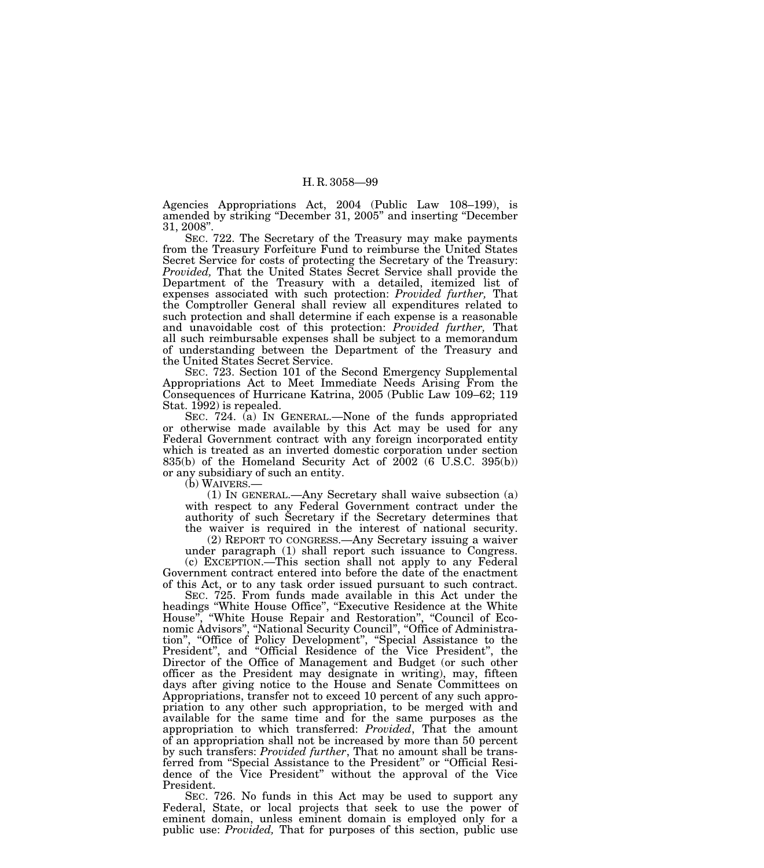Agencies Appropriations Act, 2004 (Public Law 108–199), is amended by striking ''December 31, 2005'' and inserting ''December 31, 2008''.

SEC. 722. The Secretary of the Treasury may make payments from the Treasury Forfeiture Fund to reimburse the United States Secret Service for costs of protecting the Secretary of the Treasury: *Provided,* That the United States Secret Service shall provide the Department of the Treasury with a detailed, itemized list of expenses associated with such protection: *Provided further,* That the Comptroller General shall review all expenditures related to such protection and shall determine if each expense is a reasonable and unavoidable cost of this protection: *Provided further,* That all such reimbursable expenses shall be subject to a memorandum of understanding between the Department of the Treasury and the United States Secret Service.

SEC. 723. Section 101 of the Second Emergency Supplemental Appropriations Act to Meet Immediate Needs Arising From the Consequences of Hurricane Katrina, 2005 (Public Law 109–62; 119 Stat. 1992) is repealed.

SEC. 724. (a) IN GENERAL.—None of the funds appropriated or otherwise made available by this Act may be used for any Federal Government contract with any foreign incorporated entity which is treated as an inverted domestic corporation under section 835(b) of the Homeland Security Act of 2002 (6 U.S.C. 395(b)) or any subsidiary of such an entity.<br>(b) WAIVERS.—

 $(1)$  In GENERAL.—Any Secretary shall waive subsection  $(a)$ with respect to any Federal Government contract under the authority of such Secretary if the Secretary determines that the waiver is required in the interest of national security.

(2) REPORT TO CONGRESS.—Any Secretary issuing a waiver under paragraph (1) shall report such issuance to Congress. (c) EXCEPTION.—This section shall not apply to any Federal Government contract entered into before the date of the enactment of this Act, or to any task order issued pursuant to such contract.

SEC. 725. From funds made available in this Act under the headings ''White House Office'', ''Executive Residence at the White House'', ''White House Repair and Restoration'', ''Council of Economic Advisors'', ''National Security Council'', ''Office of Administration'', ''Office of Policy Development'', ''Special Assistance to the President", and "Official Residence of the Vice President", the Director of the Office of Management and Budget (or such other officer as the President may designate in writing), may, fifteen days after giving notice to the House and Senate Committees on Appropriations, transfer not to exceed 10 percent of any such appropriation to any other such appropriation, to be merged with and available for the same time and for the same purposes as the appropriation to which transferred: *Provided*, That the amount of an appropriation shall not be increased by more than 50 percent by such transfers: *Provided further*, That no amount shall be transferred from ''Special Assistance to the President'' or ''Official Residence of the Vice President'' without the approval of the Vice President.

SEC. 726. No funds in this Act may be used to support any Federal, State, or local projects that seek to use the power of eminent domain, unless eminent domain is employed only for a public use: *Provided,* That for purposes of this section, public use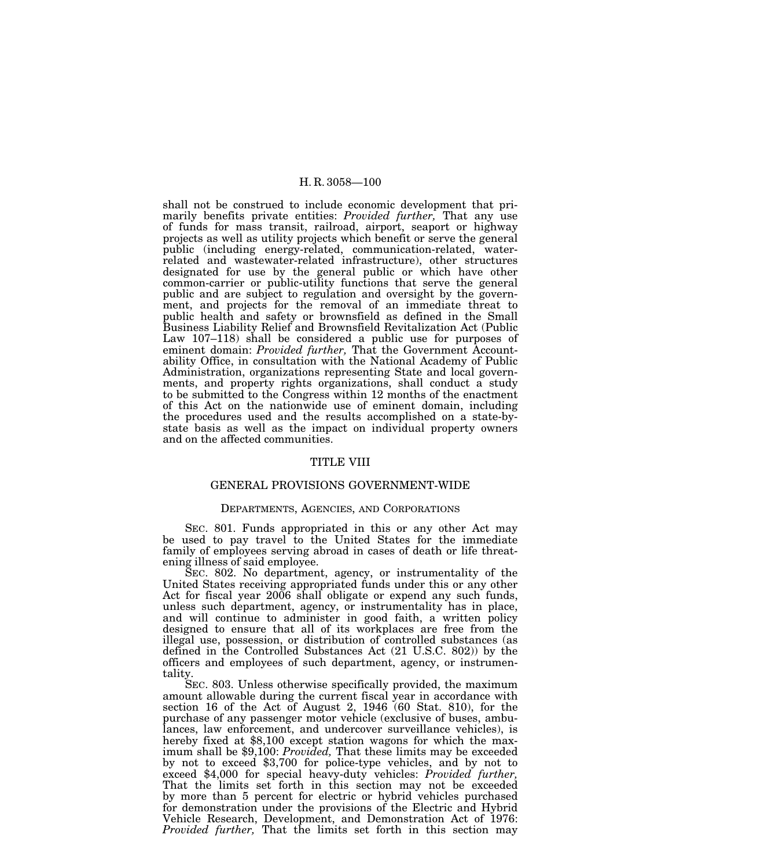shall not be construed to include economic development that primarily benefits private entities: *Provided further,* That any use of funds for mass transit, railroad, airport, seaport or highway projects as well as utility projects which benefit or serve the general public (including energy-related, communication-related, waterrelated and wastewater-related infrastructure), other structures designated for use by the general public or which have other common-carrier or public-utility functions that serve the general public and are subject to regulation and oversight by the government, and projects for the removal of an immediate threat to public health and safety or brownsfield as defined in the Small Business Liability Relief and Brownsfield Revitalization Act (Public Law 107–118) shall be considered a public use for purposes of eminent domain: *Provided further,* That the Government Accountability Office, in consultation with the National Academy of Public Administration, organizations representing State and local governments, and property rights organizations, shall conduct a study to be submitted to the Congress within 12 months of the enactment of this Act on the nationwide use of eminent domain, including the procedures used and the results accomplished on a state-bystate basis as well as the impact on individual property owners and on the affected communities.

## TITLE VIII

# GENERAL PROVISIONS GOVERNMENT-WIDE

## DEPARTMENTS, AGENCIES, AND CORPORATIONS

SEC. 801. Funds appropriated in this or any other Act may be used to pay travel to the United States for the immediate family of employees serving abroad in cases of death or life threatening illness of said employee.

SEC. 802. No department, agency, or instrumentality of the United States receiving appropriated funds under this or any other Act for fiscal year 2006 shall obligate or expend any such funds, unless such department, agency, or instrumentality has in place, and will continue to administer in good faith, a written policy designed to ensure that all of its workplaces are free from the illegal use, possession, or distribution of controlled substances (as defined in the Controlled Substances Act (21 U.S.C. 802)) by the officers and employees of such department, agency, or instrumentality.

SEC. 803. Unless otherwise specifically provided, the maximum amount allowable during the current fiscal year in accordance with section 16 of the Act of August 2, 1946 (60 Stat. 810), for the purchase of any passenger motor vehicle (exclusive of buses, ambulances, law enforcement, and undercover surveillance vehicles), is hereby fixed at \$8,100 except station wagons for which the maximum shall be \$9,100: *Provided,* That these limits may be exceeded by not to exceed \$3,700 for police-type vehicles, and by not to exceed \$4,000 for special heavy-duty vehicles: *Provided further,* That the limits set forth in this section may not be exceeded by more than 5 percent for electric or hybrid vehicles purchased for demonstration under the provisions of the Electric and Hybrid Vehicle Research, Development, and Demonstration Act of 1976: *Provided further,* That the limits set forth in this section may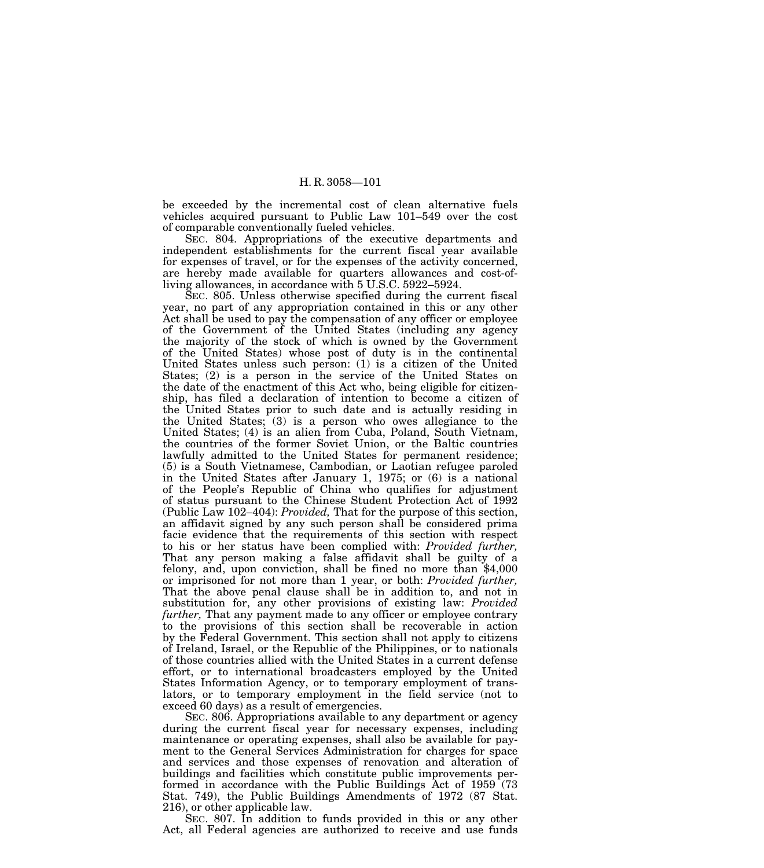be exceeded by the incremental cost of clean alternative fuels vehicles acquired pursuant to Public Law 101–549 over the cost of comparable conventionally fueled vehicles.

SEC. 804. Appropriations of the executive departments and independent establishments for the current fiscal year available for expenses of travel, or for the expenses of the activity concerned, are hereby made available for quarters allowances and cost-ofliving allowances, in accordance with 5 U.S.C. 5922–5924.

SEC. 805. Unless otherwise specified during the current fiscal year, no part of any appropriation contained in this or any other Act shall be used to pay the compensation of any officer or employee of the Government of the United States (including any agency the majority of the stock of which is owned by the Government of the United States) whose post of duty is in the continental United States unless such person: (1) is a citizen of the United States; (2) is a person in the service of the United States on the date of the enactment of this Act who, being eligible for citizenship, has filed a declaration of intention to become a citizen of the United States prior to such date and is actually residing in the United States; (3) is a person who owes allegiance to the United States; (4) is an alien from Cuba, Poland, South Vietnam, the countries of the former Soviet Union, or the Baltic countries lawfully admitted to the United States for permanent residence; (5) is a South Vietnamese, Cambodian, or Laotian refugee paroled in the United States after January 1, 1975; or (6) is a national of the People's Republic of China who qualifies for adjustment of status pursuant to the Chinese Student Protection Act of 1992 (Public Law 102–404): *Provided,* That for the purpose of this section, an affidavit signed by any such person shall be considered prima facie evidence that the requirements of this section with respect to his or her status have been complied with: *Provided further,* That any person making a false affidavit shall be guilty of a felony, and, upon conviction, shall be fined no more than \$4,000 or imprisoned for not more than 1 year, or both: *Provided further,* That the above penal clause shall be in addition to, and not in substitution for, any other provisions of existing law: *Provided further,* That any payment made to any officer or employee contrary to the provisions of this section shall be recoverable in action by the Federal Government. This section shall not apply to citizens of Ireland, Israel, or the Republic of the Philippines, or to nationals of those countries allied with the United States in a current defense effort, or to international broadcasters employed by the United States Information Agency, or to temporary employment of translators, or to temporary employment in the field service (not to exceed 60 days) as a result of emergencies.

SEC. 806. Appropriations available to any department or agency during the current fiscal year for necessary expenses, including maintenance or operating expenses, shall also be available for payment to the General Services Administration for charges for space and services and those expenses of renovation and alteration of buildings and facilities which constitute public improvements performed in accordance with the Public Buildings Act of 1959 (73 Stat. 749), the Public Buildings Amendments of 1972 (87 Stat. 216), or other applicable law.

SEC. 807. In addition to funds provided in this or any other Act, all Federal agencies are authorized to receive and use funds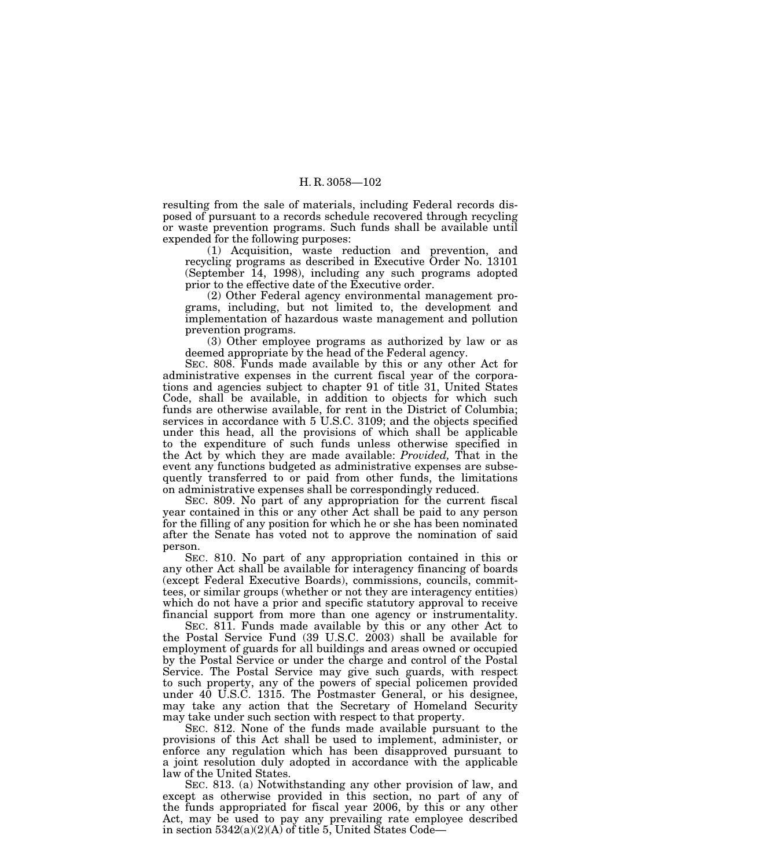resulting from the sale of materials, including Federal records disposed of pursuant to a records schedule recovered through recycling or waste prevention programs. Such funds shall be available until expended for the following purposes:

(1) Acquisition, waste reduction and prevention, and recycling programs as described in Executive Order No. 13101 (September 14, 1998), including any such programs adopted prior to the effective date of the Executive order.

(2) Other Federal agency environmental management programs, including, but not limited to, the development and implementation of hazardous waste management and pollution prevention programs.

(3) Other employee programs as authorized by law or as deemed appropriate by the head of the Federal agency.

SEC. 808. Funds made available by this or any other Act for administrative expenses in the current fiscal year of the corporations and agencies subject to chapter 91 of title 31, United States Code, shall be available, in addition to objects for which such funds are otherwise available, for rent in the District of Columbia; services in accordance with 5 U.S.C. 3109; and the objects specified under this head, all the provisions of which shall be applicable to the expenditure of such funds unless otherwise specified in the Act by which they are made available: *Provided,* That in the event any functions budgeted as administrative expenses are subsequently transferred to or paid from other funds, the limitations on administrative expenses shall be correspondingly reduced.

SEC. 809. No part of any appropriation for the current fiscal year contained in this or any other Act shall be paid to any person for the filling of any position for which he or she has been nominated after the Senate has voted not to approve the nomination of said person.

SEC. 810. No part of any appropriation contained in this or any other Act shall be available for interagency financing of boards (except Federal Executive Boards), commissions, councils, committees, or similar groups (whether or not they are interagency entities) which do not have a prior and specific statutory approval to receive financial support from more than one agency or instrumentality.

SEC. 811. Funds made available by this or any other Act to the Postal Service Fund (39 U.S.C. 2003) shall be available for employment of guards for all buildings and areas owned or occupied by the Postal Service or under the charge and control of the Postal Service. The Postal Service may give such guards, with respect to such property, any of the powers of special policemen provided under 40 U.S.C. 1315. The Postmaster General, or his designee, may take any action that the Secretary of Homeland Security may take under such section with respect to that property.

SEC. 812. None of the funds made available pursuant to the provisions of this Act shall be used to implement, administer, or enforce any regulation which has been disapproved pursuant to a joint resolution duly adopted in accordance with the applicable law of the United States.

SEC. 813. (a) Notwithstanding any other provision of law, and except as otherwise provided in this section, no part of any of the funds appropriated for fiscal year 2006, by this or any other Act, may be used to pay any prevailing rate employee described in section  $5342(a)(2)(A)$  of title 5, United States Code—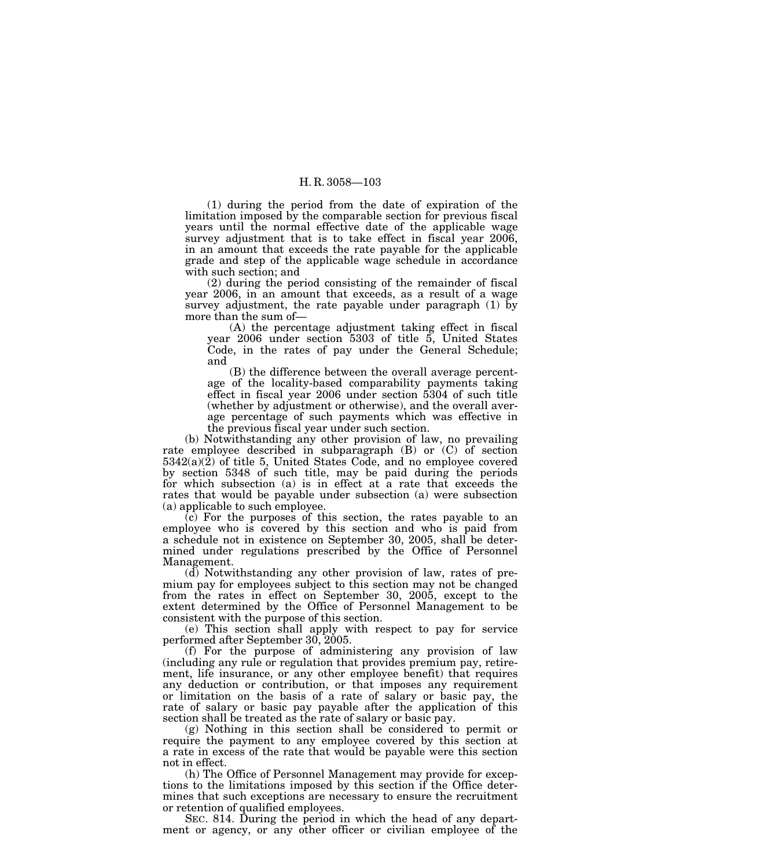(1) during the period from the date of expiration of the limitation imposed by the comparable section for previous fiscal years until the normal effective date of the applicable wage survey adjustment that is to take effect in fiscal year 2006, in an amount that exceeds the rate payable for the applicable grade and step of the applicable wage schedule in accordance with such section; and

(2) during the period consisting of the remainder of fiscal year 2006, in an amount that exceeds, as a result of a wage survey adjustment, the rate payable under paragraph (1) by more than the sum of—

(A) the percentage adjustment taking effect in fiscal year 2006 under section 5303 of title 5, United States Code, in the rates of pay under the General Schedule; and

(B) the difference between the overall average percentage of the locality-based comparability payments taking effect in fiscal year 2006 under section 5304 of such title (whether by adjustment or otherwise), and the overall average percentage of such payments which was effective in the previous fiscal year under such section.

(b) Notwithstanding any other provision of law, no prevailing rate employee described in subparagraph (B) or (C) of section  $5342(a)(2)$  of title 5, United States Code, and no employee covered by section 5348 of such title, may be paid during the periods for which subsection (a) is in effect at a rate that exceeds the rates that would be payable under subsection (a) were subsection (a) applicable to such employee.

(c) For the purposes of this section, the rates payable to an employee who is covered by this section and who is paid from a schedule not in existence on September 30, 2005, shall be determined under regulations prescribed by the Office of Personnel Management.

(d) Notwithstanding any other provision of law, rates of premium pay for employees subject to this section may not be changed from the rates in effect on September 30, 2005, except to the extent determined by the Office of Personnel Management to be consistent with the purpose of this section.

(e) This section shall apply with respect to pay for service performed after September 30, 2005.

(f) For the purpose of administering any provision of law (including any rule or regulation that provides premium pay, retirement, life insurance, or any other employee benefit) that requires any deduction or contribution, or that imposes any requirement or limitation on the basis of a rate of salary or basic pay, the rate of salary or basic pay payable after the application of this section shall be treated as the rate of salary or basic pay.

(g) Nothing in this section shall be considered to permit or require the payment to any employee covered by this section at a rate in excess of the rate that would be payable were this section not in effect.

(h) The Office of Personnel Management may provide for exceptions to the limitations imposed by this section if the Office determines that such exceptions are necessary to ensure the recruitment or retention of qualified employees.

SEC. 814. During the period in which the head of any department or agency, or any other officer or civilian employee of the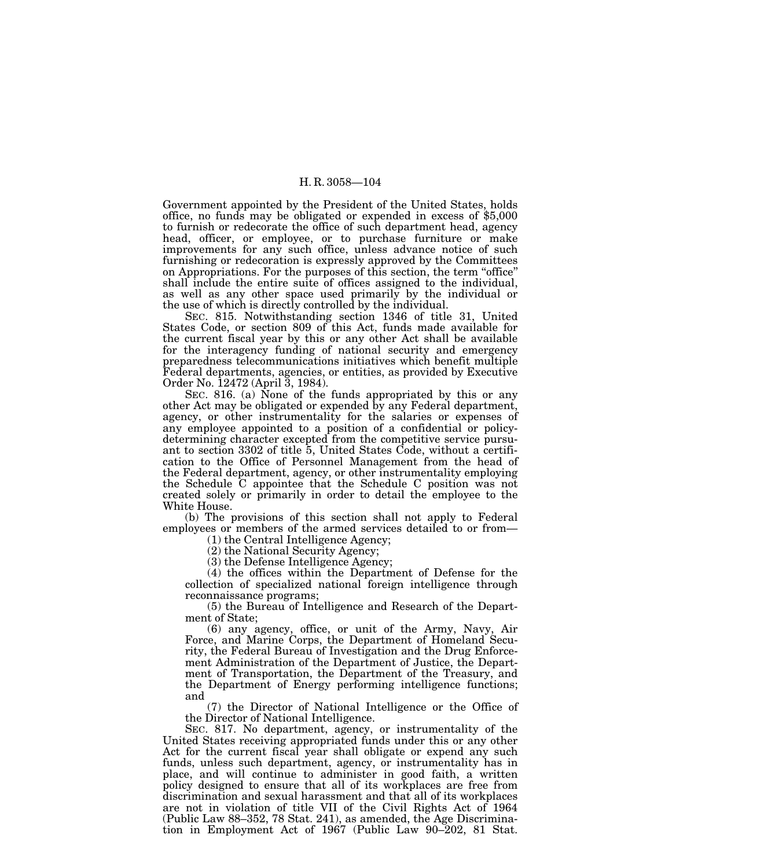Government appointed by the President of the United States, holds office, no funds may be obligated or expended in excess of \$5,000 to furnish or redecorate the office of such department head, agency head, officer, or employee, or to purchase furniture or make improvements for any such office, unless advance notice of such furnishing or redecoration is expressly approved by the Committees on Appropriations. For the purposes of this section, the term ''office'' shall include the entire suite of offices assigned to the individual, as well as any other space used primarily by the individual or the use of which is directly controlled by the individual.

SEC. 815. Notwithstanding section 1346 of title 31, United States Code, or section 809 of this Act, funds made available for the current fiscal year by this or any other Act shall be available for the interagency funding of national security and emergency preparedness telecommunications initiatives which benefit multiple Federal departments, agencies, or entities, as provided by Executive Order No. 12472 (April 3, 1984).

SEC. 816. (a) None of the funds appropriated by this or any other Act may be obligated or expended by any Federal department, agency, or other instrumentality for the salaries or expenses of any employee appointed to a position of a confidential or policydetermining character excepted from the competitive service pursuant to section 3302 of title 5, United States Code, without a certification to the Office of Personnel Management from the head of the Federal department, agency, or other instrumentality employing the Schedule C appointee that the Schedule C position was not created solely or primarily in order to detail the employee to the White House.

(b) The provisions of this section shall not apply to Federal employees or members of the armed services detailed to or from—

(1) the Central Intelligence Agency;

(2) the National Security Agency;

(3) the Defense Intelligence Agency;

(4) the offices within the Department of Defense for the collection of specialized national foreign intelligence through reconnaissance programs;

(5) the Bureau of Intelligence and Research of the Department of State;

(6) any agency, office, or unit of the Army, Navy, Air Force, and Marine Corps, the Department of Homeland Security, the Federal Bureau of Investigation and the Drug Enforcement Administration of the Department of Justice, the Department of Transportation, the Department of the Treasury, and the Department of Energy performing intelligence functions; and

(7) the Director of National Intelligence or the Office of the Director of National Intelligence.

SEC. 817. No department, agency, or instrumentality of the United States receiving appropriated funds under this or any other Act for the current fiscal year shall obligate or expend any such funds, unless such department, agency, or instrumentality has in place, and will continue to administer in good faith, a written policy designed to ensure that all of its workplaces are free from discrimination and sexual harassment and that all of its workplaces are not in violation of title VII of the Civil Rights Act of 1964 (Public Law 88–352, 78 Stat. 241), as amended, the Age Discrimination in Employment Act of 1967 (Public Law 90–202, 81 Stat.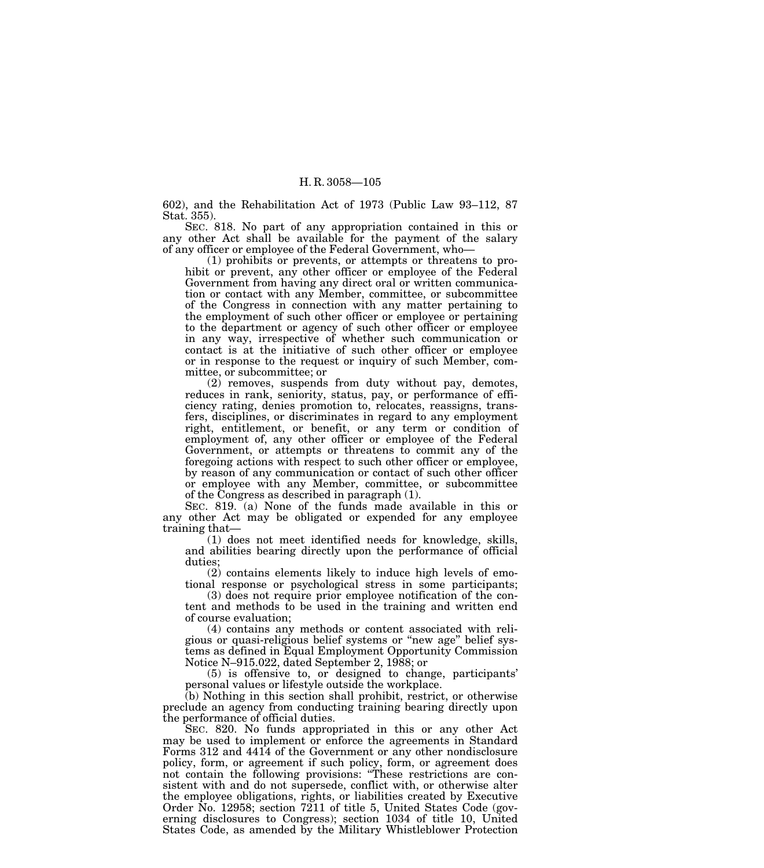602), and the Rehabilitation Act of 1973 (Public Law 93–112, 87 Stat. 355).

SEC. 818. No part of any appropriation contained in this or any other Act shall be available for the payment of the salary of any officer or employee of the Federal Government, who—

(1) prohibits or prevents, or attempts or threatens to prohibit or prevent, any other officer or employee of the Federal Government from having any direct oral or written communication or contact with any Member, committee, or subcommittee of the Congress in connection with any matter pertaining to the employment of such other officer or employee or pertaining to the department or agency of such other officer or employee in any way, irrespective of whether such communication or contact is at the initiative of such other officer or employee or in response to the request or inquiry of such Member, committee, or subcommittee; or

(2) removes, suspends from duty without pay, demotes, reduces in rank, seniority, status, pay, or performance of efficiency rating, denies promotion to, relocates, reassigns, transfers, disciplines, or discriminates in regard to any employment right, entitlement, or benefit, or any term or condition of employment of, any other officer or employee of the Federal Government, or attempts or threatens to commit any of the foregoing actions with respect to such other officer or employee, by reason of any communication or contact of such other officer or employee with any Member, committee, or subcommittee of the Congress as described in paragraph (1).

SEC. 819. (a) None of the funds made available in this or any other Act may be obligated or expended for any employee training that—

(1) does not meet identified needs for knowledge, skills, and abilities bearing directly upon the performance of official duties;

(2) contains elements likely to induce high levels of emotional response or psychological stress in some participants;

(3) does not require prior employee notification of the content and methods to be used in the training and written end of course evaluation;

(4) contains any methods or content associated with religious or quasi-religious belief systems or ''new age'' belief systems as defined in Equal Employment Opportunity Commission Notice N–915.022, dated September 2, 1988; or

(5) is offensive to, or designed to change, participants' personal values or lifestyle outside the workplace.

(b) Nothing in this section shall prohibit, restrict, or otherwise preclude an agency from conducting training bearing directly upon the performance of official duties.

SEC. 820. No funds appropriated in this or any other Act may be used to implement or enforce the agreements in Standard Forms 312 and 4414 of the Government or any other nondisclosure policy, form, or agreement if such policy, form, or agreement does not contain the following provisions: ''These restrictions are consistent with and do not supersede, conflict with, or otherwise alter the employee obligations, rights, or liabilities created by Executive Order No. 12958; section 7211 of title 5, United States Code (governing disclosures to Congress); section 1034 of title 10, United States Code, as amended by the Military Whistleblower Protection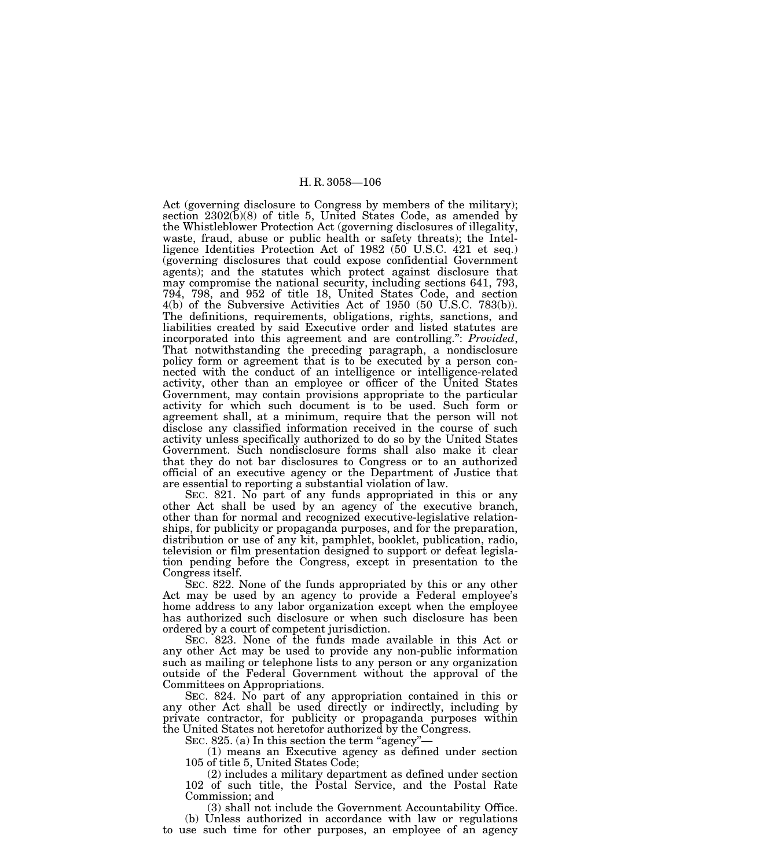Act (governing disclosure to Congress by members of the military); section  $2302(\bar{b})(8)$  of title 5, United States Code, as amended by the Whistleblower Protection Act (governing disclosures of illegality, waste, fraud, abuse or public health or safety threats); the Intelligence Identities Protection Act of 1982 (50 U.S.C. 421 et seq.) (governing disclosures that could expose confidential Government agents); and the statutes which protect against disclosure that may compromise the national security, including sections 641, 793, 794, 798, and 952 of title 18, United States Code, and section 4(b) of the Subversive Activities Act of 1950 (50 U.S.C. 783(b)). The definitions, requirements, obligations, rights, sanctions, and liabilities created by said Executive order and listed statutes are incorporated into this agreement and are controlling.'': *Provided*, That notwithstanding the preceding paragraph, a nondisclosure policy form or agreement that is to be executed by a person connected with the conduct of an intelligence or intelligence-related activity, other than an employee or officer of the United States Government, may contain provisions appropriate to the particular activity for which such document is to be used. Such form or agreement shall, at a minimum, require that the person will not disclose any classified information received in the course of such activity unless specifically authorized to do so by the United States Government. Such nondisclosure forms shall also make it clear that they do not bar disclosures to Congress or to an authorized official of an executive agency or the Department of Justice that are essential to reporting a substantial violation of law.

SEC. 821. No part of any funds appropriated in this or any other Act shall be used by an agency of the executive branch, other than for normal and recognized executive-legislative relationships, for publicity or propaganda purposes, and for the preparation, distribution or use of any kit, pamphlet, booklet, publication, radio, television or film presentation designed to support or defeat legislation pending before the Congress, except in presentation to the Congress itself.

SEC. 822. None of the funds appropriated by this or any other Act may be used by an agency to provide a Federal employee's home address to any labor organization except when the employee has authorized such disclosure or when such disclosure has been ordered by a court of competent jurisdiction.

SEC. 823. None of the funds made available in this Act or any other Act may be used to provide any non-public information such as mailing or telephone lists to any person or any organization outside of the Federal Government without the approval of the Committees on Appropriations.

SEC. 824. No part of any appropriation contained in this or any other Act shall be used directly or indirectly, including by private contractor, for publicity or propaganda purposes within the United States not heretofor authorized by the Congress.

SEC. 825. (a) In this section the term "agency"—

(1) means an Executive agency as defined under section 105 of title 5, United States Code;

(2) includes a military department as defined under section 102 of such title, the Postal Service, and the Postal Rate Commission; and

(3) shall not include the Government Accountability Office.

(b) Unless authorized in accordance with law or regulations to use such time for other purposes, an employee of an agency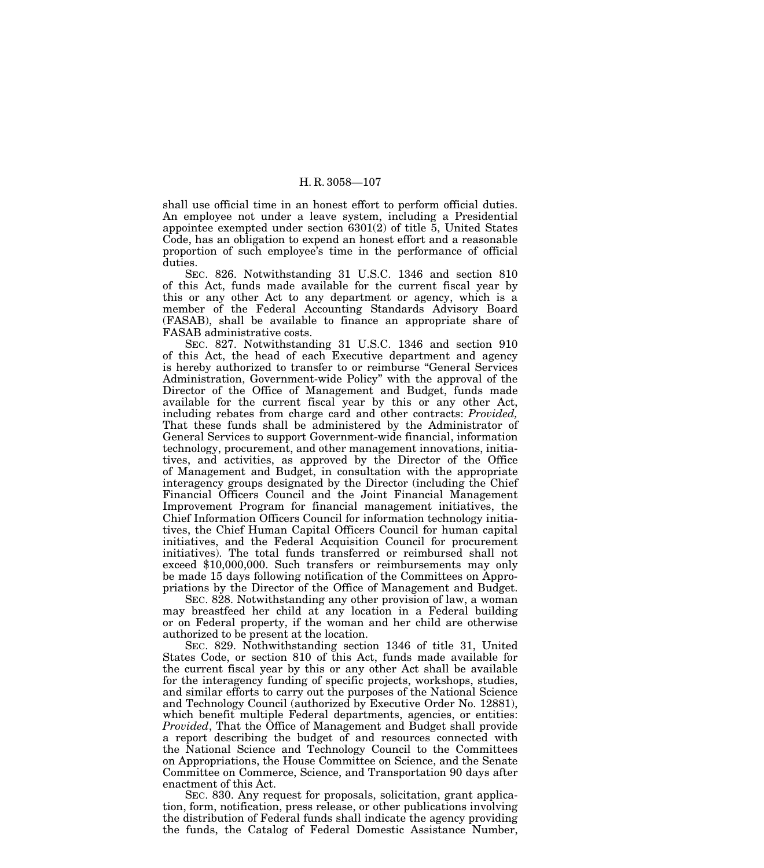shall use official time in an honest effort to perform official duties. An employee not under a leave system, including a Presidential appointee exempted under section 6301(2) of title 5, United States Code, has an obligation to expend an honest effort and a reasonable proportion of such employee's time in the performance of official duties.

SEC. 826. Notwithstanding 31 U.S.C. 1346 and section 810 of this Act, funds made available for the current fiscal year by this or any other Act to any department or agency, which is a member of the Federal Accounting Standards Advisory Board (FASAB), shall be available to finance an appropriate share of FASAB administrative costs.

SEC. 827. Notwithstanding 31 U.S.C. 1346 and section 910 of this Act, the head of each Executive department and agency is hereby authorized to transfer to or reimburse ''General Services Administration, Government-wide Policy'' with the approval of the Director of the Office of Management and Budget, funds made available for the current fiscal year by this or any other Act, including rebates from charge card and other contracts: *Provided,* That these funds shall be administered by the Administrator of General Services to support Government-wide financial, information technology, procurement, and other management innovations, initiatives, and activities, as approved by the Director of the Office of Management and Budget, in consultation with the appropriate interagency groups designated by the Director (including the Chief Financial Officers Council and the Joint Financial Management Improvement Program for financial management initiatives, the Chief Information Officers Council for information technology initiatives, the Chief Human Capital Officers Council for human capital initiatives, and the Federal Acquisition Council for procurement initiatives). The total funds transferred or reimbursed shall not exceed \$10,000,000. Such transfers or reimbursements may only be made 15 days following notification of the Committees on Appropriations by the Director of the Office of Management and Budget.

SEC. 828. Notwithstanding any other provision of law, a woman may breastfeed her child at any location in a Federal building or on Federal property, if the woman and her child are otherwise authorized to be present at the location.

SEC. 829. Nothwithstanding section 1346 of title 31, United States Code, or section 810 of this Act, funds made available for the current fiscal year by this or any other Act shall be available for the interagency funding of specific projects, workshops, studies, and similar efforts to carry out the purposes of the National Science and Technology Council (authorized by Executive Order No. 12881), which benefit multiple Federal departments, agencies, or entities: *Provided*, That the Office of Management and Budget shall provide a report describing the budget of and resources connected with the National Science and Technology Council to the Committees on Appropriations, the House Committee on Science, and the Senate Committee on Commerce, Science, and Transportation 90 days after enactment of this Act.

SEC. 830. Any request for proposals, solicitation, grant application, form, notification, press release, or other publications involving the distribution of Federal funds shall indicate the agency providing the funds, the Catalog of Federal Domestic Assistance Number,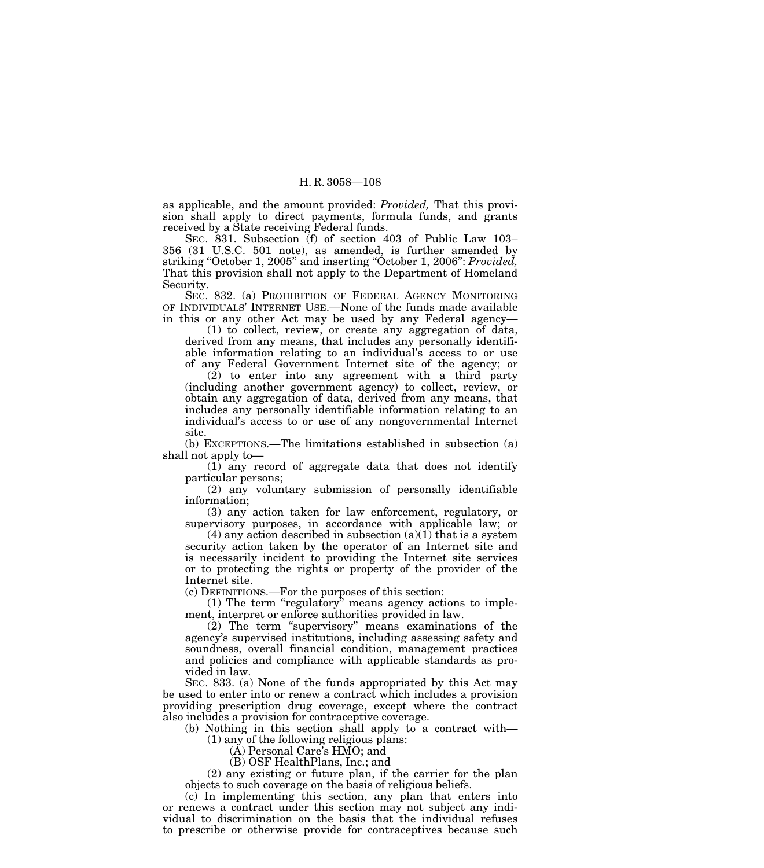as applicable, and the amount provided: *Provided,* That this provision shall apply to direct payments, formula funds, and grants received by a State receiving Federal funds.

SEC. 831. Subsection (f) of section 403 of Public Law 103– 356 (31 U.S.C. 501 note), as amended, is further amended by striking ''October 1, 2005'' and inserting ''October 1, 2006'': *Provided,* That this provision shall not apply to the Department of Homeland Security.

SEC. 832. (a) PROHIBITION OF FEDERAL AGENCY MONITORING OF INDIVIDUALS' INTERNET USE.—None of the funds made available in this or any other Act may be used by any Federal agency—

(1) to collect, review, or create any aggregation of data, derived from any means, that includes any personally identifiable information relating to an individual's access to or use of any Federal Government Internet site of the agency; or

(2) to enter into any agreement with a third party (including another government agency) to collect, review, or obtain any aggregation of data, derived from any means, that includes any personally identifiable information relating to an individual's access to or use of any nongovernmental Internet site.

(b) EXCEPTIONS.—The limitations established in subsection (a) shall not apply to—

(1) any record of aggregate data that does not identify particular persons;

(2) any voluntary submission of personally identifiable information;

(3) any action taken for law enforcement, regulatory, or supervisory purposes, in accordance with applicable law; or

(4) any action described in subsection  $(a)(1)$  that is a system security action taken by the operator of an Internet site and is necessarily incident to providing the Internet site services or to protecting the rights or property of the provider of the Internet site.

(c) DEFINITIONS.—For the purposes of this section:

 $(1)$  The term "regulatory" means agency actions to implement, interpret or enforce authorities provided in law.

(2) The term ''supervisory'' means examinations of the agency's supervised institutions, including assessing safety and soundness, overall financial condition, management practices and policies and compliance with applicable standards as provided in law.

SEC. 833. (a) None of the funds appropriated by this Act may be used to enter into or renew a contract which includes a provision providing prescription drug coverage, except where the contract also includes a provision for contraceptive coverage.

(b) Nothing in this section shall apply to a contract with—

(1) any of the following religious plans:

(A) Personal Care's HMO; and

(B) OSF HealthPlans, Inc.; and

(2) any existing or future plan, if the carrier for the plan objects to such coverage on the basis of religious beliefs.

(c) In implementing this section, any plan that enters into or renews a contract under this section may not subject any individual to discrimination on the basis that the individual refuses to prescribe or otherwise provide for contraceptives because such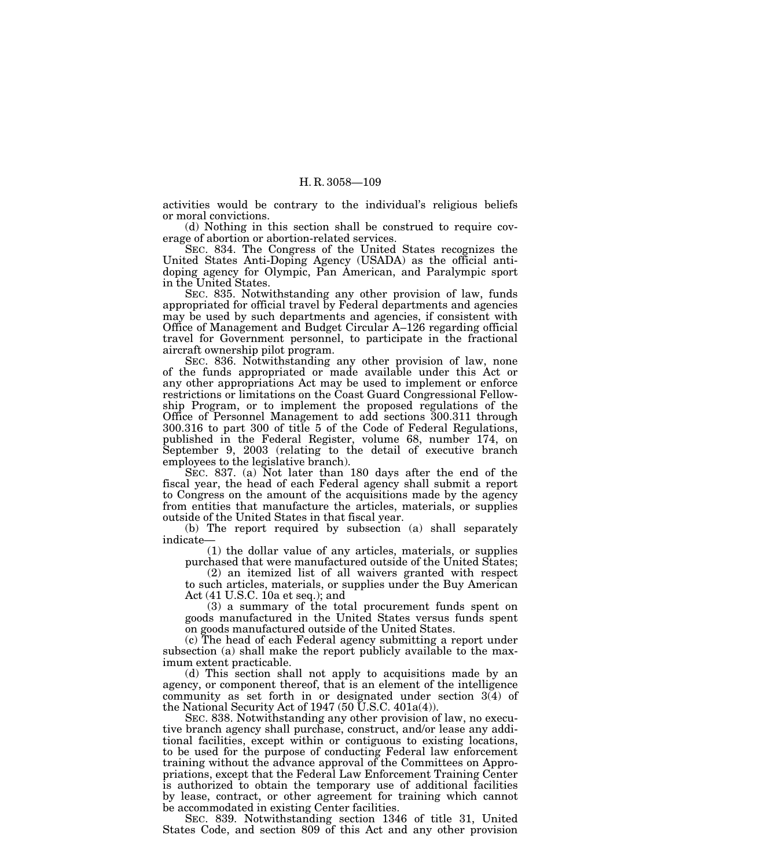activities would be contrary to the individual's religious beliefs or moral convictions.

(d) Nothing in this section shall be construed to require coverage of abortion or abortion-related services.

SEC. 834. The Congress of the United States recognizes the United States Anti-Doping Agency (USADA) as the official antidoping agency for Olympic, Pan American, and Paralympic sport in the United States.

SEC. 835. Notwithstanding any other provision of law, funds appropriated for official travel by Federal departments and agencies may be used by such departments and agencies, if consistent with Office of Management and Budget Circular A–126 regarding official travel for Government personnel, to participate in the fractional aircraft ownership pilot program.

SEC. 836. Notwithstanding any other provision of law, none of the funds appropriated or made available under this Act or any other appropriations Act may be used to implement or enforce restrictions or limitations on the Coast Guard Congressional Fellowship Program, or to implement the proposed regulations of the Office of Personnel Management to add sections 300.311 through 300.316 to part 300 of title 5 of the Code of Federal Regulations, published in the Federal Register, volume 68, number 174, on September 9, 2003 (relating to the detail of executive branch employees to the legislative branch).

SEC. 837. (a) Not later than 180 days after the end of the fiscal year, the head of each Federal agency shall submit a report to Congress on the amount of the acquisitions made by the agency from entities that manufacture the articles, materials, or supplies outside of the United States in that fiscal year.

(b) The report required by subsection (a) shall separately indicate—

(1) the dollar value of any articles, materials, or supplies purchased that were manufactured outside of the United States;

(2) an itemized list of all waivers granted with respect to such articles, materials, or supplies under the Buy American Act (41 U.S.C. 10a et seq.); and

(3) a summary of the total procurement funds spent on goods manufactured in the United States versus funds spent on goods manufactured outside of the United States.

(c) The head of each Federal agency submitting a report under subsection (a) shall make the report publicly available to the maximum extent practicable.

(d) This section shall not apply to acquisitions made by an agency, or component thereof, that is an element of the intelligence community as set forth in or designated under section 3(4) of the National Security Act of 1947 (50  $\bar{U}$ .S.C. 401a(4)).

SEC. 838. Notwithstanding any other provision of law, no executive branch agency shall purchase, construct, and/or lease any additional facilities, except within or contiguous to existing locations, to be used for the purpose of conducting Federal law enforcement training without the advance approval of the Committees on Appropriations, except that the Federal Law Enforcement Training Center is authorized to obtain the temporary use of additional facilities by lease, contract, or other agreement for training which cannot be accommodated in existing Center facilities.

SEC. 839. Notwithstanding section 1346 of title 31, United States Code, and section 809 of this Act and any other provision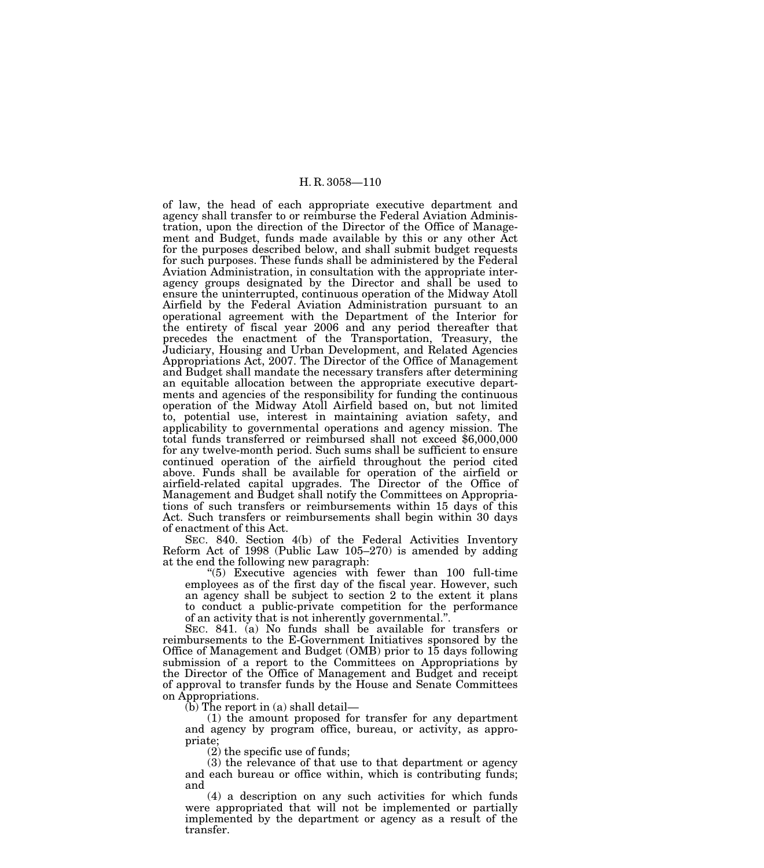of law, the head of each appropriate executive department and agency shall transfer to or reimburse the Federal Aviation Administration, upon the direction of the Director of the Office of Management and Budget, funds made available by this or any other Act for the purposes described below, and shall submit budget requests for such purposes. These funds shall be administered by the Federal Aviation Administration, in consultation with the appropriate interagency groups designated by the Director and shall be used to ensure the uninterrupted, continuous operation of the Midway Atoll Airfield by the Federal Aviation Administration pursuant to an operational agreement with the Department of the Interior for the entirety of fiscal year 2006 and any period thereafter that precedes the enactment of the Transportation, Treasury, the Judiciary, Housing and Urban Development, and Related Agencies Appropriations Act, 2007. The Director of the Office of Management and Budget shall mandate the necessary transfers after determining an equitable allocation between the appropriate executive departments and agencies of the responsibility for funding the continuous operation of the Midway Atoll Airfield based on, but not limited to, potential use, interest in maintaining aviation safety, and applicability to governmental operations and agency mission. The total funds transferred or reimbursed shall not exceed \$6,000,000 for any twelve-month period. Such sums shall be sufficient to ensure continued operation of the airfield throughout the period cited above. Funds shall be available for operation of the airfield or airfield-related capital upgrades. The Director of the Office of Management and Budget shall notify the Committees on Appropriations of such transfers or reimbursements within 15 days of this Act. Such transfers or reimbursements shall begin within 30 days of enactment of this Act.

SEC. 840. Section 4(b) of the Federal Activities Inventory Reform Act of 1998 (Public Law 105–270) is amended by adding at the end the following new paragraph:

''(5) Executive agencies with fewer than 100 full-time employees as of the first day of the fiscal year. However, such an agency shall be subject to section 2 to the extent it plans to conduct a public-private competition for the performance of an activity that is not inherently governmental.''.

SEC. 841. (a) No funds shall be available for transfers or reimbursements to the E-Government Initiatives sponsored by the Office of Management and Budget (OMB) prior to 15 days following submission of a report to the Committees on Appropriations by the Director of the Office of Management and Budget and receipt of approval to transfer funds by the House and Senate Committees on Appropriations.

(b) The report in (a) shall detail—

(1) the amount proposed for transfer for any department and agency by program office, bureau, or activity, as appropriate;

(2) the specific use of funds;

(3) the relevance of that use to that department or agency and each bureau or office within, which is contributing funds; and

(4) a description on any such activities for which funds were appropriated that will not be implemented or partially implemented by the department or agency as a result of the transfer.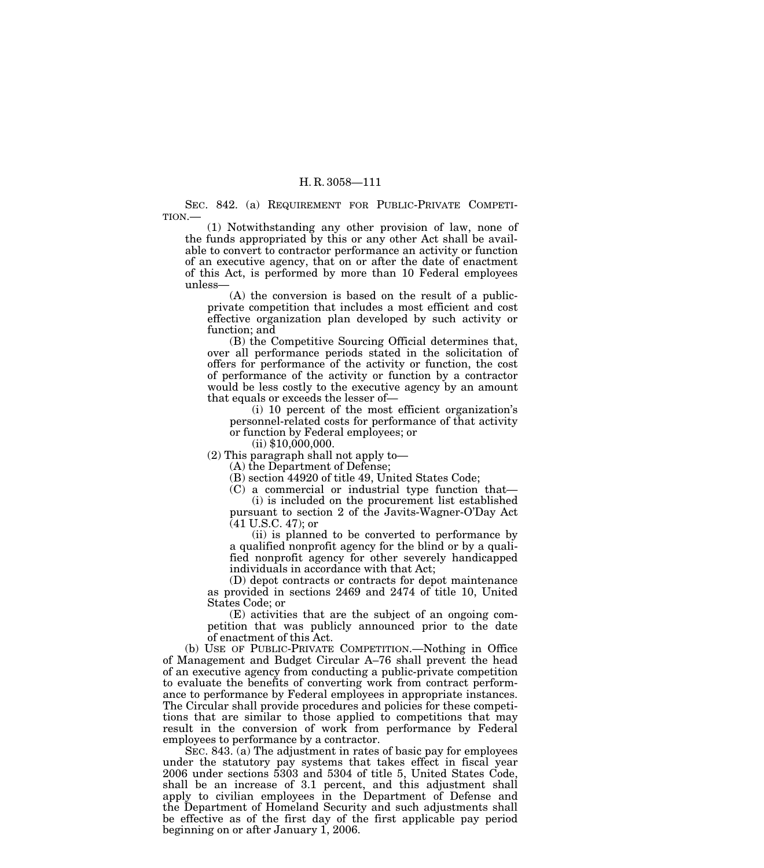SEC. 842. (a) REQUIREMENT FOR PUBLIC-PRIVATE COMPETI-TION.—

(1) Notwithstanding any other provision of law, none of the funds appropriated by this or any other Act shall be available to convert to contractor performance an activity or function of an executive agency, that on or after the date of enactment of this Act, is performed by more than 10 Federal employees unless—

(A) the conversion is based on the result of a publicprivate competition that includes a most efficient and cost effective organization plan developed by such activity or function; and

(B) the Competitive Sourcing Official determines that, over all performance periods stated in the solicitation of offers for performance of the activity or function, the cost of performance of the activity or function by a contractor would be less costly to the executive agency by an amount that equals or exceeds the lesser of—

(i) 10 percent of the most efficient organization's personnel-related costs for performance of that activity or function by Federal employees; or

 $(ii)$  \$10,000,000.

(2) This paragraph shall not apply to—

(A) the Department of Defense;

(B) section 44920 of title 49, United States Code;

(C) a commercial or industrial type function that— (i) is included on the procurement list established pursuant to section 2 of the Javits-Wagner-O'Day Act

 $(41 \text{ U.S.C. } 47)$ ; or

(ii) is planned to be converted to performance by a qualified nonprofit agency for the blind or by a qualified nonprofit agency for other severely handicapped individuals in accordance with that Act;

(D) depot contracts or contracts for depot maintenance as provided in sections 2469 and 2474 of title 10, United States Code; or

(E) activities that are the subject of an ongoing competition that was publicly announced prior to the date of enactment of this Act.

(b) USE OF PUBLIC-PRIVATE COMPETITION.—Nothing in Office of Management and Budget Circular A–76 shall prevent the head of an executive agency from conducting a public-private competition to evaluate the benefits of converting work from contract performance to performance by Federal employees in appropriate instances. The Circular shall provide procedures and policies for these competitions that are similar to those applied to competitions that may result in the conversion of work from performance by Federal employees to performance by a contractor.

SEC. 843. (a) The adjustment in rates of basic pay for employees under the statutory pay systems that takes effect in fiscal year 2006 under sections 5303 and 5304 of title 5, United States Code, shall be an increase of 3.1 percent, and this adjustment shall apply to civilian employees in the Department of Defense and the Department of Homeland Security and such adjustments shall be effective as of the first day of the first applicable pay period beginning on or after January 1, 2006.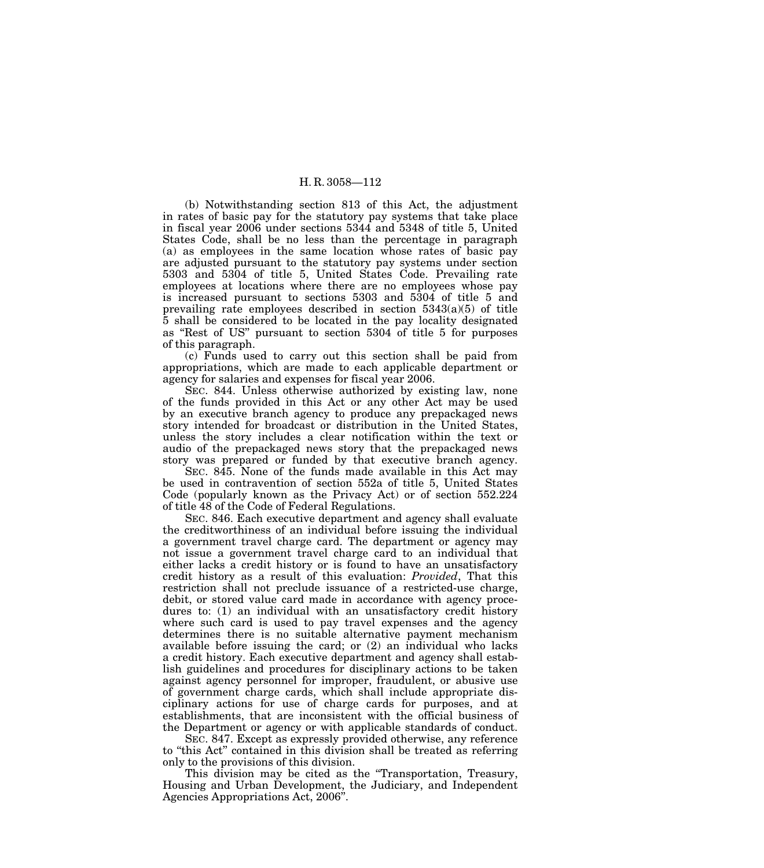(b) Notwithstanding section 813 of this Act, the adjustment in rates of basic pay for the statutory pay systems that take place in fiscal year 2006 under sections 5344 and 5348 of title 5, United States Code, shall be no less than the percentage in paragraph (a) as employees in the same location whose rates of basic pay are adjusted pursuant to the statutory pay systems under section 5303 and 5304 of title 5, United States Code. Prevailing rate employees at locations where there are no employees whose pay is increased pursuant to sections 5303 and 5304 of title 5 and prevailing rate employees described in section  $5343(a)(5)$  of title 5 shall be considered to be located in the pay locality designated as ''Rest of US'' pursuant to section 5304 of title 5 for purposes of this paragraph.

(c) Funds used to carry out this section shall be paid from appropriations, which are made to each applicable department or agency for salaries and expenses for fiscal year 2006.

SEC. 844. Unless otherwise authorized by existing law, none of the funds provided in this Act or any other Act may be used by an executive branch agency to produce any prepackaged news story intended for broadcast or distribution in the United States, unless the story includes a clear notification within the text or audio of the prepackaged news story that the prepackaged news story was prepared or funded by that executive branch agency.

SEC. 845. None of the funds made available in this Act may be used in contravention of section 552a of title 5, United States Code (popularly known as the Privacy Act) or of section 552.224 of title 48 of the Code of Federal Regulations.

SEC. 846. Each executive department and agency shall evaluate the creditworthiness of an individual before issuing the individual a government travel charge card. The department or agency may not issue a government travel charge card to an individual that either lacks a credit history or is found to have an unsatisfactory credit history as a result of this evaluation: *Provided*, That this restriction shall not preclude issuance of a restricted-use charge, debit, or stored value card made in accordance with agency procedures to: (1) an individual with an unsatisfactory credit history where such card is used to pay travel expenses and the agency determines there is no suitable alternative payment mechanism available before issuing the card; or (2) an individual who lacks a credit history. Each executive department and agency shall establish guidelines and procedures for disciplinary actions to be taken against agency personnel for improper, fraudulent, or abusive use of government charge cards, which shall include appropriate disciplinary actions for use of charge cards for purposes, and at establishments, that are inconsistent with the official business of the Department or agency or with applicable standards of conduct.

SEC. 847. Except as expressly provided otherwise, any reference to ''this Act'' contained in this division shall be treated as referring only to the provisions of this division.

This division may be cited as the "Transportation, Treasury, Housing and Urban Development, the Judiciary, and Independent Agencies Appropriations Act, 2006''.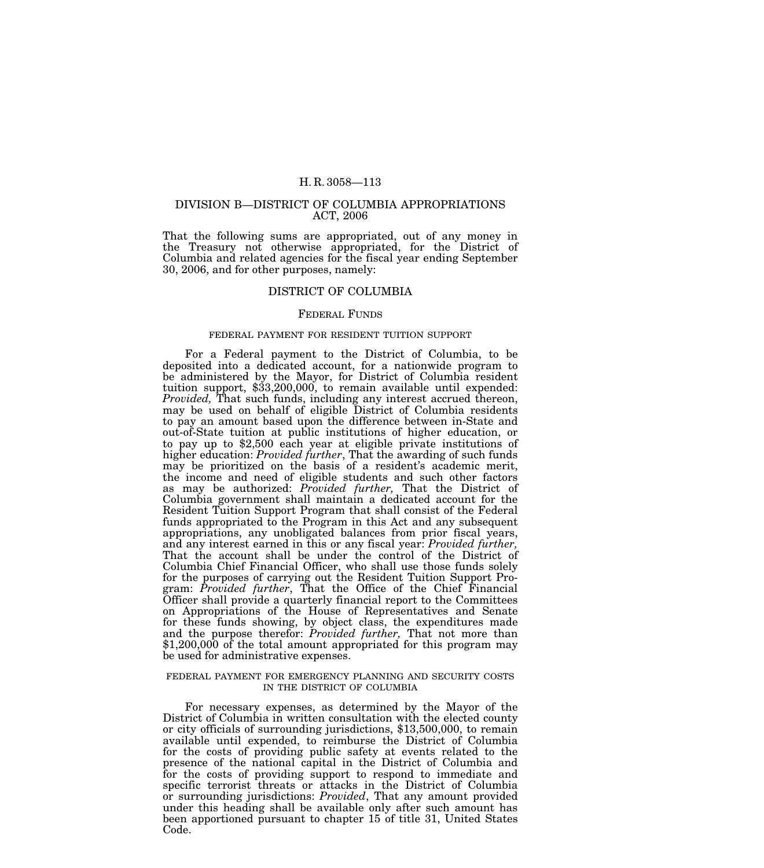#### DIVISION B—DISTRICT OF COLUMBIA APPROPRIATIONS ACT, 2006

That the following sums are appropriated, out of any money in the Treasury not otherwise appropriated, for the District of Columbia and related agencies for the fiscal year ending September 30, 2006, and for other purposes, namely:

### DISTRICT OF COLUMBIA

## FEDERAL FUNDS

#### FEDERAL PAYMENT FOR RESIDENT TUITION SUPPORT

For a Federal payment to the District of Columbia, to be deposited into a dedicated account, for a nationwide program to be administered by the Mayor, for District of Columbia resident tuition support, \$33,200,000, to remain available until expended: *Provided,* That such funds, including any interest accrued thereon, may be used on behalf of eligible District of Columbia residents to pay an amount based upon the difference between in-State and out-of-State tuition at public institutions of higher education, or to pay up to \$2,500 each year at eligible private institutions of higher education: *Provided further*, That the awarding of such funds may be prioritized on the basis of a resident's academic merit, the income and need of eligible students and such other factors as may be authorized: *Provided further,* That the District of Columbia government shall maintain a dedicated account for the Resident Tuition Support Program that shall consist of the Federal funds appropriated to the Program in this Act and any subsequent appropriations, any unobligated balances from prior fiscal years, and any interest earned in this or any fiscal year: *Provided further,* That the account shall be under the control of the District of Columbia Chief Financial Officer, who shall use those funds solely for the purposes of carrying out the Resident Tuition Support Program: *Provided further*, That the Office of the Chief Financial Officer shall provide a quarterly financial report to the Committees on Appropriations of the House of Representatives and Senate for these funds showing, by object class, the expenditures made and the purpose therefor: *Provided further,* That not more than \$1,200,000 of the total amount appropriated for this program may be used for administrative expenses.

#### FEDERAL PAYMENT FOR EMERGENCY PLANNING AND SECURITY COSTS IN THE DISTRICT OF COLUMBIA

For necessary expenses, as determined by the Mayor of the District of Columbia in written consultation with the elected county or city officials of surrounding jurisdictions, \$13,500,000, to remain available until expended, to reimburse the District of Columbia for the costs of providing public safety at events related to the presence of the national capital in the District of Columbia and for the costs of providing support to respond to immediate and specific terrorist threats or attacks in the District of Columbia or surrounding jurisdictions: *Provided*, That any amount provided under this heading shall be available only after such amount has been apportioned pursuant to chapter 15 of title 31, United States Code.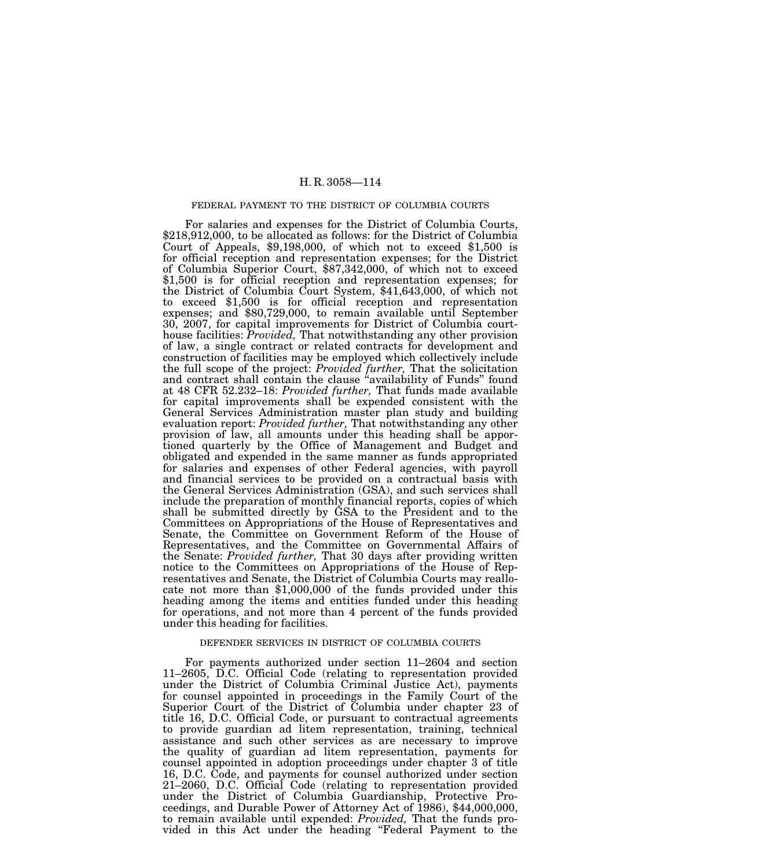#### FEDERAL PAYMENT TO THE DISTRICT OF COLUMBIA COURTS

For salaries and expenses for the District of Columbia Courts, \$218,912,000, to be allocated as follows: for the District of Columbia Court of Appeals, \$9,198,000, of which not to exceed \$1,500 is for official reception and representation expenses; for the District of Columbia Superior Court, \$87,342,000, of which not to exceed \$1,500 is for official reception and representation expenses; for the District of Columbia Court System, \$41,643,000, of which not to exceed \$1,500 is for official reception and representation expenses; and \$80,729,000, to remain available until September 30, 2007, for capital improvements for District of Columbia courthouse facilities: *Provided,* That notwithstanding any other provision of law, a single contract or related contracts for development and construction of facilities may be employed which collectively include the full scope of the project: *Provided further,* That the solicitation and contract shall contain the clause "availability of Funds" found at 48 CFR 52.232–18: *Provided further,* That funds made available for capital improvements shall be expended consistent with the General Services Administration master plan study and building evaluation report: *Provided further,* That notwithstanding any other provision of law, all amounts under this heading shall be apportioned quarterly by the Office of Management and Budget and obligated and expended in the same manner as funds appropriated for salaries and expenses of other Federal agencies, with payroll and financial services to be provided on a contractual basis with the General Services Administration (GSA), and such services shall include the preparation of monthly financial reports, copies of which shall be submitted directly by GSA to the President and to the Committees on Appropriations of the House of Representatives and Senate, the Committee on Government Reform of the House of Representatives, and the Committee on Governmental Affairs of the Senate: *Provided further,* That 30 days after providing written notice to the Committees on Appropriations of the House of Representatives and Senate, the District of Columbia Courts may reallocate not more than \$1,000,000 of the funds provided under this heading among the items and entities funded under this heading for operations, and not more than 4 percent of the funds provided under this heading for facilities.

# DEFENDER SERVICES IN DISTRICT OF COLUMBIA COURTS

For payments authorized under section 11–2604 and section 11–2605, D.C. Official Code (relating to representation provided under the District of Columbia Criminal Justice Act), payments for counsel appointed in proceedings in the Family Court of the Superior Court of the District of Columbia under chapter 23 of title 16, D.C. Official Code, or pursuant to contractual agreements to provide guardian ad litem representation, training, technical assistance and such other services as are necessary to improve the quality of guardian ad litem representation, payments for counsel appointed in adoption proceedings under chapter 3 of title 16, D.C. Code, and payments for counsel authorized under section 21–2060, D.C. Official Code (relating to representation provided under the District of Columbia Guardianship, Protective Proceedings, and Durable Power of Attorney Act of 1986), \$44,000,000, to remain available until expended: *Provided,* That the funds provided in this Act under the heading ''Federal Payment to the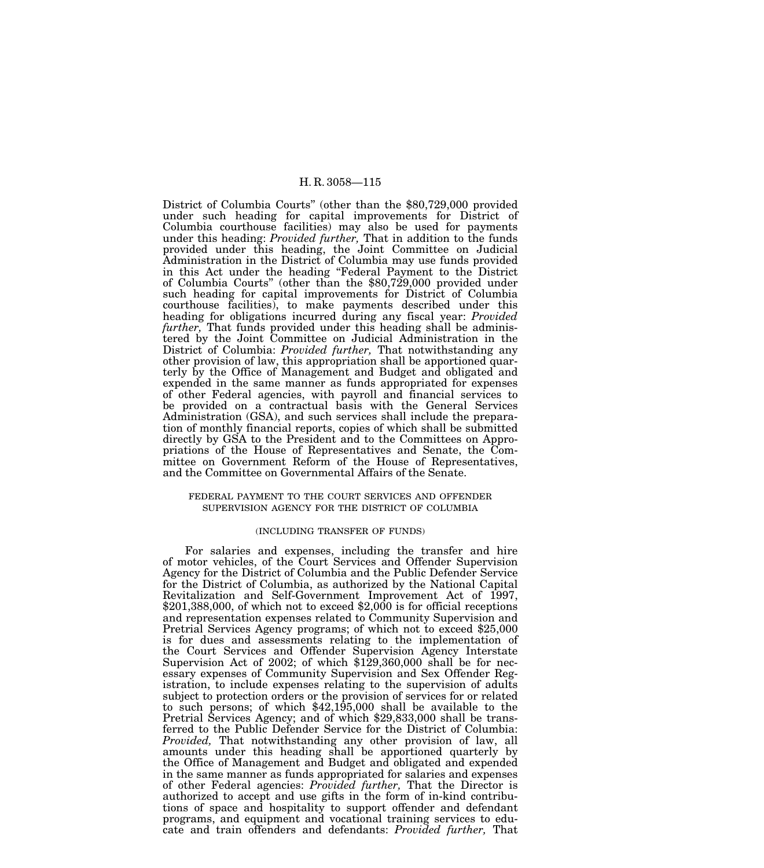District of Columbia Courts'' (other than the \$80,729,000 provided under such heading for capital improvements for District of Columbia courthouse facilities) may also be used for payments under this heading: *Provided further,* That in addition to the funds provided under this heading, the Joint Committee on Judicial Administration in the District of Columbia may use funds provided in this Act under the heading ''Federal Payment to the District of Columbia Courts'' (other than the \$80,729,000 provided under such heading for capital improvements for District of Columbia courthouse facilities), to make payments described under this heading for obligations incurred during any fiscal year: *Provided*  further, That funds provided under this heading shall be administered by the Joint Committee on Judicial Administration in the District of Columbia: *Provided further,* That notwithstanding any other provision of law, this appropriation shall be apportioned quarterly by the Office of Management and Budget and obligated and expended in the same manner as funds appropriated for expenses of other Federal agencies, with payroll and financial services to be provided on a contractual basis with the General Services Administration (GSA), and such services shall include the preparation of monthly financial reports, copies of which shall be submitted directly by GSA to the President and to the Committees on Appropriations of the House of Representatives and Senate, the Committee on Government Reform of the House of Representatives, and the Committee on Governmental Affairs of the Senate.

## FEDERAL PAYMENT TO THE COURT SERVICES AND OFFENDER SUPERVISION AGENCY FOR THE DISTRICT OF COLUMBIA

## (INCLUDING TRANSFER OF FUNDS)

For salaries and expenses, including the transfer and hire of motor vehicles, of the Court Services and Offender Supervision Agency for the District of Columbia and the Public Defender Service for the District of Columbia, as authorized by the National Capital Revitalization and Self-Government Improvement Act of 1997,  $$201,388,000$ , of which not to exceed  $$2,000$  is for official receptions and representation expenses related to Community Supervision and Pretrial Services Agency programs; of which not to exceed \$25,000 is for dues and assessments relating to the implementation of the Court Services and Offender Supervision Agency Interstate Supervision Act of 2002; of which \$129,360,000 shall be for necessary expenses of Community Supervision and Sex Offender Registration, to include expenses relating to the supervision of adults subject to protection orders or the provision of services for or related to such persons; of which \$42,195,000 shall be available to the Pretrial Services Agency; and of which \$29,833,000 shall be transferred to the Public Defender Service for the District of Columbia: *Provided,* That notwithstanding any other provision of law, all amounts under this heading shall be apportioned quarterly by the Office of Management and Budget and obligated and expended in the same manner as funds appropriated for salaries and expenses of other Federal agencies: *Provided further,* That the Director is authorized to accept and use gifts in the form of in-kind contributions of space and hospitality to support offender and defendant programs, and equipment and vocational training services to educate and train offenders and defendants: *Provided further,* That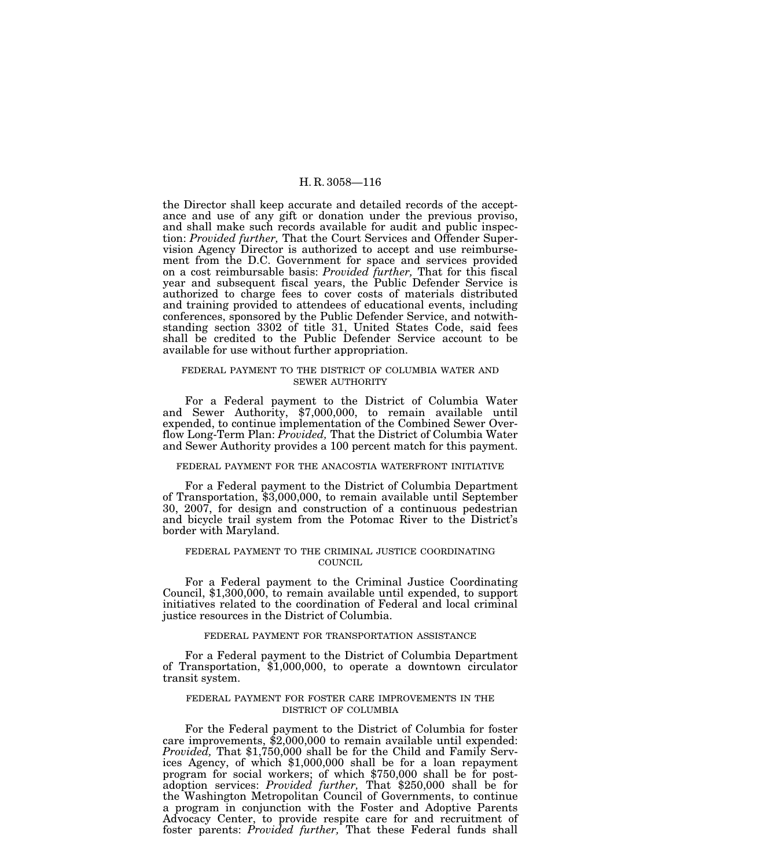the Director shall keep accurate and detailed records of the acceptance and use of any gift or donation under the previous proviso, and shall make such records available for audit and public inspection: *Provided further,* That the Court Services and Offender Supervision Agency Director is authorized to accept and use reimbursement from the D.C. Government for space and services provided on a cost reimbursable basis: *Provided further,* That for this fiscal year and subsequent fiscal years, the Public Defender Service is authorized to charge fees to cover costs of materials distributed and training provided to attendees of educational events, including conferences, sponsored by the Public Defender Service, and notwithstanding section 3302 of title 31, United States Code, said fees shall be credited to the Public Defender Service account to be available for use without further appropriation.

#### FEDERAL PAYMENT TO THE DISTRICT OF COLUMBIA WATER AND SEWER AUTHORITY

For a Federal payment to the District of Columbia Water and Sewer Authority, \$7,000,000, to remain available until expended, to continue implementation of the Combined Sewer Overflow Long-Term Plan: *Provided,* That the District of Columbia Water and Sewer Authority provides a 100 percent match for this payment.

## FEDERAL PAYMENT FOR THE ANACOSTIA WATERFRONT INITIATIVE

For a Federal payment to the District of Columbia Department of Transportation, \$3,000,000, to remain available until September 30, 2007, for design and construction of a continuous pedestrian and bicycle trail system from the Potomac River to the District's border with Maryland.

## FEDERAL PAYMENT TO THE CRIMINAL JUSTICE COORDINATING COUNCIL

For a Federal payment to the Criminal Justice Coordinating Council, \$1,300,000, to remain available until expended, to support initiatives related to the coordination of Federal and local criminal justice resources in the District of Columbia.

#### FEDERAL PAYMENT FOR TRANSPORTATION ASSISTANCE

For a Federal payment to the District of Columbia Department of Transportation, \$1,000,000, to operate a downtown circulator transit system.

## FEDERAL PAYMENT FOR FOSTER CARE IMPROVEMENTS IN THE DISTRICT OF COLUMBIA

For the Federal payment to the District of Columbia for foster care improvements, \$2,000,000 to remain available until expended: *Provided,* That \$1,750,000 shall be for the Child and Family Services Agency, of which \$1,000,000 shall be for a loan repayment program for social workers; of which \$750,000 shall be for postadoption services: *Provided further,* That \$250,000 shall be for the Washington Metropolitan Council of Governments, to continue a program in conjunction with the Foster and Adoptive Parents Advocacy Center, to provide respite care for and recruitment of foster parents: *Provided further,* That these Federal funds shall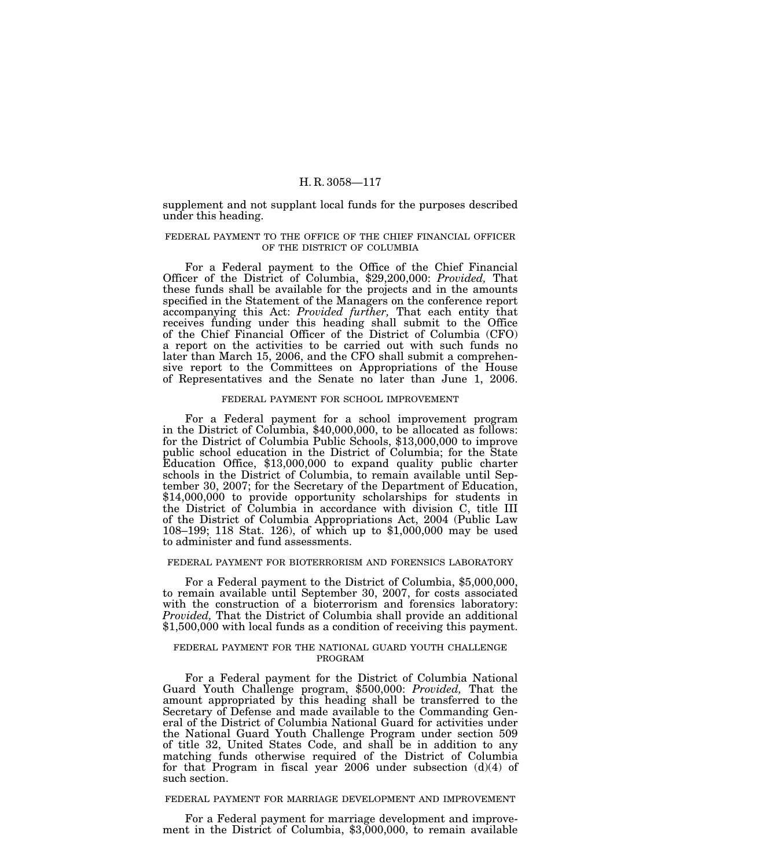supplement and not supplant local funds for the purposes described under this heading.

## FEDERAL PAYMENT TO THE OFFICE OF THE CHIEF FINANCIAL OFFICER OF THE DISTRICT OF COLUMBIA

For a Federal payment to the Office of the Chief Financial Officer of the District of Columbia, \$29,200,000: *Provided,* That these funds shall be available for the projects and in the amounts specified in the Statement of the Managers on the conference report accompanying this Act: *Provided further,* That each entity that receives funding under this heading shall submit to the Office of the Chief Financial Officer of the District of Columbia (CFO) a report on the activities to be carried out with such funds no later than March 15, 2006, and the CFO shall submit a comprehensive report to the Committees on Appropriations of the House of Representatives and the Senate no later than June 1, 2006.

## FEDERAL PAYMENT FOR SCHOOL IMPROVEMENT

For a Federal payment for a school improvement program in the District of Columbia, \$40,000,000, to be allocated as follows: for the District of Columbia Public Schools, \$13,000,000 to improve public school education in the District of Columbia; for the State Education Office, \$13,000,000 to expand quality public charter schools in the District of Columbia, to remain available until September 30, 2007; for the Secretary of the Department of Education, \$14,000,000 to provide opportunity scholarships for students in the District of Columbia in accordance with division C, title III of the District of Columbia Appropriations Act, 2004 (Public Law 108–199; 118 Stat. 126), of which up to \$1,000,000 may be used to administer and fund assessments.

#### FEDERAL PAYMENT FOR BIOTERRORISM AND FORENSICS LABORATORY

For a Federal payment to the District of Columbia, \$5,000,000, to remain available until September 30, 2007, for costs associated with the construction of a bioterrorism and forensics laboratory: *Provided,* That the District of Columbia shall provide an additional \$1,500,000 with local funds as a condition of receiving this payment.

## FEDERAL PAYMENT FOR THE NATIONAL GUARD YOUTH CHALLENGE PROGRAM

For a Federal payment for the District of Columbia National Guard Youth Challenge program, \$500,000: *Provided,* That the amount appropriated by this heading shall be transferred to the Secretary of Defense and made available to the Commanding General of the District of Columbia National Guard for activities under the National Guard Youth Challenge Program under section 509 of title 32, United States Code, and shall be in addition to any matching funds otherwise required of the District of Columbia for that Program in fiscal year 2006 under subsection  $(d)(4)$  of such section.

#### FEDERAL PAYMENT FOR MARRIAGE DEVELOPMENT AND IMPROVEMENT

For a Federal payment for marriage development and improvement in the District of Columbia, \$3,000,000, to remain available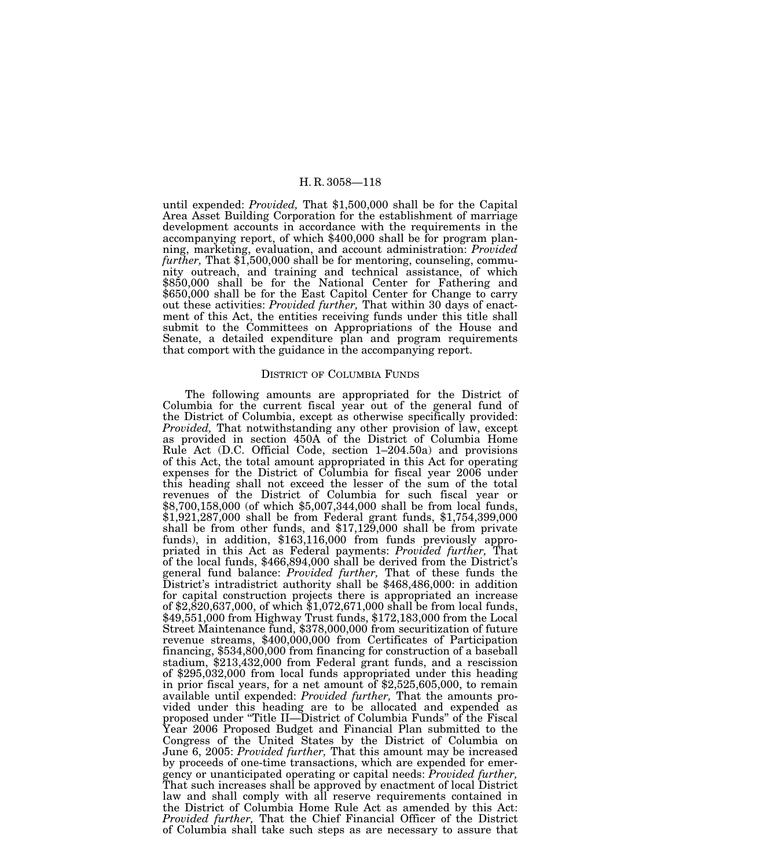until expended: *Provided,* That \$1,500,000 shall be for the Capital Area Asset Building Corporation for the establishment of marriage development accounts in accordance with the requirements in the accompanying report, of which \$400,000 shall be for program planning, marketing, evaluation, and account administration: *Provided further*, That \$1,500,000 shall be for mentoring, counseling, community outreach, and training and technical assistance, of which \$850,000 shall be for the National Center for Fathering and \$650,000 shall be for the East Capitol Center for Change to carry out these activities: *Provided further,* That within 30 days of enactment of this Act, the entities receiving funds under this title shall submit to the Committees on Appropriations of the House and Senate, a detailed expenditure plan and program requirements that comport with the guidance in the accompanying report.

#### DISTRICT OF COLUMBIA FUNDS

The following amounts are appropriated for the District of Columbia for the current fiscal year out of the general fund of the District of Columbia, except as otherwise specifically provided: *Provided,* That notwithstanding any other provision of law, except as provided in section 450A of the District of Columbia Home Rule Act (D.C. Official Code, section 1–204.50a) and provisions of this Act, the total amount appropriated in this Act for operating expenses for the District of Columbia for fiscal year 2006 under this heading shall not exceed the lesser of the sum of the total revenues of the District of Columbia for such fiscal year or \$8,700,158,000 (of which \$5,007,344,000 shall be from local funds, \$1,921,287,000 shall be from Federal grant funds, \$1,754,399,000 shall be from other funds, and \$17,129,000 shall be from private funds), in addition, \$163,116,000 from funds previously appropriated in this Act as Federal payments: *Provided further,* That of the local funds, \$466,894,000 shall be derived from the District's general fund balance: *Provided further,* That of these funds the District's intradistrict authority shall be \$468,486,000: in addition for capital construction projects there is appropriated an increase of \$2,820,637,000, of which \$1,072,671,000 shall be from local funds, \$49,551,000 from Highway Trust funds, \$172,183,000 from the Local Street Maintenance fund, \$378,000,000 from securitization of future revenue streams, \$400,000,000 from Certificates of Participation financing, \$534,800,000 from financing for construction of a baseball stadium, \$213,432,000 from Federal grant funds, and a rescission of \$295,032,000 from local funds appropriated under this heading in prior fiscal years, for a net amount of \$2,525,605,000, to remain available until expended: *Provided further,* That the amounts provided under this heading are to be allocated and expended as proposed under ''Title II—District of Columbia Funds'' of the Fiscal Year 2006 Proposed Budget and Financial Plan submitted to the Congress of the United States by the District of Columbia on June 6, 2005: *Provided further,* That this amount may be increased by proceeds of one-time transactions, which are expended for emergency or unanticipated operating or capital needs: *Provided further,* That such increases shall be approved by enactment of local District law and shall comply with all reserve requirements contained in the District of Columbia Home Rule Act as amended by this Act: *Provided further,* That the Chief Financial Officer of the District of Columbia shall take such steps as are necessary to assure that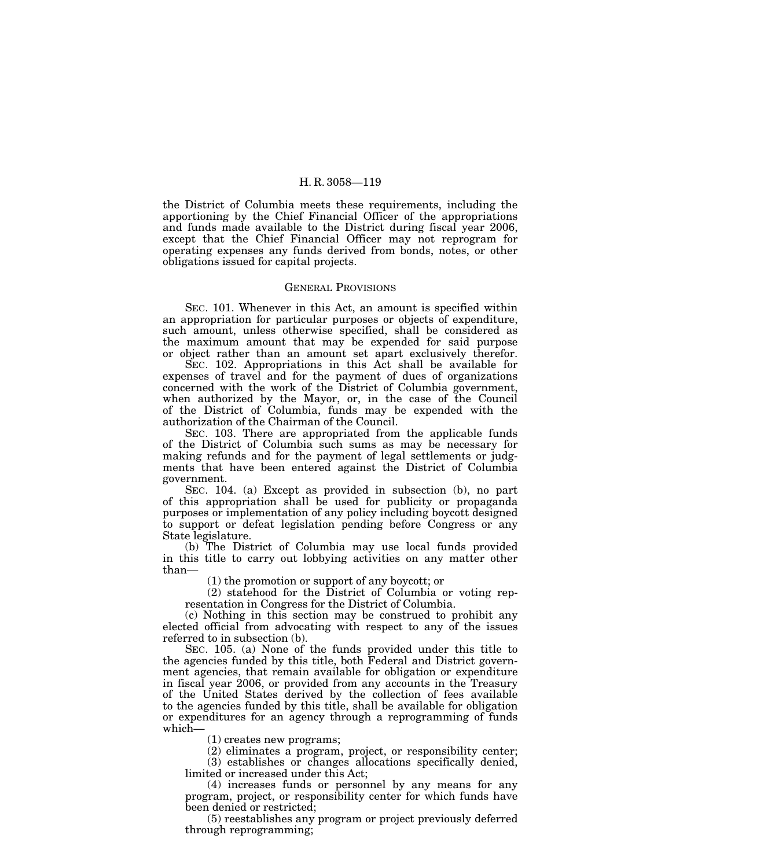the District of Columbia meets these requirements, including the apportioning by the Chief Financial Officer of the appropriations and funds made available to the District during fiscal year 2006, except that the Chief Financial Officer may not reprogram for operating expenses any funds derived from bonds, notes, or other obligations issued for capital projects.

## GENERAL PROVISIONS

SEC. 101. Whenever in this Act, an amount is specified within an appropriation for particular purposes or objects of expenditure, such amount, unless otherwise specified, shall be considered as the maximum amount that may be expended for said purpose or object rather than an amount set apart exclusively therefor.

SEC. 102. Appropriations in this Act shall be available for expenses of travel and for the payment of dues of organizations concerned with the work of the District of Columbia government, when authorized by the Mayor, or, in the case of the Council of the District of Columbia, funds may be expended with the authorization of the Chairman of the Council.

SEC. 103. There are appropriated from the applicable funds of the District of Columbia such sums as may be necessary for making refunds and for the payment of legal settlements or judgments that have been entered against the District of Columbia government.

SEC. 104. (a) Except as provided in subsection (b), no part of this appropriation shall be used for publicity or propaganda purposes or implementation of any policy including boycott designed to support or defeat legislation pending before Congress or any State legislature.

(b) The District of Columbia may use local funds provided in this title to carry out lobbying activities on any matter other than—

(1) the promotion or support of any boycott; or

(2) statehood for the District of Columbia or voting representation in Congress for the District of Columbia.

(c) Nothing in this section may be construed to prohibit any elected official from advocating with respect to any of the issues referred to in subsection (b).

SEC. 105. (a) None of the funds provided under this title to the agencies funded by this title, both Federal and District government agencies, that remain available for obligation or expenditure in fiscal year 2006, or provided from any accounts in the Treasury of the United States derived by the collection of fees available to the agencies funded by this title, shall be available for obligation or expenditures for an agency through a reprogramming of funds which—

(1) creates new programs;

(2) eliminates a program, project, or responsibility center;

(3) establishes or changes allocations specifically denied, limited or increased under this Act;

(4) increases funds or personnel by any means for any program, project, or responsibility center for which funds have been denied or restricted;

(5) reestablishes any program or project previously deferred through reprogramming;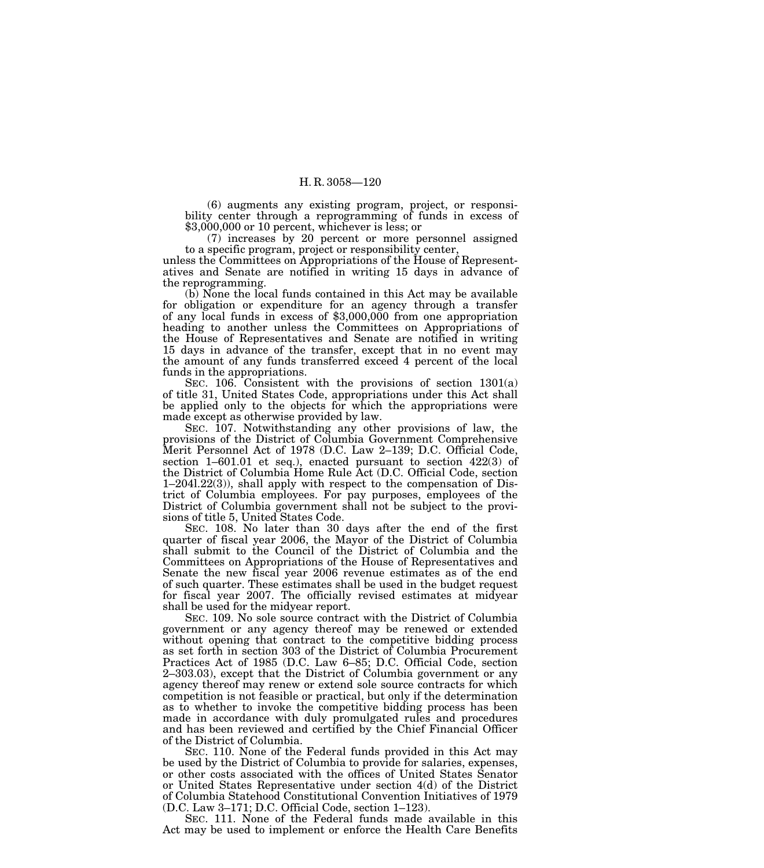(6) augments any existing program, project, or responsibility center through a reprogramming of funds in excess of \$3,000,000 or 10 percent, whichever is less; or

(7) increases by 20 percent or more personnel assigned to a specific program, project or responsibility center,

unless the Committees on Appropriations of the House of Representatives and Senate are notified in writing 15 days in advance of the reprogramming.

(b) None the local funds contained in this Act may be available for obligation or expenditure for an agency through a transfer of any local funds in excess of \$3,000,000 from one appropriation heading to another unless the Committees on Appropriations of the House of Representatives and Senate are notified in writing 15 days in advance of the transfer, except that in no event may the amount of any funds transferred exceed 4 percent of the local funds in the appropriations.

SEC. 106. Consistent with the provisions of section 1301(a) of title 31, United States Code, appropriations under this Act shall be applied only to the objects for which the appropriations were made except as otherwise provided by law.

SEC. 107. Notwithstanding any other provisions of law, the provisions of the District of Columbia Government Comprehensive Merit Personnel Act of 1978 (D.C. Law 2–139; D.C. Official Code, section 1–601.01 et seq.), enacted pursuant to section 422(3) of the District of Columbia Home Rule Act (D.C. Official Code, section 1–204l.22(3)), shall apply with respect to the compensation of District of Columbia employees. For pay purposes, employees of the District of Columbia government shall not be subject to the provisions of title 5, United States Code.

SEC. 108. No later than 30 days after the end of the first quarter of fiscal year 2006, the Mayor of the District of Columbia shall submit to the Council of the District of Columbia and the Committees on Appropriations of the House of Representatives and Senate the new fiscal year 2006 revenue estimates as of the end of such quarter. These estimates shall be used in the budget request for fiscal year 2007. The officially revised estimates at midyear shall be used for the midyear report.

SEC. 109. No sole source contract with the District of Columbia government or any agency thereof may be renewed or extended without opening that contract to the competitive bidding process as set forth in section 303 of the District of Columbia Procurement Practices Act of 1985 (D.C. Law 6–85; D.C. Official Code, section 2–303.03), except that the District of Columbia government or any agency thereof may renew or extend sole source contracts for which competition is not feasible or practical, but only if the determination as to whether to invoke the competitive bidding process has been made in accordance with duly promulgated rules and procedures and has been reviewed and certified by the Chief Financial Officer of the District of Columbia.

SEC. 110. None of the Federal funds provided in this Act may be used by the District of Columbia to provide for salaries, expenses, or other costs associated with the offices of United States Senator or United States Representative under section 4(d) of the District of Columbia Statehood Constitutional Convention Initiatives of 1979 (D.C. Law 3–171; D.C. Official Code, section 1–123).

SEC. 111. None of the Federal funds made available in this Act may be used to implement or enforce the Health Care Benefits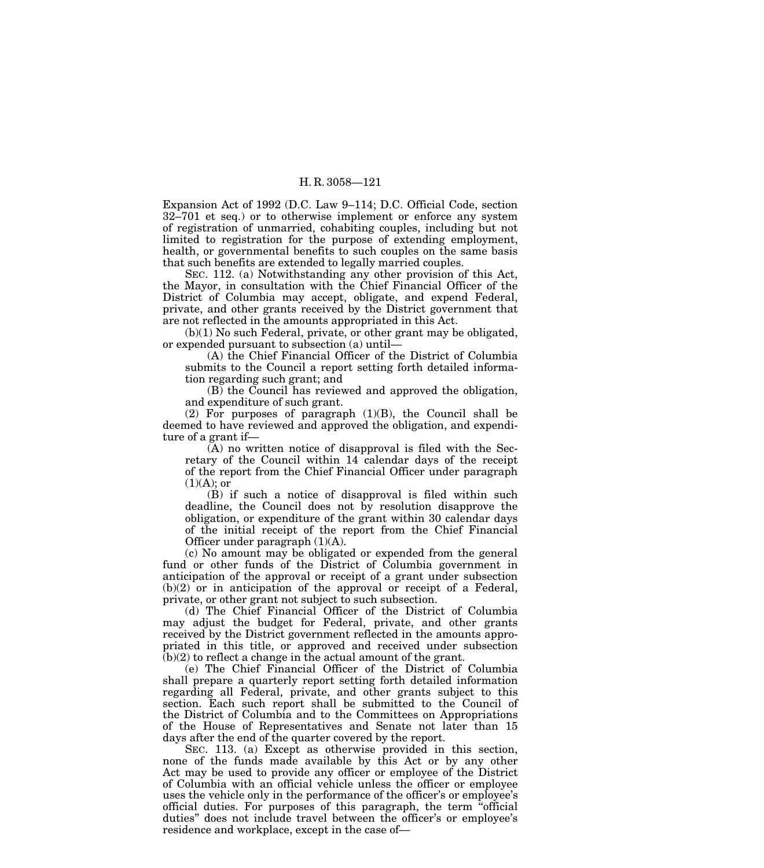Expansion Act of 1992 (D.C. Law 9–114; D.C. Official Code, section 32–701 et seq.) or to otherwise implement or enforce any system of registration of unmarried, cohabiting couples, including but not limited to registration for the purpose of extending employment, health, or governmental benefits to such couples on the same basis that such benefits are extended to legally married couples.

SEC. 112. (a) Notwithstanding any other provision of this Act, the Mayor, in consultation with the Chief Financial Officer of the District of Columbia may accept, obligate, and expend Federal, private, and other grants received by the District government that are not reflected in the amounts appropriated in this Act.

(b)(1) No such Federal, private, or other grant may be obligated, or expended pursuant to subsection (a) until—

(A) the Chief Financial Officer of the District of Columbia submits to the Council a report setting forth detailed information regarding such grant; and

(B) the Council has reviewed and approved the obligation, and expenditure of such grant.

(2) For purposes of paragraph (1)(B), the Council shall be deemed to have reviewed and approved the obligation, and expenditure of a grant if—

(A) no written notice of disapproval is filed with the Secretary of the Council within 14 calendar days of the receipt of the report from the Chief Financial Officer under paragraph  $(1)(A)$ ; or

(B) if such a notice of disapproval is filed within such deadline, the Council does not by resolution disapprove the obligation, or expenditure of the grant within 30 calendar days of the initial receipt of the report from the Chief Financial Officer under paragraph (1)(A).

(c) No amount may be obligated or expended from the general fund or other funds of the District of Columbia government in anticipation of the approval or receipt of a grant under subsection (b)(2) or in anticipation of the approval or receipt of a Federal, private, or other grant not subject to such subsection.

(d) The Chief Financial Officer of the District of Columbia may adjust the budget for Federal, private, and other grants received by the District government reflected in the amounts appropriated in this title, or approved and received under subsection (b)(2) to reflect a change in the actual amount of the grant.

(e) The Chief Financial Officer of the District of Columbia shall prepare a quarterly report setting forth detailed information regarding all Federal, private, and other grants subject to this section. Each such report shall be submitted to the Council of the District of Columbia and to the Committees on Appropriations of the House of Representatives and Senate not later than 15 days after the end of the quarter covered by the report.

SEC. 113. (a) Except as otherwise provided in this section, none of the funds made available by this Act or by any other Act may be used to provide any officer or employee of the District of Columbia with an official vehicle unless the officer or employee uses the vehicle only in the performance of the officer's or employee's official duties. For purposes of this paragraph, the term ''official duties'' does not include travel between the officer's or employee's residence and workplace, except in the case of—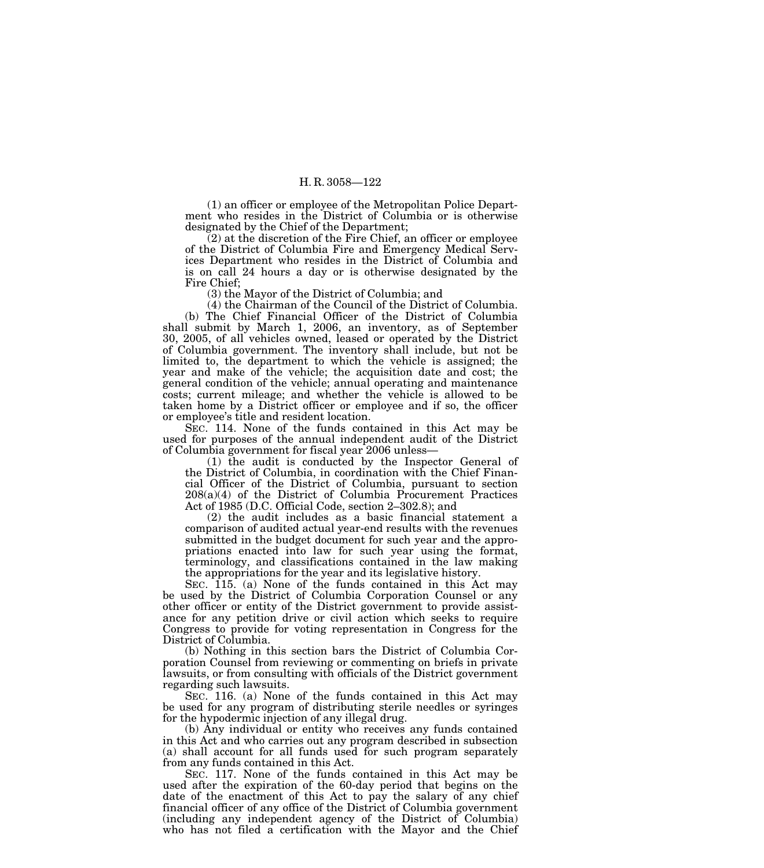(1) an officer or employee of the Metropolitan Police Department who resides in the District of Columbia or is otherwise designated by the Chief of the Department;

 $(2)$  at the discretion of the Fire Chief, an officer or employee of the District of Columbia Fire and Emergency Medical Services Department who resides in the District of Columbia and is on call 24 hours a day or is otherwise designated by the Fire Chief;

(3) the Mayor of the District of Columbia; and

(4) the Chairman of the Council of the District of Columbia. (b) The Chief Financial Officer of the District of Columbia shall submit by March 1, 2006, an inventory, as of September 30, 2005, of all vehicles owned, leased or operated by the District of Columbia government. The inventory shall include, but not be limited to, the department to which the vehicle is assigned; the year and make of the vehicle; the acquisition date and cost; the general condition of the vehicle; annual operating and maintenance costs; current mileage; and whether the vehicle is allowed to be taken home by a District officer or employee and if so, the officer or employee's title and resident location.

SEC. 114. None of the funds contained in this Act may be used for purposes of the annual independent audit of the District of Columbia government for fiscal year 2006 unless—

(1) the audit is conducted by the Inspector General of the District of Columbia, in coordination with the Chief Financial Officer of the District of Columbia, pursuant to section 208(a)(4) of the District of Columbia Procurement Practices Act of 1985 (D.C. Official Code, section 2–302.8); and

(2) the audit includes as a basic financial statement a comparison of audited actual year-end results with the revenues submitted in the budget document for such year and the appropriations enacted into law for such year using the format, terminology, and classifications contained in the law making the appropriations for the year and its legislative history.

SEC. 115. (a) None of the funds contained in this Act may be used by the District of Columbia Corporation Counsel or any other officer or entity of the District government to provide assistance for any petition drive or civil action which seeks to require Congress to provide for voting representation in Congress for the District of Columbia.

(b) Nothing in this section bars the District of Columbia Corporation Counsel from reviewing or commenting on briefs in private lawsuits, or from consulting with officials of the District government regarding such lawsuits.

SEC. 116. (a) None of the funds contained in this Act may be used for any program of distributing sterile needles or syringes for the hypodermic injection of any illegal drug.

(b) Any individual or entity who receives any funds contained in this Act and who carries out any program described in subsection (a) shall account for all funds used for such program separately from any funds contained in this Act.

SEC. 117. None of the funds contained in this Act may be used after the expiration of the 60-day period that begins on the date of the enactment of this Act to pay the salary of any chief financial officer of any office of the District of Columbia government (including any independent agency of the District of Columbia) who has not filed a certification with the Mayor and the Chief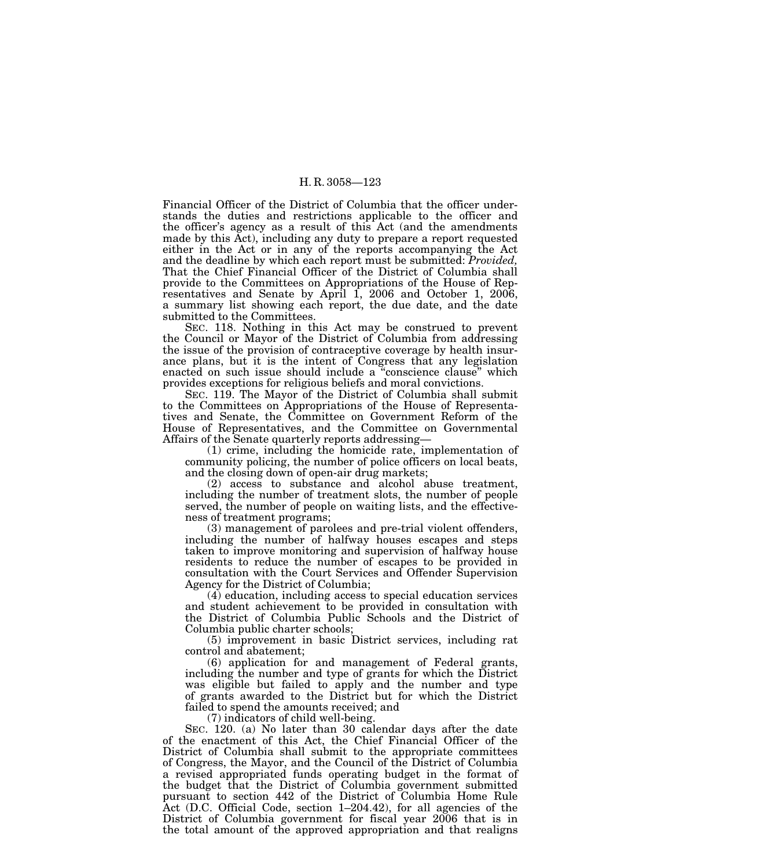Financial Officer of the District of Columbia that the officer understands the duties and restrictions applicable to the officer and the officer's agency as a result of this Act (and the amendments made by this Act), including any duty to prepare a report requested either in the Act or in any of the reports accompanying the Act and the deadline by which each report must be submitted: *Provided,*  That the Chief Financial Officer of the District of Columbia shall provide to the Committees on Appropriations of the House of Representatives and Senate by April 1, 2006 and October 1, 2006, a summary list showing each report, the due date, and the date submitted to the Committees.

SEC. 118. Nothing in this Act may be construed to prevent the Council or Mayor of the District of Columbia from addressing the issue of the provision of contraceptive coverage by health insurance plans, but it is the intent of Congress that any legislation enacted on such issue should include a "conscience clause" which provides exceptions for religious beliefs and moral convictions.

SEC. 119. The Mayor of the District of Columbia shall submit to the Committees on Appropriations of the House of Representatives and Senate, the Committee on Government Reform of the House of Representatives, and the Committee on Governmental Affairs of the Senate quarterly reports addressing—

(1) crime, including the homicide rate, implementation of community policing, the number of police officers on local beats, and the closing down of open-air drug markets;

(2) access to substance and alcohol abuse treatment, including the number of treatment slots, the number of people served, the number of people on waiting lists, and the effectiveness of treatment programs;

(3) management of parolees and pre-trial violent offenders, including the number of halfway houses escapes and steps taken to improve monitoring and supervision of halfway house residents to reduce the number of escapes to be provided in consultation with the Court Services and Offender Supervision Agency for the District of Columbia;

(4) education, including access to special education services and student achievement to be provided in consultation with the District of Columbia Public Schools and the District of Columbia public charter schools;

(5) improvement in basic District services, including rat control and abatement;

(6) application for and management of Federal grants, including the number and type of grants for which the District was eligible but failed to apply and the number and type of grants awarded to the District but for which the District failed to spend the amounts received; and

(7) indicators of child well-being.

SEC. 120. (a) No later than 30 calendar days after the date of the enactment of this Act, the Chief Financial Officer of the District of Columbia shall submit to the appropriate committees of Congress, the Mayor, and the Council of the District of Columbia a revised appropriated funds operating budget in the format of the budget that the District of Columbia government submitted pursuant to section 442 of the District of Columbia Home Rule Act (D.C. Official Code, section 1–204.42), for all agencies of the District of Columbia government for fiscal year 2006 that is in the total amount of the approved appropriation and that realigns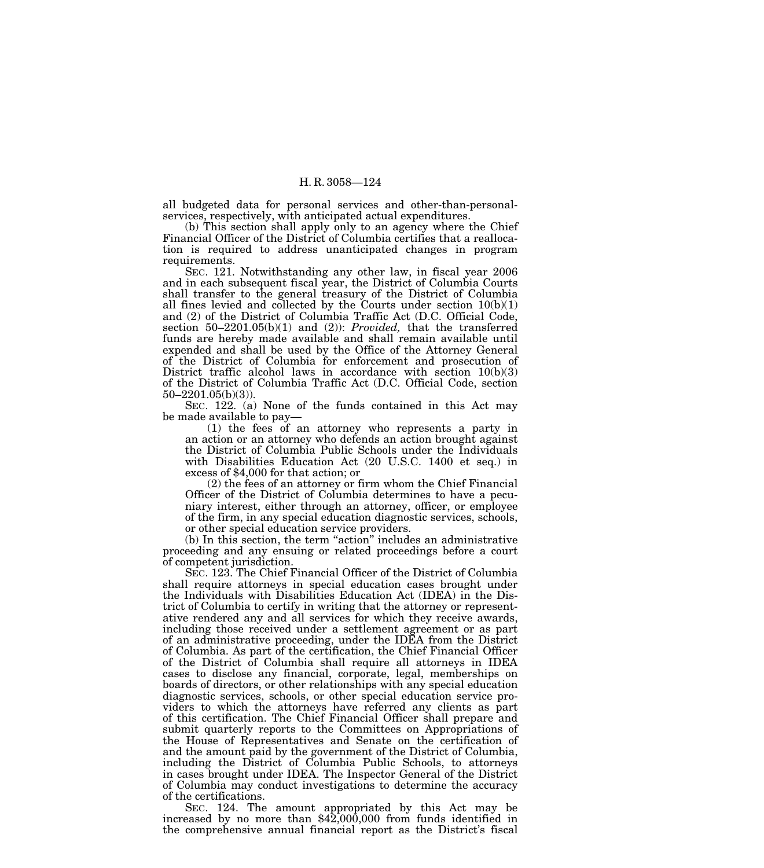all budgeted data for personal services and other-than-personalservices, respectively, with anticipated actual expenditures.

(b) This section shall apply only to an agency where the Chief Financial Officer of the District of Columbia certifies that a reallocation is required to address unanticipated changes in program requirements.

SEC. 121. Notwithstanding any other law, in fiscal year 2006 and in each subsequent fiscal year, the District of Columbia Courts shall transfer to the general treasury of the District of Columbia all fines levied and collected by the Courts under section 10(b)(1) and (2) of the District of Columbia Traffic Act (D.C. Official Code, section 50–2201.05(b)(1) and (2)): *Provided,* that the transferred funds are hereby made available and shall remain available until expended and shall be used by the Office of the Attorney General of the District of Columbia for enforcement and prosecution of District traffic alcohol laws in accordance with section 10(b)(3) of the District of Columbia Traffic Act (D.C. Official Code, section 50–2201.05(b)(3)).

SEC. 122. (a) None of the funds contained in this Act may be made available to pay—

(1) the fees of an attorney who represents a party in an action or an attorney who defends an action brought against the District of Columbia Public Schools under the Individuals with Disabilities Education Act (20 U.S.C. 1400 et seq.) in excess of \$4,000 for that action; or

(2) the fees of an attorney or firm whom the Chief Financial Officer of the District of Columbia determines to have a pecuniary interest, either through an attorney, officer, or employee of the firm, in any special education diagnostic services, schools, or other special education service providers.

(b) In this section, the term ''action'' includes an administrative proceeding and any ensuing or related proceedings before a court of competent jurisdiction.

SEC. 123. The Chief Financial Officer of the District of Columbia shall require attorneys in special education cases brought under the Individuals with Disabilities Education Act (IDEA) in the District of Columbia to certify in writing that the attorney or representative rendered any and all services for which they receive awards, including those received under a settlement agreement or as part of an administrative proceeding, under the IDEA from the District of Columbia. As part of the certification, the Chief Financial Officer of the District of Columbia shall require all attorneys in IDEA cases to disclose any financial, corporate, legal, memberships on boards of directors, or other relationships with any special education diagnostic services, schools, or other special education service providers to which the attorneys have referred any clients as part of this certification. The Chief Financial Officer shall prepare and submit quarterly reports to the Committees on Appropriations of the House of Representatives and Senate on the certification of and the amount paid by the government of the District of Columbia, including the District of Columbia Public Schools, to attorneys in cases brought under IDEA. The Inspector General of the District of Columbia may conduct investigations to determine the accuracy of the certifications.

SEC. 124. The amount appropriated by this Act may be increased by no more than \$42,000,000 from funds identified in the comprehensive annual financial report as the District's fiscal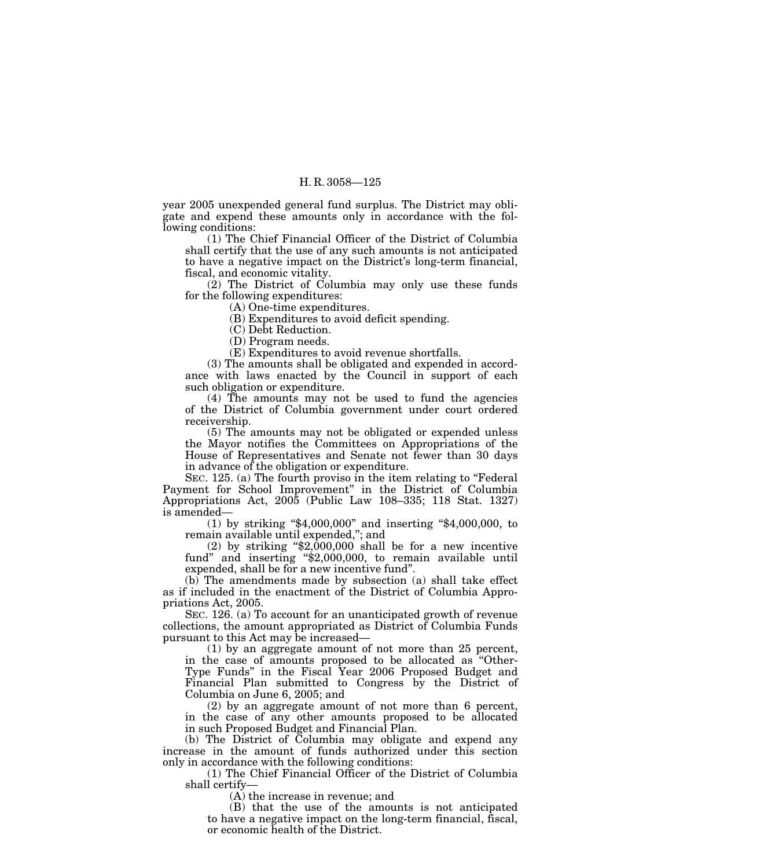year 2005 unexpended general fund surplus. The District may obligate and expend these amounts only in accordance with the following conditions:

(1) The Chief Financial Officer of the District of Columbia shall certify that the use of any such amounts is not anticipated to have a negative impact on the District's long-term financial, fiscal, and economic vitality.

(2) The District of Columbia may only use these funds for the following expenditures:

(A) One-time expenditures.

(B) Expenditures to avoid deficit spending.

(C) Debt Reduction.

(D) Program needs.

(E) Expenditures to avoid revenue shortfalls.

(3) The amounts shall be obligated and expended in accordance with laws enacted by the Council in support of each such obligation or expenditure.

(4) The amounts may not be used to fund the agencies of the District of Columbia government under court ordered receivership.

(5) The amounts may not be obligated or expended unless the Mayor notifies the Committees on Appropriations of the House of Representatives and Senate not fewer than 30 days in advance of the obligation or expenditure.

SEC. 125. (a) The fourth proviso in the item relating to "Federal" Payment for School Improvement" in the District of Columbia Appropriations Act, 2005 (Public Law 108–335; 118 Stat. 1327) is amended—

(1) by striking ''\$4,000,000'' and inserting ''\$4,000,000, to remain available until expended,''; and

 $(2)$  by striking "\$2,000,000 shall be for a new incentive fund" and inserting "\$2,000,000, to remain available until expended, shall be for a new incentive fund''.

(b) The amendments made by subsection (a) shall take effect as if included in the enactment of the District of Columbia Appropriations Act, 2005.

SEC. 126. (a) To account for an unanticipated growth of revenue collections, the amount appropriated as District of Columbia Funds pursuant to this Act may be increased—

(1) by an aggregate amount of not more than 25 percent, in the case of amounts proposed to be allocated as ''Other-Type Funds'' in the Fiscal Year 2006 Proposed Budget and Financial Plan submitted to Congress by the District of Columbia on June 6, 2005; and

(2) by an aggregate amount of not more than 6 percent, in the case of any other amounts proposed to be allocated in such Proposed Budget and Financial Plan.

(b) The District of Columbia may obligate and expend any increase in the amount of funds authorized under this section only in accordance with the following conditions:

(1) The Chief Financial Officer of the District of Columbia shall certify—

(A) the increase in revenue; and

(B) that the use of the amounts is not anticipated to have a negative impact on the long-term financial, fiscal, or economic health of the District.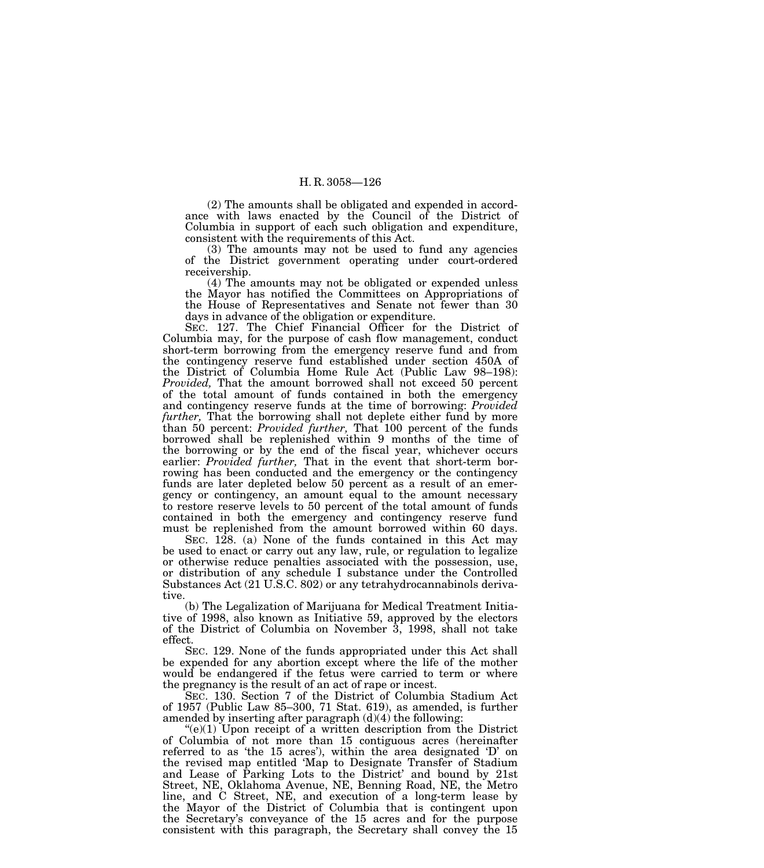(2) The amounts shall be obligated and expended in accordance with laws enacted by the Council of the District of Columbia in support of each such obligation and expenditure, consistent with the requirements of this Act.

(3) The amounts may not be used to fund any agencies of the District government operating under court-ordered receivership.

(4) The amounts may not be obligated or expended unless the Mayor has notified the Committees on Appropriations of the House of Representatives and Senate not fewer than 30 days in advance of the obligation or expenditure.

SEC. 127. The Chief Financial Officer for the District of Columbia may, for the purpose of cash flow management, conduct short-term borrowing from the emergency reserve fund and from the contingency reserve fund established under section 450A of the District of Columbia Home Rule Act (Public Law 98–198): *Provided,* That the amount borrowed shall not exceed 50 percent of the total amount of funds contained in both the emergency and contingency reserve funds at the time of borrowing: *Provided further,* That the borrowing shall not deplete either fund by more than 50 percent: *Provided further,* That 100 percent of the funds borrowed shall be replenished within 9 months of the time of the borrowing or by the end of the fiscal year, whichever occurs earlier: *Provided further,* That in the event that short-term borrowing has been conducted and the emergency or the contingency funds are later depleted below 50 percent as a result of an emergency or contingency, an amount equal to the amount necessary to restore reserve levels to 50 percent of the total amount of funds contained in both the emergency and contingency reserve fund must be replenished from the amount borrowed within 60 days.

SEC. 128. (a) None of the funds contained in this Act may be used to enact or carry out any law, rule, or regulation to legalize or otherwise reduce penalties associated with the possession, use, or distribution of any schedule I substance under the Controlled Substances Act (21 U.S.C. 802) or any tetrahydrocannabinols derivative.

(b) The Legalization of Marijuana for Medical Treatment Initiative of 1998, also known as Initiative 59, approved by the electors of the District of Columbia on November 3, 1998, shall not take effect.

SEC. 129. None of the funds appropriated under this Act shall be expended for any abortion except where the life of the mother would be endangered if the fetus were carried to term or where the pregnancy is the result of an act of rape or incest.

SEC. 130. Section 7 of the District of Columbia Stadium Act of 1957 (Public Law 85–300, 71 Stat. 619), as amended, is further amended by inserting after paragraph  $(d)(4)$  the following:

 $(e)(1)$  Upon receipt of a written description from the District of Columbia of not more than 15 contiguous acres (hereinafter referred to as 'the 15 acres'), within the area designated 'D' on the revised map entitled 'Map to Designate Transfer of Stadium and Lease of Parking Lots to the District' and bound by 21st Street, NE, Oklahoma Avenue, NE, Benning Road, NE, the Metro line, and C Street, NE, and execution of a long-term lease by the Mayor of the District of Columbia that is contingent upon the Secretary's conveyance of the 15 acres and for the purpose consistent with this paragraph, the Secretary shall convey the 15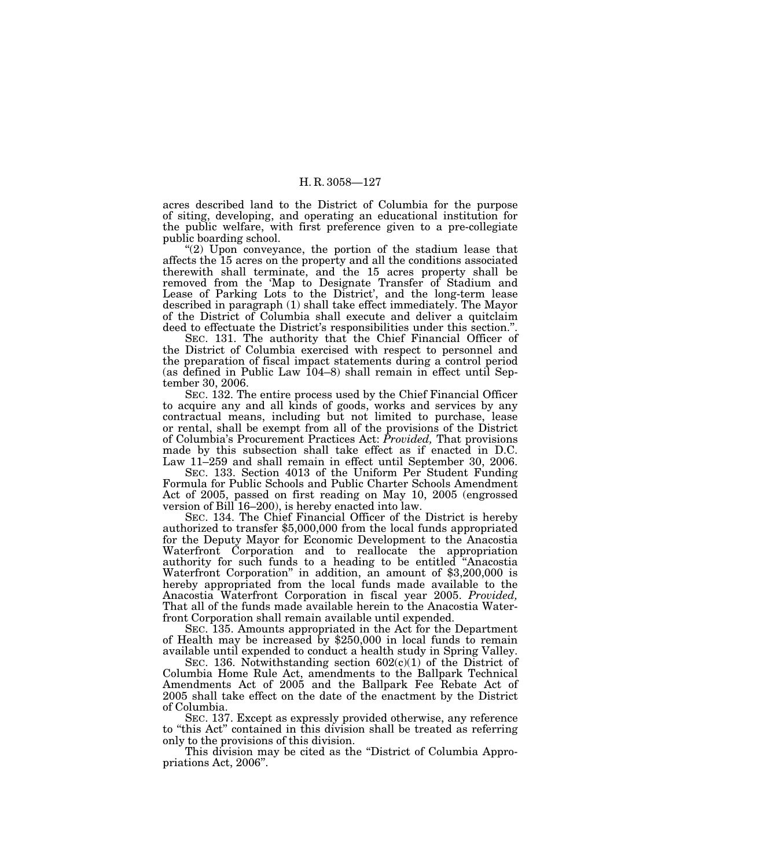acres described land to the District of Columbia for the purpose of siting, developing, and operating an educational institution for the public welfare, with first preference given to a pre-collegiate public boarding school.

" $(2)$  Upon conveyance, the portion of the stadium lease that affects the 15 acres on the property and all the conditions associated therewith shall terminate, and the 15 acres property shall be removed from the 'Map to Designate Transfer of Stadium and Lease of Parking Lots to the District', and the long-term lease described in paragraph (1) shall take effect immediately. The Mayor of the District of Columbia shall execute and deliver a quitclaim deed to effectuate the District's responsibilities under this section.''.

SEC. 131. The authority that the Chief Financial Officer of the District of Columbia exercised with respect to personnel and the preparation of fiscal impact statements during a control period (as defined in Public Law 104–8) shall remain in effect until September 30, 2006.

SEC. 132. The entire process used by the Chief Financial Officer to acquire any and all kinds of goods, works and services by any contractual means, including but not limited to purchase, lease or rental, shall be exempt from all of the provisions of the District of Columbia's Procurement Practices Act: *Provided,* That provisions made by this subsection shall take effect as if enacted in D.C. Law 11–259 and shall remain in effect until September 30, 2006.

SEC. 133. Section 4013 of the Uniform Per Student Funding Formula for Public Schools and Public Charter Schools Amendment Act of 2005, passed on first reading on May 10, 2005 (engrossed version of Bill 16–200), is hereby enacted into law.

SEC. 134. The Chief Financial Officer of the District is hereby authorized to transfer \$5,000,000 from the local funds appropriated for the Deputy Mayor for Economic Development to the Anacostia Waterfront Corporation and to reallocate the appropriation authority for such funds to a heading to be entitled ''Anacostia Waterfront Corporation'' in addition, an amount of \$3,200,000 is hereby appropriated from the local funds made available to the Anacostia Waterfront Corporation in fiscal year 2005. *Provided,* That all of the funds made available herein to the Anacostia Waterfront Corporation shall remain available until expended.<br>SEC. 135. Amounts appropriated in the Act for the Department

of Health may be increased by  $$250,000$  in local funds to remain available until expended to conduct a health study in Spring Valley.

SEC. 136. Notwithstanding section  $602(c)(1)$  of the District of Columbia Home Rule Act, amendments to the Ballpark Technical Amendments Act of 2005 and the Ballpark Fee Rebate Act of 2005 shall take effect on the date of the enactment by the District of Columbia.

SEC. 137. Except as expressly provided otherwise, any reference to ''this Act'' contained in this division shall be treated as referring only to the provisions of this division.

This division may be cited as the "District of Columbia Appropriations Act, 2006''.